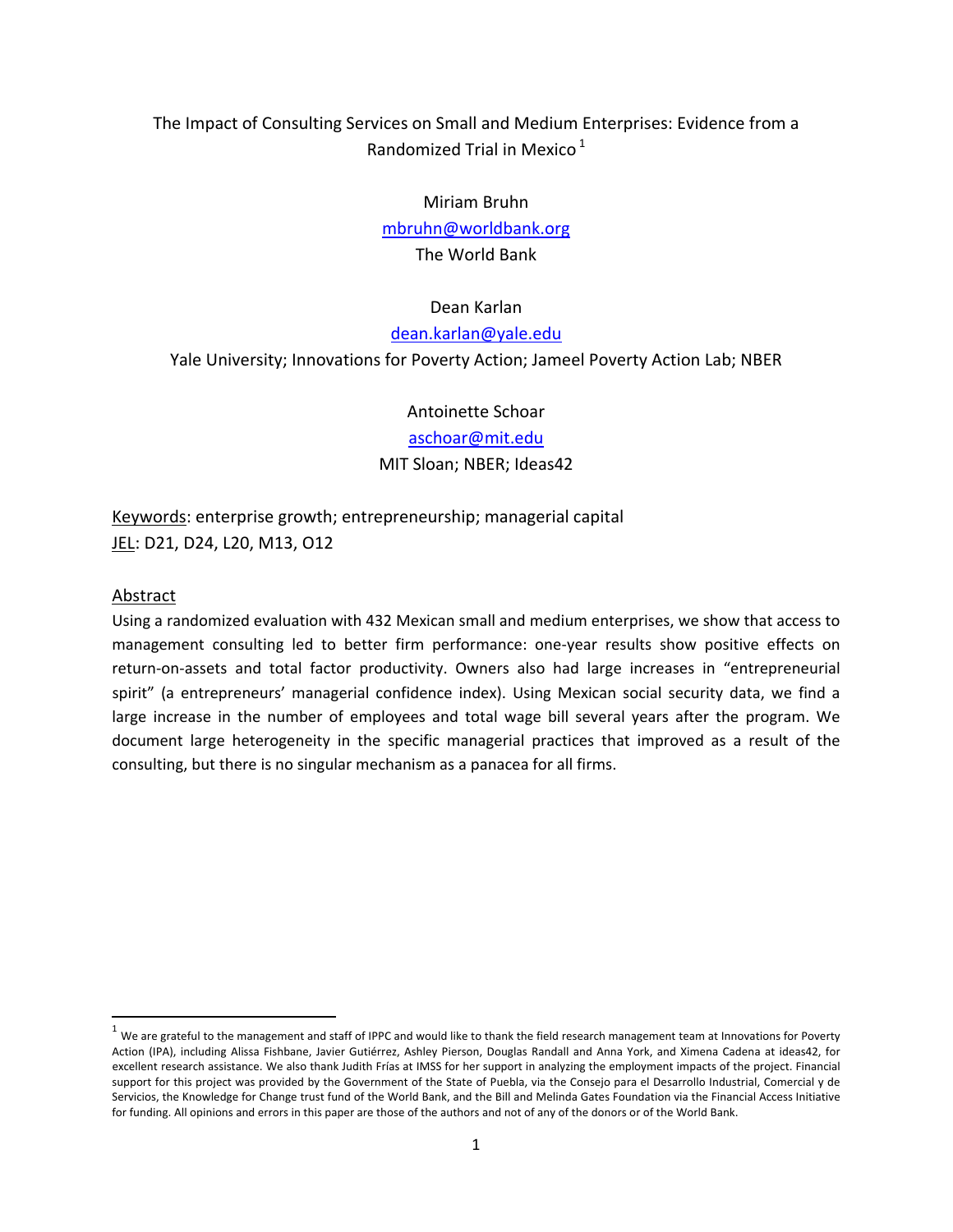# The Impact of Consulting Services on Small and Medium Enterprises: Evidence from a Randomized Trial in Mexico $<sup>1</sup>$  $<sup>1</sup>$  $<sup>1</sup>$ </sup>

### Miriam Bruhn

[mbruhn@worldbank.org](mailto:mbruhn@worldbank.org)

The World Bank

## Dean Karlan

[dean.karlan@yale.edu](mailto:dean.karlan@yale.edu)

Yale University; Innovations for Poverty Action; Jameel Poverty Action Lab; NBER

Antoinette Schoar

[aschoar@mit.edu](mailto:aschoar@mit.edu)

## MIT Sloan; NBER; Ideas42

Keywords: enterprise growth; entrepreneurship; managerial capital JEL: D21, D24, L20, M13, O12

## Abstract

Using a randomized evaluation with 432 Mexican small and medium enterprises, we show that access to management consulting led to better firm performance: one‐year results show positive effects on return-on-assets and total factor productivity. Owners also had large increases in "entrepreneurial spirit" (a entrepreneurs' managerial confidence index). Using Mexican social security data, we find a large increase in the number of employees and total wage bill several years after the program. We document large heterogeneity in the specific managerial practices that improved as a result of the consulting, but there is no singular mechanism as a panacea for all firms.

<span id="page-0-0"></span> $1$  We are grateful to the management and staff of IPPC and would like to thank the field research management team at Innovations for Poverty Action (IPA), including Alissa Fishbane, Javier Gutiérrez, Ashley Pierson, Douglas Randall and Anna York, and Ximena Cadena at ideas42, for excellent research assistance. We also thank Judith Frías at IMSS for her support in analyzing the employment impacts of the project. Financial support for this project was provided by the Government of the State of Puebla, via the Consejo para el Desarrollo Industrial, Comercial y de Servicios, the Knowledge for Change trust fund of the World Bank, and the Bill and Melinda Gates Foundation via the Financial Access Initiative for funding. All opinions and errors in this paper are those of the authors and not of any of the donors or of the World Bank.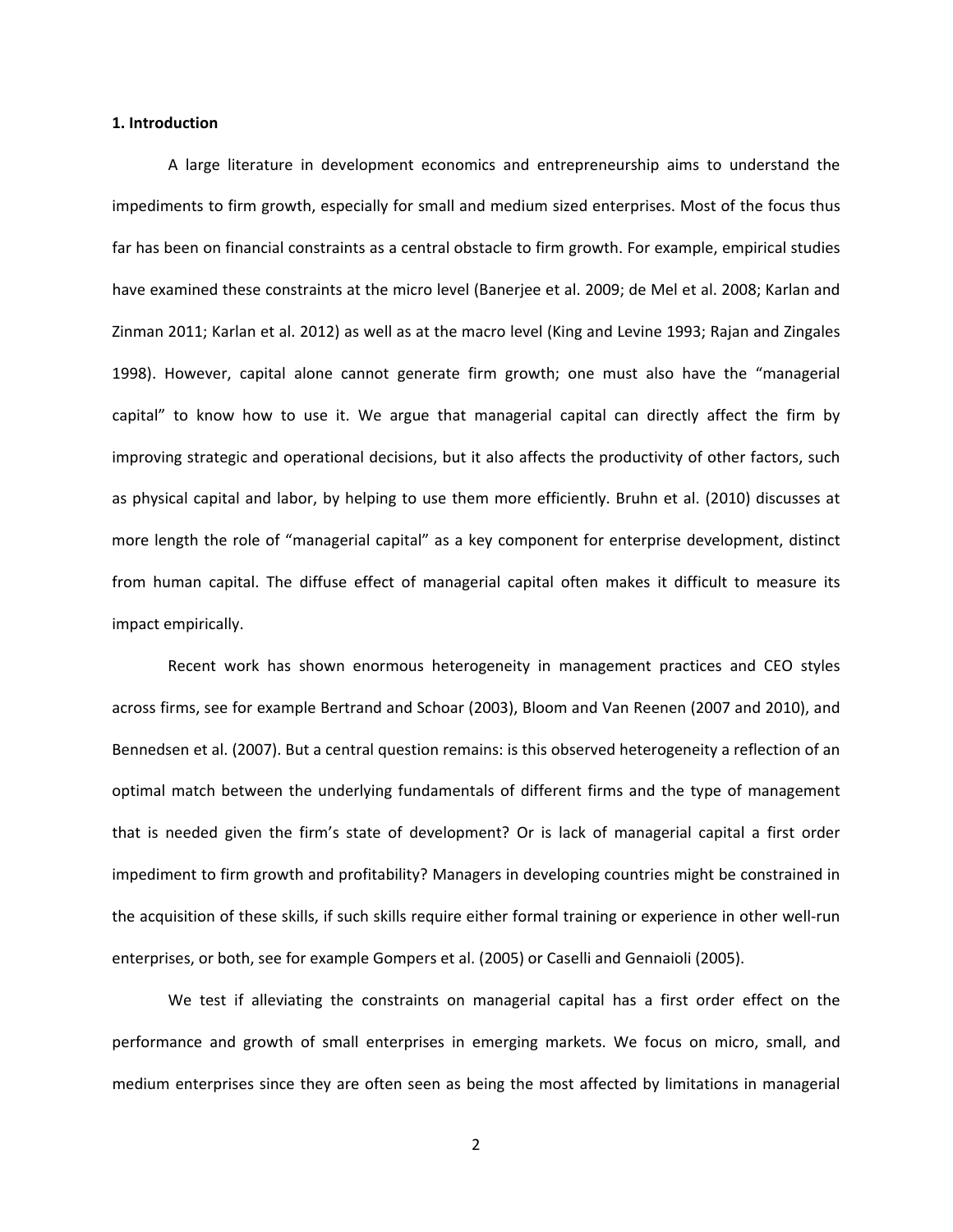#### **1. Introduction**

A large literature in development economics and entrepreneurship aims to understand the impediments to firm growth, especially for small and medium sized enterprises. Most of the focus thus far has been on financial constraints as a central obstacle to firm growth. For example, empirical studies have examined these constraints at the micro level (Banerjee et al. 2009; de Mel et al. 2008; Karlan and Zinman 2011; Karlan et al. 2012) as well as at the macro level (King and Levine 1993; Rajan and Zingales 1998). However, capital alone cannot generate firm growth; one must also have the "managerial capital" to know how to use it. We argue that managerial capital can directly affect the firm by improving strategic and operational decisions, but it also affects the productivity of other factors, such as physical capital and labor, by helping to use them more efficiently. Bruhn et al. (2010) discusses at more length the role of "managerial capital" as a key component for enterprise development, distinct from human capital. The diffuse effect of managerial capital often makes it difficult to measure its impact empirically.

Recent work has shown enormous heterogeneity in management practices and CEO styles across firms, see for example Bertrand and Schoar (2003), Bloom and Van Reenen (2007 and 2010), and Bennedsen et al. (2007). But a central question remains: is this observed heterogeneity a reflection of an optimal match between the underlying fundamentals of different firms and the type of management that is needed given the firm's state of development? Or is lack of managerial capital a first order impediment to firm growth and profitability? Managers in developing countries might be constrained in the acquisition of these skills, if such skills require either formal training or experience in other well-run enterprises, or both, see for example Gompers et al. (2005) or Caselli and Gennaioli (2005).

We test if alleviating the constraints on managerial capital has a first order effect on the performance and growth of small enterprises in emerging markets. We focus on micro, small, and medium enterprises since they are often seen as being the most affected by limitations in managerial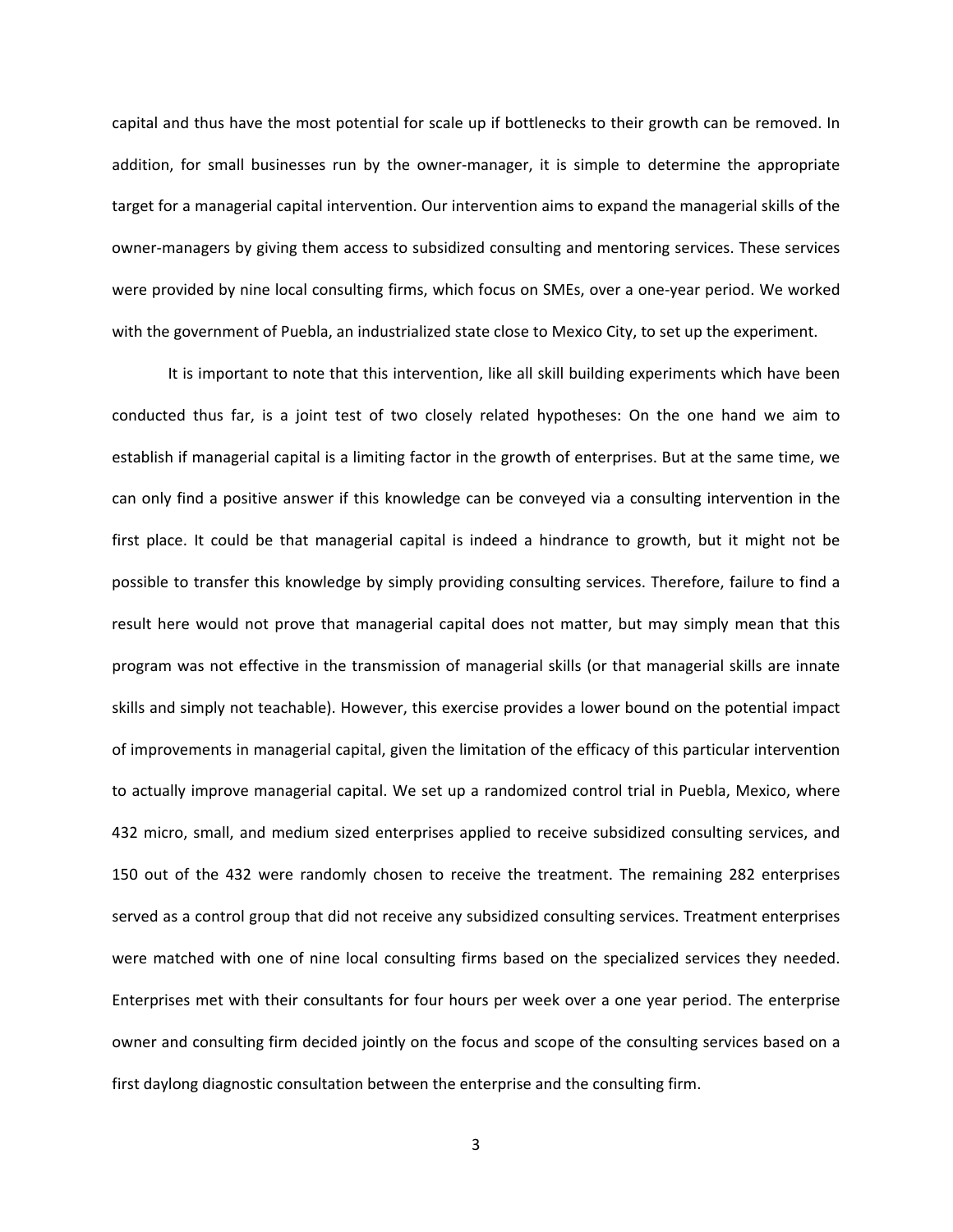capital and thus have the most potential for scale up if bottlenecks to their growth can be removed. In addition, for small businesses run by the owner‐manager, it is simple to determine the appropriate target for a managerial capital intervention. Our intervention aims to expand the managerial skills of the owner‐managers by giving them access to subsidized consulting and mentoring services. These services were provided by nine local consulting firms, which focus on SMEs, over a one-year period. We worked with the government of Puebla, an industrialized state close to Mexico City, to set up the experiment.

It is important to note that this intervention, like all skill building experiments which have been conducted thus far, is a joint test of two closely related hypotheses: On the one hand we aim to establish if managerial capital is a limiting factor in the growth of enterprises. But at the same time, we can only find a positive answer if this knowledge can be conveyed via a consulting intervention in the first place. It could be that managerial capital is indeed a hindrance to growth, but it might not be possible to transfer this knowledge by simply providing consulting services. Therefore, failure to find a result here would not prove that managerial capital does not matter, but may simply mean that this program was not effective in the transmission of managerial skills (or that managerial skills are innate skills and simply not teachable). However, this exercise provides a lower bound on the potential impact of improvements in managerial capital, given the limitation of the efficacy of this particular intervention to actually improve managerial capital. We set up a randomized control trial in Puebla, Mexico, where 432 micro, small, and medium sized enterprises applied to receive subsidized consulting services, and 150 out of the 432 were randomly chosen to receive the treatment. The remaining 282 enterprises served as a control group that did not receive any subsidized consulting services. Treatment enterprises were matched with one of nine local consulting firms based on the specialized services they needed. Enterprises met with their consultants for four hours per week over a one year period. The enterprise owner and consulting firm decided jointly on the focus and scope of the consulting services based on a first daylong diagnostic consultation between the enterprise and the consulting firm.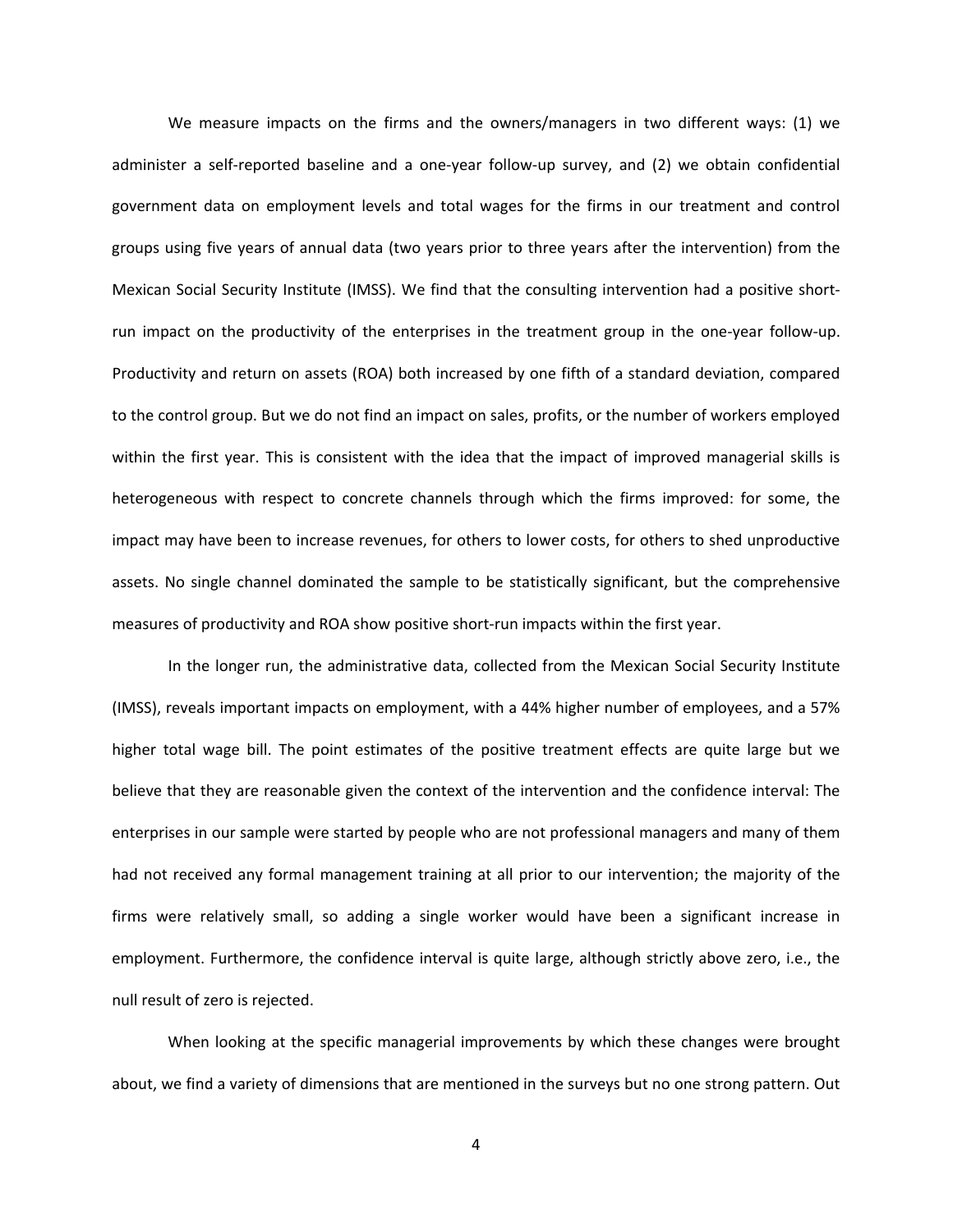We measure impacts on the firms and the owners/managers in two different ways: (1) we administer a self‐reported baseline and a one‐year follow‐up survey, and (2) we obtain confidential government data on employment levels and total wages for the firms in our treatment and control groups using five years of annual data (two years prior to three years after the intervention) from the Mexican Social Security Institute (IMSS). We find that the consulting intervention had a positive short‐ run impact on the productivity of the enterprises in the treatment group in the one‐year follow‐up. Productivity and return on assets (ROA) both increased by one fifth of a standard deviation, compared to the control group. But we do not find an impact on sales, profits, or the number of workers employed within the first year. This is consistent with the idea that the impact of improved managerial skills is heterogeneous with respect to concrete channels through which the firms improved: for some, the impact may have been to increase revenues, for others to lower costs, for others to shed unproductive assets. No single channel dominated the sample to be statistically significant, but the comprehensive measures of productivity and ROA show positive short-run impacts within the first year.

In the longer run, the administrative data, collected from the Mexican Social Security Institute (IMSS), reveals important impacts on employment, with a 44% higher number of employees, and a 57% higher total wage bill. The point estimates of the positive treatment effects are quite large but we believe that they are reasonable given the context of the intervention and the confidence interval: The enterprises in our sample were started by people who are not professional managers and many of them had not received any formal management training at all prior to our intervention; the majority of the firms were relatively small, so adding a single worker would have been a significant increase in employment. Furthermore, the confidence interval is quite large, although strictly above zero, i.e., the null result of zero is rejected.

When looking at the specific managerial improvements by which these changes were brought about, we find a variety of dimensions that are mentioned in the surveys but no one strong pattern. Out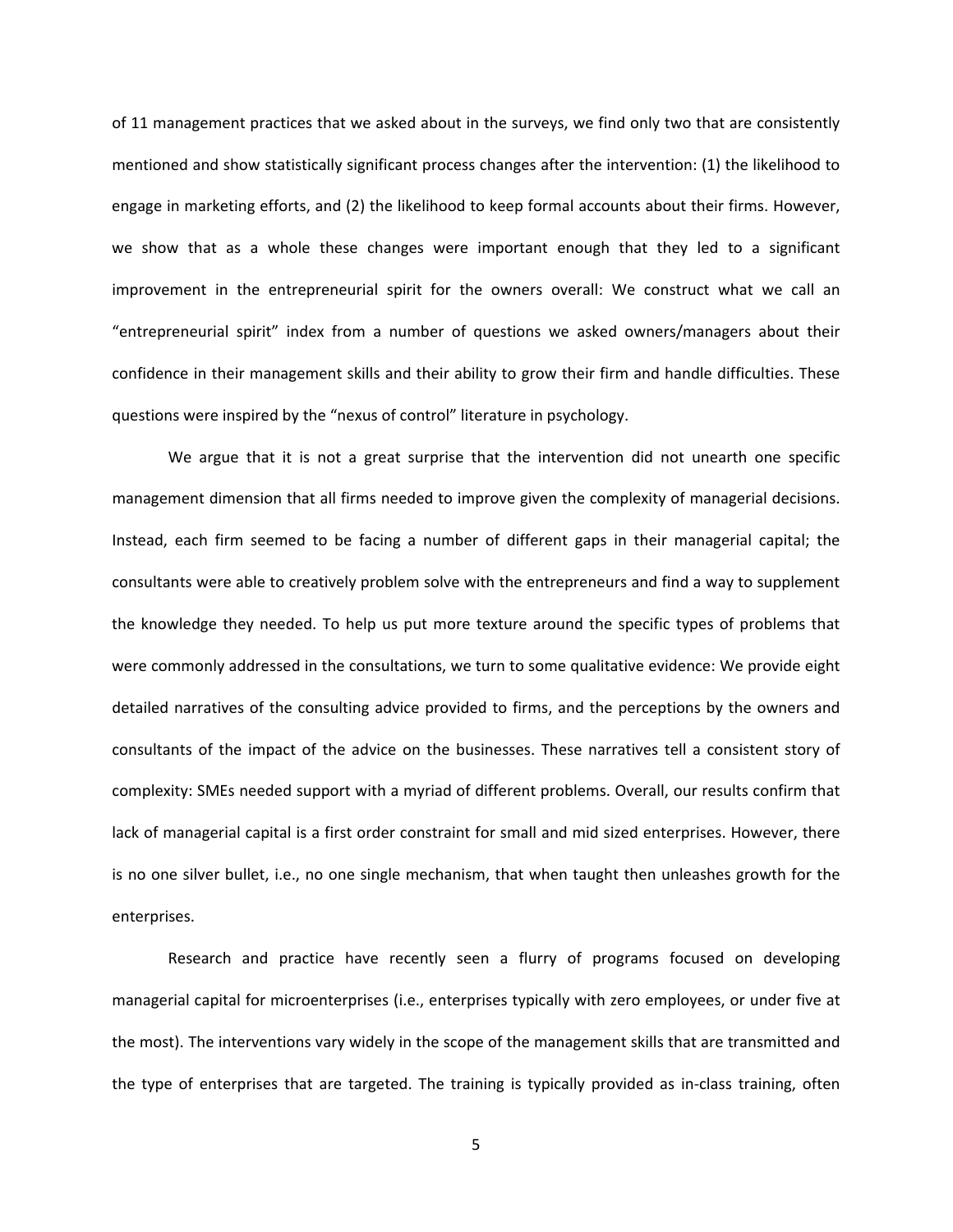of 11 management practices that we asked about in the surveys, we find only two that are consistently mentioned and show statistically significant process changes after the intervention: (1) the likelihood to engage in marketing efforts, and (2) the likelihood to keep formal accounts about their firms. However, we show that as a whole these changes were important enough that they led to a significant improvement in the entrepreneurial spirit for the owners overall: We construct what we call an "entrepreneurial spirit" index from a number of questions we asked owners/managers about their confidence in their management skills and their ability to grow their firm and handle difficulties. These questions were inspired by the "nexus of control" literature in psychology.

We argue that it is not a great surprise that the intervention did not unearth one specific management dimension that all firms needed to improve given the complexity of managerial decisions. Instead, each firm seemed to be facing a number of different gaps in their managerial capital; the consultants were able to creatively problem solve with the entrepreneurs and find a way to supplement the knowledge they needed. To help us put more texture around the specific types of problems that were commonly addressed in the consultations, we turn to some qualitative evidence: We provide eight detailed narratives of the consulting advice provided to firms, and the perceptions by the owners and consultants of the impact of the advice on the businesses. These narratives tell a consistent story of complexity: SMEs needed support with a myriad of different problems. Overall, our results confirm that lack of managerial capital is a first order constraint for small and mid sized enterprises. However, there is no one silver bullet, i.e., no one single mechanism, that when taught then unleashes growth for the enterprises.

Research and practice have recently seen a flurry of programs focused on developing managerial capital for microenterprises (i.e., enterprises typically with zero employees, or under five at the most). The interventions vary widely in the scope of the management skills that are transmitted and the type of enterprises that are targeted. The training is typically provided as in‐class training, often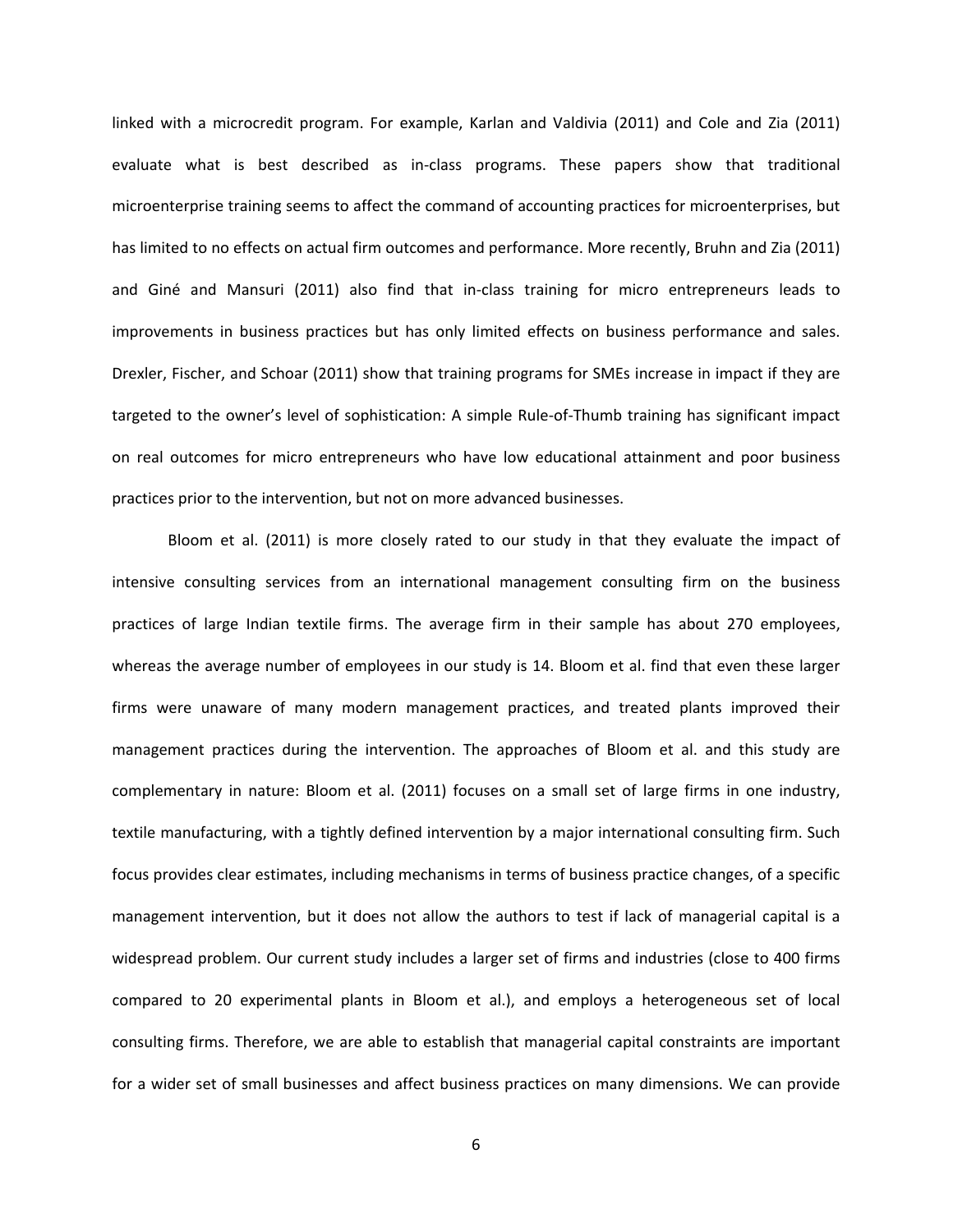linked with a microcredit program. For example, Karlan and Valdivia (2011) and Cole and Zia (2011) evaluate what is best described as in‐class programs. These papers show that traditional microenterprise training seems to affect the command of accounting practices for microenterprises, but has limited to no effects on actual firm outcomes and performance. More recently, Bruhn and Zia (2011) and Giné and Mansuri (2011) also find that in‐class training for micro entrepreneurs leads to improvements in business practices but has only limited effects on business performance and sales. Drexler, Fischer, and Schoar (2011) show that training programs for SMEs increase in impact if they are targeted to the owner's level of sophistication: A simple Rule‐of‐Thumb training has significant impact on real outcomes for micro entrepreneurs who have low educational attainment and poor business practices prior to the intervention, but not on more advanced businesses.

Bloom et al. (2011) is more closely rated to our study in that they evaluate the impact of intensive consulting services from an international management consulting firm on the business practices of large Indian textile firms. The average firm in their sample has about 270 employees, whereas the average number of employees in our study is 14. Bloom et al. find that even these larger firms were unaware of many modern management practices, and treated plants improved their management practices during the intervention. The approaches of Bloom et al. and this study are complementary in nature: Bloom et al. (2011) focuses on a small set of large firms in one industry, textile manufacturing, with a tightly defined intervention by a major international consulting firm. Such focus provides clear estimates, including mechanisms in terms of business practice changes, of a specific management intervention, but it does not allow the authors to test if lack of managerial capital is a widespread problem. Our current study includes a larger set of firms and industries (close to 400 firms compared to 20 experimental plants in Bloom et al.), and employs a heterogeneous set of local consulting firms. Therefore, we are able to establish that managerial capital constraints are important for a wider set of small businesses and affect business practices on many dimensions. We can provide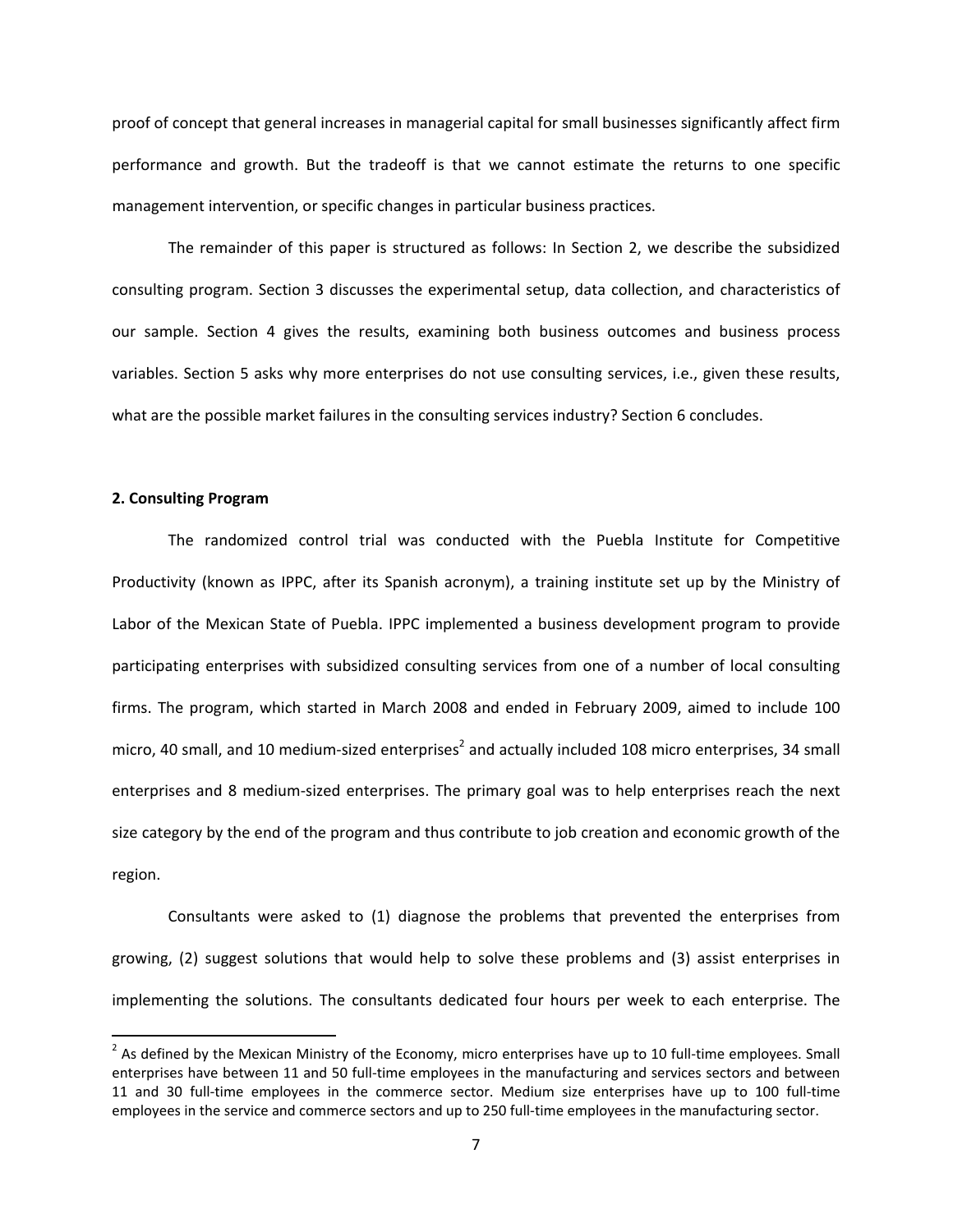proof of concept that general increases in managerial capital for small businesses significantly affect firm performance and growth. But the tradeoff is that we cannot estimate the returns to one specific management intervention, or specific changes in particular business practices.

The remainder of this paper is structured as follows: In Section 2, we describe the subsidized consulting program. Section 3 discusses the experimental setup, data collection, and characteristics of our sample. Section 4 gives the results, examining both business outcomes and business process variables. Section 5 asks why more enterprises do not use consulting services, i.e., given these results, what are the possible market failures in the consulting services industry? Section 6 concludes.

#### **2. Consulting Program**

The randomized control trial was conducted with the Puebla Institute for Competitive Productivity (known as IPPC, after its Spanish acronym), a training institute set up by the Ministry of Labor of the Mexican State of Puebla. IPPC implemented a business development program to provide participating enterprises with subsidized consulting services from one of a number of local consulting firms. The program, which started in March 2008 and ended in February 2009, aimed to include 100 micro, 40 small, and 10 medium-sized enterprises<sup>[2](#page-7-0)</sup> and actually included 108 micro enterprises, 34 small enterprises and 8 medium‐sized enterprises. The primary goal was to help enterprises reach the next size category by the end of the program and thus contribute to job creation and economic growth of the region.

Consultants were asked to (1) diagnose the problems that prevented the enterprises from growing, (2) suggest solutions that would help to solve these problems and (3) assist enterprises in implementing the solutions. The consultants dedicated four hours per week to each enterprise. The

 $2$  As defined by the Mexican Ministry of the Economy, micro enterprises have up to 10 full-time employees. Small enterprises have between 11 and 50 full-time employees in the manufacturing and services sectors and between 11 and 30 full-time employees in the commerce sector. Medium size enterprises have up to 100 full-time employees in the service and commerce sectors and up to 250 full-time employees in the manufacturing sector.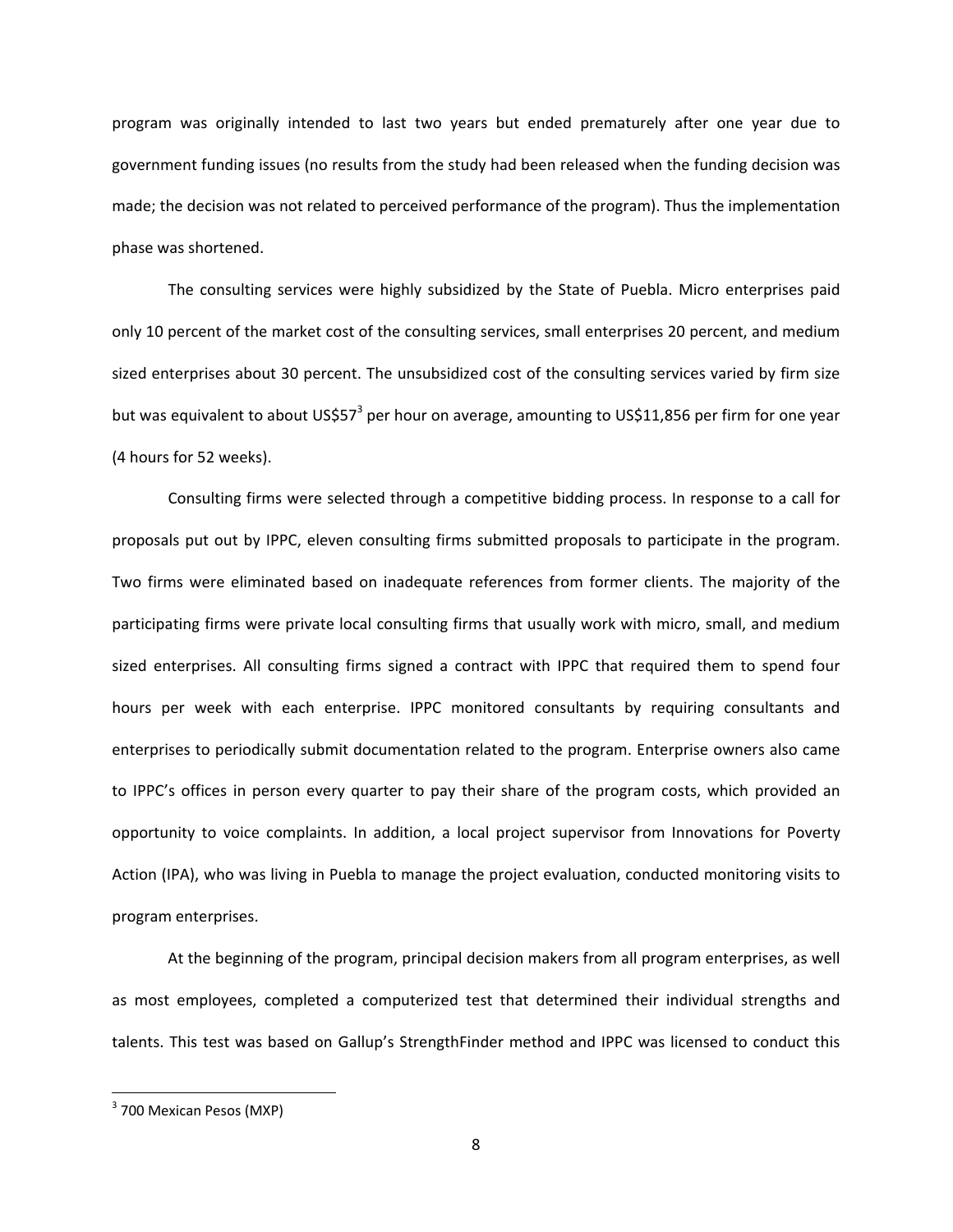program was originally intended to last two years but ended prematurely after one year due to government funding issues (no results from the study had been released when the funding decision was made; the decision was not related to perceived performance of the program). Thus the implementation phase was shortened.

The consulting services were highly subsidized by the State of Puebla. Micro enterprises paid only 10 percent of the market cost of the consulting services, small enterprises 20 percent, and medium sized enterprises about 30 percent. The unsubsidized cost of the consulting services varied by firm size but was equivalent to about US\$57<sup>[3](#page-8-0)</sup> per hour on average, amounting to US\$11,856 per firm for one year (4 hours for 52 weeks).

Consulting firms were selected through a competitive bidding process. In response to a call for proposals put out by IPPC, eleven consulting firms submitted proposals to participate in the program. Two firms were eliminated based on inadequate references from former clients. The majority of the participating firms were private local consulting firms that usually work with micro, small, and medium sized enterprises. All consulting firms signed a contract with IPPC that required them to spend four hours per week with each enterprise. IPPC monitored consultants by requiring consultants and enterprises to periodically submit documentation related to the program. Enterprise owners also came to IPPC's offices in person every quarter to pay their share of the program costs, which provided an opportunity to voice complaints. In addition, a local project supervisor from Innovations for Poverty Action (IPA), who was living in Puebla to manage the project evaluation, conducted monitoring visits to program enterprises.

At the beginning of the program, principal decision makers from all program enterprises, as well as most employees, completed a computerized test that determined their individual strengths and talents. This test was based on Gallup's StrengthFinder method and IPPC was licensed to conduct this

<span id="page-7-0"></span><sup>3</sup> 700 Mexican Pesos (MXP)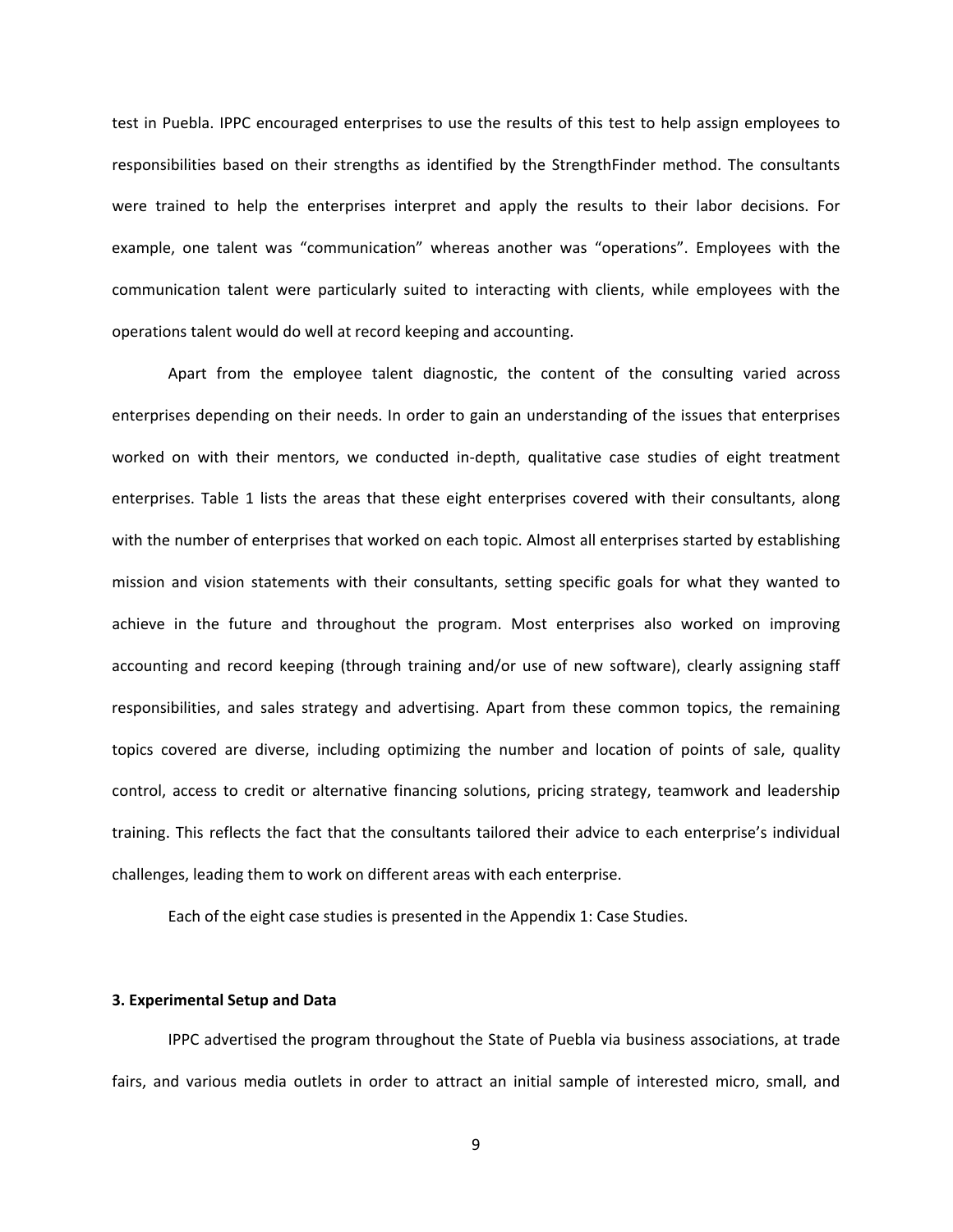test in Puebla. IPPC encouraged enterprises to use the results of this test to help assign employees to responsibilities based on their strengths as identified by the StrengthFinder method. The consultants were trained to help the enterprises interpret and apply the results to their labor decisions. For example, one talent was "communication" whereas another was "operations". Employees with the communication talent were particularly suited to interacting with clients, while employees with the operations talent would do well at record keeping and accounting.

Apart from the employee talent diagnostic, the content of the consulting varied across enterprises depending on their needs. In order to gain an understanding of the issues that enterprises worked on with their mentors, we conducted in-depth, qualitative case studies of eight treatment enterprises. Table 1 lists the areas that these eight enterprises covered with their consultants, along with the number of enterprises that worked on each topic. Almost all enterprises started by establishing mission and vision statements with their consultants, setting specific goals for what they wanted to achieve in the future and throughout the program. Most enterprises also worked on improving accounting and record keeping (through training and/or use of new software), clearly assigning staff responsibilities, and sales strategy and advertising. Apart from these common topics, the remaining topics covered are diverse, including optimizing the number and location of points of sale, quality control, access to credit or alternative financing solutions, pricing strategy, teamwork and leadership training. This reflects the fact that the consultants tailored their advice to each enterprise's individual challenges, leading them to work on different areas with each enterprise.

Each of the eight case studies is presented in the Appendix 1: Case Studies.

### **3. Experimental Setup and Data**

<span id="page-8-0"></span>IPPC advertised the program throughout the State of Puebla via business associations, at trade fairs, and various media outlets in order to attract an initial sample of interested micro, small, and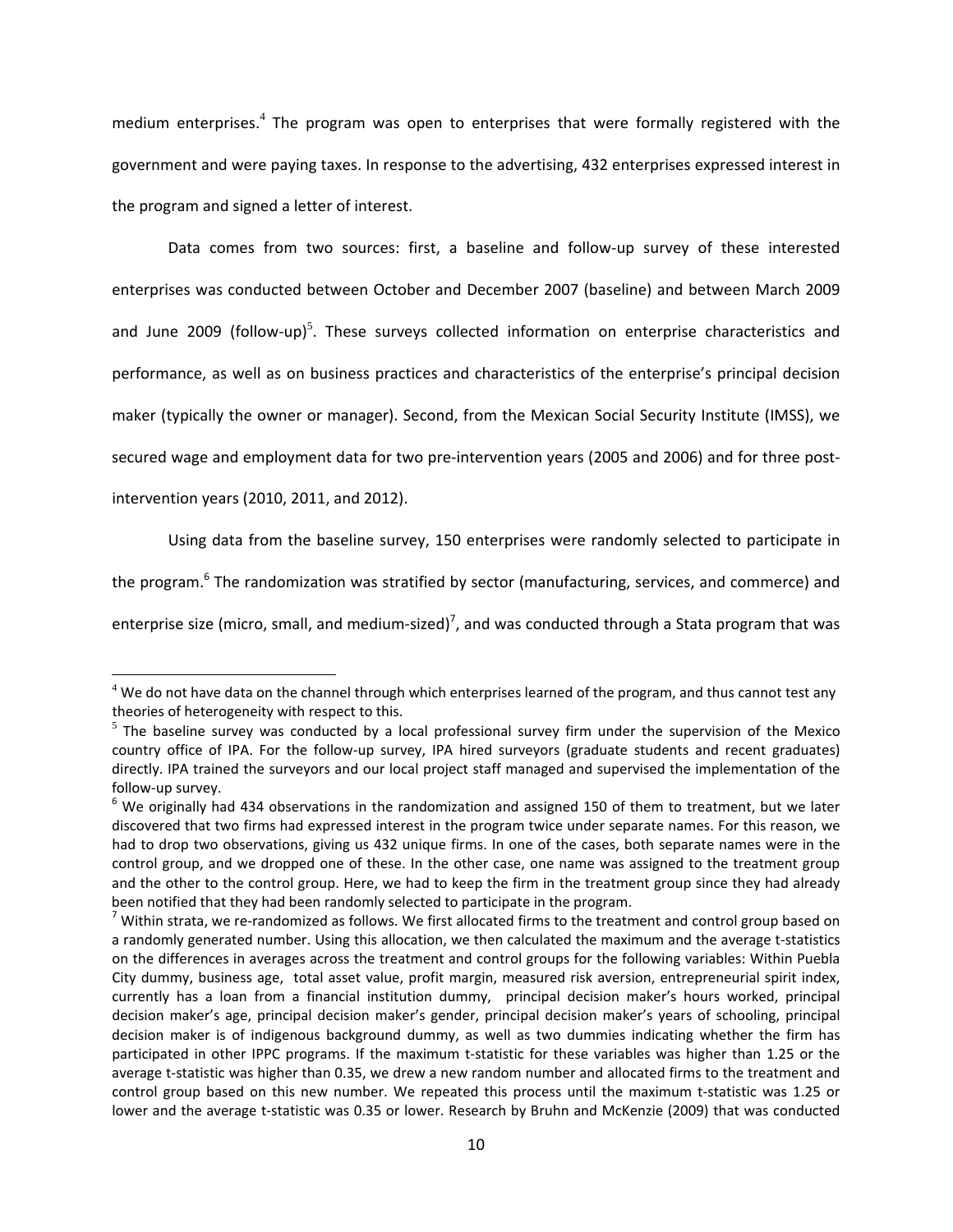medium enterprises.<sup>[4](#page-10-0)</sup> The program was open to enterprises that were formally registered with the government and were paying taxes. In response to the advertising, 432 enterprises expressed interest in the program and signed a letter of interest.

Data comes from two sources: first, a baseline and follow-up survey of these interested enterprises was conducted between October and December 2007 (baseline) and between March 2009 and June 2009 (follow-up)<sup>[5](#page-10-1)</sup>. These surveys collected information on enterprise characteristics and performance, as well as on business practices and characteristics of the enterprise's principal decision maker (typically the owner or manager). Second, from the Mexican Social Security Institute (IMSS), we secured wage and employment data for two pre-intervention years (2005 and 2006) and for three postintervention years (2010, 2011, and 2012).

Using data from the baseline survey, 150 enterprises were randomly selected to participate in

the program.<sup>[6](#page-10-2)</sup> The randomization was stratified by sector (manufacturing, services, and commerce) and

enterprise size (micro, small, and medium-sized)<sup>[7](#page-10-3)</sup>, and was conducted through a Stata program that was

 $4$  We do not have data on the channel through which enterprises learned of the program, and thus cannot test any theories of heterogeneity with respect to this.

 $5$  The baseline survey was conducted by a local professional survey firm under the supervision of the Mexico country office of IPA. For the follow-up survey, IPA hired surveyors (graduate students and recent graduates) directly. IPA trained the surveyors and our local project staff managed and supervised the implementation of the follow-up survey.<br><sup>6</sup> We originally had 434 observations in the randomization and assigned 150 of them to treatment, but we later

discovered that two firms had expressed interest in the program twice under separate names. For this reason, we had to drop two observations, giving us 432 unique firms. In one of the cases, both separate names were in the control group, and we dropped one of these. In the other case, one name was assigned to the treatment group and the other to the control group. Here, we had to keep the firm in the treatment group since they had already been notified that they had been randomly selected to participate in the program.<br><sup>7</sup> Within strata, we re-randomized as follows. We first allocated firms to the treatment and control group based on

a randomly generated number. Using this allocation, we then calculated the maximum and the average t‐statistics on the differences in averages across the treatment and control groups for the following variables: Within Puebla City dummy, business age, total asset value, profit margin, measured risk aversion, entrepreneurial spirit index, currently has a loan from a financial institution dummy, principal decision maker's hours worked, principal decision maker's age, principal decision maker's gender, principal decision maker's years of schooling, principal decision maker is of indigenous background dummy, as well as two dummies indicating whether the firm has participated in other IPPC programs. If the maximum t-statistic for these variables was higher than 1.25 or the average t-statistic was higher than 0.35, we drew a new random number and allocated firms to the treatment and control group based on this new number. We repeated this process until the maximum t‐statistic was 1.25 or lower and the average t‐statistic was 0.35 or lower. Research by Bruhn and McKenzie (2009) that was conducted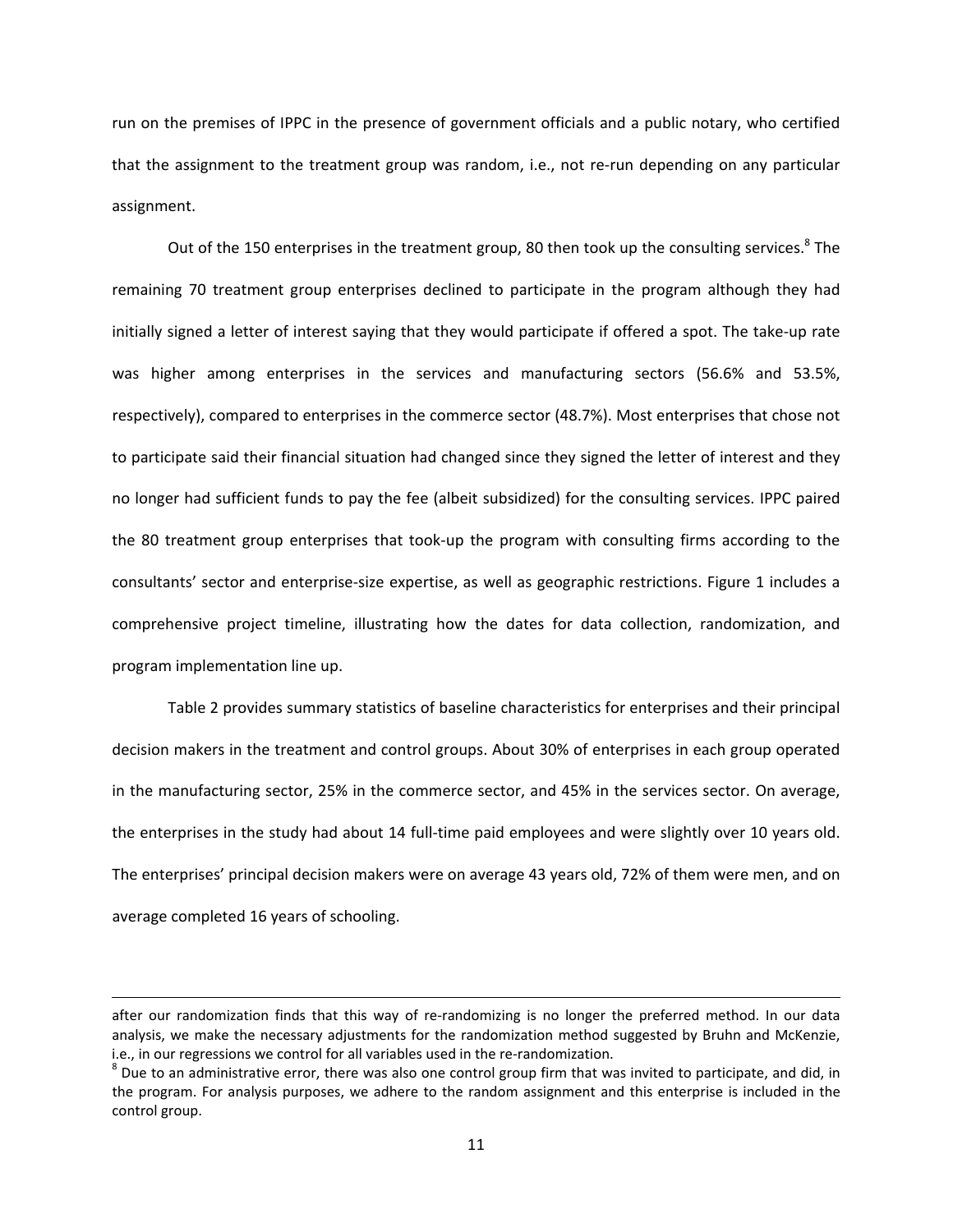run on the premises of IPPC in the presence of government officials and a public notary, who certified that the assignment to the treatment group was random, i.e., not re-run depending on any particular assignment.

Out of the 150 enterprises in the treatment group, 80 then took up the consulting services.<sup>8</sup> The remaining 70 treatment group enterprises declined to participate in the program although they had initially signed a letter of interest saying that they would participate if offered a spot. The take‐up rate was higher among enterprises in the services and manufacturing sectors (56.6% and 53.5%, respectively), compared to enterprises in the commerce sector (48.7%). Most enterprises that chose not to participate said their financial situation had changed since they signed the letter of interest and they no longer had sufficient funds to pay the fee (albeit subsidized) for the consulting services. IPPC paired the 80 treatment group enterprises that took‐up the program with consulting firms according to the consultants' sector and enterprise‐size expertise, as well as geographic restrictions. Figure 1 includes a comprehensive project timeline, illustrating how the dates for data collection, randomization, and program implementation line up.

<span id="page-10-2"></span><span id="page-10-1"></span><span id="page-10-0"></span>Table 2 provides summary statistics of baseline characteristics for enterprises and their principal decision makers in the treatment and control groups. About 30% of enterprises in each group operated in the manufacturing sector, 25% in the commerce sector, and 45% in the services sector. On average, the enterprises in the study had about 14 full‐time paid employees and were slightly over 10 years old. The enterprises' principal decision makers were on average 43 years old, 72% of them were men, and on average completed 16 years of schooling.

<span id="page-10-3"></span><u> 1989 - Johann Stein, marwolaethau a bhann an chomhair an chomhair an chomhair an chomhair an chomhair an ch</u>

after our randomization finds that this way of re-randomizing is no longer the preferred method. In our data analysis, we make the necessary adjustments for the randomization method suggested by Bruhn and McKenzie, i.e., in our regressions we control for all variables used in the re-randomization.<br><sup>8</sup> Due to an administrative error, there was also one control group firm that was invited to participate, and did, in

the program. For analysis purposes, we adhere to the random assignment and this enterprise is included in the control group.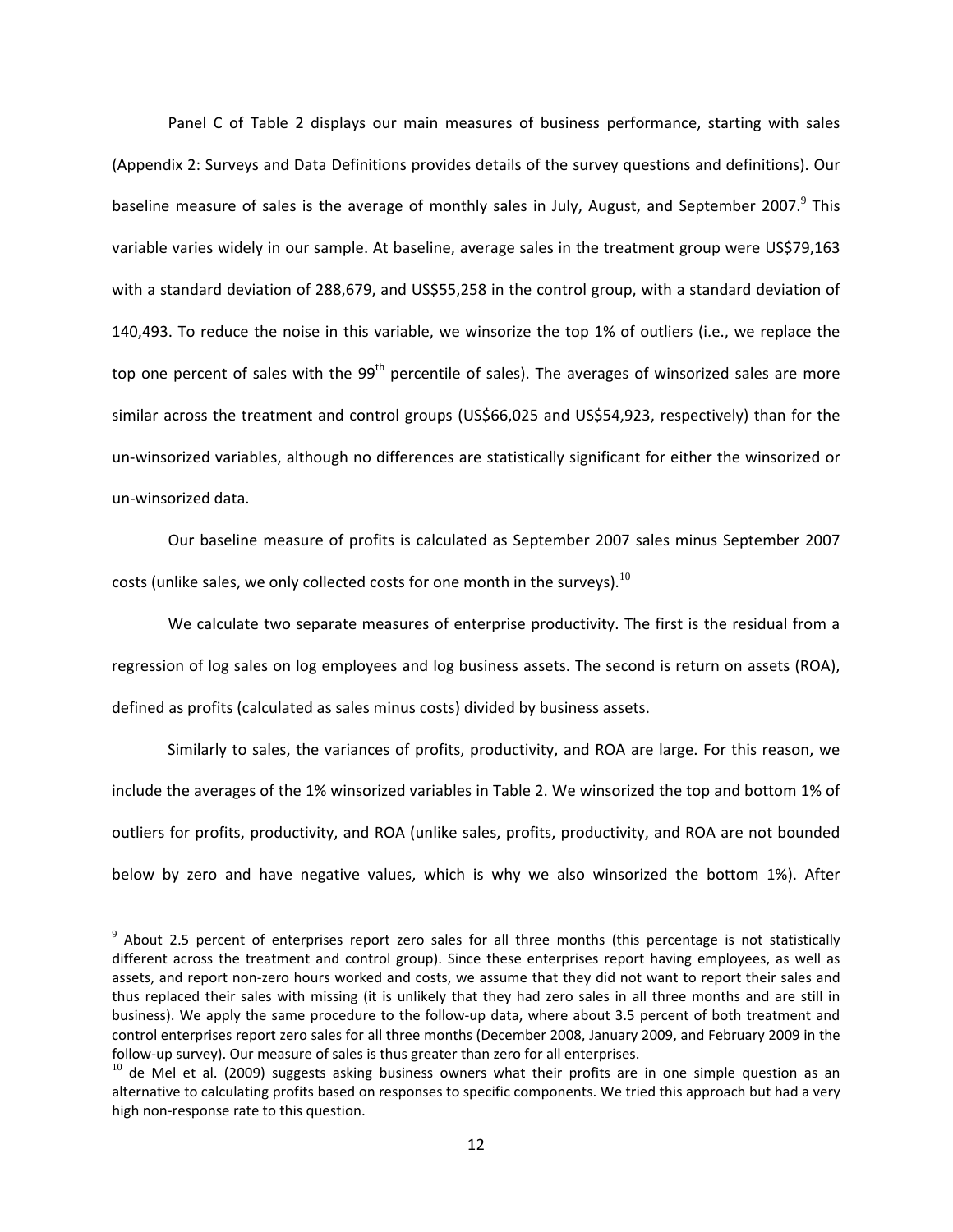Panel C of Table 2 displays our main measures of business performance, starting with sales (Appendix 2: Surveys and Data Definitions provides details of the survey questions and definitions). Our baseline measure of sales is the average of monthly sales in July, August, and September 2007.<sup>[9](#page-12-0)</sup> This variable varies widely in our sample. At baseline, average sales in the treatment group were US\$79,163 with a standard deviation of 288,679, and US\$55,258 in the control group, with a standard deviation of 140,493. To reduce the noise in this variable, we winsorize the top 1% of outliers (i.e., we replace the top one percent of sales with the  $99<sup>th</sup>$  percentile of sales). The averages of winsorized sales are more similar across the treatment and control groups (US\$66,025 and US\$54,923, respectively) than for the un‐winsorized variables, although no differences are statistically significant for either the winsorized or un‐winsorized data.

Our baseline measure of profits is calculated as September 2007 sales minus September 2007 costs (unlike sales, we only collected costs for one month in the surveys).<sup>[10](#page-12-1)</sup>

We calculate two separate measures of enterprise productivity. The first is the residual from a regression of log sales on log employees and log business assets. The second is return on assets (ROA), defined as profits (calculated as sales minus costs) divided by business assets.

Similarly to sales, the variances of profits, productivity, and ROA are large. For this reason, we include the averages of the 1% winsorized variables in Table 2. We winsorized the top and bottom 1% of outliers for profits, productivity, and ROA (unlike sales, profits, productivity, and ROA are not bounded below by zero and have negative values, which is why we also winsorized the bottom 1%). After

 $9$  About 2.5 percent of enterprises report zero sales for all three months (this percentage is not statistically different across the treatment and control group). Since these enterprises report having employees, as well as assets, and report non‐zero hours worked and costs, we assume that they did not want to report their sales and thus replaced their sales with missing (it is unlikely that they had zero sales in all three months and are still in business). We apply the same procedure to the follow‐up data, where about 3.5 percent of both treatment and control enterprises report zero sales for all three months (December 2008, January 2009, and February 2009 in the follow‐up survey). Our measure of sales is thus greater than zero for all enterprises.

<span id="page-11-0"></span> $10$  de Mel et al. (2009) suggests asking business owners what their profits are in one simple question as an alternative to calculating profits based on responses to specific components. We tried this approach but had a very high non‐response rate to this question.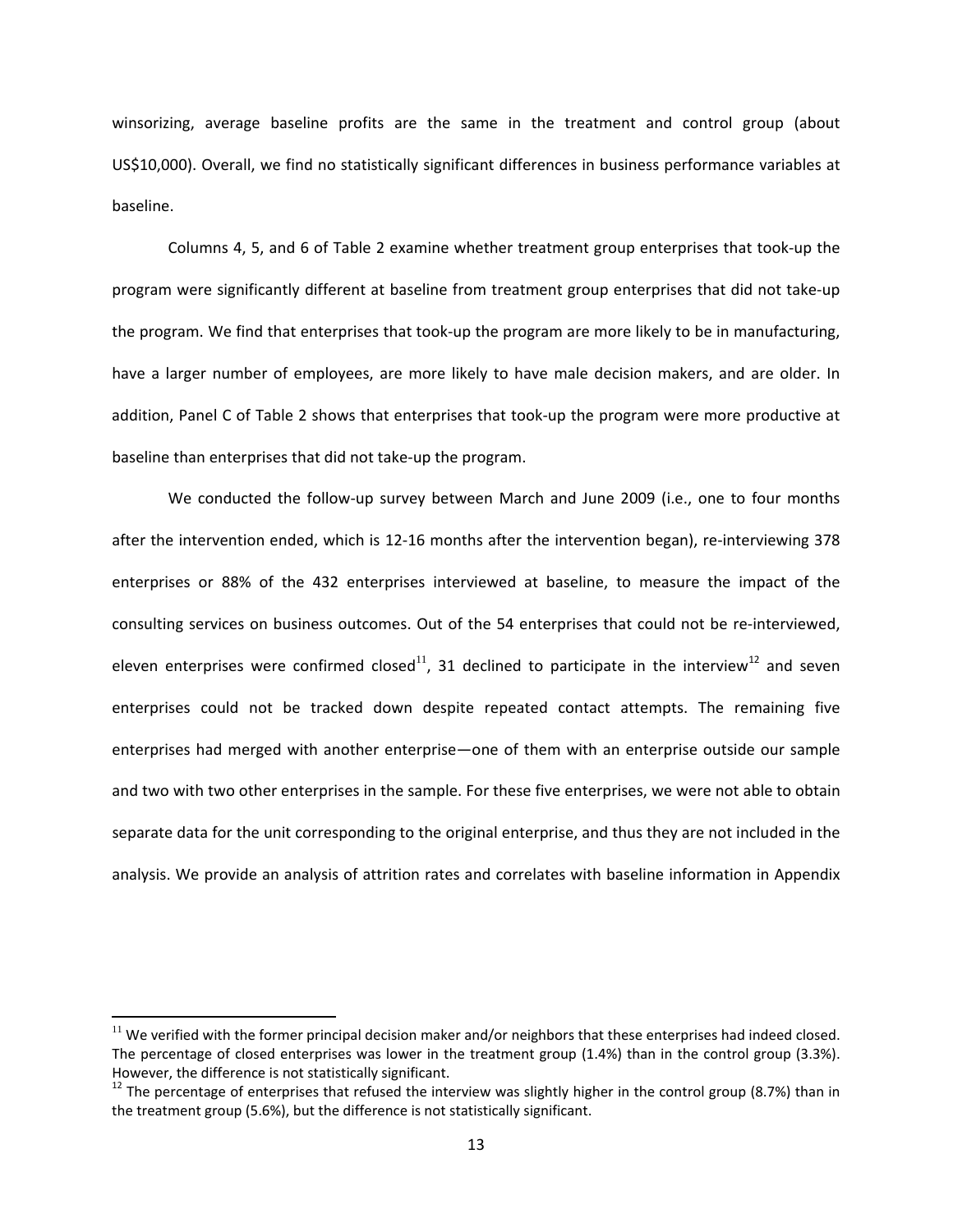winsorizing, average baseline profits are the same in the treatment and control group (about US\$10,000). Overall, we find no statistically significant differences in business performance variables at baseline.

Columns 4, 5, and 6 of Table 2 examine whether treatment group enterprises that took‐up the program were significantly different at baseline from treatment group enterprises that did not take‐up the program. We find that enterprises that took‐up the program are more likely to be in manufacturing, have a larger number of employees, are more likely to have male decision makers, and are older. In addition, Panel C of Table 2 shows that enterprises that took‐up the program were more productive at baseline than enterprises that did not take‐up the program.

We conducted the follow-up survey between March and June 2009 (i.e., one to four months after the intervention ended, which is 12‐16 months after the intervention began), re‐interviewing 378 enterprises or 88% of the 432 enterprises interviewed at baseline, to measure the impact of the consulting services on business outcomes. Out of the 54 enterprises that could not be re‐interviewed, eleven enterprises were confirmed closed<sup>[11](#page-13-0)</sup>, 31 declined to participate in the interview<sup>[12](#page-13-1)</sup> and seven enterprises could not be tracked down despite repeated contact attempts. The remaining five enterprises had merged with another enterprise—one of them with an enterprise outside our sample and two with two other enterprises in the sample. For these five enterprises, we were not able to obtain separate data for the unit corresponding to the original enterprise, and thus they are not included in the analysis. We provide an analysis of attrition rates and correlates with baseline information in Appendix

<span id="page-12-0"></span> $11$  We verified with the former principal decision maker and/or neighbors that these enterprises had indeed closed. The percentage of closed enterprises was lower in the treatment group (1.4%) than in the control group (3.3%). However, the difference is not statistically significant.<br><sup>12</sup> The percentage of enterprises that refused the interview was slightly higher in the control group (8.7%) than in

<span id="page-12-1"></span>the treatment group (5.6%), but the difference is not statistically significant.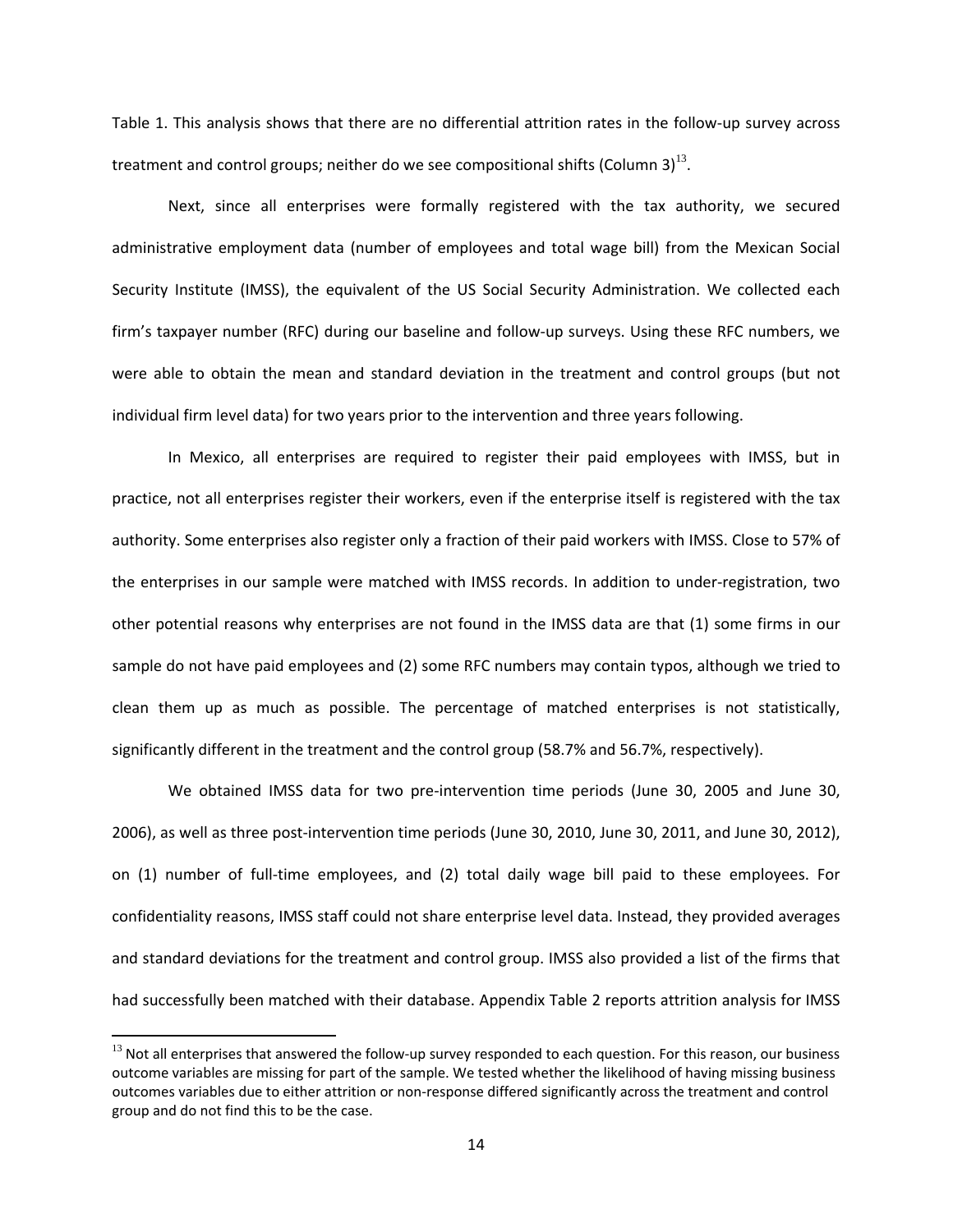Table 1. This analysis shows that there are no differential attrition rates in the follow‐up survey across treatment and control groups; neither do we see compositional shifts (Column 3) $^{13}$  $^{13}$  $^{13}$ .

Next, since all enterprises were formally registered with the tax authority, we secured administrative employment data (number of employees and total wage bill) from the Mexican Social Security Institute (IMSS), the equivalent of the US Social Security Administration. We collected each firm's taxpayer number (RFC) during our baseline and follow‐up surveys. Using these RFC numbers, we were able to obtain the mean and standard deviation in the treatment and control groups (but not individual firm level data) for two years prior to the intervention and three years following.

In Mexico, all enterprises are required to register their paid employees with IMSS, but in practice, not all enterprises register their workers, even if the enterprise itself is registered with the tax authority. Some enterprises also register only a fraction of their paid workers with IMSS. Close to 57% of the enterprises in our sample were matched with IMSS records. In addition to under-registration, two other potential reasons why enterprises are not found in the IMSS data are that (1) some firms in our sample do not have paid employees and (2) some RFC numbers may contain typos, although we tried to clean them up as much as possible. The percentage of matched enterprises is not statistically, significantly different in the treatment and the control group (58.7% and 56.7%, respectively).

We obtained IMSS data for two pre-intervention time periods (June 30, 2005 and June 30, 2006), as well as three post‐intervention time periods (June 30, 2010, June 30, 2011, and June 30, 2012), on (1) number of full-time employees, and (2) total daily wage bill paid to these employees. For confidentiality reasons, IMSS staff could not share enterprise level data. Instead, they provided averages and standard deviations for the treatment and control group. IMSS also provided a list of the firms that had successfully been matched with their database. Appendix Table 2 reports attrition analysis for IMSS

<span id="page-13-1"></span><span id="page-13-0"></span> $<sup>13</sup>$  Not all enterprises that answered the follow-up survey responded to each question. For this reason, our business</sup> outcome variables are missing for part of the sample. We tested whether the likelihood of having missing business outcomes variables due to either attrition or non‐response differed significantly across the treatment and control group and do not find this to be the case.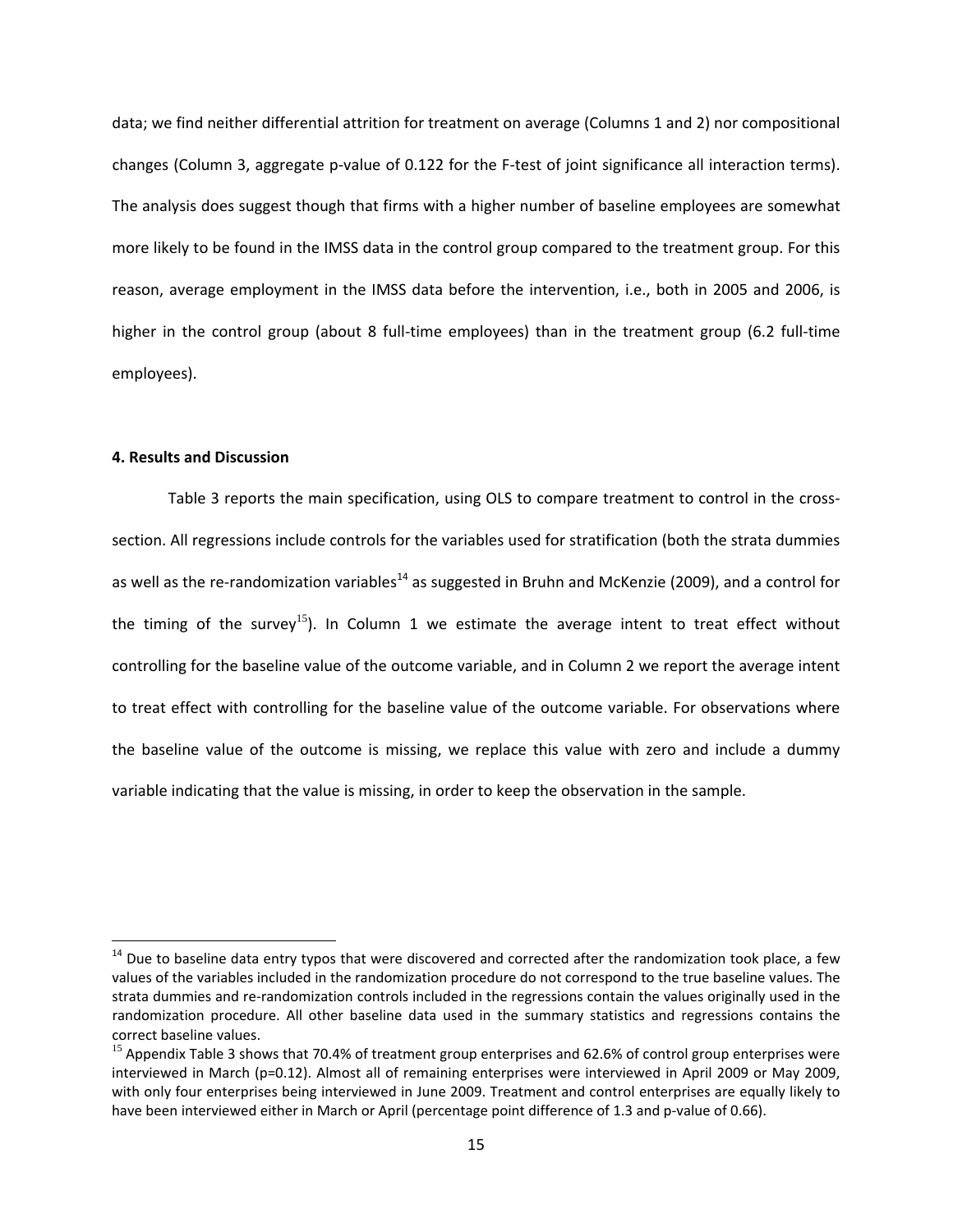data; we find neither differential attrition for treatment on average (Columns 1 and 2) nor compositional changes (Column 3, aggregate p-value of 0.122 for the F-test of joint significance all interaction terms). The analysis does suggest though that firms with a higher number of baseline employees are somewhat more likely to be found in the IMSS data in the control group compared to the treatment group. For this reason, average employment in the IMSS data before the intervention, i.e., both in 2005 and 2006, is higher in the control group (about 8 full-time employees) than in the treatment group (6.2 full-time employees).

#### **4. Results and Discussion**

Table 3 reports the main specification, using OLS to compare treatment to control in the crosssection. All regressions include controls for the variables used for stratification (both the strata dummies as well as the re-randomization variables<sup>[14](#page-15-0)</sup> as suggested in Bruhn and McKenzie (2009), and a control for the timing of the survey<sup>[15](#page-15-1)</sup>). In Column 1 we estimate the average intent to treat effect without controlling for the baseline value of the outcome variable, and in Column 2 we report the average intent to treat effect with controlling for the baseline value of the outcome variable. For observations where the baseline value of the outcome is missing, we replace this value with zero and include a dummy variable indicating that the value is missing, in order to keep the observation in the sample.

 $14$  Due to baseline data entry typos that were discovered and corrected after the randomization took place, a few values of the variables included in the randomization procedure do not correspond to the true baseline values. The strata dummies and re‐randomization controls included in the regressions contain the values originally used in the randomization procedure. All other baseline data used in the summary statistics and regressions contains the correct baseline values.

<span id="page-14-0"></span><sup>&</sup>lt;sup>15</sup> Appendix Table 3 shows that 70.4% of treatment group enterprises and 62.6% of control group enterprises were interviewed in March (p=0.12). Almost all of remaining enterprises were interviewed in April 2009 or May 2009, with only four enterprises being interviewed in June 2009. Treatment and control enterprises are equally likely to have been interviewed either in March or April (percentage point difference of 1.3 and p-value of 0.66).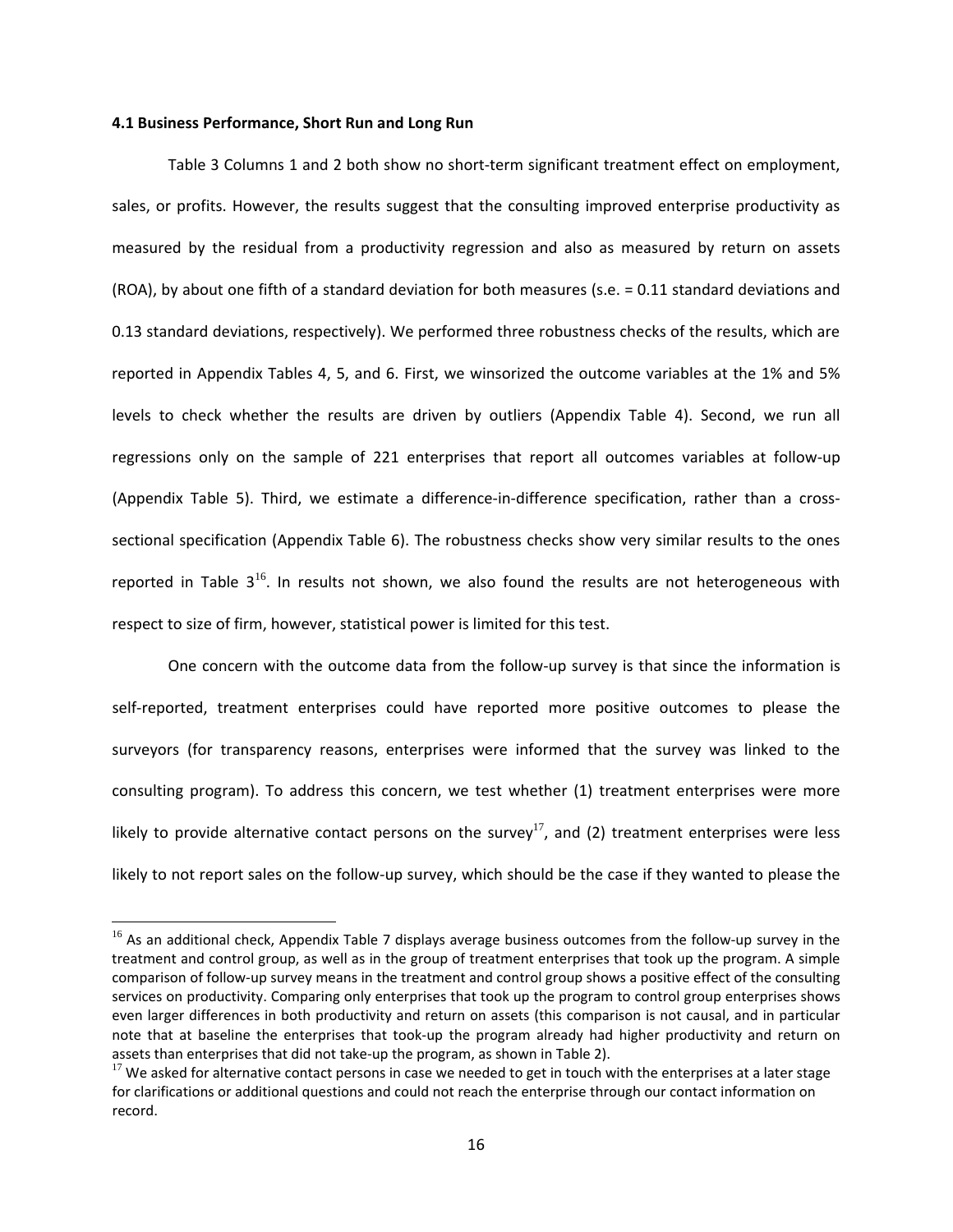#### **4.1 Business Performance, Short Run and Long Run**

Table 3 Columns 1 and 2 both show no short-term significant treatment effect on employment, sales, or profits. However, the results suggest that the consulting improved enterprise productivity as measured by the residual from a productivity regression and also as measured by return on assets (ROA), by about one fifth of a standard deviation for both measures (s.e. = 0.11 standard deviations and 0.13 standard deviations, respectively). We performed three robustness checks of the results, which are reported in Appendix Tables 4, 5, and 6. First, we winsorized the outcome variables at the 1% and 5% levels to check whether the results are driven by outliers (Appendix Table 4). Second, we run all regressions only on the sample of 221 enterprises that report all outcomes variables at follow‐up (Appendix Table 5). Third, we estimate a difference-in-difference specification, rather than a crosssectional specificati[on](#page-16-0) (Appendix Table 6). The robustness checks show very similar results to the ones reported in Table  $3^{16}$ . In results not shown, we also found the results are not heterogeneous with respect to size of firm, however, statistical power is limited for this test.

One concern with the outcome data from the follow-up survey is that since the information is self-reported, treatment enterprises could have reported more positive outcomes to please the surveyors (for transparency reasons, enterprises were informed that the survey was linked to the consulting program). To address this concern, we test wh[eth](#page-16-1)er (1) treatment enterprises were more likely to provide alternative contact persons on the survey<sup>17</sup>, and (2) treatment enterprises were less likely to not report sales on the follow‐up survey, which should be the case if they wanted to please the

<span id="page-15-0"></span><sup>&</sup>lt;sup>16</sup> As an additional check, Appendix Table 7 displays average business outcomes from the follow-up survey in the treatment and control group, as well as in the group of treatment enterprises that took up the program. A simple comparison of follow‐up survey means in the treatment and control group shows a positive effect of the consulting services on productivity. Comparing only enterprises that took up the program to control group enterprises shows even larger differences in both productivity and return on assets (this comparison is not causal, and in particular note that at baseline the enterprises that took‐up the program already had higher productivity and return on assets than enterprises that did not take‐up the program, as shown in Table 2).

<span id="page-15-1"></span> $17$  We asked for alternative contact persons in case we needed to get in touch with the enterprises at a later stage for clarifications or additional questions and could not reach the enterprise through our contact information on record.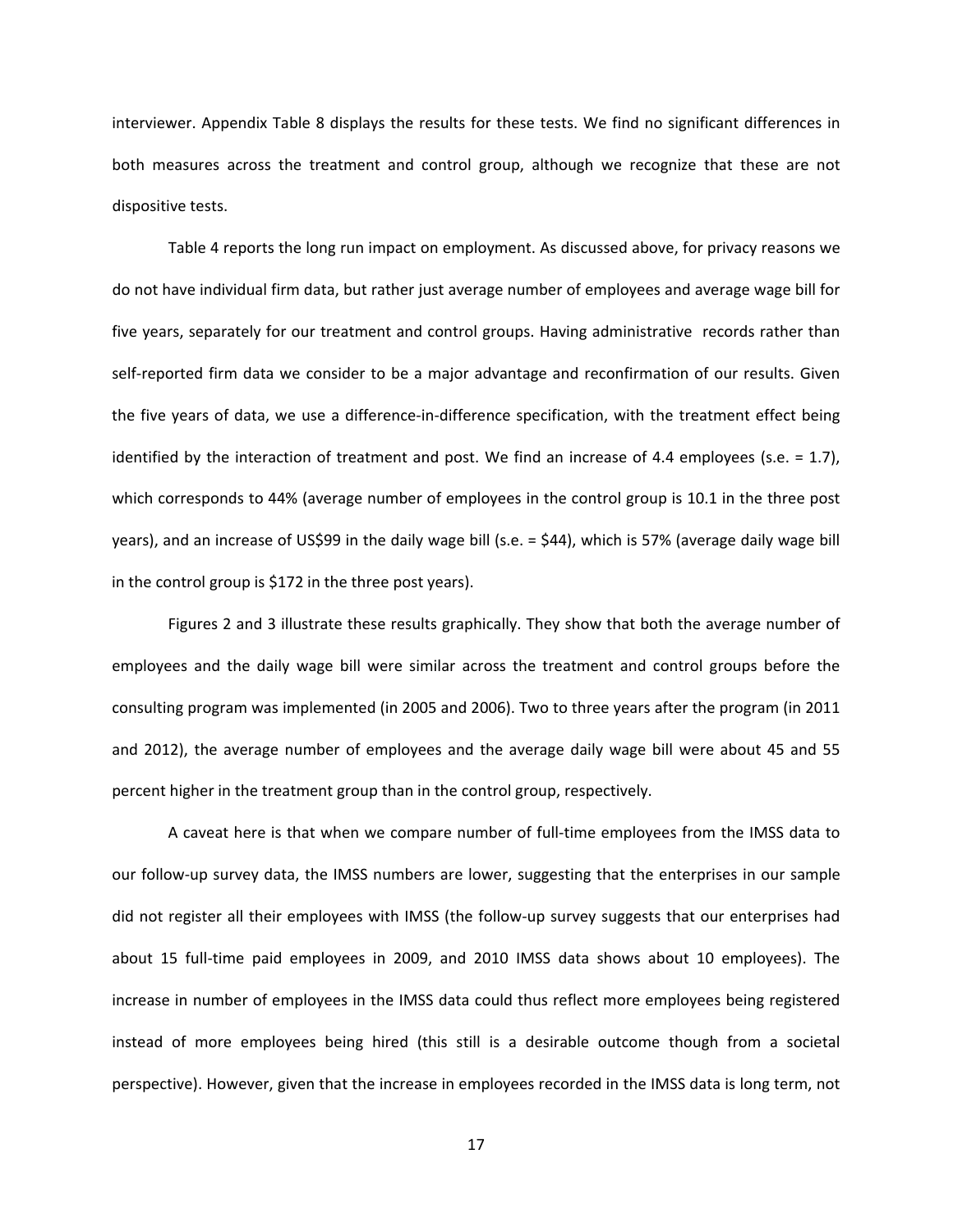interviewer. Appendix Table 8 displays the results for these tests. We find no significant differences in both measures across the treatment and control group, although we recognize that these are not dispositive tests.

Table 4 reports the long run impact on employment. As discussed above, for privacy reasons we do not have individual firm data, but rather just average number of employees and average wage bill for five years, separately for our treatment and control groups. Having administrative records rather than self-reported firm data we consider to be a major advantage and reconfirmation of our results. Given the five years of data, we use a difference‐in‐difference specification, with the treatment effect being identified by the interaction of treatment and post. We find an increase of 4.4 employees (s.e.  $= 1.7$ ), which corresponds to 44% (average number of employees in the control group is 10.1 in the three post years), and an increase of US\$99 in the daily wage bill (s.e. = \$44), which is 57% (average daily wage bill in the control group is \$172 in the three post years).

Figures 2 and 3 illustrate these results graphically. They show that both the average number of employees and the daily wage bill were similar across the treatment and control groups before the consulting program was implemented (in 2005 and 2006). Two to three years after the program (in 2011 and 2012), the average number of employees and the average daily wage bill were about 45 and 55 percent higher in the treatment group than in the control group, respectively.

<span id="page-16-1"></span><span id="page-16-0"></span>A caveat here is that when we compare number of full‐time employees from the IMSS data to our follow‐up survey data, the IMSS numbers are lower, suggesting that the enterprises in our sample did not register all their employees with IMSS (the follow‐up survey suggests that our enterprises had about 15 full-time paid employees in 2009, and 2010 IMSS data shows about 10 employees). The increase in number of employees in the IMSS data could thus reflect more employees being registered instead of more employees being hired (this still is a desirable outcome though from a societal perspective). However, given that the increase in employees recorded in the IMSS data is long term, not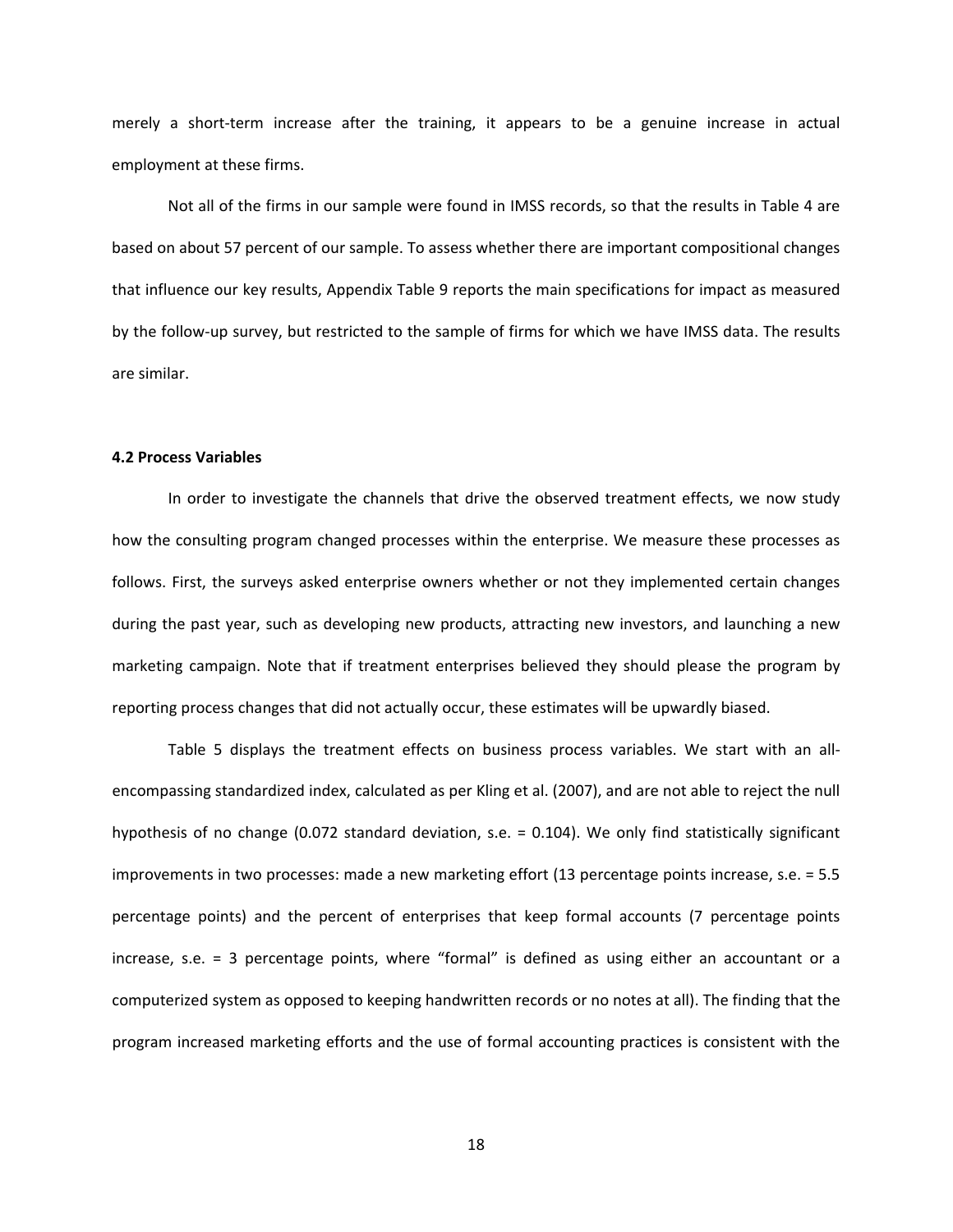merely a short-term increase after the training, it appears to be a genuine increase in actual employment at these firms.

Not all of the firms in our sample were found in IMSS records, so that the results in Table 4 are based on about 57 percent of our sample. To assess whether there are important compositional changes that influence our key results, Appendix Table 9 reports the main specifications for impact as measured by the follow‐up survey, but restricted to the sample of firms for which we have IMSS data. The results are similar.

#### **4.2 Process Variables**

In order to investigate the channels that drive the observed treatment effects, we now study how the consulting program changed processes within the enterprise. We measure these processes as follows. First, the surveys asked enterprise owners whether or not they implemented certain changes during the past year, such as developing new products, attracting new investors, and launching a new marketing campaign. Note that if treatment enterprises believed they should please the program by reporting process changes that did not actually occur, these estimates will be upwardly biased.

Table 5 displays the treatment effects on business process variables. We start with an all‐ encompassing standardized index, calculated as per Kling et al. (2007), and are not able to reject the null hypothesis of no change (0.072 standard deviation, s.e. = 0.104). We only find statistically significant improvements in two processes: made a new marketing effort (13 percentage points increase, s.e. = 5.5 percentage points) and the percent of enterprises that keep formal accounts (7 percentage points increase, s.e. = 3 percentage points, where "formal" is defined as using either an accountant or a computerized system as opposed to keeping handwritten records or no notes at all). The finding that the program increased marketing efforts and the use of formal accounting practices is consistent with the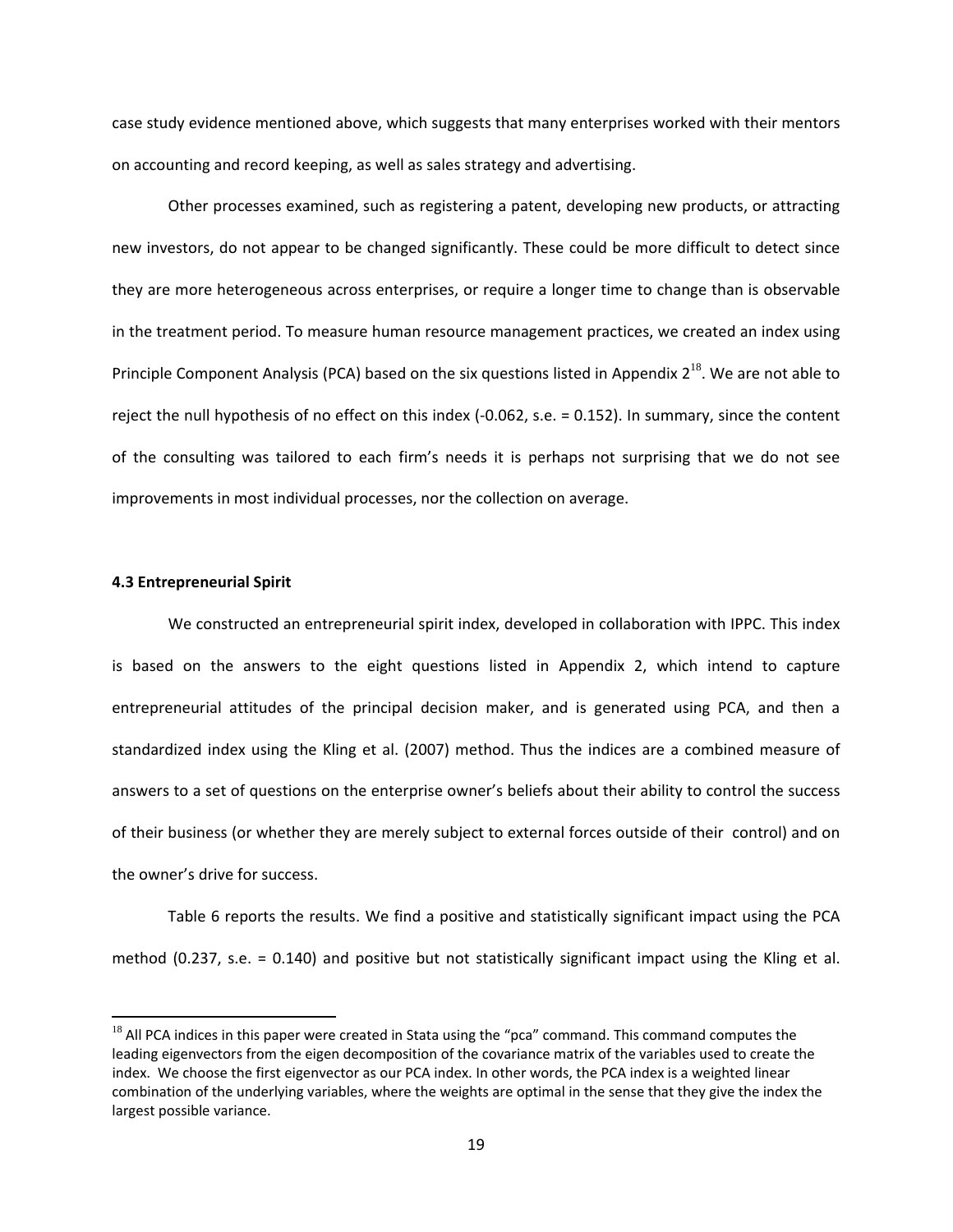case study evidence mentioned above, which suggests that many enterprises worked with their mentors on accounting and record keeping, as well as sales strategy and advertising.

Other processes examined, such as registering a patent, developing new products, or attracting new investors, do not appear to be changed significantly. These could be more difficult to detect since they are more heterogeneous across enterprises, or require a longer time to change than is observable in the treatment period. To measure human resource management practices, we created an index using Principle Component Analysis (PCA) based on the six questions listed in Appendix  $2^{18}$  $2^{18}$  $2^{18}$ . We are not able to reject the null hypothesis of no effect on this index (‐0.062, s.e. = 0.152). In summary, since the content of the consulting was tailored to each firm's needs it is perhaps not surprising that we do not see improvements in most individual processes, nor the collection on average.

### **4.3 Entrepreneurial Spirit**

We constructed an entrepreneurial spirit index, developed in collaboration with IPPC. This index is based on the answers to the eight questions listed in Appendix 2, which intend to capture entrepreneurial attitudes of the principal decision maker, and is generated using PCA, and then a standardized index using the Kling et al. (2007) method. Thus the indices are a combined measure of answers to a set of questions on the enterprise owner's beliefs about their ability to control the success of their business (or whether they are merely subject to external forces outside of their control) and on the owner's drive for success.

Table 6 reports the results. We find a positive and statistically significant impact using the PCA method (0.237, s.e. = 0.140) and positive but not statistically significant impact using the Kling et al.

 $18$  All PCA indices in this paper were created in Stata using the "pca" command. This command computes the leading eigenvectors from the eigen decomposition of the covariance matrix of the variables used to create the index. We choose the first eigenvector as our PCA index. In other words, the PCA index is a weighted linear combination of the underlying variables, where the weights are optimal in the sense that they give the index the largest possible variance.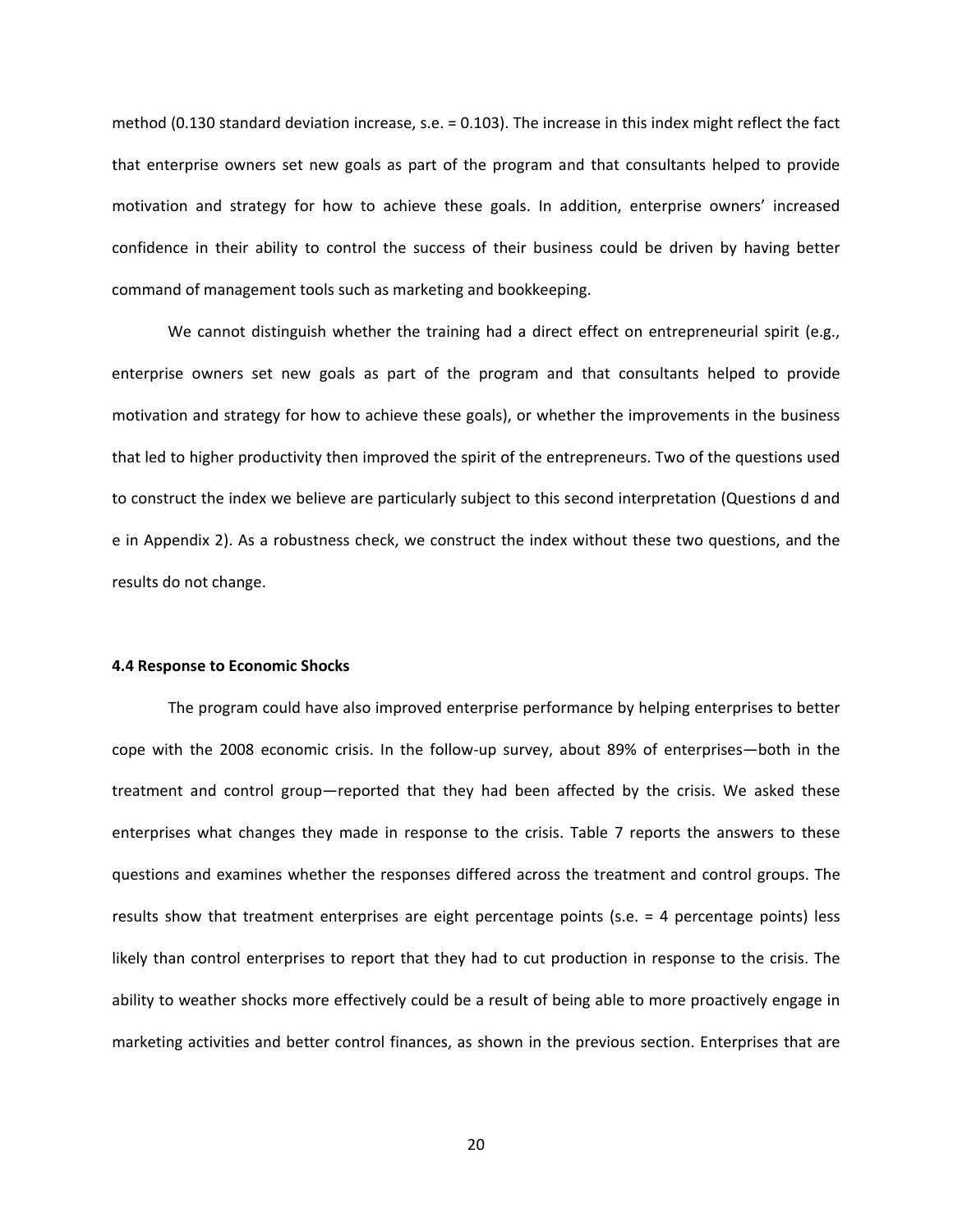method (0.130 standard deviation increase, s.e. = 0.103). The increase in this index might reflect the fact that enterprise owners set new goals as part of the program and that consultants helped to provide motivation and strategy for how to achieve these goals. In addition, enterprise owners' increased confidence in their ability to control the success of their business could be driven by having better command of management tools such as marketing and bookkeeping.

We cannot distinguish whether the training had a direct effect on entrepreneurial spirit (e.g., enterprise owners set new goals as part of the program and that consultants helped to provide motivation and strategy for how to achieve these goals), or whether the improvements in the business that led to higher productivity then improved the spirit of the entrepreneurs. Two of the questions used to construct the index we believe are particularly subject to this second interpretation (Questions d and e in Appendix 2). As a robustness check, we construct the index without these two questions, and the results do not change.

#### **4.4 Response to Economic Shocks**

<span id="page-19-0"></span>The program could have also improved enterprise performance by helping enterprises to better cope with the 2008 economic crisis. In the follow-up survey, about 89% of enterprises—both in the treatment and control group—reported that they had been affected by the crisis. We asked these enterprises what changes they made in response to the crisis. Table 7 reports the answers to these questions and examines whether the responses differed across the treatment and control groups. The results show that treatment enterprises are eight percentage points (s.e. = 4 percentage points) less likely than control enterprises to report that they had to cut production in response to the crisis. The ability to weather shocks more effectively could be a result of being able to more proactively engage in marketing activities and better control finances, as shown in the previous section. Enterprises that are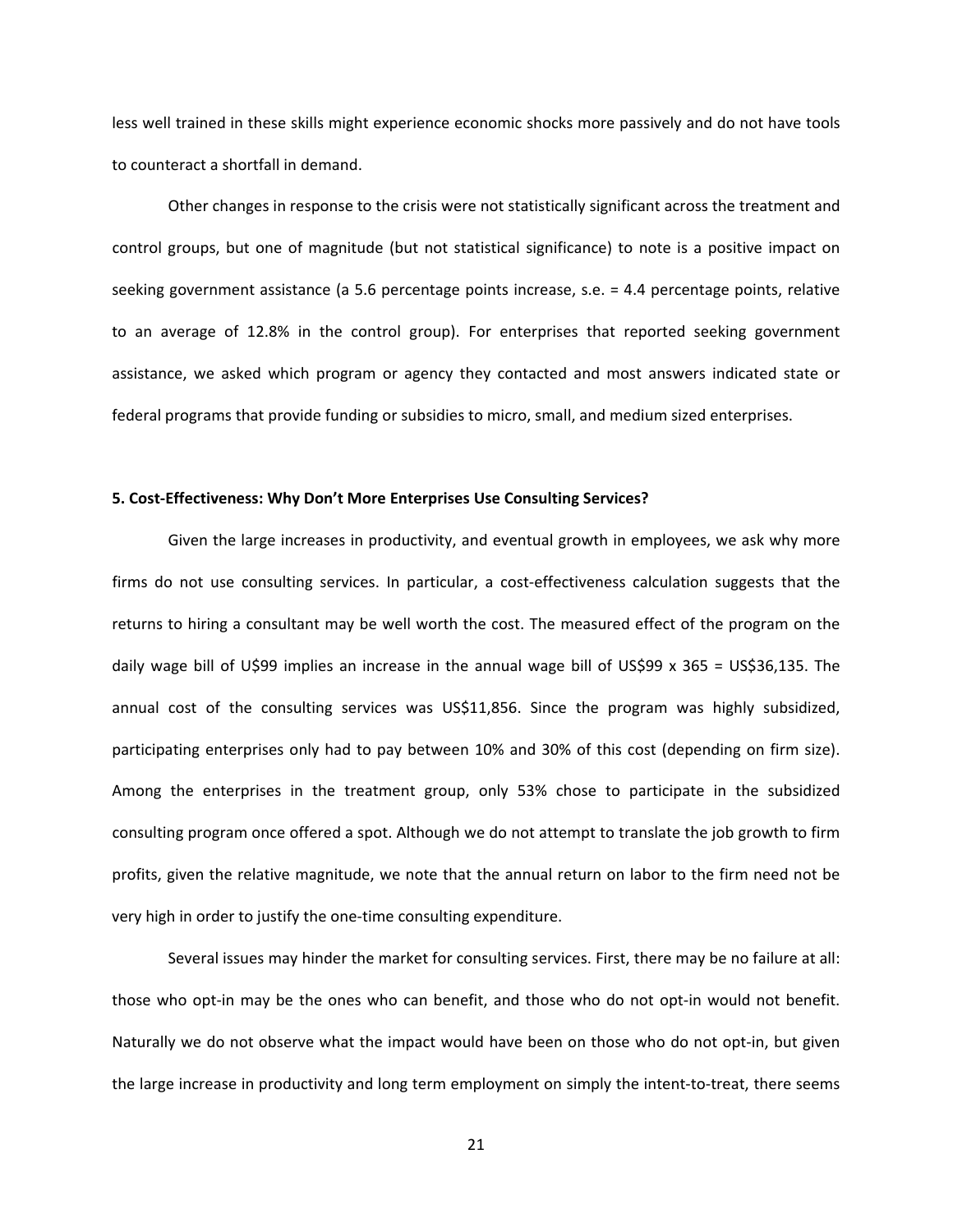less well trained in these skills might experience economic shocks more passively and do not have tools to counteract a shortfall in demand.

Other changes in response to the crisis were not statistically significant across the treatment and control groups, but one of magnitude (but not statistical significance) to note is a positive impact on seeking government assistance (a 5.6 percentage points increase, s.e. = 4.4 percentage points, relative to an average of 12.8% in the control group). For enterprises that reported seeking government assistance, we asked which program or agency they contacted and most answers indicated state or federal programs that provide funding or subsidies to micro, small, and medium sized enterprises.

#### **5. Cost‐Effectiveness: Why Don't More Enterprises Use Consulting Services?**

Given the large increases in productivity, and eventual growth in employees, we ask why more firms do not use consulting services. In particular, a cost-effectiveness calculation suggests that the returns to hiring a consultant may be well worth the cost. The measured effect of the program on the daily wage bill of U\$99 implies an increase in the annual wage bill of US\$99 x 365 = US\$36,135. The annual cost of the consulting services was US\$11,856. Since the program was highly subsidized, participating enterprises only had to pay between 10% and 30% of this cost (depending on firm size). Among the enterprises in the treatment group, only 53% chose to participate in the subsidized consulting program once offered a spot. Although we do not attempt to translate the job growth to firm profits, given the relative magnitude, we note that the annual return on labor to the firm need not be very high in order to justify the one‐time consulting expenditure.

Several issues may hinder the market for consulting services. First, there may be no failure at all: those who opt‐in may be the ones who can benefit, and those who do not opt‐in would not benefit. Naturally we do not observe what the impact would have been on those who do not opt‐in, but given the large increase in productivity and long term employment on simply the intent‐to‐treat, there seems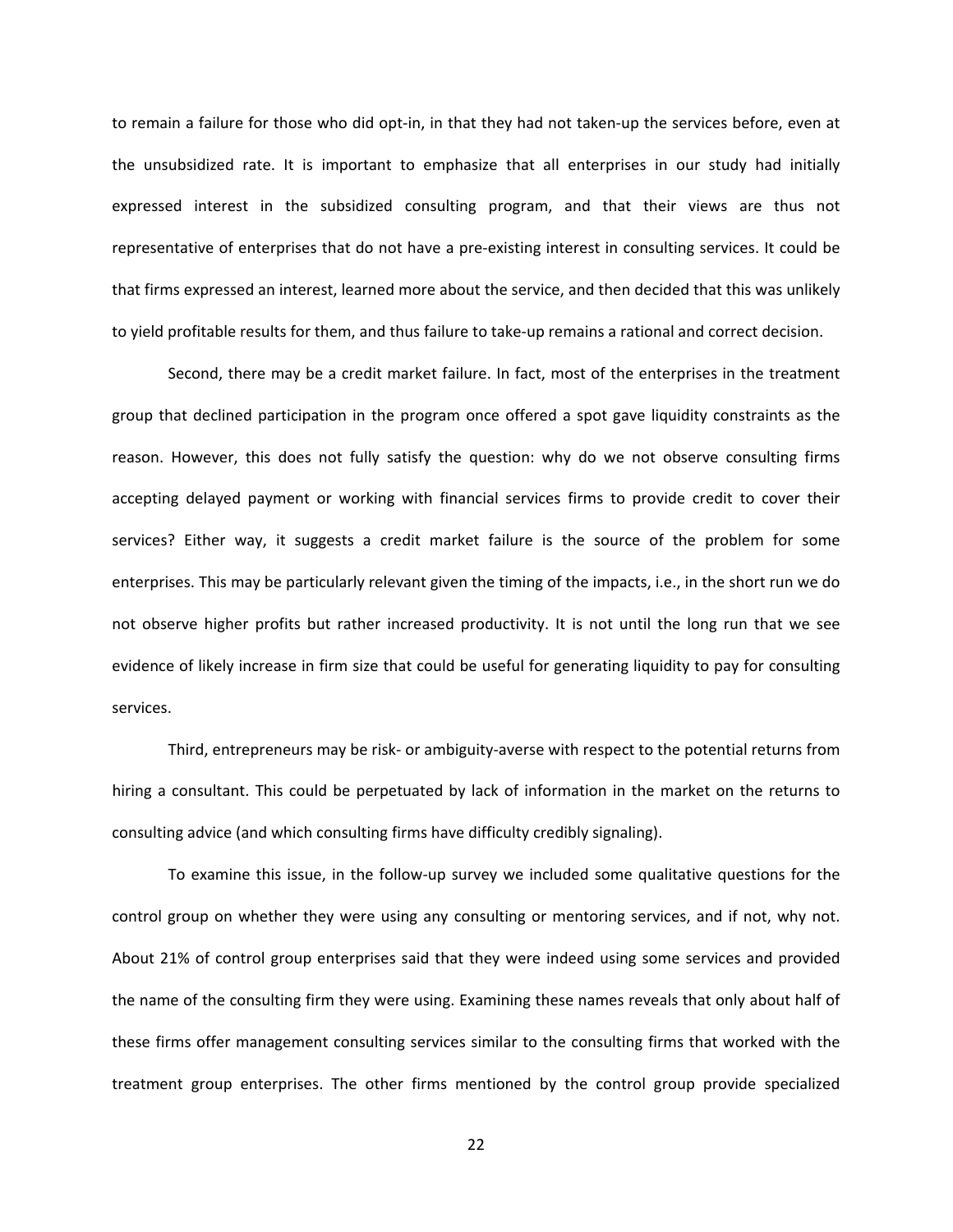to remain a failure for those who did opt-in, in that they had not taken-up the services before, even at the unsubsidized rate. It is important to emphasize that all enterprises in our study had initially expressed interest in the subsidized consulting program, and that their views are thus not representative of enterprises that do not have a pre‐existing interest in consulting services. It could be that firms expressed an interest, learned more about the service, and then decided that this was unlikely to yield profitable results for them, and thus failure to take‐up remains a rational and correct decision.

Second, there may be a credit market failure. In fact, most of the enterprises in the treatment group that declined participation in the program once offered a spot gave liquidity constraints as the reason. However, this does not fully satisfy the question: why do we not observe consulting firms accepting delayed payment or working with financial services firms to provide credit to cover their services? Either way, it suggests a credit market failure is the source of the problem for some enterprises. This may be particularly relevant given the timing of the impacts, i.e., in the short run we do not observe higher profits but rather increased productivity. It is not until the long run that we see evidence of likely increase in firm size that could be useful for generating liquidity to pay for consulting services.

Third, entrepreneurs may be risk‐ or ambiguity‐averse with respect to the potential returns from hiring a consultant. This could be perpetuated by lack of information in the market on the returns to consulting advice (and which consulting firms have difficulty credibly signaling).

To examine this issue, in the follow‐up survey we included some qualitative questions for the control group on whether they were using any consulting or mentoring services, and if not, why not. About 21% of control group enterprises said that they were indeed using some services and provided the name of the consulting firm they were using. Examining these names reveals that only about half of these firms offer management consulting services similar to the consulting firms that worked with the treatment group enterprises. The other firms mentioned by the control group provide specialized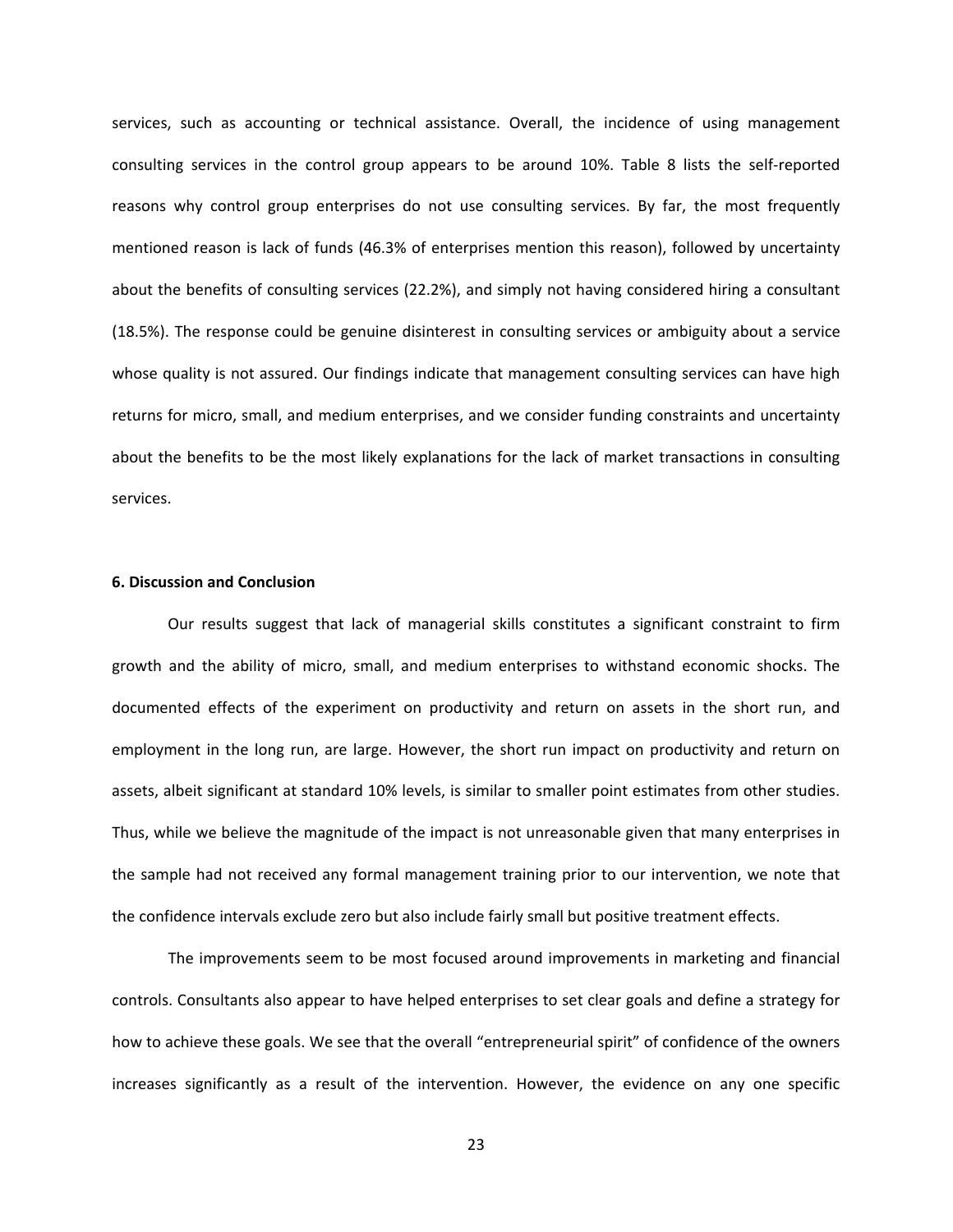services, such as accounting or technical assistance. Overall, the incidence of using management consulting services in the control group appears to be around 10%. Table 8 lists the self‐reported reasons why control group enterprises do not use consulting services. By far, the most frequently mentioned reason is lack of funds (46.3% of enterprises mention this reason), followed by uncertainty about the benefits of consulting services (22.2%), and simply not having considered hiring a consultant (18.5%). The response could be genuine disinterest in consulting services or ambiguity about a service whose quality is not assured. Our findings indicate that management consulting services can have high returns for micro, small, and medium enterprises, and we consider funding constraints and uncertainty about the benefits to be the most likely explanations for the lack of market transactions in consulting services.

#### **6. Discussion and Conclusion**

Our results suggest that lack of managerial skills constitutes a significant constraint to firm growth and the ability of micro, small, and medium enterprises to withstand economic shocks. The documented effects of the experiment on productivity and return on assets in the short run, and employment in the long run, are large. However, the short run impact on productivity and return on assets, albeit significant at standard 10% levels, is similar to smaller point estimates from other studies. Thus, while we believe the magnitude of the impact is not unreasonable given that many enterprises in the sample had not received any formal management training prior to our intervention, we note that the confidence intervals exclude zero but also include fairly small but positive treatment effects.

The improvements seem to be most focused around improvements in marketing and financial controls. Consultants also appear to have helped enterprises to set clear goals and define a strategy for how to achieve these goals. We see that the overall "entrepreneurial spirit" of confidence of the owners increases significantly as a result of the intervention. However, the evidence on any one specific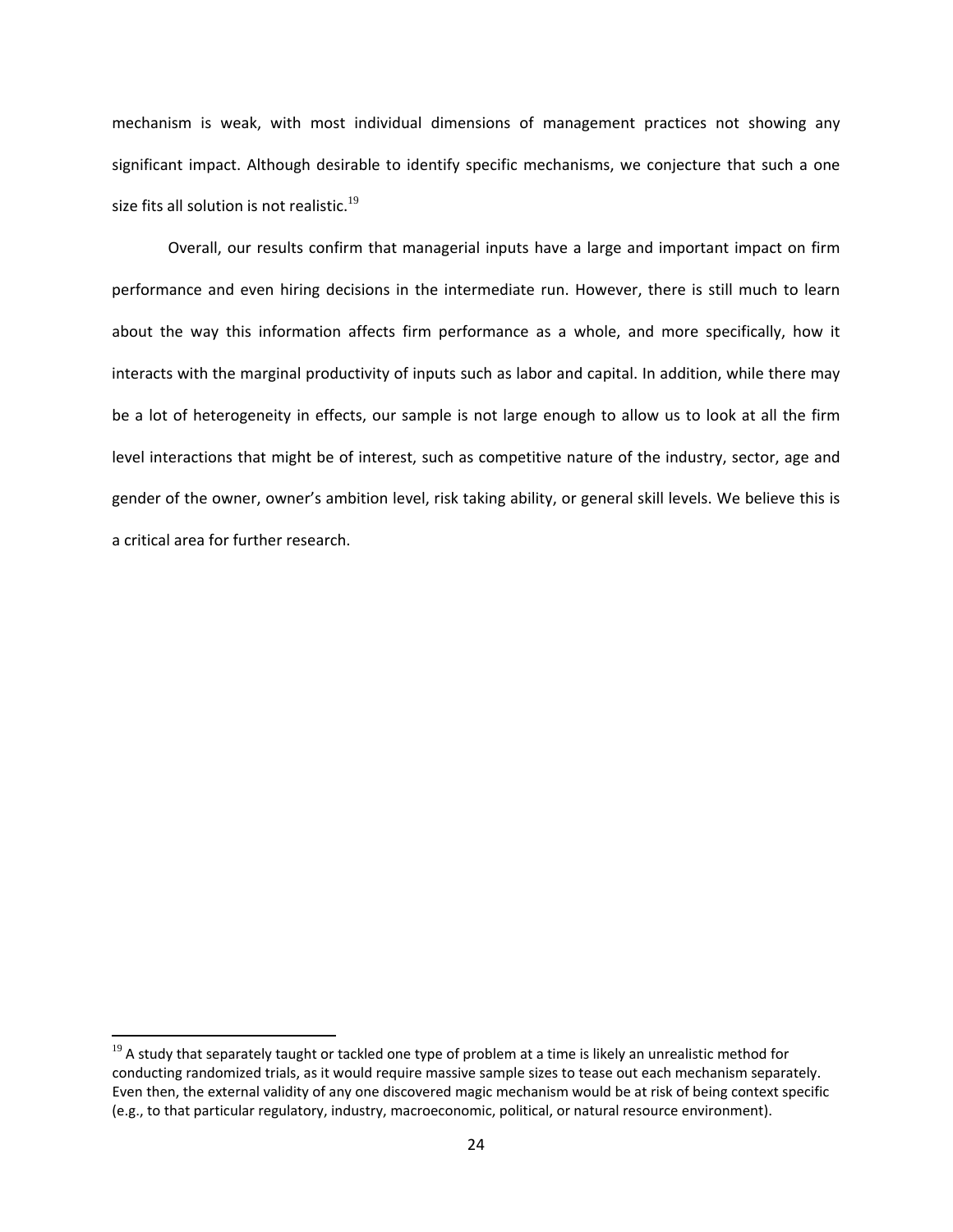mechanism is weak, with most individual dimensions of management practices not showing any significant impact. Although desirable to identify specific mechanisms, we conjecture that such a one size fits all solution is not realistic.<sup>[19](#page-24-0)</sup>

Overall, our results confirm that managerial inputs have a large and important impact on firm performance and even hiring decisions in the intermediate run. However, there is still much to learn about the way this information affects firm performance as a whole, and more specifically, how it interacts with the marginal productivity of inputs such as labor and capital. In addition, while there may be a lot of heterogeneity in effects, our sample is not large enough to allow us to look at all the firm level interactions that might be of interest, such as competitive nature of the industry, sector, age and gender of the owner, owner's ambition level, risk taking ability, or general skill levels. We believe this is a critical area for further research.

 $19$  A study that separately taught or tackled one type of problem at a time is likely an unrealistic method for conducting randomized trials, as it would require massive sample sizes to tease out each mechanism separately. Even then, the external validity of any one discovered magic mechanism would be at risk of being context specific (e.g., to that particular regulatory, industry, macroeconomic, political, or natural resource environment).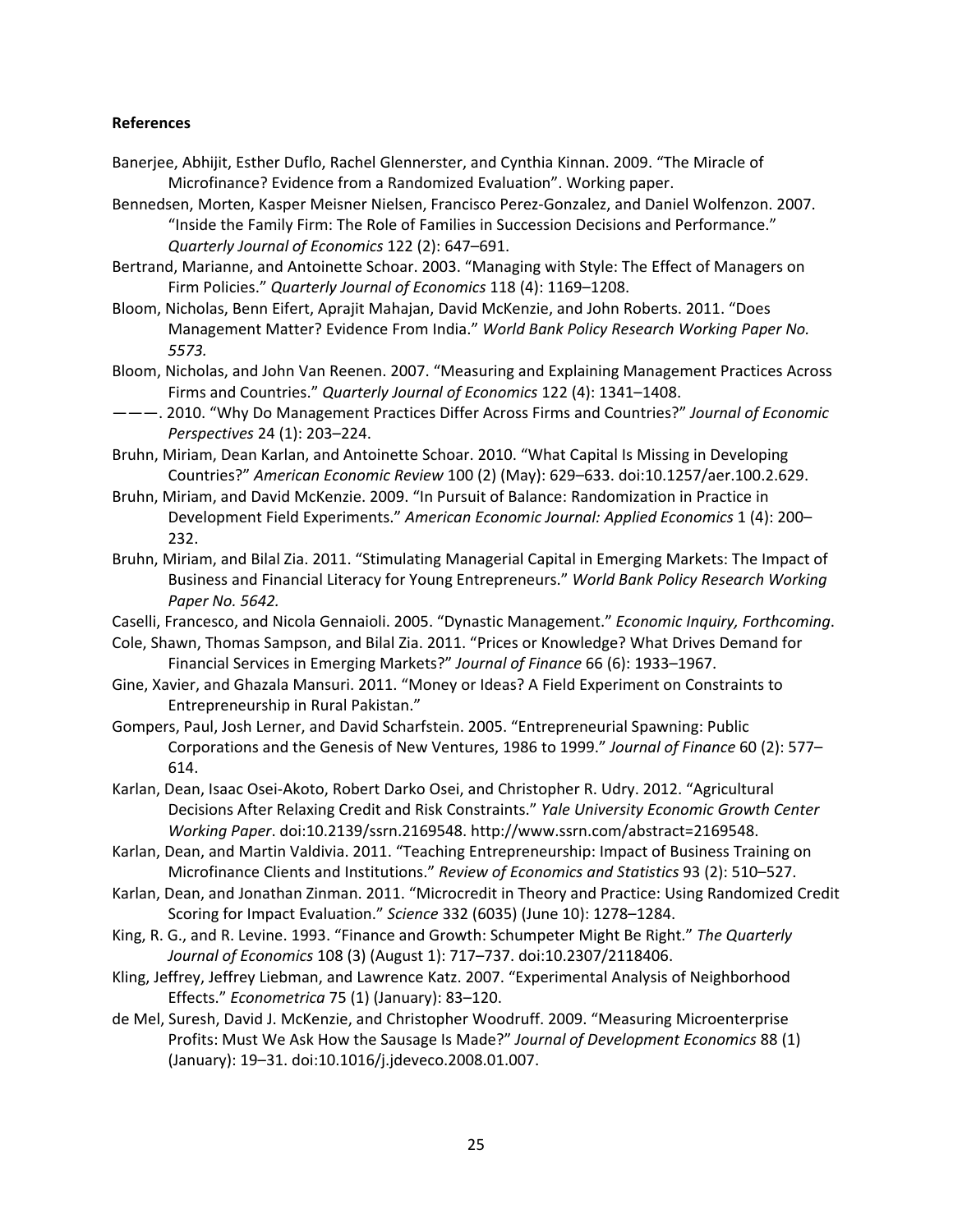### **References**

- Banerjee, Abhijit, Esther Duflo, Rachel Glennerster, and Cynthia Kinnan. 2009. "The Miracle of Microfinance? Evidence from a Randomized Evaluation". Working paper.
- Bennedsen, Morten, Kasper Meisner Nielsen, Francisco Perez‐Gonzalez, and Daniel Wolfenzon. 2007. "Inside the Family Firm: The Role of Families in Succession Decisions and Performance." *Quarterly Journal of Economics* 122 (2): 647–691.
- Bertrand, Marianne, and Antoinette Schoar. 2003. "Managing with Style: The Effect of Managers on Firm Policies." *Quarterly Journal of Economics* 118 (4): 1169–1208.
- Bloom, Nicholas, Benn Eifert, Aprajit Mahajan, David McKenzie, and John Roberts. 2011. "Does Management Matter? Evidence From India." *World Bank Policy Research Working Paper No. 5573.*
- Bloom, Nicholas, and John Van Reenen. 2007. "Measuring and Explaining Management Practices Across Firms and Countries." *Quarterly Journal of Economics* 122 (4): 1341–1408.
- ———. 2010. "Why Do Management Practices Differ Across Firms and Countries?" *Journal of Economic Perspectives* 24 (1): 203–224.
- Bruhn, Miriam, Dean Karlan, and Antoinette Schoar. 2010. "What Capital Is Missing in Developing Countries?" *American Economic Review* 100 (2) (May): 629–633. doi:10.1257/aer.100.2.629.
- Bruhn, Miriam, and David McKenzie. 2009. "In Pursuit of Balance: Randomization in Practice in Development Field Experiments." *American Economic Journal: Applied Economics* 1 (4): 200– 232.
- Bruhn, Miriam, and Bilal Zia. 2011. "Stimulating Managerial Capital in Emerging Markets: The Impact of Business and Financial Literacy for Young Entrepreneurs." *World Bank Policy Research Working Paper No. 5642.*
- Caselli, Francesco, and Nicola Gennaioli. 2005. "Dynastic Management." *Economic Inquiry, Forthcoming*.
- Cole, Shawn, Thomas Sampson, and Bilal Zia. 2011. "Prices or Knowledge? What Drives Demand for Financial Services in Emerging Markets?" *Journal of Finance* 66 (6): 1933–1967.
- Gine, Xavier, and Ghazala Mansuri. 2011. "Money or Ideas? A Field Experiment on Constraints to Entrepreneurship in Rural Pakistan."
- Gompers, Paul, Josh Lerner, and David Scharfstein. 2005. "Entrepreneurial Spawning: Public Corporations and the Genesis of New Ventures, 1986 to 1999." *Journal of Finance* 60 (2): 577– 614.
- Karlan, Dean, Isaac Osei‐Akoto, Robert Darko Osei, and Christopher R. Udry. 2012. "Agricultural Decisions After Relaxing Credit and Risk Constraints." *Yale University Economic Growth Center Working Paper*. doi:10.2139/ssrn.2169548. http://www.ssrn.com/abstract=2169548.
- Karlan, Dean, and Martin Valdivia. 2011. "Teaching Entrepreneurship: Impact of Business Training on Microfinance Clients and Institutions." *Review of Economics and Statistics* 93 (2): 510–527.
- Karlan, Dean, and Jonathan Zinman. 2011. "Microcredit in Theory and Practice: Using Randomized Credit Scoring for Impact Evaluation." *Science* 332 (6035) (June 10): 1278–1284.
- King, R. G., and R. Levine. 1993. "Finance and Growth: Schumpeter Might Be Right." *The Quarterly Journal of Economics* 108 (3) (August 1): 717–737. doi:10.2307/2118406.
- Kling, Jeffrey, Jeffrey Liebman, and Lawrence Katz. 2007. "Experimental Analysis of Neighborhood Effects." *Econometrica* 75 (1) (January): 83–120.
- <span id="page-24-0"></span>de Mel, Suresh, David J. McKenzie, and Christopher Woodruff. 2009. "Measuring Microenterprise Profits: Must We Ask How the Sausage Is Made?" *Journal of Development Economics* 88 (1) (January): 19–31. doi:10.1016/j.jdeveco.2008.01.007.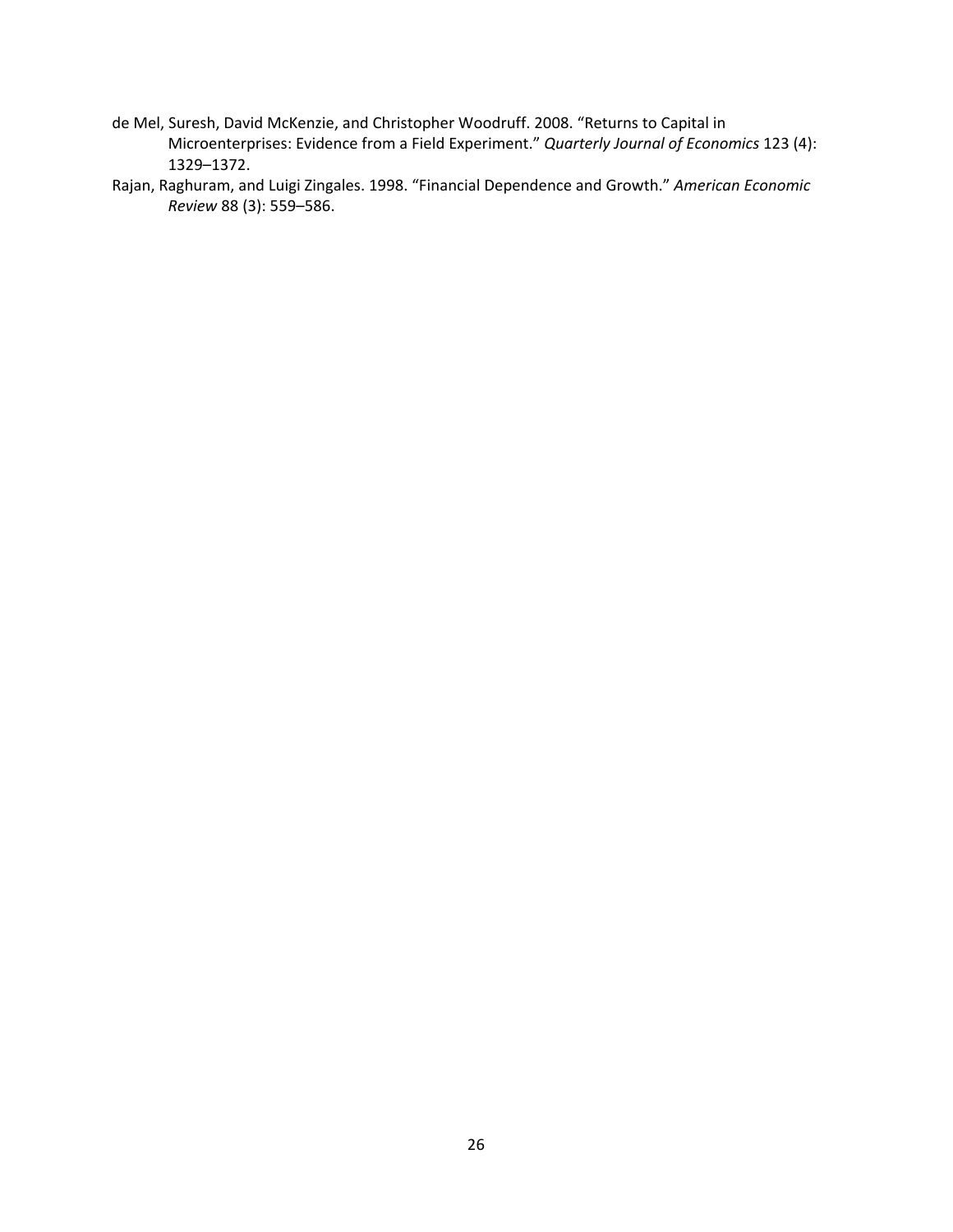- de Mel, Suresh, David McKenzie, and Christopher Woodruff. 2008. "Returns to Capital in Microenterprises: Evidence from a Field Experiment." *Quarterly Journal of Economics* 123 (4): 1329–1372.
- Rajan, Raghuram, and Luigi Zingales. 1998. "Financial Dependence and Growth." *American Economic Review* 88 (3): 559–586.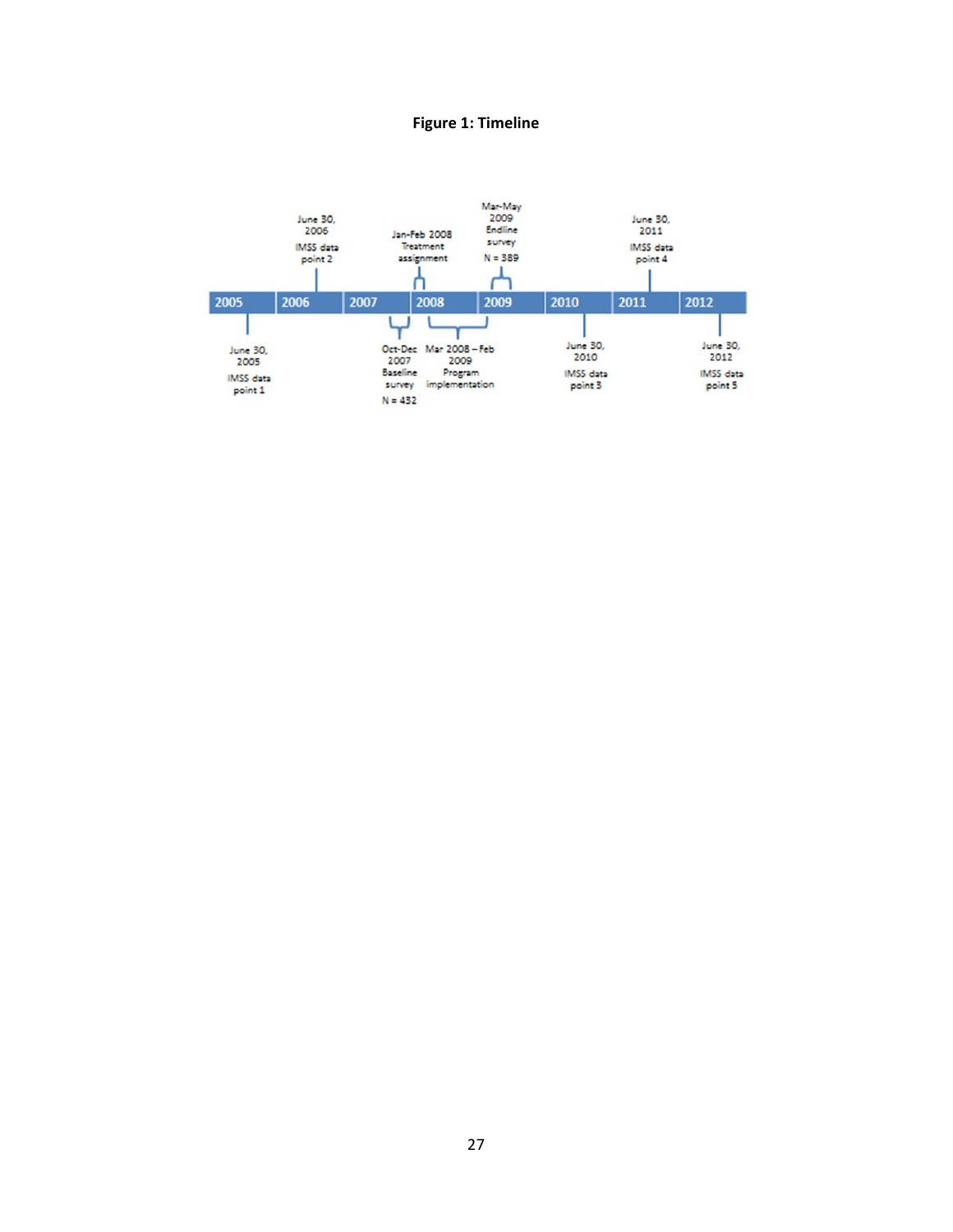## **Figure 1: Timeline**

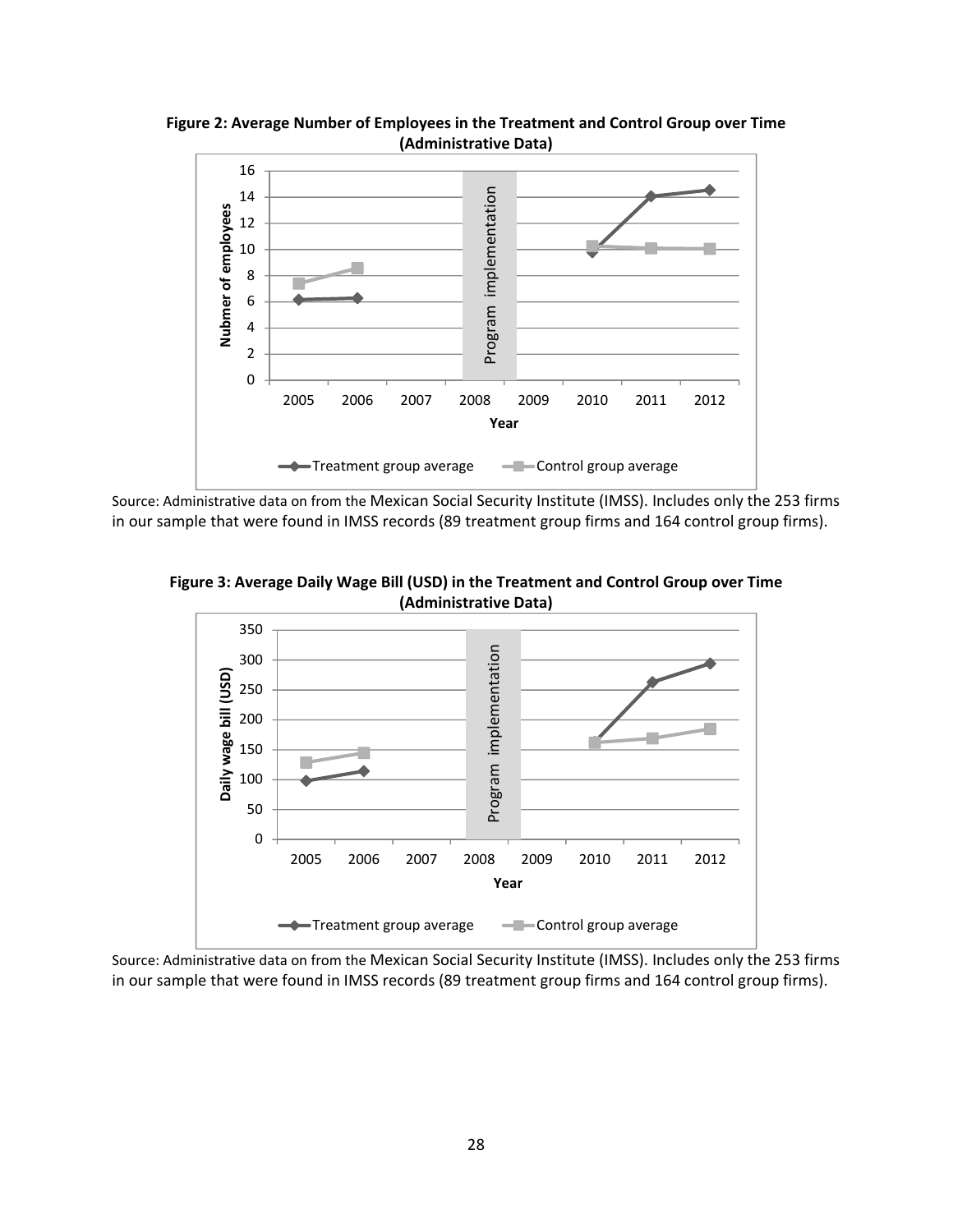

**Figure 2: Average Number of Employees in the Treatment and Control Group over Time (Administrative Data)**

Source: Administrative data on from the Mexican Social Security Institute (IMSS). Includes only the 253 firms in our sample that were found in IMSS records (89 treatment group firms and 164 control group firms).



**Figure 3: Average Daily Wage Bill (USD) in the Treatment and Control Group over Time (Administrative Data)**

Source: Administrative data on from the Mexican Social Security Institute (IMSS). Includes only the 253 firms in our sample that were found in IMSS records (89 treatment group firms and 164 control group firms).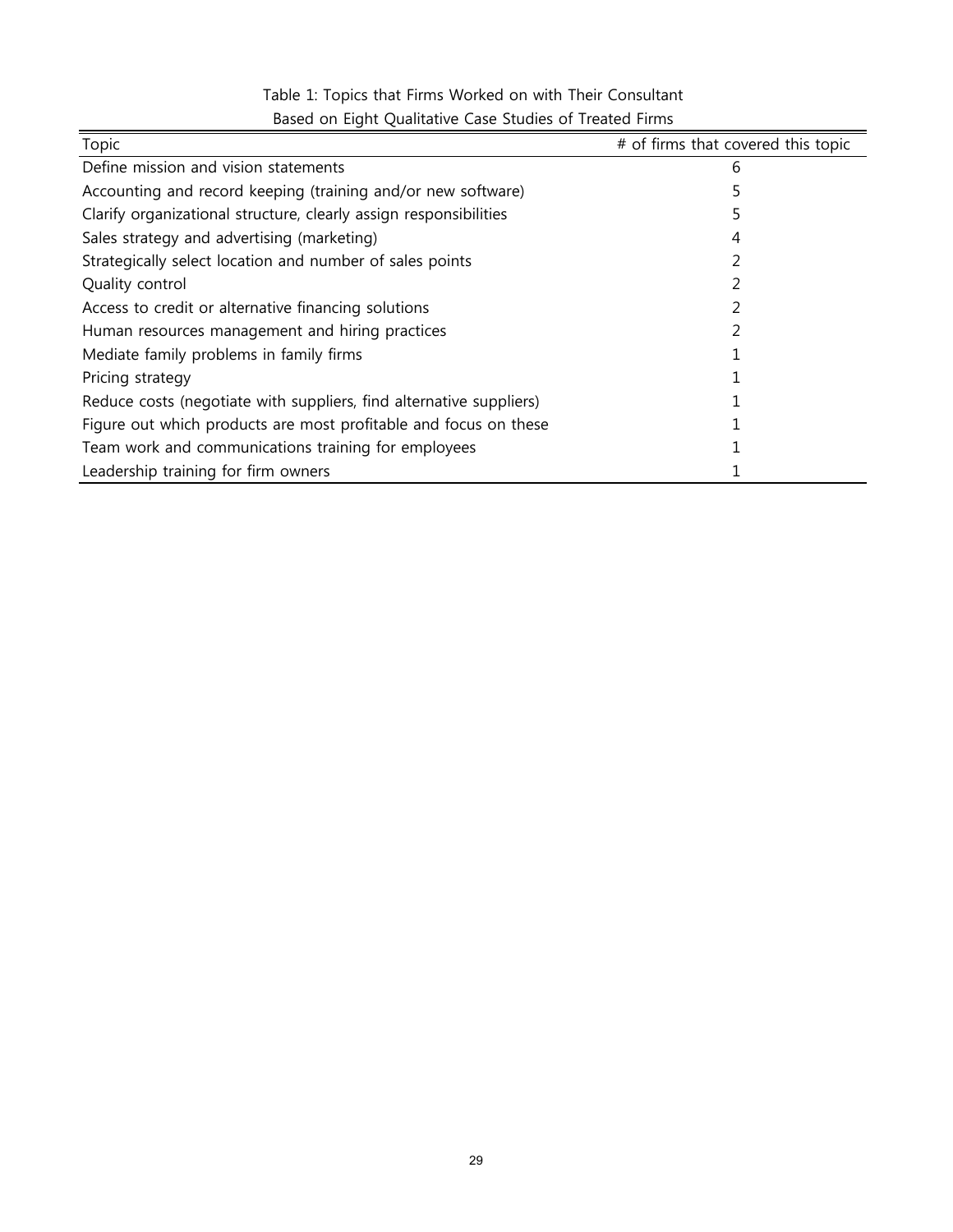| Topic                                                               | # of firms that covered this topic |
|---------------------------------------------------------------------|------------------------------------|
| Define mission and vision statements                                | 6                                  |
| Accounting and record keeping (training and/or new software)        |                                    |
| Clarify organizational structure, clearly assign responsibilities   |                                    |
| Sales strategy and advertising (marketing)                          | 4                                  |
| Strategically select location and number of sales points            |                                    |
| Quality control                                                     |                                    |
| Access to credit or alternative financing solutions                 |                                    |
| Human resources management and hiring practices                     |                                    |
| Mediate family problems in family firms                             |                                    |
| Pricing strategy                                                    |                                    |
| Reduce costs (negotiate with suppliers, find alternative suppliers) |                                    |
| Figure out which products are most profitable and focus on these    |                                    |
| Team work and communications training for employees                 |                                    |
| Leadership training for firm owners                                 |                                    |

# Table 1: Topics that Firms Worked on with Their Consultant Based on Eight Qualitative Case Studies of Treated Firms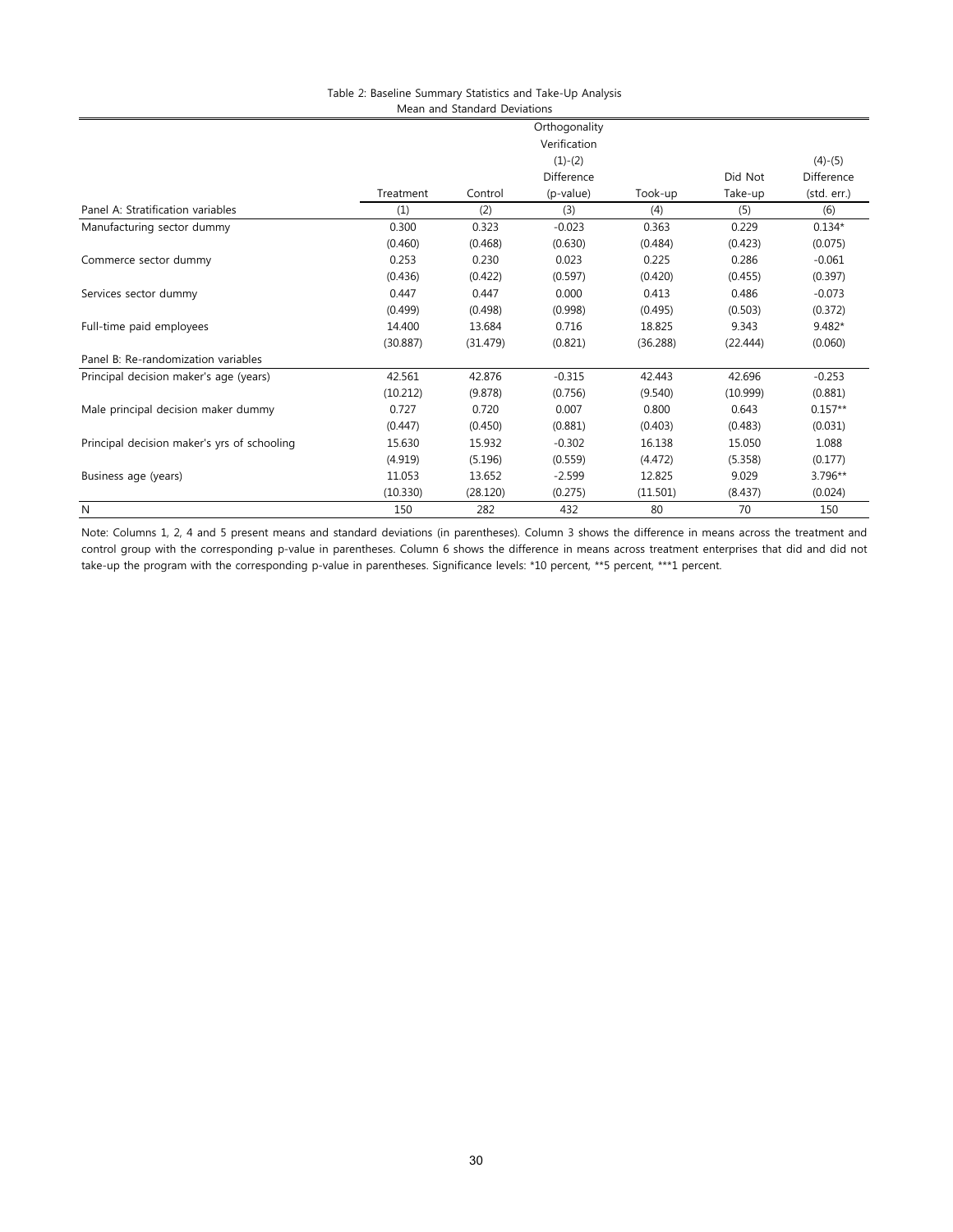| Table 2: Baseline Summary Statistics and Take-Up Analysis |  |
|-----------------------------------------------------------|--|
| Mean and Standard Deviations                              |  |

|                                             |              |          | Orthogonality |          |          |                         |  |
|---------------------------------------------|--------------|----------|---------------|----------|----------|-------------------------|--|
|                                             | Verification |          |               |          |          |                         |  |
|                                             | $(1)-(2)$    |          |               |          |          |                         |  |
|                                             |              |          | Difference    |          | Did Not  | $(4)-(5)$<br>Difference |  |
|                                             | Treatment    | Control  | (p-value)     | Took-up  | Take-up  | (std. err.)             |  |
| Panel A: Stratification variables           | (1)          | (2)      | (3)           | (4)      | (5)      | (6)                     |  |
| Manufacturing sector dummy                  | 0.300        | 0.323    | $-0.023$      | 0.363    | 0.229    | $0.134*$                |  |
|                                             | (0.460)      | (0.468)  | (0.630)       | (0.484)  | (0.423)  | (0.075)                 |  |
| Commerce sector dummy                       | 0.253        | 0.230    | 0.023         | 0.225    | 0.286    | $-0.061$                |  |
|                                             | (0.436)      | (0.422)  | (0.597)       | (0.420)  | (0.455)  | (0.397)                 |  |
| Services sector dummy                       | 0.447        | 0.447    | 0.000         | 0.413    | 0.486    | $-0.073$                |  |
|                                             | (0.499)      | (0.498)  | (0.998)       | (0.495)  | (0.503)  | (0.372)                 |  |
| Full-time paid employees                    | 14.400       | 13.684   | 0.716         | 18.825   | 9.343    | $9.482*$                |  |
|                                             | (30.887)     | (31.479) | (0.821)       | (36.288) | (22.444) | (0.060)                 |  |
| Panel B: Re-randomization variables         |              |          |               |          |          |                         |  |
| Principal decision maker's age (years)      | 42.561       | 42.876   | $-0.315$      | 42.443   | 42.696   | $-0.253$                |  |
|                                             | (10.212)     | (9.878)  | (0.756)       | (9.540)  | (10.999) | (0.881)                 |  |
| Male principal decision maker dummy         | 0.727        | 0.720    | 0.007         | 0.800    | 0.643    | $0.157**$               |  |
|                                             | (0.447)      | (0.450)  | (0.881)       | (0.403)  | (0.483)  | (0.031)                 |  |
| Principal decision maker's yrs of schooling | 15.630       | 15.932   | $-0.302$      | 16.138   | 15.050   | 1.088                   |  |
|                                             | (4.919)      | (5.196)  | (0.559)       | (4.472)  | (5.358)  | (0.177)                 |  |
| Business age (years)                        | 11.053       | 13.652   | $-2.599$      | 12.825   | 9.029    | $3.796**$               |  |
|                                             | (10.330)     | (28.120) | (0.275)       | (11.501) | (8.437)  | (0.024)                 |  |
| N                                           | 150          | 282      | 432           | 80       | 70       | 150                     |  |

Note: Columns 1, 2, 4 and 5 present means and standard deviations (in parentheses). Column 3 shows the difference in means across the treatment and control group with the corresponding p-value in parentheses. Column 6 shows the difference in means across treatment enterprises that did and did not take-up the program with the corresponding p-value in parentheses. Significance levels: \*10 percent, \*\*5 percent, \*\*\*1 percent.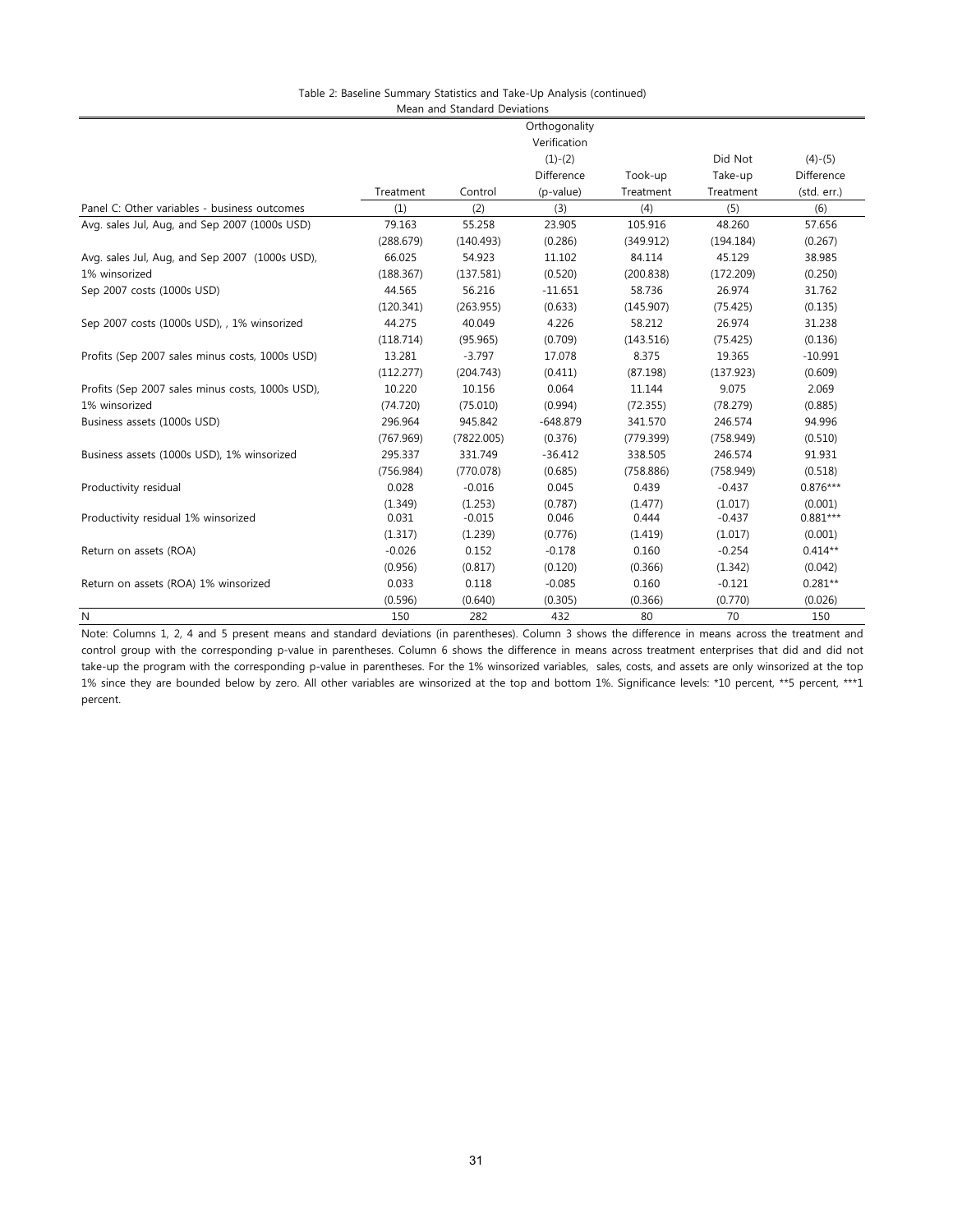| Table 2: Baseline Summary Statistics and Take-Up Analysis (continued) |
|-----------------------------------------------------------------------|
| Mean and Standard Deviations                                          |

|                                                  |           |            | Orthogonality |           |           |             |
|--------------------------------------------------|-----------|------------|---------------|-----------|-----------|-------------|
|                                                  |           |            | Verification  |           |           |             |
|                                                  |           |            | $(1)-(2)$     |           | Did Not   | $(4)-(5)$   |
|                                                  |           |            | Difference    | Took-up   | Take-up   | Difference  |
|                                                  | Treatment | Control    | (p-value)     | Treatment | Treatment | (std. err.) |
| Panel C: Other variables - business outcomes     | (1)       | (2)        | (3)           | (4)       | (5)       | (6)         |
| Avg. sales Jul, Aug, and Sep 2007 (1000s USD)    | 79.163    | 55.258     | 23.905        | 105.916   | 48.260    | 57.656      |
|                                                  | (288.679) | (140.493)  | (0.286)       | (349.912) | (194.184) | (0.267)     |
| Avg. sales Jul, Aug, and Sep 2007 (1000s USD),   | 66.025    | 54.923     | 11.102        | 84.114    | 45.129    | 38.985      |
| 1% winsorized                                    | (188.367) | (137.581)  | (0.520)       | (200.838) | (172.209) | (0.250)     |
| Sep 2007 costs (1000s USD)                       | 44.565    | 56.216     | $-11.651$     | 58.736    | 26.974    | 31.762      |
|                                                  | (120.341) | (263.955)  | (0.633)       | (145.907) | (75.425)  | (0.135)     |
| Sep 2007 costs (1000s USD), , 1% winsorized      | 44.275    | 40.049     | 4.226         | 58.212    | 26.974    | 31.238      |
|                                                  | (118.714) | (95.965)   | (0.709)       | (143.516) | (75.425)  | (0.136)     |
| Profits (Sep 2007 sales minus costs, 1000s USD)  | 13.281    | $-3.797$   | 17.078        | 8.375     | 19.365    | $-10.991$   |
|                                                  | (112.277) | (204.743)  | (0.411)       | (87.198)  | (137.923) | (0.609)     |
| Profits (Sep 2007 sales minus costs, 1000s USD), | 10.220    | 10.156     | 0.064         | 11.144    | 9.075     | 2.069       |
| 1% winsorized                                    | (74.720)  | (75.010)   | (0.994)       | (72.355)  | (78.279)  | (0.885)     |
| Business assets (1000s USD)                      | 296.964   | 945.842    | $-648.879$    | 341.570   | 246.574   | 94.996      |
|                                                  | (767.969) | (7822.005) | (0.376)       | (779.399) | (758.949) | (0.510)     |
| Business assets (1000s USD), 1% winsorized       | 295.337   | 331.749    | $-36.412$     | 338.505   | 246.574   | 91.931      |
|                                                  | (756.984) | (770.078)  | (0.685)       | (758.886) | (758.949) | (0.518)     |
| Productivity residual                            | 0.028     | $-0.016$   | 0.045         | 0.439     | $-0.437$  | $0.876***$  |
|                                                  | (1.349)   | (1.253)    | (0.787)       | (1.477)   | (1.017)   | (0.001)     |
| Productivity residual 1% winsorized              | 0.031     | $-0.015$   | 0.046         | 0.444     | $-0.437$  | $0.881***$  |
|                                                  | (1.317)   | (1.239)    | (0.776)       | (1.419)   | (1.017)   | (0.001)     |
| Return on assets (ROA)                           | $-0.026$  | 0.152      | $-0.178$      | 0.160     | $-0.254$  | $0.414**$   |
|                                                  | (0.956)   | (0.817)    | (0.120)       | (0.366)   | (1.342)   | (0.042)     |
| Return on assets (ROA) 1% winsorized             | 0.033     | 0.118      | $-0.085$      | 0.160     | $-0.121$  | $0.281**$   |
|                                                  | (0.596)   | (0.640)    | (0.305)       | (0.366)   | (0.770)   | (0.026)     |
| N                                                | 150       | 282        | 432           | 80        | 70        | 150         |

Note: Columns 1, 2, 4 and 5 present means and standard deviations (in parentheses). Column 3 shows the difference in means across the treatment and control group with the corresponding p-value in parentheses. Column 6 shows the difference in means across treatment enterprises that did and did not take-up the program with the corresponding p-value in parentheses. For the 1% winsorized variables, sales, costs, and assets are only winsorized at the top 1% since they are bounded below by zero. All other variables are winsorized at the top and bottom 1%. Significance levels: \*10 percent, \*\*5 percent, \*\*\*1 percent.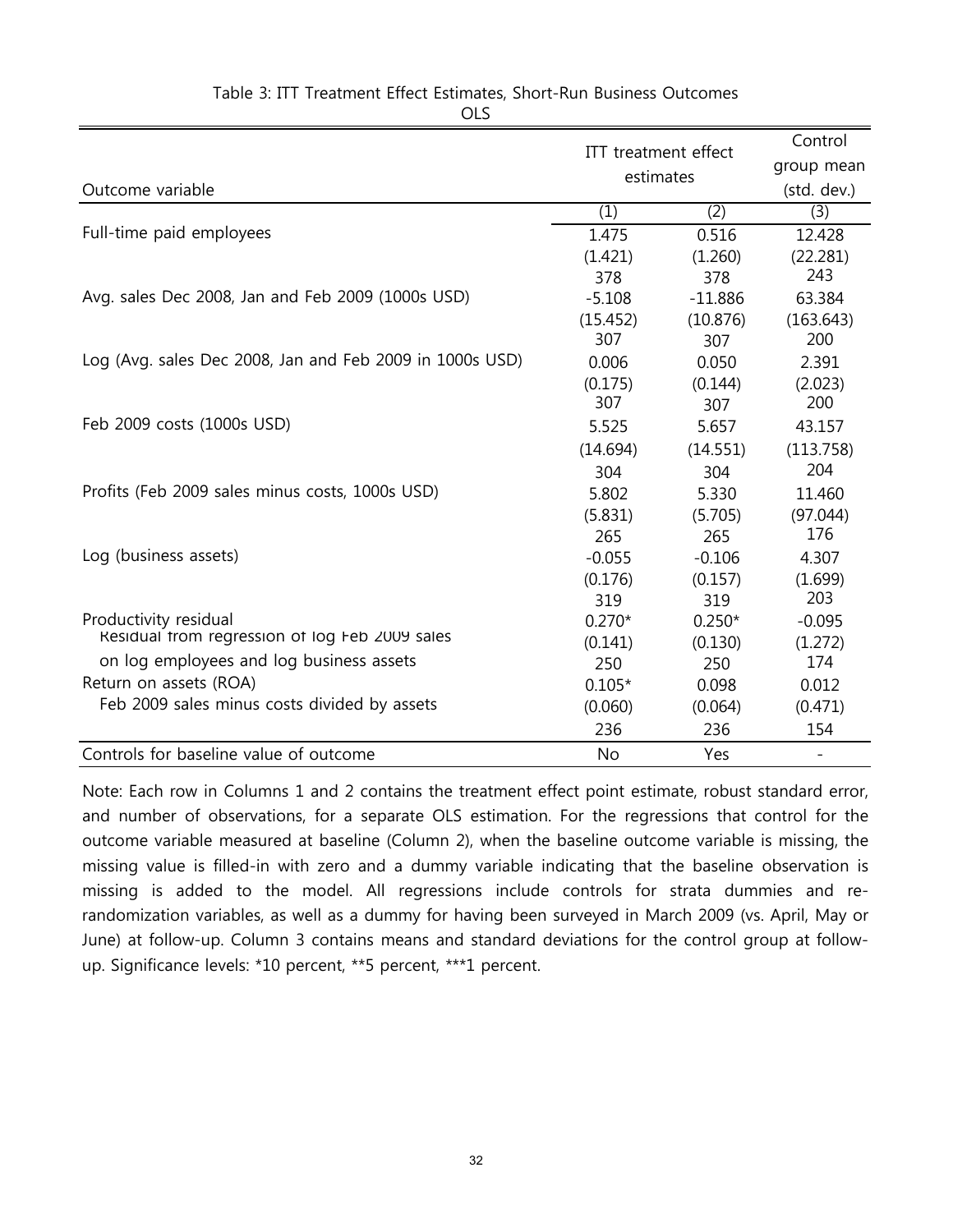|                                                          | ITT treatment effect |                  | Control   |
|----------------------------------------------------------|----------------------|------------------|-----------|
|                                                          |                      | group mean       |           |
| Outcome variable                                         | estimates            | (std. dev.)      |           |
|                                                          | (1)                  | $\overline{(2)}$ | (3)       |
| Full-time paid employees                                 | 1.475                | 0.516            | 12.428    |
|                                                          | (1.421)              | (1.260)          | (22.281)  |
|                                                          | 378                  | 378              | 243       |
| Avg. sales Dec 2008, Jan and Feb 2009 (1000s USD)        | $-5.108$             | $-11.886$        | 63.384    |
|                                                          | (15.452)             | (10.876)         | (163.643) |
|                                                          | 307                  | 307              | 200       |
| Log (Avg. sales Dec 2008, Jan and Feb 2009 in 1000s USD) | 0.006                | 0.050            | 2.391     |
|                                                          | (0.175)              | (0.144)          | (2.023)   |
|                                                          | 307                  | 307              | 200       |
| Feb 2009 costs (1000s USD)                               | 5.525                | 5.657            | 43.157    |
|                                                          | (14.694)             | (14.551)         | (113.758) |
|                                                          | 304                  | 304              | 204       |
| Profits (Feb 2009 sales minus costs, 1000s USD)          | 5.802                | 5.330            | 11.460    |
|                                                          | (5.831)              | (5.705)          | (97.044)  |
|                                                          | 265                  | 265              | 176       |
| Log (business assets)                                    | $-0.055$             | $-0.106$         | 4.307     |
|                                                          | (0.176)              | (0.157)          | (1.699)   |
|                                                          | 319                  | 319              | 203       |
| Productivity residual                                    | $0.270*$             | $0.250*$         | $-0.095$  |
| Residual from regression of log Feb 2009 sales           | (0.141)              | (0.130)          | (1.272)   |
| on log employees and log business assets                 | 250                  | 250              | 174       |
| Return on assets (ROA)                                   | $0.105*$             | 0.098            | 0.012     |
| Feb 2009 sales minus costs divided by assets             | (0.060)              | (0.064)          | (0.471)   |
|                                                          | 236                  | 236              | 154       |
| Controls for baseline value of outcome                   | <b>No</b>            | Yes              |           |

## Table 3: ITT Treatment Effect Estimates, Short-Run Business Outcomes

OLS

Note: Each row in Columns 1 and 2 contains the treatment effect point estimate, robust standard error, and number of observations, for a separate OLS estimation. For the regressions that control for the outcome variable measured at baseline (Column 2), when the baseline outcome variable is missing, the missing value is filled-in with zero and a dummy variable indicating that the baseline observation is missing is added to the model. All regressions include controls for strata dummies and rerandomization variables, as well as a dummy for having been surveyed in March 2009 (vs. April, May or June) at follow-up. Column 3 contains means and standard deviations for the control group at followup. Significance levels: \*10 percent, \*\*5 percent, \*\*\*1 percent.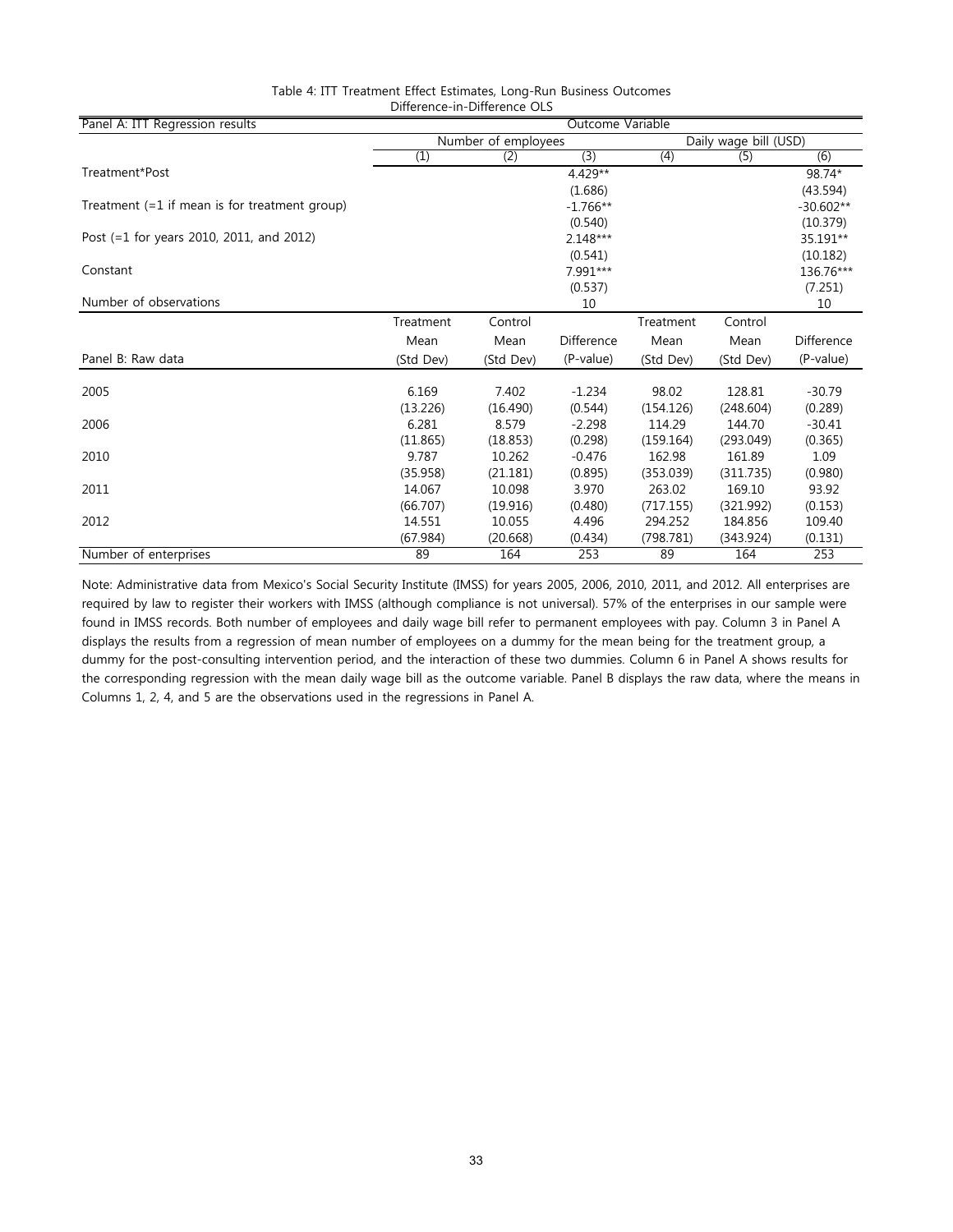| Panel A: ITT Regression results                 | Outcome Variable    |           |            |           |                       |                   |  |
|-------------------------------------------------|---------------------|-----------|------------|-----------|-----------------------|-------------------|--|
|                                                 | Number of employees |           |            |           | Daily wage bill (USD) |                   |  |
|                                                 | (1)                 | (2)       | (3)        | (4)       | (5)                   | (6)               |  |
| Treatment*Post                                  |                     |           | 4.429**    |           |                       | 98.74*            |  |
|                                                 |                     |           | (1.686)    |           |                       | (43.594)          |  |
| Treatment $(=1$ if mean is for treatment group) |                     |           | $-1.766**$ |           |                       | $-30.602**$       |  |
|                                                 |                     |           | (0.540)    |           |                       | (10.379)          |  |
| Post (=1 for years 2010, 2011, and 2012)        |                     |           | $2.148***$ |           |                       | 35.191**          |  |
|                                                 |                     |           | (0.541)    |           |                       | (10.182)          |  |
| Constant                                        |                     |           | 7.991***   |           |                       | 136.76***         |  |
|                                                 |                     |           | (0.537)    |           |                       | (7.251)           |  |
| Number of observations                          |                     |           | 10         |           |                       | 10                |  |
|                                                 | Treatment           | Control   |            | Treatment | Control               |                   |  |
|                                                 | Mean                | Mean      | Difference | Mean      | Mean                  | <b>Difference</b> |  |
| Panel B: Raw data                               | (Std Dev)           | (Std Dev) | (P-value)  | (Std Dev) | (Std Dev)             | (P-value)         |  |
| 2005                                            | 6.169               | 7.402     | $-1.234$   | 98.02     | 128.81                | $-30.79$          |  |
|                                                 | (13.226)            | (16.490)  | (0.544)    | (154.126) | (248.604)             | (0.289)           |  |
| 2006                                            | 6.281               | 8.579     | $-2.298$   | 114.29    | 144.70                | $-30.41$          |  |
|                                                 | (11.865)            | (18.853)  | (0.298)    | (159.164) | (293.049)             | (0.365)           |  |
| 2010                                            | 9.787               | 10.262    | $-0.476$   | 162.98    | 161.89                | 1.09              |  |
|                                                 | (35.958)            | (21.181)  | (0.895)    | (353.039) | (311.735)             | (0.980)           |  |
| 2011                                            | 14.067              | 10.098    | 3.970      | 263.02    | 169.10                | 93.92             |  |
|                                                 | (66.707)            | (19.916)  | (0.480)    | (717.155) | (321.992)             | (0.153)           |  |
| 2012                                            | 14.551              | 10.055    | 4.496      | 294.252   | 184.856               | 109.40            |  |
|                                                 | (67.984)            | (20.668)  | (0.434)    | (798.781) | (343.924)             | (0.131)           |  |
| Number of enterprises                           | 89                  | 164       | 253        | 89        | 164                   | 253               |  |

#### Table 4: ITT Treatment Effect Estimates, Long-Run Business Outcomes Difference-in-Difference OLS

Note: Administrative data from Mexico's Social Security Institute (IMSS) for years 2005, 2006, 2010, 2011, and 2012. All enterprises are required by law to register their workers with IMSS (although compliance is not universal). 57% of the enterprises in our sample were found in IMSS records. Both number of employees and daily wage bill refer to permanent employees with pay. Column 3 in Panel A displays the results from a regression of mean number of employees on a dummy for the mean being for the treatment group, a dummy for the post-consulting intervention period, and the interaction of these two dummies. Column 6 in Panel A shows results for the corresponding regression with the mean daily wage bill as the outcome variable. Panel B displays the raw data, where the means in Columns 1, 2, 4, and 5 are the observations used in the regressions in Panel A.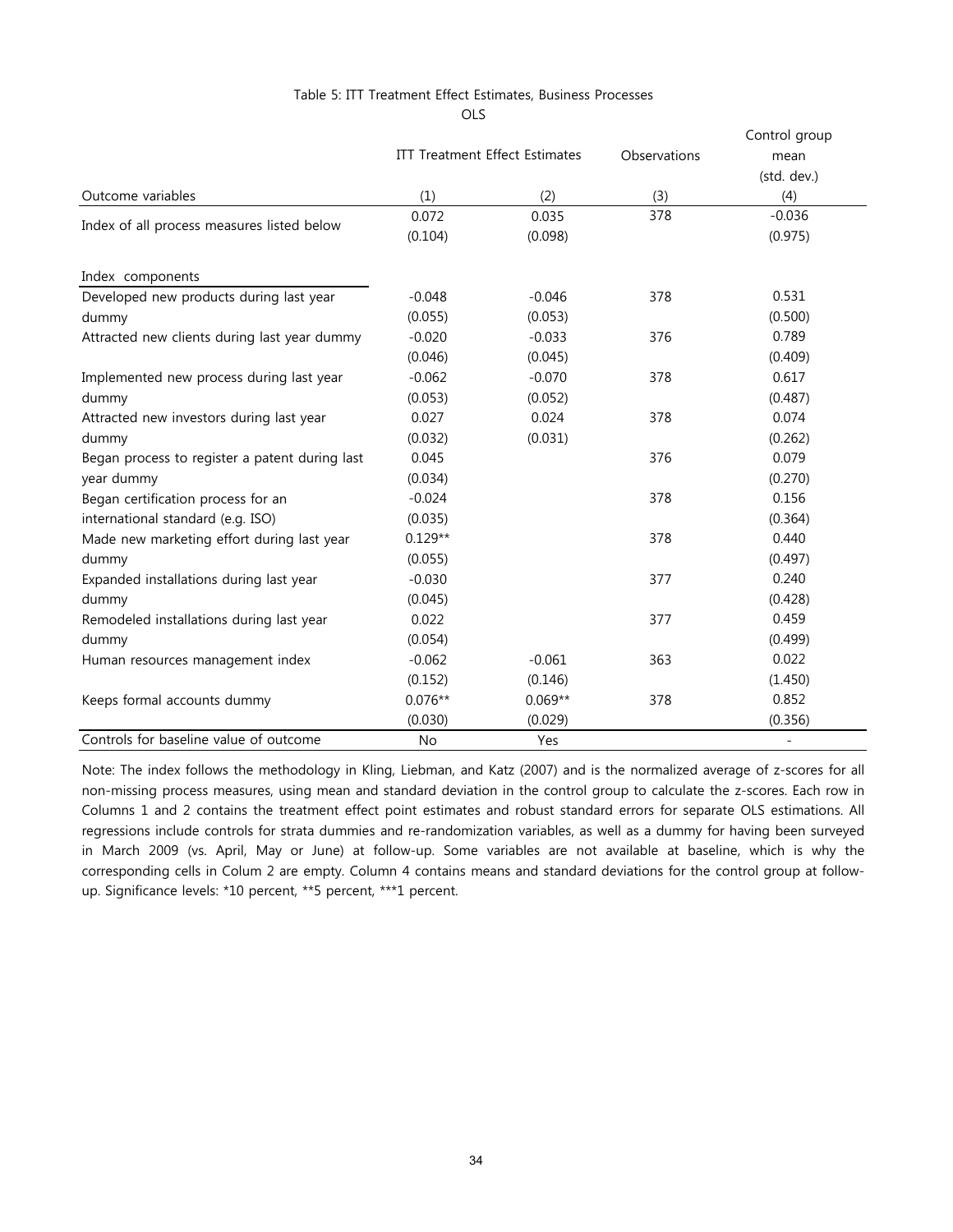#### Table 5: ITT Treatment Effect Estimates, Business Processes

OLS

|                                                |                                       |           |              | Control group  |
|------------------------------------------------|---------------------------------------|-----------|--------------|----------------|
|                                                | <b>ITT Treatment Effect Estimates</b> |           | Observations | mean           |
|                                                |                                       |           |              | (std. dev.)    |
| Outcome variables                              | (1)                                   | (2)       | (3)          | (4)            |
| Index of all process measures listed below     | 0.072                                 | 0.035     | 378          | $-0.036$       |
|                                                | (0.104)                               | (0.098)   |              | (0.975)        |
| Index components                               |                                       |           |              |                |
| Developed new products during last year        | $-0.048$                              | $-0.046$  | 378          | 0.531          |
| dummy                                          | (0.055)                               | (0.053)   |              | (0.500)        |
| Attracted new clients during last year dummy   | $-0.020$                              | $-0.033$  | 376          | 0.789          |
|                                                | (0.046)                               | (0.045)   |              | (0.409)        |
| Implemented new process during last year       | $-0.062$                              | $-0.070$  | 378          | 0.617          |
| dummy                                          | (0.053)                               | (0.052)   |              | (0.487)        |
| Attracted new investors during last year       | 0.027                                 | 0.024     | 378          | 0.074          |
| dummy                                          | (0.032)                               | (0.031)   |              | (0.262)        |
| Began process to register a patent during last | 0.045                                 |           | 376          | 0.079          |
| year dummy                                     | (0.034)                               |           |              | (0.270)        |
| Began certification process for an             | $-0.024$                              |           | 378          | 0.156          |
| international standard (e.g. ISO)              | (0.035)                               |           |              | (0.364)        |
| Made new marketing effort during last year     | $0.129**$                             |           | 378          | 0.440          |
| dummy                                          | (0.055)                               |           |              | (0.497)        |
| Expanded installations during last year        | $-0.030$                              |           | 377          | 0.240          |
| dummy                                          | (0.045)                               |           |              | (0.428)        |
| Remodeled installations during last year       | 0.022                                 |           | 377          | 0.459          |
| dummy                                          | (0.054)                               |           |              | (0.499)        |
| Human resources management index               | $-0.062$                              | $-0.061$  | 363          | 0.022          |
|                                                | (0.152)                               | (0.146)   |              | (1.450)        |
| Keeps formal accounts dummy                    | $0.076**$                             | $0.069**$ | 378          | 0.852          |
|                                                | (0.030)                               | (0.029)   |              | (0.356)        |
| Controls for baseline value of outcome         | <b>No</b>                             | Yes       |              | $\blacksquare$ |

Note: The index follows the methodology in Kling, Liebman, and Katz (2007) and is the normalized average of z-scores for all non-missing process measures, using mean and standard deviation in the control group to calculate the z-scores. Each row in Columns 1 and 2 contains the treatment effect point estimates and robust standard errors for separate OLS estimations. All regressions include controls for strata dummies and re-randomization variables, as well as a dummy for having been surveyed in March 2009 (vs. April, May or June) at follow-up. Some variables are not available at baseline, which is why the corresponding cells in Colum 2 are empty. Column 4 contains means and standard deviations for the control group at followup. Significance levels: \*10 percent, \*\*5 percent, \*\*\*1 percent.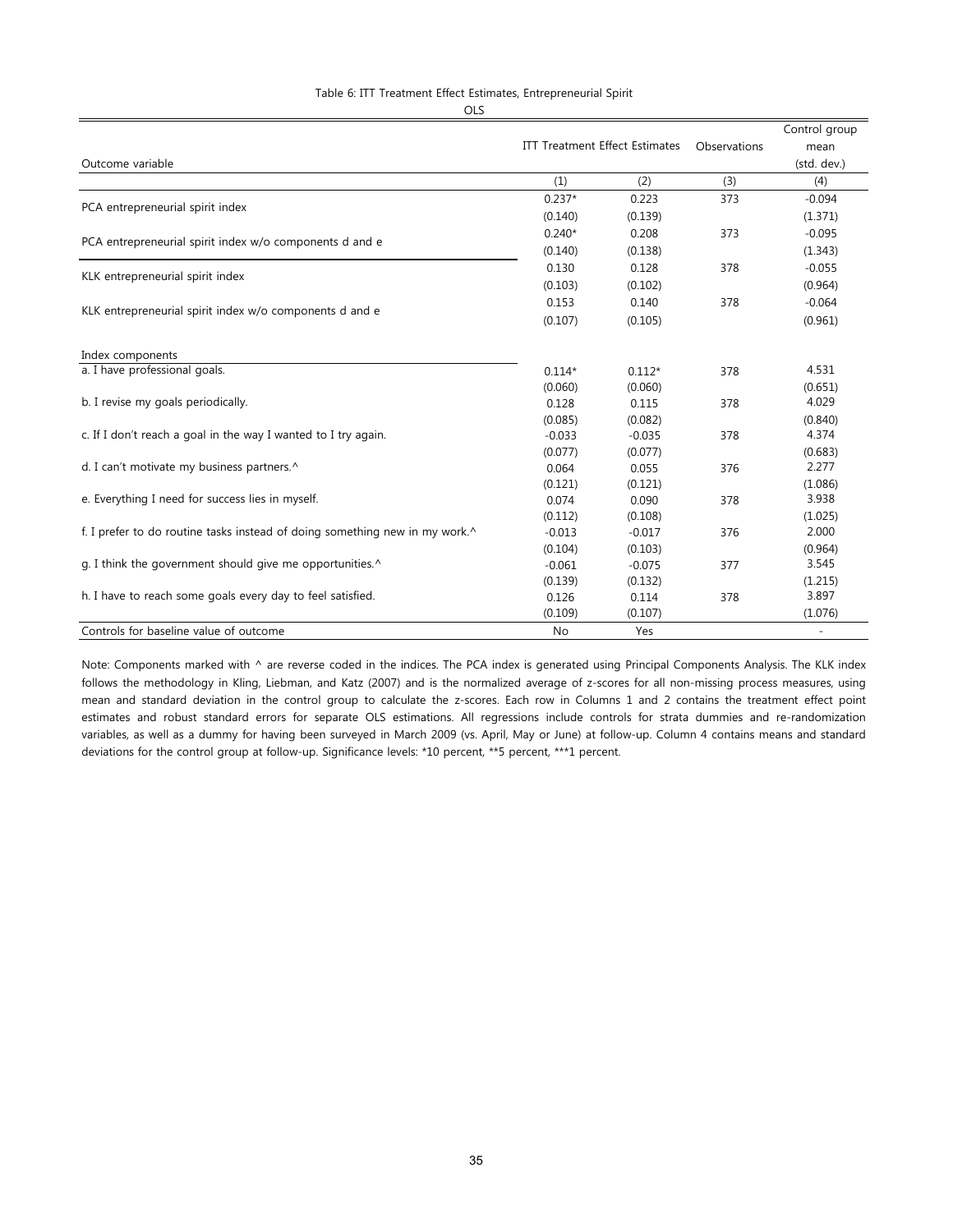### Table 6: ITT Treatment Effect Estimates, Entrepreneurial Spirit

OLS

|                                                                             |                                       |          |              | Control group            |
|-----------------------------------------------------------------------------|---------------------------------------|----------|--------------|--------------------------|
|                                                                             | <b>ITT Treatment Effect Estimates</b> |          | Observations | mean                     |
| Outcome variable                                                            |                                       |          |              | (std. dev.)              |
|                                                                             | (1)                                   | (2)      | (3)          | (4)                      |
| PCA entrepreneurial spirit index                                            | $0.237*$                              | 0.223    | 373          | $-0.094$                 |
|                                                                             | (0.140)                               | (0.139)  |              | (1.371)                  |
|                                                                             | $0.240*$                              | 0.208    | 373          | $-0.095$                 |
| PCA entrepreneurial spirit index w/o components d and e                     | (0.140)                               | (0.138)  |              | (1.343)                  |
|                                                                             | 0.130                                 | 0.128    | 378          | $-0.055$                 |
| KLK entrepreneurial spirit index                                            | (0.103)                               | (0.102)  |              | (0.964)                  |
|                                                                             | 0.153                                 | 0.140    | 378          | $-0.064$                 |
| KLK entrepreneurial spirit index w/o components d and e                     | (0.107)                               | (0.105)  |              | (0.961)                  |
| Index components                                                            |                                       |          |              |                          |
| a. I have professional goals.                                               | $0.114*$                              | $0.112*$ | 378          | 4.531                    |
|                                                                             | (0.060)                               | (0.060)  |              | (0.651)                  |
| b. I revise my goals periodically.                                          | 0.128                                 | 0.115    | 378          | 4.029                    |
|                                                                             | (0.085)                               | (0.082)  |              | (0.840)                  |
| c. If I don't reach a goal in the way I wanted to I try again.              | $-0.033$                              | $-0.035$ | 378          | 4.374                    |
|                                                                             | (0.077)                               | (0.077)  |              | (0.683)                  |
| d. I can't motivate my business partners.^                                  | 0.064                                 | 0.055    | 376          | 2.277                    |
|                                                                             | (0.121)                               | (0.121)  |              | (1.086)                  |
| e. Everything I need for success lies in myself.                            | 0.074                                 | 0.090    | 378          | 3.938                    |
|                                                                             | (0.112)                               | (0.108)  |              | (1.025)                  |
| f. I prefer to do routine tasks instead of doing something new in my work.^ | $-0.013$                              | $-0.017$ | 376          | 2.000                    |
|                                                                             | (0.104)                               | (0.103)  |              | (0.964)                  |
| g. I think the government should give me opportunities.^                    | $-0.061$                              | $-0.075$ | 377          | 3.545                    |
|                                                                             | (0.139)                               | (0.132)  |              | (1.215)                  |
| h. I have to reach some goals every day to feel satisfied.                  | 0.126                                 | 0.114    | 378          | 3.897                    |
|                                                                             | (0.109)                               | (0.107)  |              | (1.076)                  |
| Controls for baseline value of outcome                                      | No                                    | Yes      |              | $\overline{\phantom{a}}$ |

Note: Components marked with ^ are reverse coded in the indices. The PCA index is generated using Principal Components Analysis. The KLK index follows the methodology in Kling, Liebman, and Katz (2007) and is the normalized average of z-scores for all non-missing process measures, using mean and standard deviation in the control group to calculate the z-scores. Each row in Columns 1 and 2 contains the treatment effect point estimates and robust standard errors for separate OLS estimations. All regressions include controls for strata dummies and re-randomization variables, as well as a dummy for having been surveyed in March 2009 (vs. April, May or June) at follow-up. Column 4 contains means and standard deviations for the control group at follow-up. Significance levels: \*10 percent, \*\*5 percent, \*\*\*1 percent.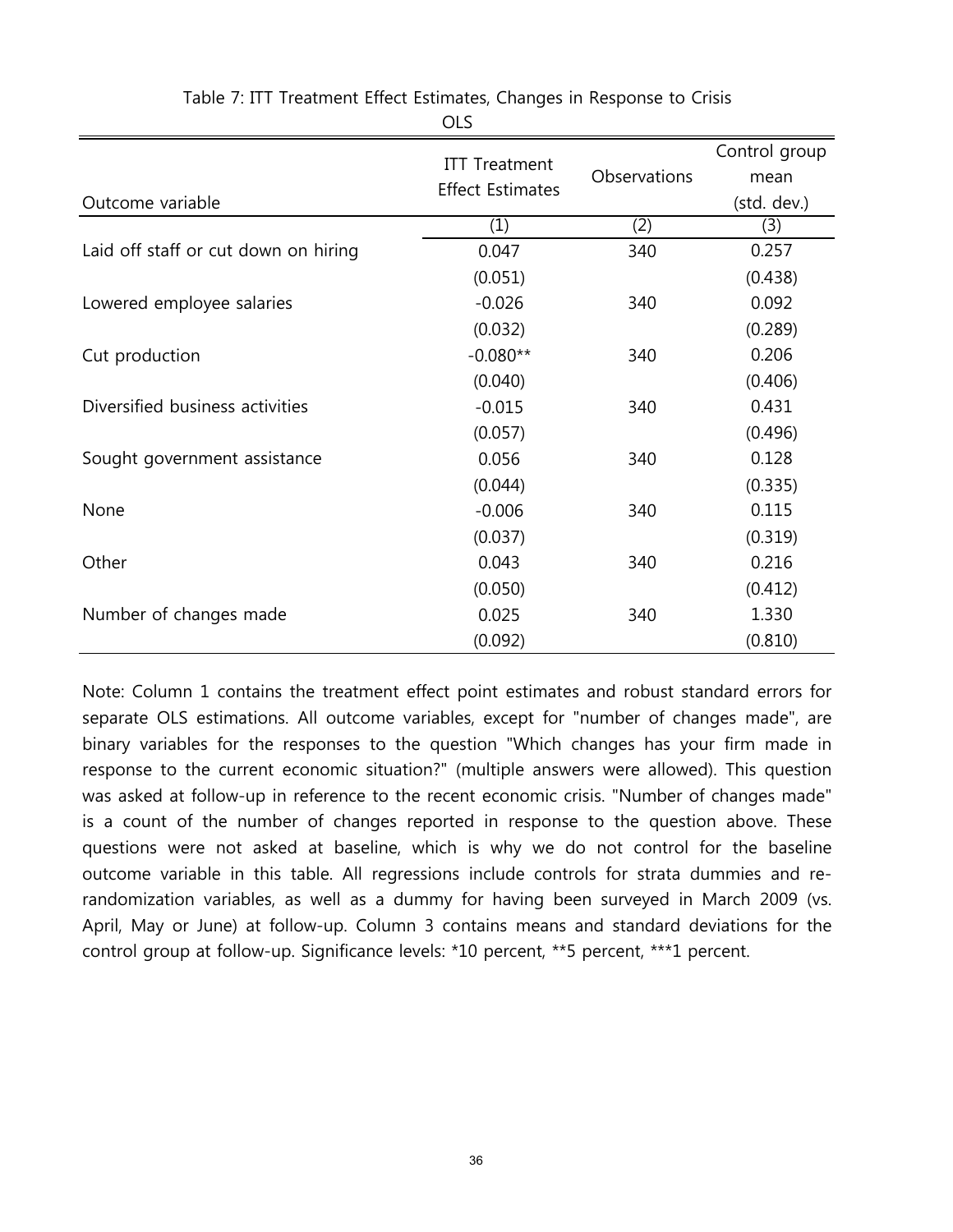|                                      |                         |              | Control group |
|--------------------------------------|-------------------------|--------------|---------------|
|                                      | <b>ITT Treatment</b>    | Observations | mean          |
| Outcome variable                     | <b>Effect Estimates</b> |              | (std. dev.)   |
|                                      | (1)                     | (2)          | (3)           |
| Laid off staff or cut down on hiring | 0.047                   | 340          | 0.257         |
|                                      | (0.051)                 |              | (0.438)       |
| Lowered employee salaries            | $-0.026$                | 340          | 0.092         |
|                                      | (0.032)                 |              | (0.289)       |
| Cut production                       | $-0.080**$              | 340          | 0.206         |
|                                      | (0.040)                 |              | (0.406)       |
| Diversified business activities      | $-0.015$                | 340          | 0.431         |
|                                      | (0.057)                 |              | (0.496)       |
| Sought government assistance         | 0.056                   | 340          | 0.128         |
|                                      | (0.044)                 |              | (0.335)       |
| None                                 | $-0.006$                | 340          | 0.115         |
|                                      | (0.037)                 |              | (0.319)       |
| Other                                | 0.043                   | 340          | 0.216         |
|                                      | (0.050)                 |              | (0.412)       |
| Number of changes made               | 0.025                   | 340          | 1.330         |
|                                      | (0.092)                 |              | (0.810)       |

Table 7: ITT Treatment Effect Estimates, Changes in Response to Crisis OLS

Note: Column 1 contains the treatment effect point estimates and robust standard errors for separate OLS estimations. All outcome variables, except for "number of changes made", are binary variables for the responses to the question "Which changes has your firm made in response to the current economic situation?" (multiple answers were allowed). This question was asked at follow-up in reference to the recent economic crisis. "Number of changes made" is a count of the number of changes reported in response to the question above. These questions were not asked at baseline, which is why we do not control for the baseline outcome variable in this table. All regressions include controls for strata dummies and rerandomization variables, as well as a dummy for having been surveyed in March 2009 (vs. April, May or June) at follow-up. Column 3 contains means and standard deviations for the control group at follow-up. Significance levels: \*10 percent, \*\*5 percent, \*\*\*1 percent.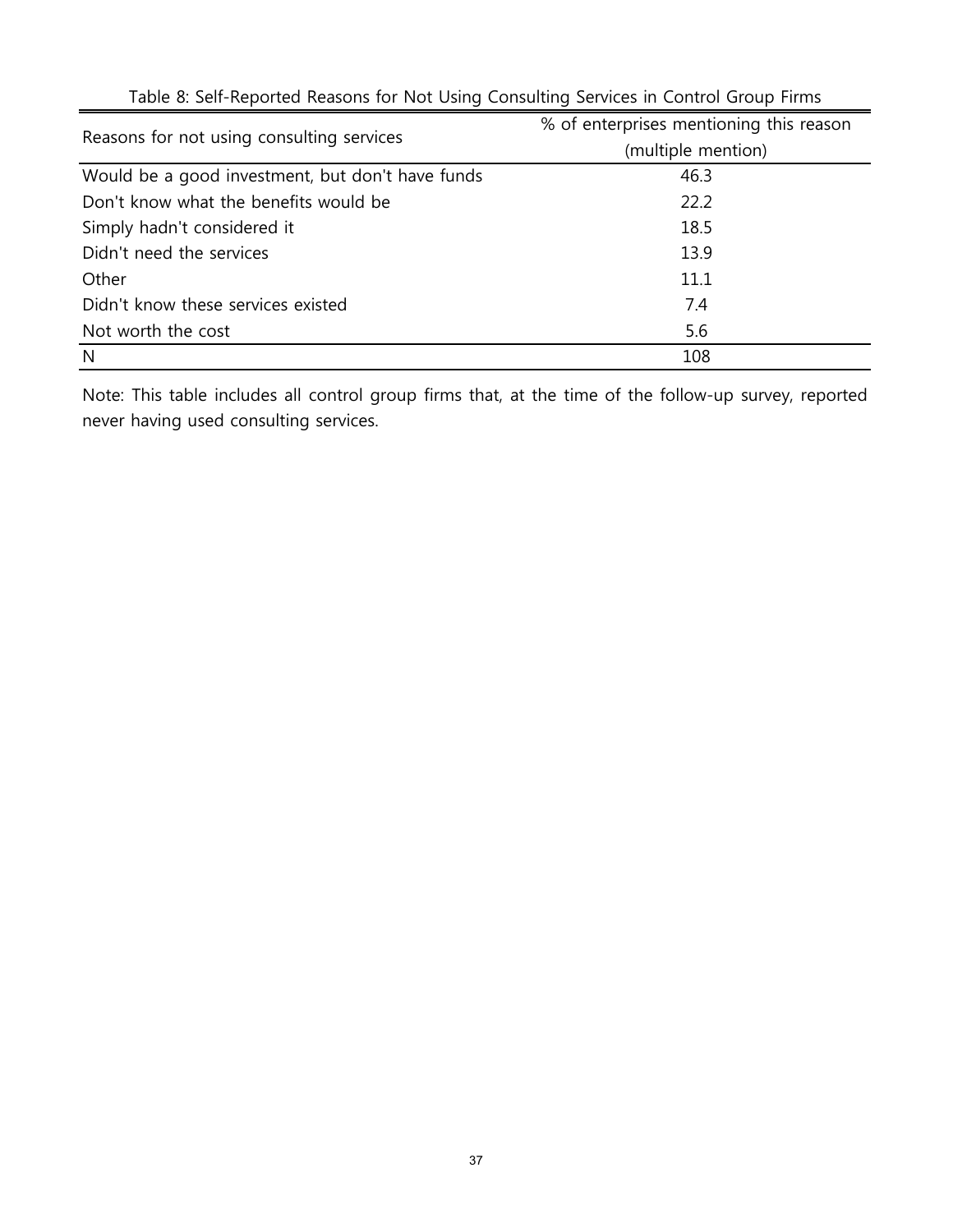| Reasons for not using consulting services        | % of enterprises mentioning this reason<br>(multiple mention) |
|--------------------------------------------------|---------------------------------------------------------------|
| Would be a good investment, but don't have funds | 46.3                                                          |
| Don't know what the benefits would be            | 22.2                                                          |
| Simply hadn't considered it                      | 18.5                                                          |
| Didn't need the services                         | 13.9                                                          |
| Other                                            | 11.1                                                          |
| Didn't know these services existed               | 7.4                                                           |
| Not worth the cost                               | 5.6                                                           |
| N                                                | 108                                                           |

Table 8: Self-Reported Reasons for Not Using Consulting Services in Control Group Firms

Note: This table includes all control group firms that, at the time of the follow-up survey, reported never having used consulting services.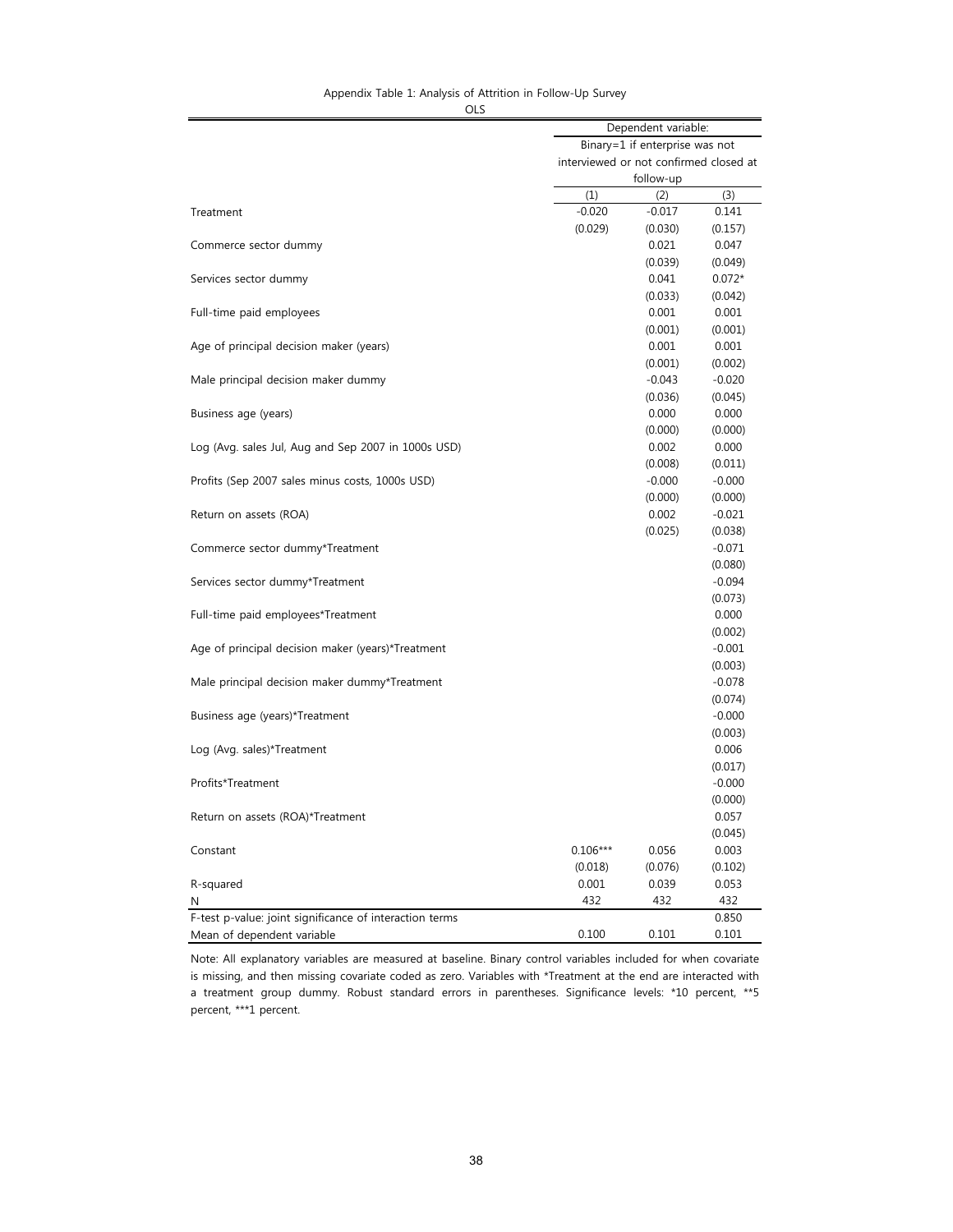# Appendix Table 1: Analysis of Attrition in Follow-Up Survey

|                                                         | Dependent variable:                    |           |                     |
|---------------------------------------------------------|----------------------------------------|-----------|---------------------|
|                                                         | Binary=1 if enterprise was not         |           |                     |
|                                                         | interviewed or not confirmed closed at |           |                     |
|                                                         |                                        | follow-up |                     |
|                                                         | (1)                                    | (2)       | (3)                 |
| Treatment                                               | $-0.020$                               | $-0.017$  | 0.141               |
|                                                         | (0.029)                                | (0.030)   | (0.157)             |
| Commerce sector dummy                                   |                                        | 0.021     | 0.047               |
|                                                         |                                        | (0.039)   | (0.049)             |
| Services sector dummy                                   |                                        | 0.041     | $0.072*$            |
|                                                         |                                        | (0.033)   | (0.042)             |
| Full-time paid employees                                |                                        | 0.001     | 0.001               |
|                                                         |                                        | (0.001)   | (0.001)             |
| Age of principal decision maker (years)                 |                                        | 0.001     | 0.001               |
|                                                         |                                        | (0.001)   | (0.002)             |
| Male principal decision maker dummy                     |                                        | $-0.043$  | $-0.020$            |
|                                                         |                                        | (0.036)   | (0.045)             |
| Business age (years)                                    |                                        | 0.000     | 0.000               |
|                                                         |                                        | (0.000)   | (0.000)             |
| Log (Avg. sales Jul, Aug and Sep 2007 in 1000s USD)     |                                        | 0.002     | 0.000               |
|                                                         |                                        | (0.008)   | (0.011)             |
| Profits (Sep 2007 sales minus costs, 1000s USD)         |                                        | $-0.000$  | $-0.000$            |
|                                                         |                                        | (0.000)   | (0.000)             |
| Return on assets (ROA)                                  |                                        | 0.002     | $-0.021$            |
|                                                         |                                        | (0.025)   | (0.038)             |
| Commerce sector dummy*Treatment                         |                                        |           | $-0.071$            |
|                                                         |                                        |           | (0.080)             |
| Services sector dummy*Treatment                         |                                        |           | $-0.094$            |
|                                                         |                                        |           | (0.073)             |
| Full-time paid employees*Treatment                      |                                        |           | 0.000               |
|                                                         |                                        |           | (0.002)             |
| Age of principal decision maker (years)*Treatment       |                                        |           | $-0.001$            |
|                                                         |                                        |           | (0.003)             |
|                                                         |                                        |           | $-0.078$            |
| Male principal decision maker dummy*Treatment           |                                        |           |                     |
|                                                         |                                        |           | (0.074)<br>$-0.000$ |
| Business age (years)*Treatment                          |                                        |           |                     |
|                                                         |                                        |           | (0.003)             |
| Log (Avg. sales)*Treatment                              |                                        |           | 0.006               |
|                                                         |                                        |           | (0.017)             |
| Profits*Treatment                                       |                                        |           | $-0.000$            |
|                                                         |                                        |           | (0.000)             |
| Return on assets (ROA)*Treatment                        |                                        |           | 0.057               |
|                                                         |                                        |           | (0.045)             |
| Constant                                                | $0.106***$                             | 0.056     | 0.003               |
|                                                         | (0.018)                                | (0.076)   | (0.102)             |
| R-squared                                               | 0.001                                  | 0.039     | 0.053               |
| N                                                       | 432                                    | 432       | 432                 |
| F-test p-value: joint significance of interaction terms |                                        |           | 0.850               |
| Mean of dependent variable                              | 0.100                                  | 0.101     | 0.101               |

Note: All explanatory variables are measured at baseline. Binary control variables included for when covariate is missing, and then missing covariate coded as zero. Variables with \*Treatment at the end are interacted with a treatment group dummy. Robust standard errors in parentheses. Significance levels: \*10 percent, \*\*5 percent, \*\*\*1 percent.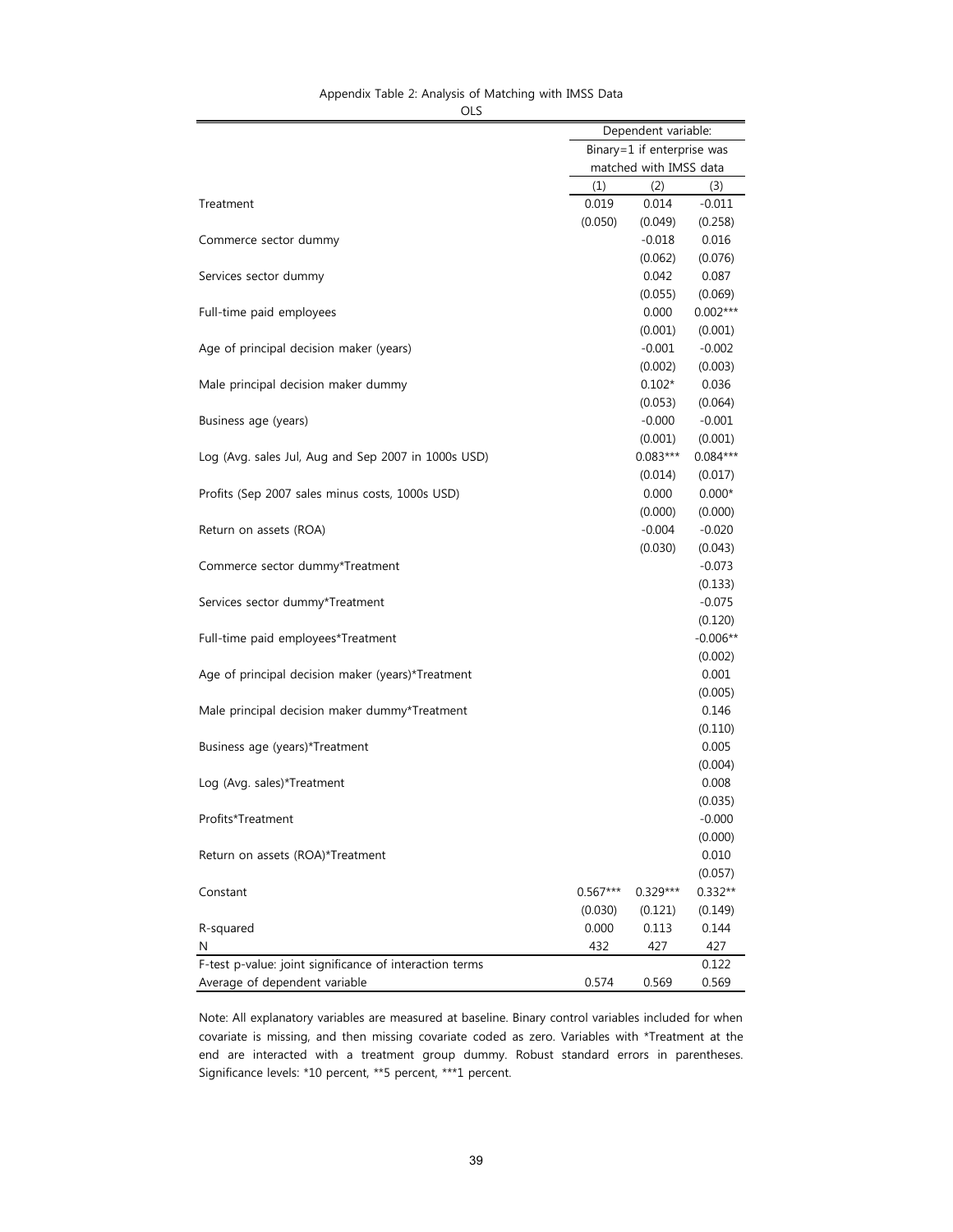# Appendix Table 2: Analysis of Matching with IMSS Data

| ×<br>٦<br>۰. | ٠ |
|--------------|---|
|--------------|---|

|                                                         | Dependent variable:        |            |            |
|---------------------------------------------------------|----------------------------|------------|------------|
|                                                         | Binary=1 if enterprise was |            |            |
|                                                         | matched with IMSS data     |            |            |
|                                                         | (1)                        | (2)        | (3)        |
| Treatment                                               | 0.019                      | 0.014      | $-0.011$   |
|                                                         | (0.050)                    | (0.049)    | (0.258)    |
| Commerce sector dummy                                   |                            | $-0.018$   | 0.016      |
|                                                         |                            | (0.062)    | (0.076)    |
| Services sector dummy                                   |                            | 0.042      | 0.087      |
|                                                         |                            |            |            |
|                                                         |                            | (0.055)    | (0.069)    |
| Full-time paid employees                                |                            | 0.000      | $0.002***$ |
|                                                         |                            | (0.001)    | (0.001)    |
| Age of principal decision maker (years)                 |                            | $-0.001$   | $-0.002$   |
|                                                         |                            | (0.002)    | (0.003)    |
| Male principal decision maker dummy                     |                            | $0.102*$   | 0.036      |
|                                                         |                            | (0.053)    | (0.064)    |
| Business age (years)                                    |                            | $-0.000$   | $-0.001$   |
|                                                         |                            | (0.001)    | (0.001)    |
| Log (Avg. sales Jul, Aug and Sep 2007 in 1000s USD)     |                            | $0.083***$ | $0.084***$ |
|                                                         |                            | (0.014)    | (0.017)    |
| Profits (Sep 2007 sales minus costs, 1000s USD)         |                            | 0.000      | $0.000*$   |
|                                                         |                            | (0.000)    | (0.000)    |
| Return on assets (ROA)                                  |                            | $-0.004$   | $-0.020$   |
|                                                         |                            | (0.030)    | (0.043)    |
|                                                         |                            |            | $-0.073$   |
| Commerce sector dummy*Treatment                         |                            |            |            |
|                                                         |                            |            | (0.133)    |
| Services sector dummy*Treatment                         |                            |            | $-0.075$   |
|                                                         |                            |            | (0.120)    |
| Full-time paid employees*Treatment                      |                            |            | $-0.006**$ |
|                                                         |                            |            | (0.002)    |
| Age of principal decision maker (years)*Treatment       |                            |            | 0.001      |
|                                                         |                            |            | (0.005)    |
| Male principal decision maker dummy*Treatment           |                            |            | 0.146      |
|                                                         |                            |            | (0.110)    |
| Business age (years)*Treatment                          |                            |            | 0.005      |
|                                                         |                            |            | (0.004)    |
| Log (Avg. sales)*Treatment                              |                            |            | 0.008      |
|                                                         |                            |            | (0.035)    |
| Profits*Treatment                                       |                            |            | $-0.000$   |
|                                                         |                            |            |            |
|                                                         |                            |            | (0.000)    |
| Return on assets (ROA)*Treatment                        |                            |            | 0.010      |
|                                                         |                            |            | (0.057)    |
| Constant                                                | $0.567***$                 | $0.329***$ | $0.332**$  |
|                                                         | (0.030)                    | (0.121)    | (0.149)    |
| R-squared                                               | 0.000                      | 0.113      | 0.144      |
| N                                                       | 432                        | 427        | 427        |
| F-test p-value: joint significance of interaction terms |                            |            | 0.122      |
| Average of dependent variable                           | 0.574                      | 0.569      | 0.569      |

Note: All explanatory variables are measured at baseline. Binary control variables included for when covariate is missing, and then missing covariate coded as zero. Variables with \*Treatment at the end are interacted with a treatment group dummy. Robust standard errors in parentheses. Significance levels: \*10 percent, \*\*5 percent, \*\*\*1 percent.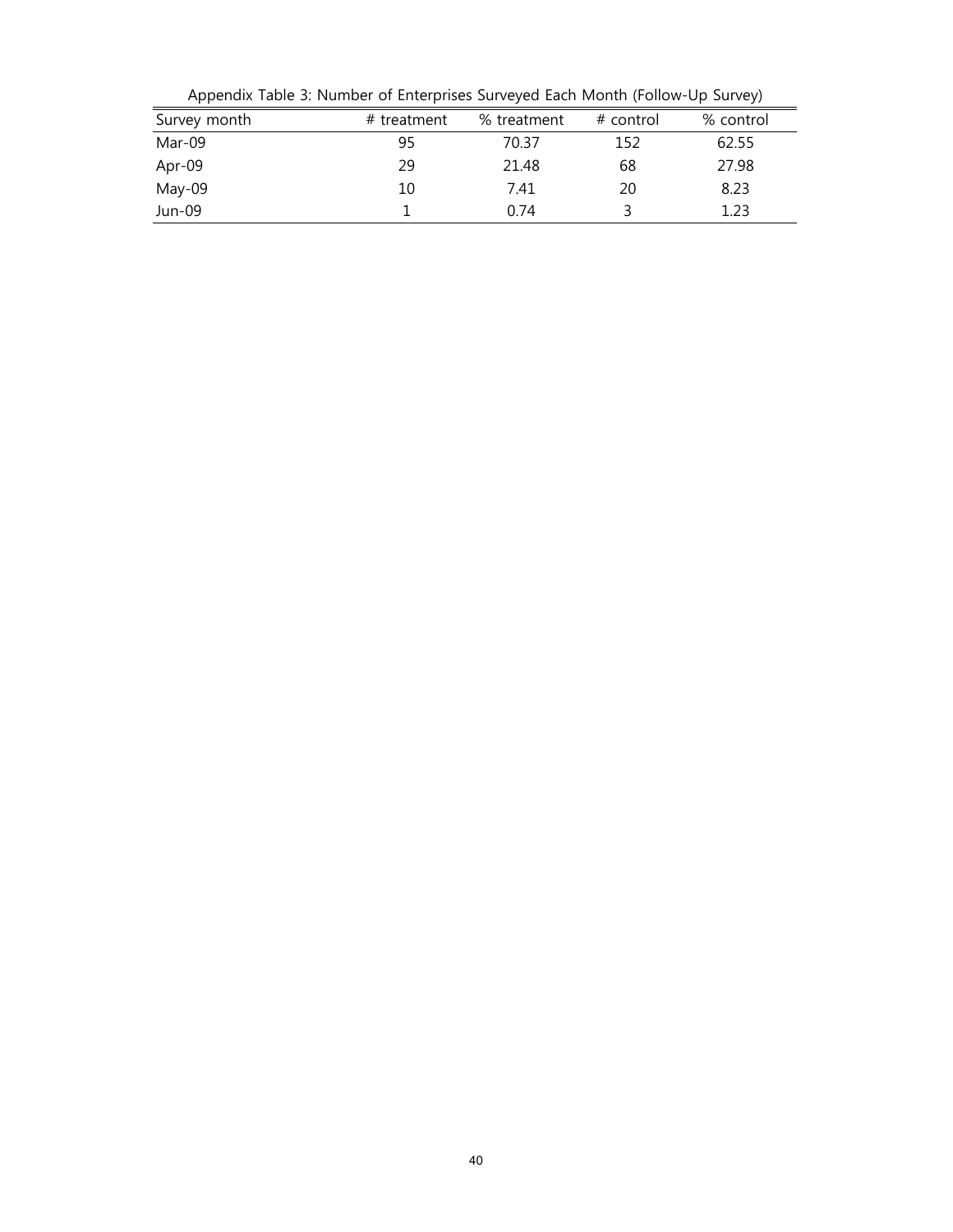| Survey month<br>% control<br>% treatment<br># control<br># treatment<br>Mar-09<br>95<br>62.55<br>70.37<br>152<br>29<br>27.98<br>Apr-09<br>68<br>21.48<br>May-09<br>8.23<br>20<br>7.41<br>10 | reportant rabic 5. Hambur or Enturprises surveyed Each month (Follow Op Sarvey) |  |      |  |      |  |  |
|---------------------------------------------------------------------------------------------------------------------------------------------------------------------------------------------|---------------------------------------------------------------------------------|--|------|--|------|--|--|
|                                                                                                                                                                                             |                                                                                 |  |      |  |      |  |  |
|                                                                                                                                                                                             |                                                                                 |  |      |  |      |  |  |
|                                                                                                                                                                                             |                                                                                 |  |      |  |      |  |  |
|                                                                                                                                                                                             |                                                                                 |  |      |  |      |  |  |
|                                                                                                                                                                                             | Jun-09                                                                          |  | 0.74 |  | 1.23 |  |  |

Appendix Table 3: Number of Enterprises Surveyed Each Month (Follow-Up Survey)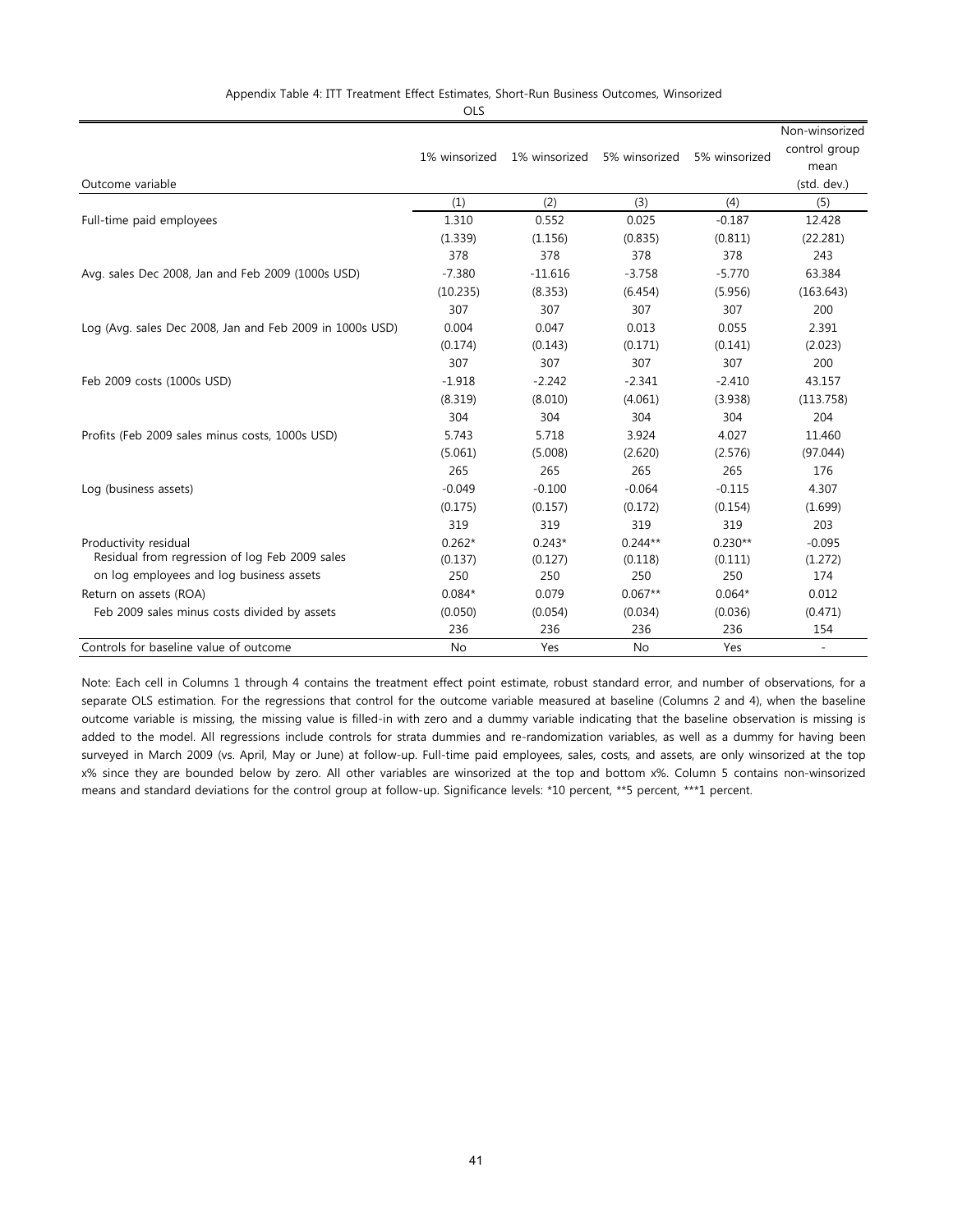#### Appendix Table 4: ITT Treatment Effect Estimates, Short-Run Business Outcomes, Winsorized

OLS

|                                                          |               |               |               |               | Non-winsorized           |
|----------------------------------------------------------|---------------|---------------|---------------|---------------|--------------------------|
|                                                          | 1% winsorized | 1% winsorized | 5% winsorized | 5% winsorized | control group            |
|                                                          |               |               |               |               | mean                     |
| Outcome variable                                         |               |               |               |               | (std. dev.)              |
|                                                          | (1)           | (2)           | (3)           | (4)           | (5)                      |
| Full-time paid employees                                 | 1.310         | 0.552         | 0.025         | $-0.187$      | 12.428                   |
|                                                          | (1.339)       | (1.156)       | (0.835)       | (0.811)       | (22.281)                 |
|                                                          | 378           | 378           | 378           | 378           | 243                      |
| Avg. sales Dec 2008, Jan and Feb 2009 (1000s USD)        | $-7.380$      | $-11.616$     | $-3.758$      | $-5.770$      | 63.384                   |
|                                                          | (10.235)      | (8.353)       | (6.454)       | (5.956)       | (163.643)                |
|                                                          | 307           | 307           | 307           | 307           | 200                      |
| Log (Avg. sales Dec 2008, Jan and Feb 2009 in 1000s USD) | 0.004         | 0.047         | 0.013         | 0.055         | 2.391                    |
|                                                          | (0.174)       | (0.143)       | (0.171)       | (0.141)       | (2.023)                  |
|                                                          | 307           | 307           | 307           | 307           | 200                      |
| Feb 2009 costs (1000s USD)                               | $-1.918$      | $-2.242$      | $-2.341$      | $-2.410$      | 43.157                   |
|                                                          | (8.319)       | (8.010)       | (4.061)       | (3.938)       | (113.758)                |
|                                                          | 304           | 304           | 304           | 304           | 204                      |
| Profits (Feb 2009 sales minus costs, 1000s USD)          | 5.743         | 5.718         | 3.924         | 4.027         | 11.460                   |
|                                                          | (5.061)       | (5.008)       | (2.620)       | (2.576)       | (97.044)                 |
|                                                          | 265           | 265           | 265           | 265           | 176                      |
| Log (business assets)                                    | $-0.049$      | $-0.100$      | $-0.064$      | $-0.115$      | 4.307                    |
|                                                          | (0.175)       | (0.157)       | (0.172)       | (0.154)       | (1.699)                  |
|                                                          | 319           | 319           | 319           | 319           | 203                      |
| Productivity residual                                    | $0.262*$      | $0.243*$      | $0.244**$     | $0.230**$     | $-0.095$                 |
| Residual from regression of log Feb 2009 sales           | (0.137)       | (0.127)       | (0.118)       | (0.111)       | (1.272)                  |
| on log employees and log business assets                 | 250           | 250           | 250           | 250           | 174                      |
| Return on assets (ROA)                                   | $0.084*$      | 0.079         | $0.067**$     | $0.064*$      | 0.012                    |
| Feb 2009 sales minus costs divided by assets             | (0.050)       | (0.054)       | (0.034)       | (0.036)       | (0.471)                  |
|                                                          | 236           | 236           | 236           | 236           | 154                      |
| Controls for baseline value of outcome                   | <b>No</b>     | Yes           | <b>No</b>     | Yes           | $\overline{\phantom{a}}$ |

Note: Each cell in Columns 1 through 4 contains the treatment effect point estimate, robust standard error, and number of observations, for a separate OLS estimation. For the regressions that control for the outcome variable measured at baseline (Columns 2 and 4), when the baseline outcome variable is missing, the missing value is filled-in with zero and a dummy variable indicating that the baseline observation is missing is added to the model. All regressions include controls for strata dummies and re-randomization variables, as well as a dummy for having been surveyed in March 2009 (vs. April, May or June) at follow-up. Full-time paid employees, sales, costs, and assets, are only winsorized at the top x% since they are bounded below by zero. All other variables are winsorized at the top and bottom x%. Column 5 contains non-winsorized means and standard deviations for the control group at follow-up. Significance levels: \*10 percent, \*\*5 percent, \*\*\*1 percent.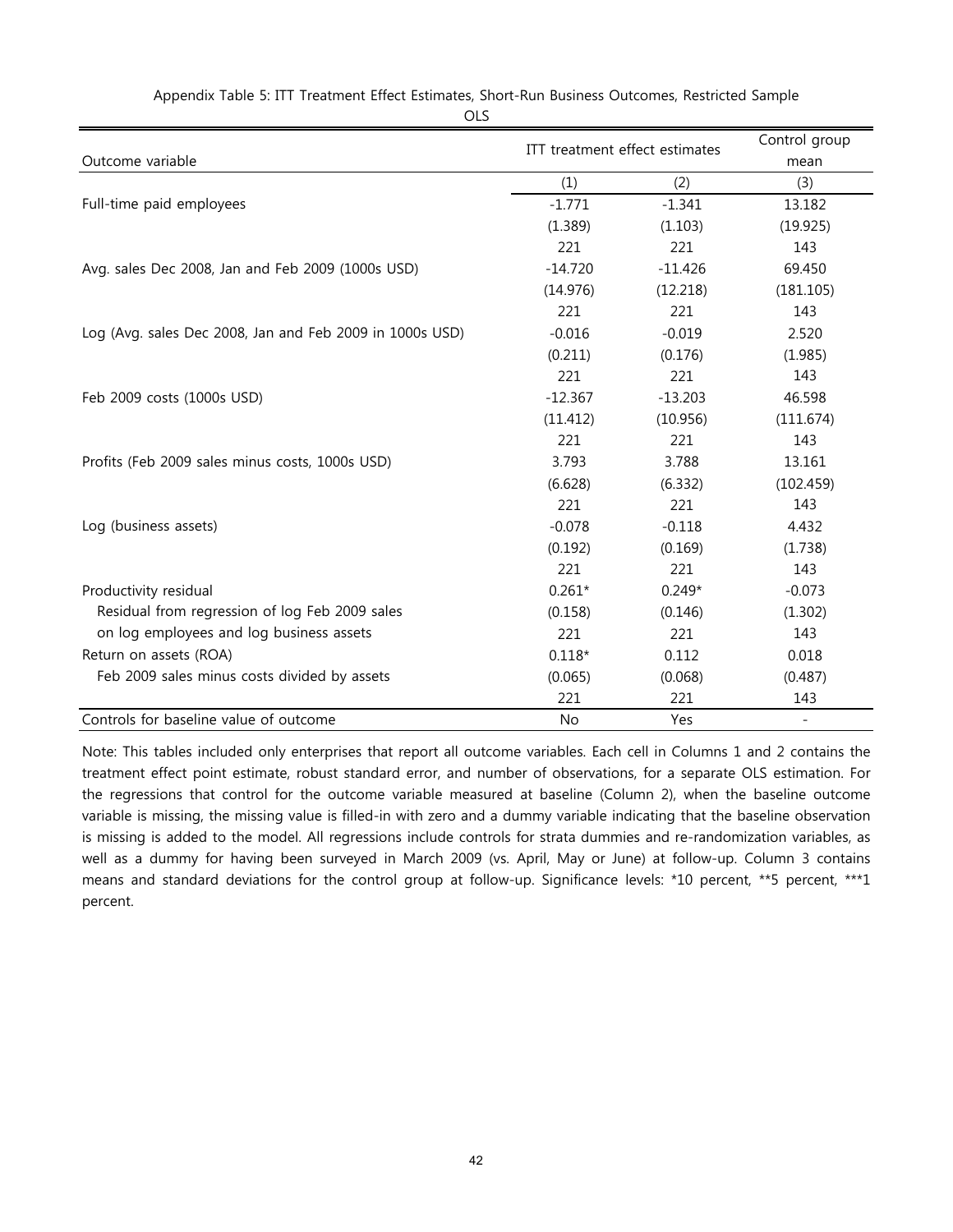| Outcome variable                                         | ITT treatment effect estimates |           | Control group<br>mean |  |
|----------------------------------------------------------|--------------------------------|-----------|-----------------------|--|
|                                                          | (1)                            | (2)       | (3)                   |  |
| Full-time paid employees                                 | $-1.771$                       | $-1.341$  | 13.182                |  |
|                                                          | (1.389)                        | (1.103)   | (19.925)              |  |
|                                                          | 221                            | 221       | 143                   |  |
| Avg. sales Dec 2008, Jan and Feb 2009 (1000s USD)        | $-14.720$                      | $-11.426$ | 69.450                |  |
|                                                          | (14.976)                       | (12.218)  | (181.105)             |  |
|                                                          | 221                            | 221       | 143                   |  |
| Log (Avg. sales Dec 2008, Jan and Feb 2009 in 1000s USD) | $-0.016$                       | $-0.019$  | 2.520                 |  |
|                                                          | (0.211)                        | (0.176)   | (1.985)               |  |
|                                                          | 221                            | 221       | 143                   |  |
| Feb 2009 costs (1000s USD)                               | $-12.367$                      | $-13.203$ | 46.598                |  |
|                                                          | (11.412)                       | (10.956)  | (111.674)             |  |
|                                                          | 221                            | 221       | 143                   |  |
| Profits (Feb 2009 sales minus costs, 1000s USD)          | 3.793                          | 3.788     | 13.161                |  |
|                                                          | (6.628)                        | (6.332)   | (102.459)             |  |
|                                                          | 221                            | 221       | 143                   |  |
| Log (business assets)                                    | $-0.078$                       | $-0.118$  | 4.432                 |  |
|                                                          | (0.192)                        | (0.169)   | (1.738)               |  |
|                                                          | 221                            | 221       | 143                   |  |
| Productivity residual                                    | $0.261*$                       | $0.249*$  | $-0.073$              |  |
| Residual from regression of log Feb 2009 sales           | (0.158)                        | (0.146)   | (1.302)               |  |
| on log employees and log business assets                 | 221                            | 221       | 143                   |  |
| Return on assets (ROA)                                   | $0.118*$                       | 0.112     | 0.018                 |  |
| Feb 2009 sales minus costs divided by assets             | (0.065)                        | (0.068)   | (0.487)               |  |
|                                                          | 221                            | 221       | 143                   |  |
| Controls for baseline value of outcome                   | <b>No</b>                      | Yes       | $\sim$                |  |

Appendix Table 5: ITT Treatment Effect Estimates, Short-Run Business Outcomes, Restricted Sample

OLS

Note: This tables included only enterprises that report all outcome variables. Each cell in Columns 1 and 2 contains the treatment effect point estimate, robust standard error, and number of observations, for a separate OLS estimation. For the regressions that control for the outcome variable measured at baseline (Column 2), when the baseline outcome variable is missing, the missing value is filled-in with zero and a dummy variable indicating that the baseline observation is missing is added to the model. All regressions include controls for strata dummies and re-randomization variables, as well as a dummy for having been surveyed in March 2009 (vs. April, May or June) at follow-up. Column 3 contains means and standard deviations for the control group at follow-up. Significance levels: \*10 percent, \*\*5 percent, \*\*\*1 percent.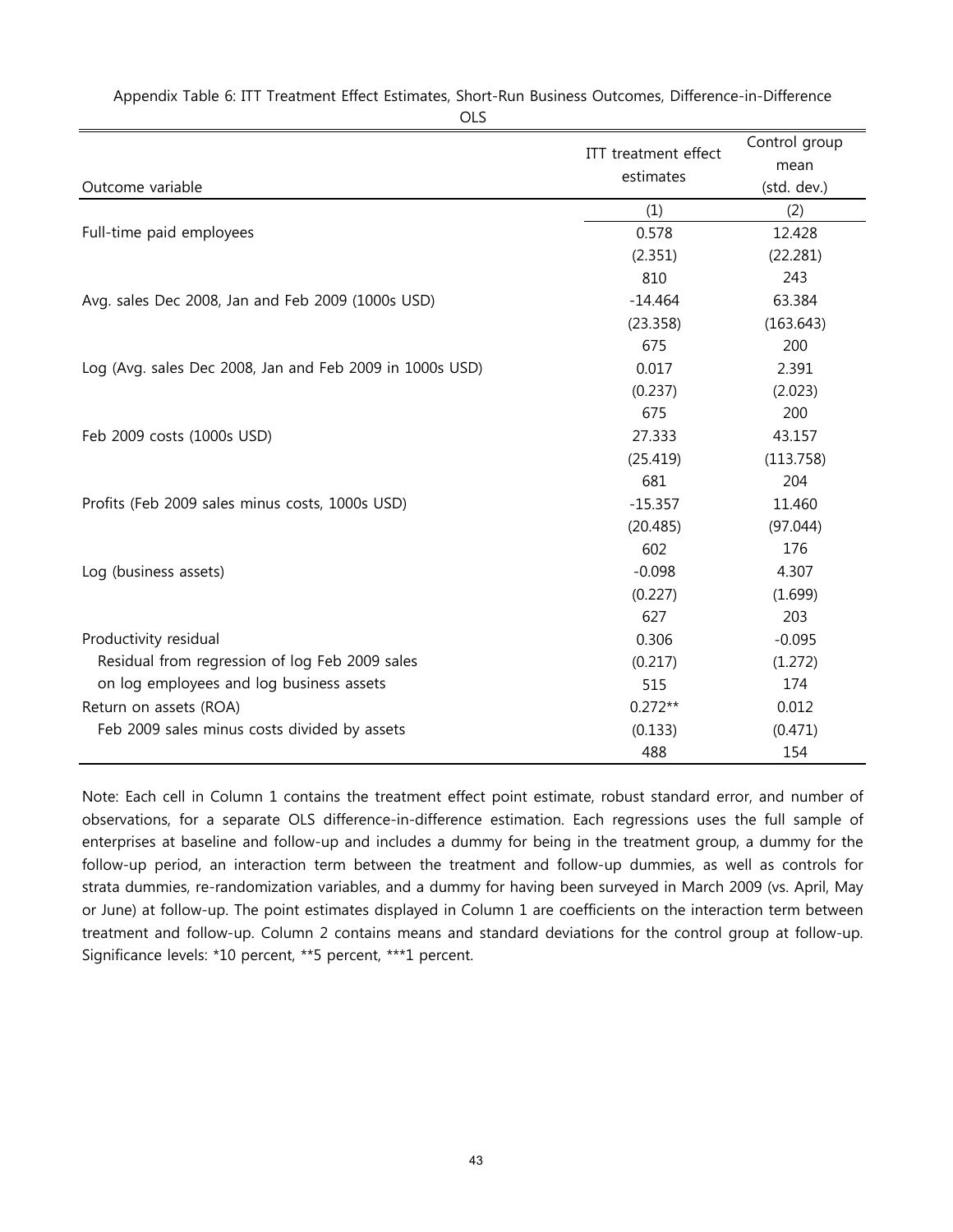|                                                          | ITT treatment effect | Control group |
|----------------------------------------------------------|----------------------|---------------|
|                                                          | estimates            | mean          |
| Outcome variable                                         |                      | (std. dev.)   |
|                                                          | (1)                  | (2)           |
| Full-time paid employees                                 | 0.578                | 12.428        |
|                                                          | (2.351)              | (22.281)      |
|                                                          | 810                  | 243           |
| Avg. sales Dec 2008, Jan and Feb 2009 (1000s USD)        | $-14.464$            | 63.384        |
|                                                          | (23.358)             | (163.643)     |
|                                                          | 675                  | 200           |
| Log (Avg. sales Dec 2008, Jan and Feb 2009 in 1000s USD) | 0.017                | 2.391         |
|                                                          | (0.237)              | (2.023)       |
|                                                          | 675                  | 200           |
| Feb 2009 costs (1000s USD)                               | 27.333               | 43.157        |
|                                                          | (25.419)             | (113.758)     |
|                                                          | 681                  | 204           |
| Profits (Feb 2009 sales minus costs, 1000s USD)          | $-15.357$            | 11.460        |
|                                                          | (20.485)             | (97.044)      |
|                                                          | 602                  | 176           |
| Log (business assets)                                    | $-0.098$             | 4.307         |
|                                                          | (0.227)              | (1.699)       |
|                                                          | 627                  | 203           |
| Productivity residual                                    | 0.306                | $-0.095$      |
| Residual from regression of log Feb 2009 sales           | (0.217)              | (1.272)       |
| on log employees and log business assets                 | 515                  | 174           |
| Return on assets (ROA)                                   | $0.272**$            | 0.012         |
| Feb 2009 sales minus costs divided by assets             | (0.133)              | (0.471)       |
|                                                          | 488                  | 154           |

Appendix Table 6: ITT Treatment Effect Estimates, Short-Run Business Outcomes, Difference-in-Difference

#### OLS

Note: Each cell in Column 1 contains the treatment effect point estimate, robust standard error, and number of observations, for a separate OLS difference-in-difference estimation. Each regressions uses the full sample of enterprises at baseline and follow-up and includes a dummy for being in the treatment group, a dummy for the follow-up period, an interaction term between the treatment and follow-up dummies, as well as controls for strata dummies, re-randomization variables, and a dummy for having been surveyed in March 2009 (vs. April, May or June) at follow-up. The point estimates displayed in Column 1 are coefficients on the interaction term between treatment and follow-up. Column 2 contains means and standard deviations for the control group at follow-up. Significance levels: \*10 percent, \*\*5 percent, \*\*\*1 percent.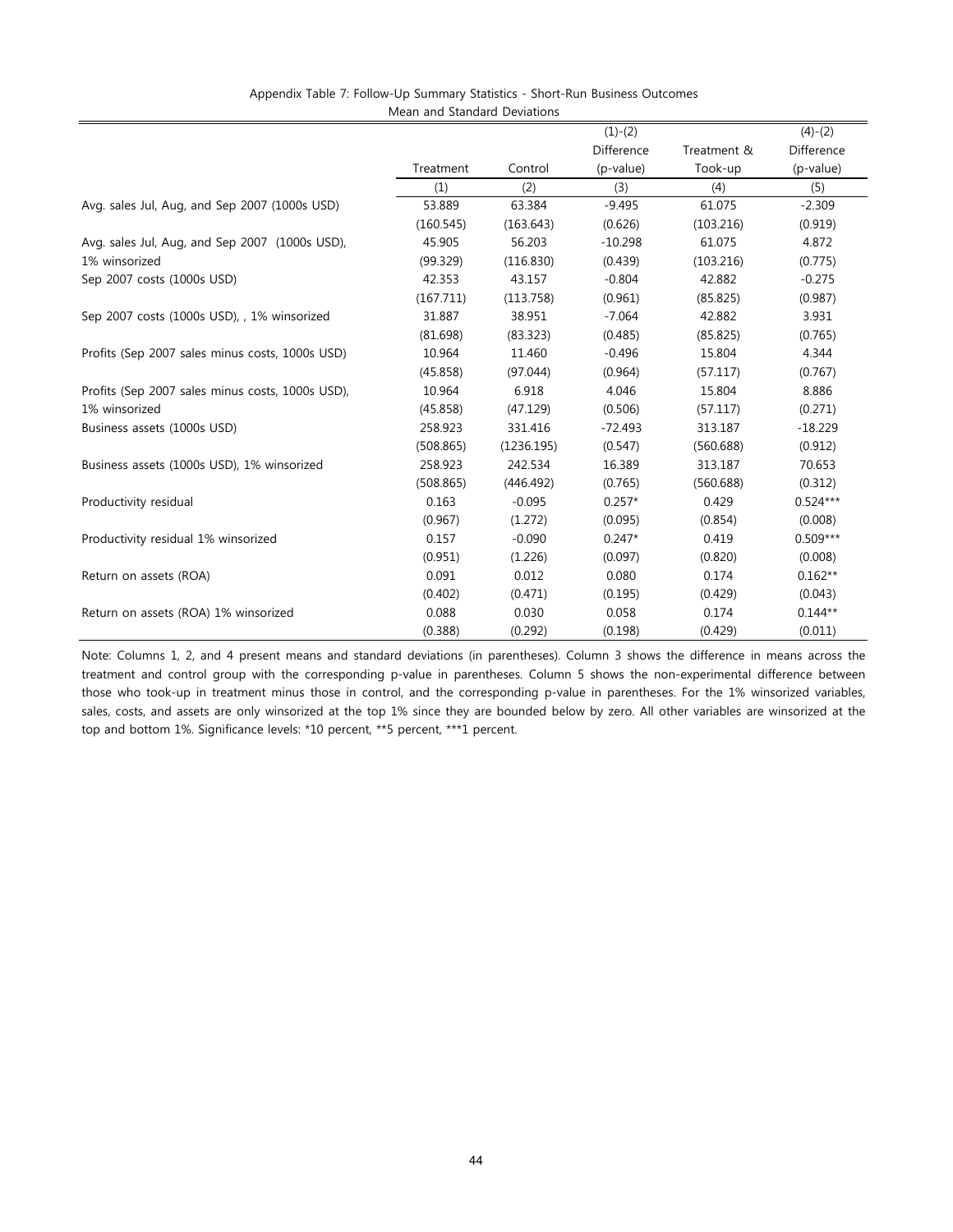| Appendix Table 7: Follow-Up Summary Statistics - Short-Run Business Outcomes |  |
|------------------------------------------------------------------------------|--|
| Mean and Standard Deviations                                                 |  |

|                                                  |           |            | $(1)-(2)$  |             | $(4)-(2)$  |
|--------------------------------------------------|-----------|------------|------------|-------------|------------|
|                                                  |           |            | Difference | Treatment & | Difference |
|                                                  | Treatment | Control    | (p-value)  | Took-up     | (p-value)  |
|                                                  | (1)       | (2)        | (3)        | (4)         | (5)        |
| Avg. sales Jul, Aug, and Sep 2007 (1000s USD)    | 53.889    | 63.384     | $-9.495$   | 61.075      | $-2.309$   |
|                                                  | (160.545) | (163.643)  | (0.626)    | (103.216)   | (0.919)    |
| Avg. sales Jul, Aug, and Sep 2007 (1000s USD),   | 45.905    | 56.203     | $-10.298$  | 61.075      | 4.872      |
| 1% winsorized                                    | (99.329)  | (116.830)  | (0.439)    | (103.216)   | (0.775)    |
| Sep 2007 costs (1000s USD)                       | 42.353    | 43.157     | $-0.804$   | 42.882      | $-0.275$   |
|                                                  | (167.711) | (113.758)  | (0.961)    | (85.825)    | (0.987)    |
| Sep 2007 costs (1000s USD), , 1% winsorized      | 31.887    | 38.951     | $-7.064$   | 42.882      | 3.931      |
|                                                  | (81.698)  | (83.323)   | (0.485)    | (85.825)    | (0.765)    |
| Profits (Sep 2007 sales minus costs, 1000s USD)  | 10.964    | 11.460     | $-0.496$   | 15.804      | 4.344      |
|                                                  | (45.858)  | (97.044)   | (0.964)    | (57.117)    | (0.767)    |
| Profits (Sep 2007 sales minus costs, 1000s USD), | 10.964    | 6.918      | 4.046      | 15.804      | 8.886      |
| 1% winsorized                                    | (45.858)  | (47.129)   | (0.506)    | (57.117)    | (0.271)    |
| Business assets (1000s USD)                      | 258.923   | 331.416    | $-72.493$  | 313.187     | $-18.229$  |
|                                                  | (508.865) | (1236.195) | (0.547)    | (560.688)   | (0.912)    |
| Business assets (1000s USD), 1% winsorized       | 258.923   | 242.534    | 16.389     | 313.187     | 70.653     |
|                                                  | (508.865) | (446.492)  | (0.765)    | (560.688)   | (0.312)    |
| Productivity residual                            | 0.163     | $-0.095$   | $0.257*$   | 0.429       | $0.524***$ |
|                                                  | (0.967)   | (1.272)    | (0.095)    | (0.854)     | (0.008)    |
| Productivity residual 1% winsorized              | 0.157     | $-0.090$   | $0.247*$   | 0.419       | $0.509***$ |
|                                                  | (0.951)   | (1.226)    | (0.097)    | (0.820)     | (0.008)    |
| Return on assets (ROA)                           | 0.091     | 0.012      | 0.080      | 0.174       | $0.162**$  |
|                                                  | (0.402)   | (0.471)    | (0.195)    | (0.429)     | (0.043)    |
| Return on assets (ROA) 1% winsorized             | 0.088     | 0.030      | 0.058      | 0.174       | $0.144**$  |
|                                                  | (0.388)   | (0.292)    | (0.198)    | (0.429)     | (0.011)    |

Note: Columns 1, 2, and 4 present means and standard deviations (in parentheses). Column 3 shows the difference in means across the treatment and control group with the corresponding p-value in parentheses. Column 5 shows the non-experimental difference between those who took-up in treatment minus those in control, and the corresponding p-value in parentheses. For the 1% winsorized variables, sales, costs, and assets are only winsorized at the top 1% since they are bounded below by zero. All other variables are winsorized at the top and bottom 1%. Significance levels: \*10 percent, \*\*5 percent, \*\*\*1 percent.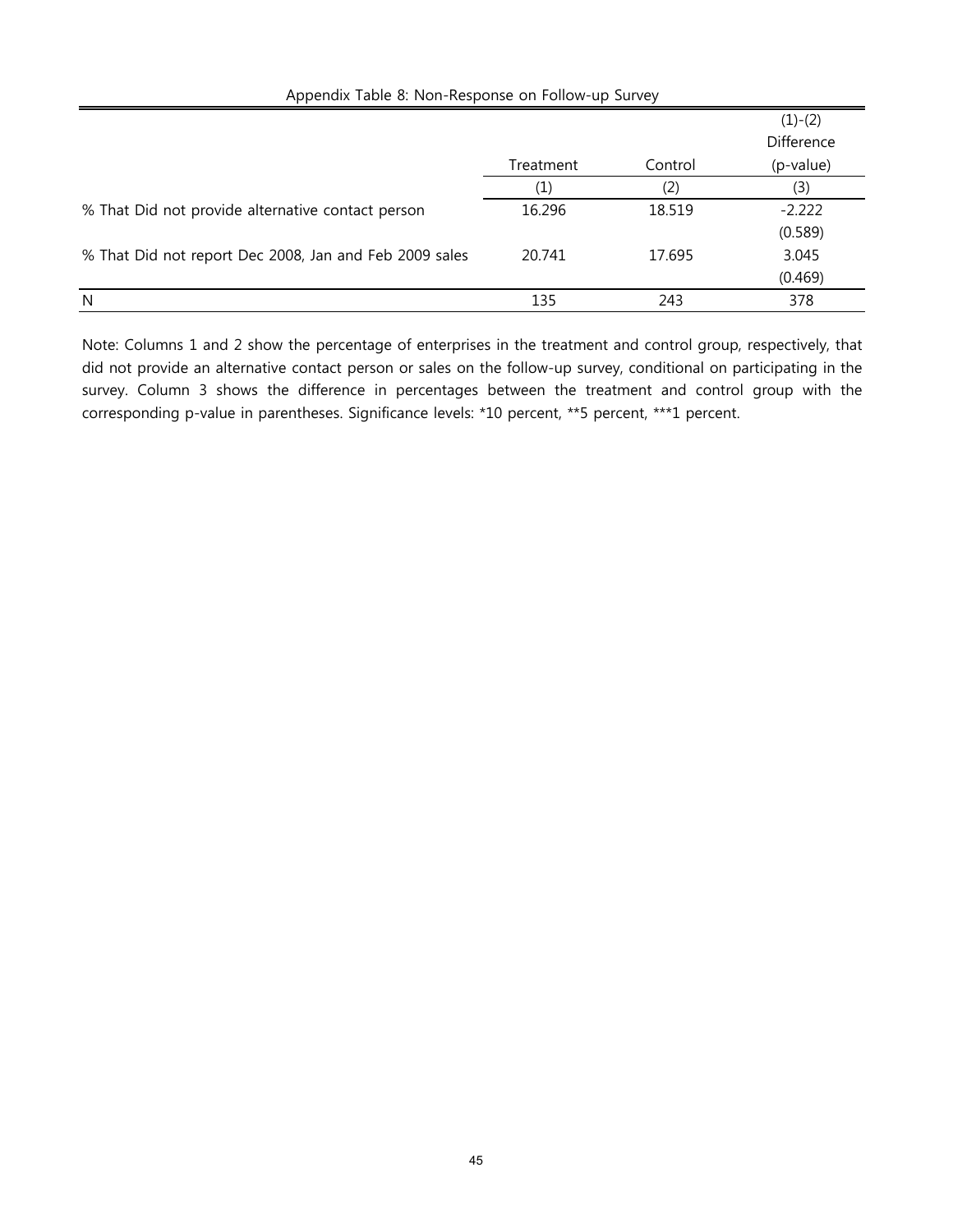| $\frac{1}{2}$ . The process can be considered to the contract of the second second second second second second second second second second second second second second second second second second second second second second se |                   |         |            |  |  |
|-----------------------------------------------------------------------------------------------------------------------------------------------------------------------------------------------------------------------------------|-------------------|---------|------------|--|--|
|                                                                                                                                                                                                                                   |                   |         | $(1)-(2)$  |  |  |
|                                                                                                                                                                                                                                   |                   |         | Difference |  |  |
|                                                                                                                                                                                                                                   | Treatment         | Control | (p-value)  |  |  |
|                                                                                                                                                                                                                                   | $\left( 1\right)$ | (2)     | (3)        |  |  |
| % That Did not provide alternative contact person                                                                                                                                                                                 | 16.296            | 18.519  | $-2.222$   |  |  |
|                                                                                                                                                                                                                                   |                   |         | (0.589)    |  |  |
| % That Did not report Dec 2008, Jan and Feb 2009 sales                                                                                                                                                                            | 20.741            | 17.695  | 3.045      |  |  |
|                                                                                                                                                                                                                                   |                   |         | (0.469)    |  |  |
| N                                                                                                                                                                                                                                 | 135               | 243     | 378        |  |  |

Appendix Table 8: Non-Response on Follow-up Survey

Note: Columns 1 and 2 show the percentage of enterprises in the treatment and control group, respectively, that did not provide an alternative contact person or sales on the follow-up survey, conditional on participating in the survey. Column 3 shows the difference in percentages between the treatment and control group with the corresponding p-value in parentheses. Significance levels: \*10 percent, \*\*5 percent, \*\*\*1 percent.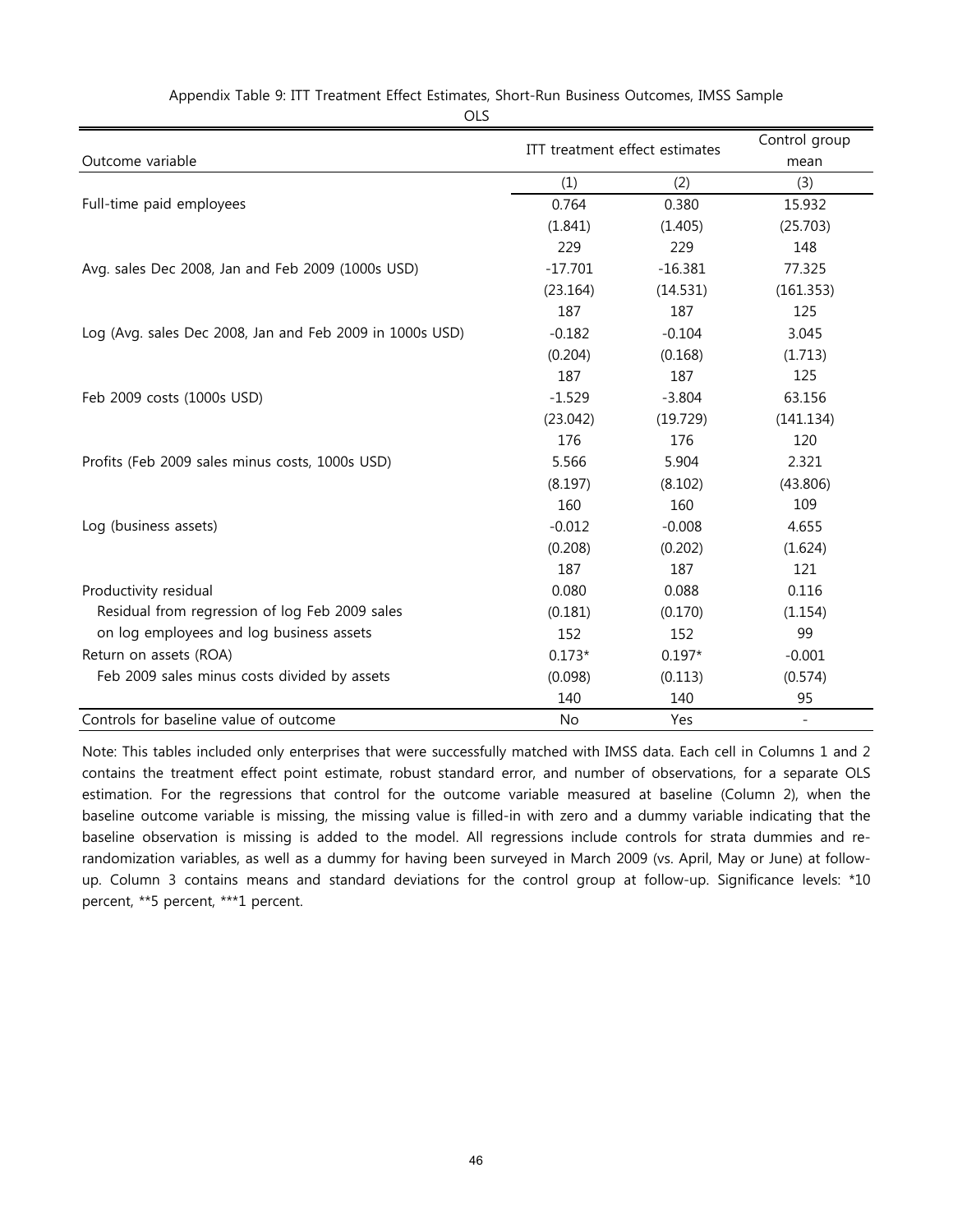|                                                          | ITT treatment effect estimates |           | Control group            |
|----------------------------------------------------------|--------------------------------|-----------|--------------------------|
| Outcome variable                                         |                                | mean      |                          |
|                                                          | (1)                            | (2)       | (3)                      |
| Full-time paid employees                                 | 0.764                          | 0.380     | 15.932                   |
|                                                          | (1.841)                        | (1.405)   | (25.703)                 |
|                                                          | 229                            | 229       | 148                      |
| Avg. sales Dec 2008, Jan and Feb 2009 (1000s USD)        | $-17.701$                      | $-16.381$ | 77.325                   |
|                                                          | (23.164)                       | (14.531)  | (161.353)                |
|                                                          | 187                            | 187       | 125                      |
| Log (Avg. sales Dec 2008, Jan and Feb 2009 in 1000s USD) | $-0.182$                       | $-0.104$  | 3.045                    |
|                                                          | (0.204)                        | (0.168)   | (1.713)                  |
|                                                          | 187                            | 187       | 125                      |
| Feb 2009 costs (1000s USD)                               | $-1.529$                       | $-3.804$  | 63.156                   |
|                                                          | (23.042)                       | (19.729)  | (141.134)                |
|                                                          | 176                            | 176       | 120                      |
| Profits (Feb 2009 sales minus costs, 1000s USD)          | 5.566                          | 5.904     | 2.321                    |
|                                                          | (8.197)                        | (8.102)   | (43.806)                 |
|                                                          | 160                            | 160       | 109                      |
| Log (business assets)                                    | $-0.012$                       | $-0.008$  | 4.655                    |
|                                                          | (0.208)                        | (0.202)   | (1.624)                  |
|                                                          | 187                            | 187       | 121                      |
| Productivity residual                                    | 0.080                          | 0.088     | 0.116                    |
| Residual from regression of log Feb 2009 sales           | (0.181)                        | (0.170)   | (1.154)                  |
| on log employees and log business assets                 | 152                            | 152       | 99                       |
| Return on assets (ROA)                                   | $0.173*$                       | $0.197*$  | $-0.001$                 |
| Feb 2009 sales minus costs divided by assets             | (0.098)                        | (0.113)   | (0.574)                  |
|                                                          | 140                            | 140       | 95                       |
| Controls for baseline value of outcome                   | <b>No</b>                      | Yes       | $\overline{\phantom{a}}$ |

Appendix Table 9: ITT Treatment Effect Estimates, Short-Run Business Outcomes, IMSS Sample

OLS

Note: This tables included only enterprises that were successfully matched with IMSS data. Each cell in Columns 1 and 2 contains the treatment effect point estimate, robust standard error, and number of observations, for a separate OLS estimation. For the regressions that control for the outcome variable measured at baseline (Column 2), when the baseline outcome variable is missing, the missing value is filled-in with zero and a dummy variable indicating that the baseline observation is missing is added to the model. All regressions include controls for strata dummies and rerandomization variables, as well as a dummy for having been surveyed in March 2009 (vs. April, May or June) at followup. Column 3 contains means and standard deviations for the control group at follow-up. Significance levels: \*10 percent, \*\*5 percent, \*\*\*1 percent.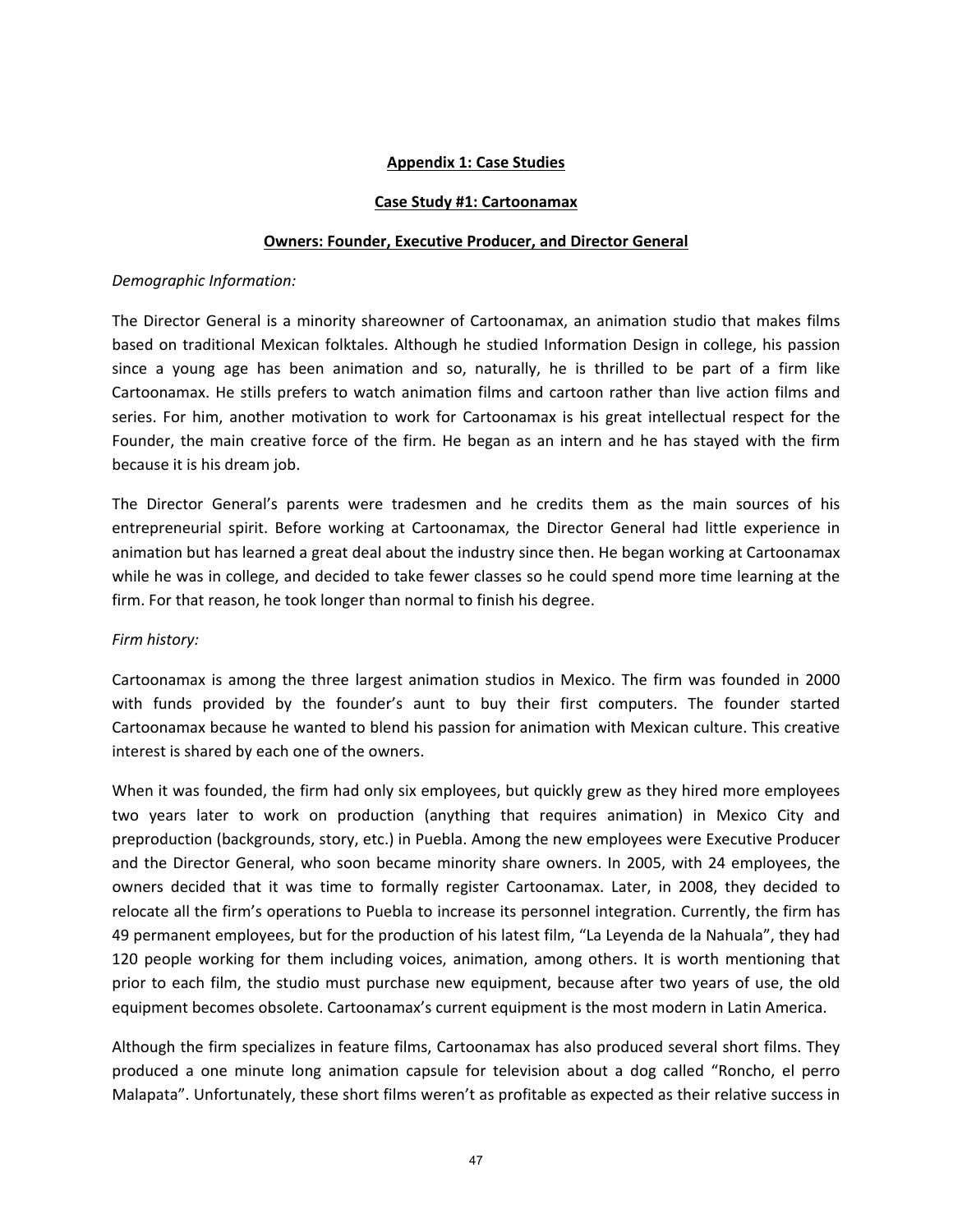## **Appendix 1: Case Studies**

#### **Case Study #1: Cartoonamax**

#### **Owners: Founder, Executive Producer, and Director General**

#### *Demographic Information:*

The Director General is a minority shareowner of Cartoonamax, an animation studio that makes films based on traditional Mexican folktales. Although he studied Information Design in college, his passion since a young age has been animation and so, naturally, he is thrilled to be part of a firm like Cartoonamax. He stills prefers to watch animation films and cartoon rather than live action films and series. For him, another motivation to work for Cartoonamax is his great intellectual respect for the Founder, the main creative force of the firm. He began as an intern and he has stayed with the firm because it is his dream job.

The Director General's parents were tradesmen and he credits them as the main sources of his entrepreneurial spirit. Before working at Cartoonamax, the Director General had little experience in animation but has learned a great deal about the industry since then. He began working at Cartoonamax while he was in college, and decided to take fewer classes so he could spend more time learning at the firm. For that reason, he took longer than normal to finish his degree.

#### *Firm history:*

Cartoonamax is among the three largest animation studios in Mexico. The firm was founded in 2000 with funds provided by the founder's aunt to buy their first computers. The founder started Cartoonamax because he wanted to blend his passion for animation with Mexican culture. This creative interest is shared by each one of the owners.

When it was founded, the firm had only six employees, but quickly grew as they hired more employees two years later to work on production (anything that requires animation) in Mexico City and preproduction (backgrounds, story, etc.) in Puebla. Among the new employees were Executive Producer and the Director General, who soon became minority share owners. In 2005, with 24 employees, the owners decided that it was time to formally register Cartoonamax. Later, in 2008, they decided to relocate all the firm's operations to Puebla to increase its personnel integration. Currently, the firm has 49 permanent employees, but for the production of his latest film, "La Leyenda de la Nahuala", they had 120 people working for them including voices, animation, among others. It is worth mentioning that prior to each film, the studio must purchase new equipment, because after two years of use, the old equipment becomes obsolete. Cartoonamax's current equipment is the most modern in Latin America.

Although the firm specializes in feature films, Cartoonamax has also produced several short films. They produced a one minute long animation capsule for television about a dog called "Roncho, el perro Malapata". Unfortunately, these short films weren't as profitable as expected as their relative success in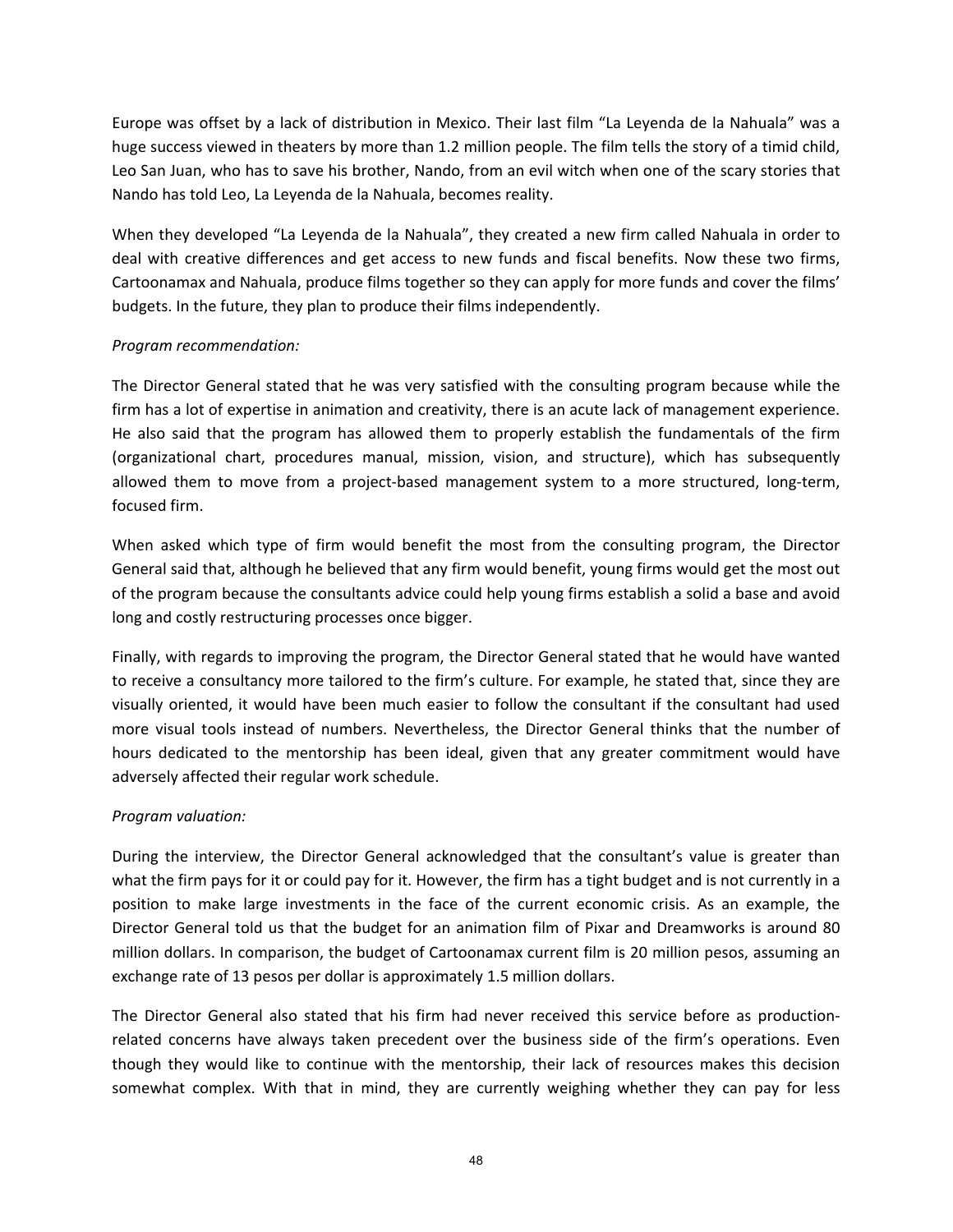Europe was offset by a lack of distribution in Mexico. Their last film "La Leyenda de la Nahuala" was a huge success viewed in theaters by more than 1.2 million people. The film tells the story of a timid child, Leo San Juan, who has to save his brother, Nando, from an evil witch when one of the scary stories that Nando has told Leo, La Leyenda de la Nahuala, becomes reality.

When they developed "La Leyenda de la Nahuala", they created a new firm called Nahuala in order to deal with creative differences and get access to new funds and fiscal benefits. Now these two firms, Cartoonamax and Nahuala, produce films together so they can apply for more funds and cover the films' budgets. In the future, they plan to produce their films independently.

## *Program recommendation:*

The Director General stated that he was very satisfied with the consulting program because while the firm has a lot of expertise in animation and creativity, there is an acute lack of management experience. He also said that the program has allowed them to properly establish the fundamentals of the firm (organizational chart, procedures manual, mission, vision, and structure), which has subsequently allowed them to move from a project-based management system to a more structured, long-term, focused firm.

When asked which type of firm would benefit the most from the consulting program, the Director General said that, although he believed that any firm would benefit, young firms would get the most out of the program because the consultants advice could help young firms establish a solid a base and avoid long and costly restructuring processes once bigger.

Finally, with regards to improving the program, the Director General stated that he would have wanted to receive a consultancy more tailored to the firm's culture. For example, he stated that, since they are visually oriented, it would have been much easier to follow the consultant if the consultant had used more visual tools instead of numbers. Nevertheless, the Director General thinks that the number of hours dedicated to the mentorship has been ideal, given that any greater commitment would have adversely affected their regular work schedule.

# *Program valuation:*

During the interview, the Director General acknowledged that the consultant's value is greater than what the firm pays for it or could pay for it. However, the firm has a tight budget and is not currently in a position to make large investments in the face of the current economic crisis. As an example, the Director General told us that the budget for an animation film of Pixar and Dreamworks is around 80 million dollars. In comparison, the budget of Cartoonamax current film is 20 million pesos, assuming an exchange rate of 13 pesos per dollar is approximately 1.5 million dollars.

The Director General also stated that his firm had never received this service before as production‐ related concerns have always taken precedent over the business side of the firm's operations. Even though they would like to continue with the mentorship, their lack of resources makes this decision somewhat complex. With that in mind, they are currently weighing whether they can pay for less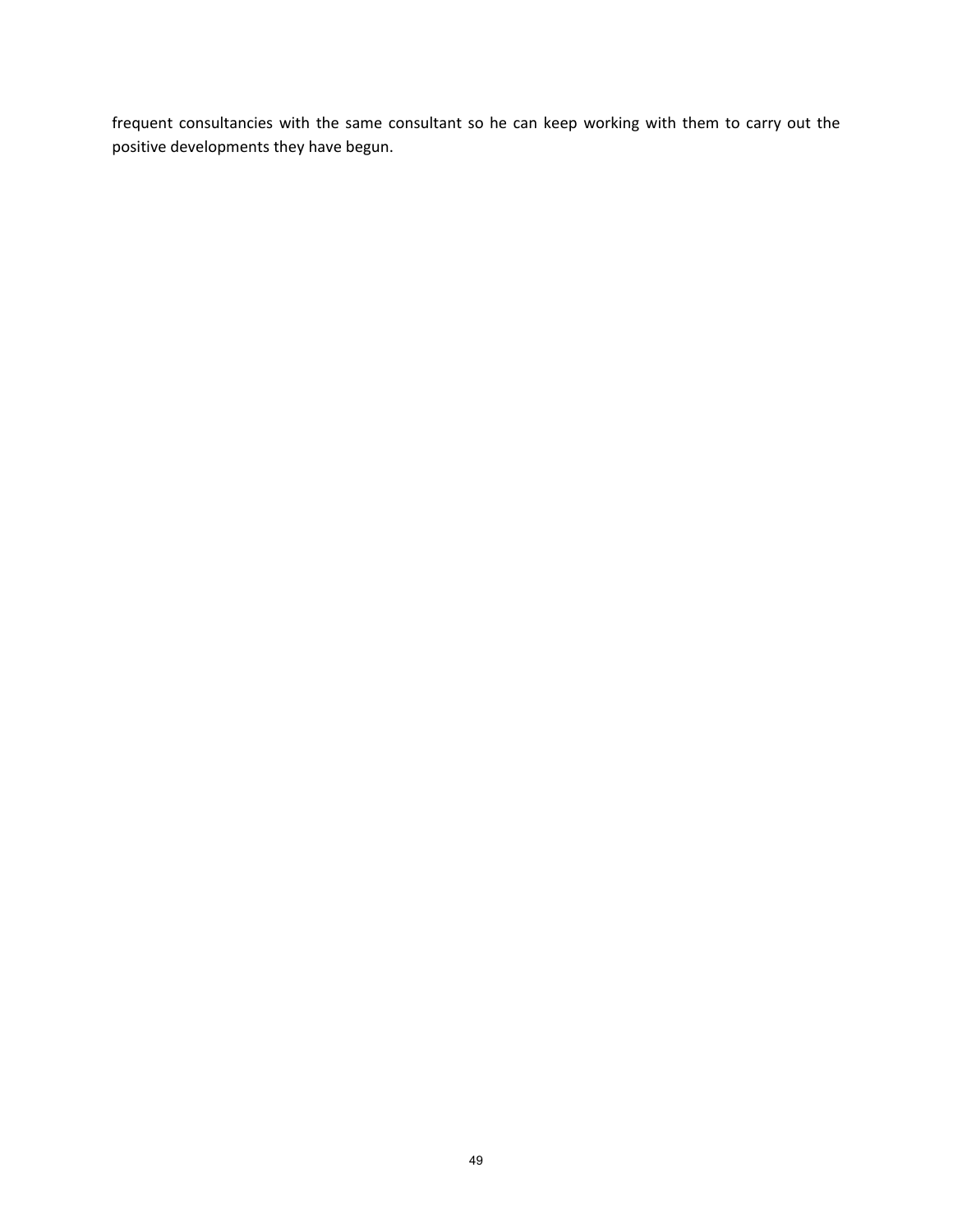frequent consultancies with the same consultant so he can keep working with them to carry out the positive developments they have begun.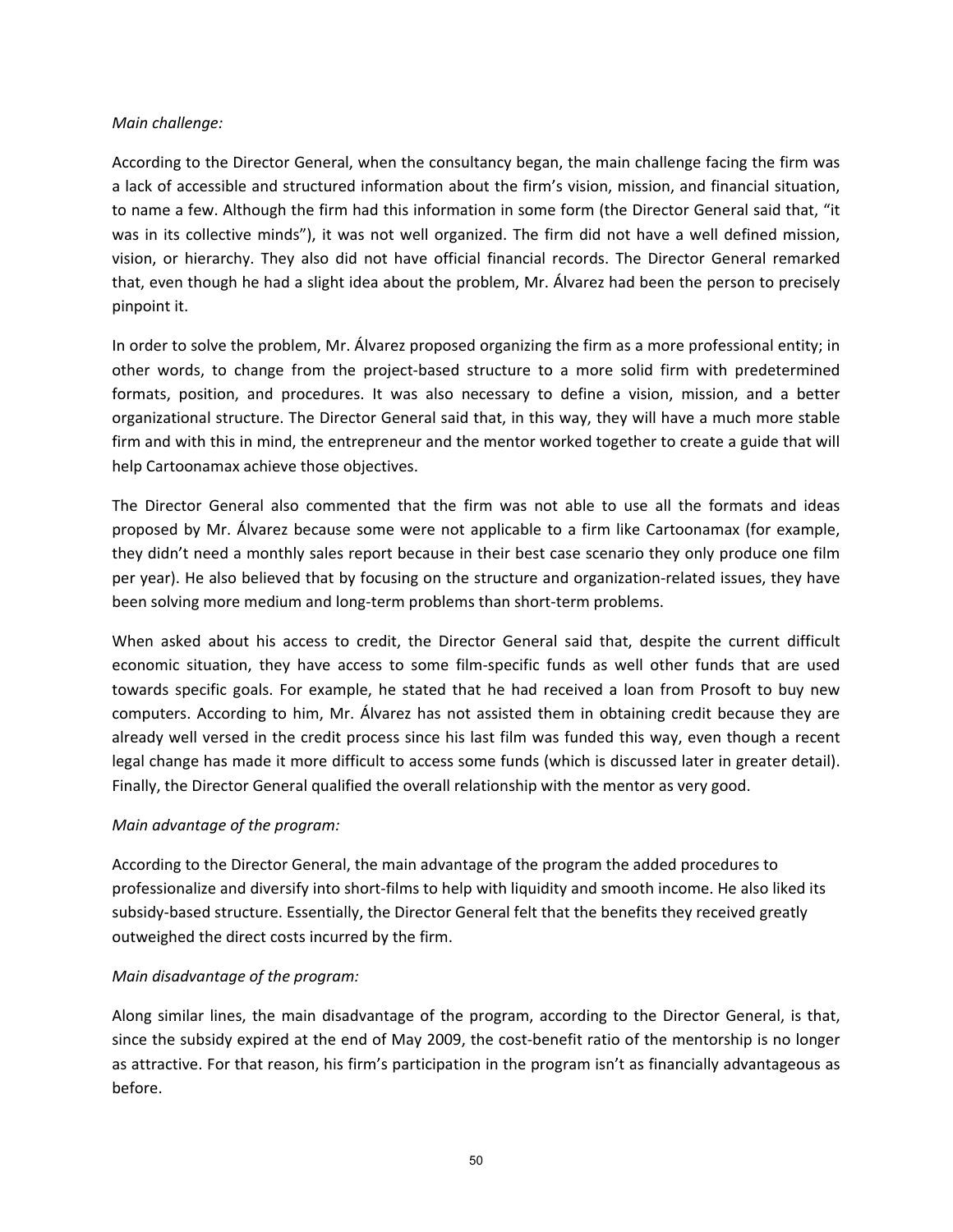#### *Main challenge:*

According to the Director General, when the consultancy began, the main challenge facing the firm was a lack of accessible and structured information about the firm's vision, mission, and financial situation, to name a few. Although the firm had this information in some form (the Director General said that, "it was in its collective minds"), it was not well organized. The firm did not have a well defined mission, vision, or hierarchy. They also did not have official financial records. The Director General remarked that, even though he had a slight idea about the problem, Mr. Álvarez had been the person to precisely pinpoint it.

In order to solve the problem, Mr. Álvarez proposed organizing the firm as a more professional entity; in other words, to change from the project‐based structure to a more solid firm with predetermined formats, position, and procedures. It was also necessary to define a vision, mission, and a better organizational structure. The Director General said that, in this way, they will have a much more stable firm and with this in mind, the entrepreneur and the mentor worked together to create a guide that will help Cartoonamax achieve those objectives.

The Director General also commented that the firm was not able to use all the formats and ideas proposed by Mr. Álvarez because some were not applicable to a firm like Cartoonamax (for example, they didn't need a monthly sales report because in their best case scenario they only produce one film per year). He also believed that by focusing on the structure and organization‐related issues, they have been solving more medium and long-term problems than short-term problems.

When asked about his access to credit, the Director General said that, despite the current difficult economic situation, they have access to some film‐specific funds as well other funds that are used towards specific goals. For example, he stated that he had received a loan from Prosoft to buy new computers. According to him, Mr. Álvarez has not assisted them in obtaining credit because they are already well versed in the credit process since his last film was funded this way, even though a recent legal change has made it more difficult to access some funds (which is discussed later in greater detail). Finally, the Director General qualified the overall relationship with the mentor as very good.

## *Main advantage of the program:*

According to the Director General, the main advantage of the program the added procedures to professionalize and diversify into short‐films to help with liquidity and smooth income. He also liked its subsidy‐based structure. Essentially, the Director General felt that the benefits they received greatly outweighed the direct costs incurred by the firm.

## *Main disadvantage of the program:*

Along similar lines, the main disadvantage of the program, according to the Director General, is that, since the subsidy expired at the end of May 2009, the cost-benefit ratio of the mentorship is no longer as attractive. For that reason, his firm's participation in the program isn't as financially advantageous as before.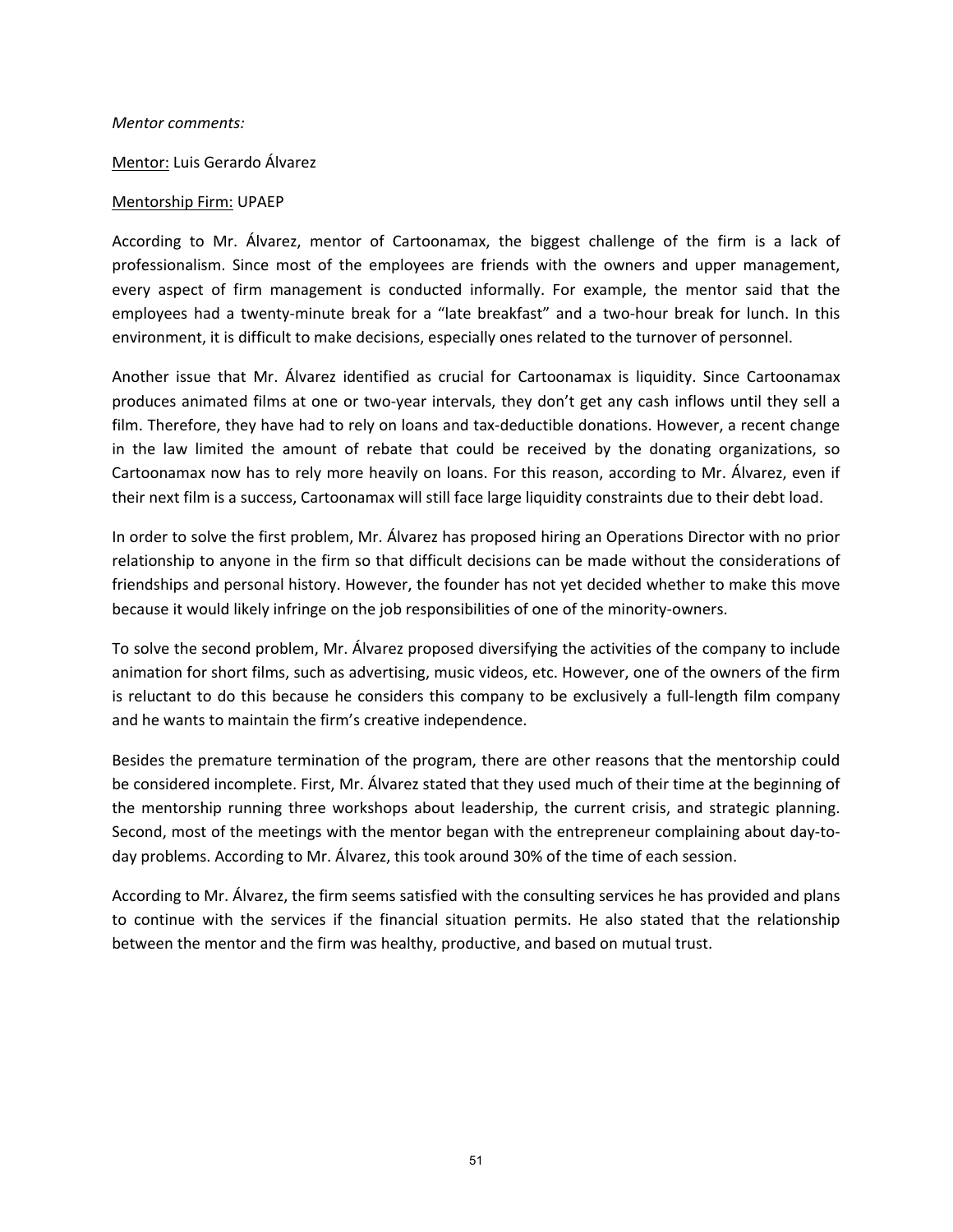#### *Mentor comments:*

Mentor: Luis Gerardo Álvarez

#### Mentorship Firm: UPAEP

According to Mr. Álvarez, mentor of Cartoonamax, the biggest challenge of the firm is a lack of professionalism. Since most of the employees are friends with the owners and upper management, every aspect of firm management is conducted informally. For example, the mentor said that the employees had a twenty-minute break for a "late breakfast" and a two-hour break for lunch. In this environment, it is difficult to make decisions, especially ones related to the turnover of personnel.

Another issue that Mr. Álvarez identified as crucial for Cartoonamax is liquidity. Since Cartoonamax produces animated films at one or two-year intervals, they don't get any cash inflows until they sell a film. Therefore, they have had to rely on loans and tax-deductible donations. However, a recent change in the law limited the amount of rebate that could be received by the donating organizations, so Cartoonamax now has to rely more heavily on loans. For this reason, according to Mr. Álvarez, even if their next film is a success, Cartoonamax will still face large liquidity constraints due to their debt load.

In order to solve the first problem, Mr. Álvarez has proposed hiring an Operations Director with no prior relationship to anyone in the firm so that difficult decisions can be made without the considerations of friendships and personal history. However, the founder has not yet decided whether to make this move because it would likely infringe on the job responsibilities of one of the minority-owners.

To solve the second problem, Mr. Álvarez proposed diversifying the activities of the company to include animation for short films, such as advertising, music videos, etc. However, one of the owners of the firm is reluctant to do this because he considers this company to be exclusively a full‐length film company and he wants to maintain the firm's creative independence.

Besides the premature termination of the program, there are other reasons that the mentorship could be considered incomplete. First, Mr. Álvarez stated that they used much of their time at the beginning of the mentorship running three workshops about leadership, the current crisis, and strategic planning. Second, most of the meetings with the mentor began with the entrepreneur complaining about day-today problems. According to Mr. Álvarez, this took around 30% of the time of each session.

According to Mr. Álvarez, the firm seems satisfied with the consulting services he has provided and plans to continue with the services if the financial situation permits. He also stated that the relationship between the mentor and the firm was healthy, productive, and based on mutual trust.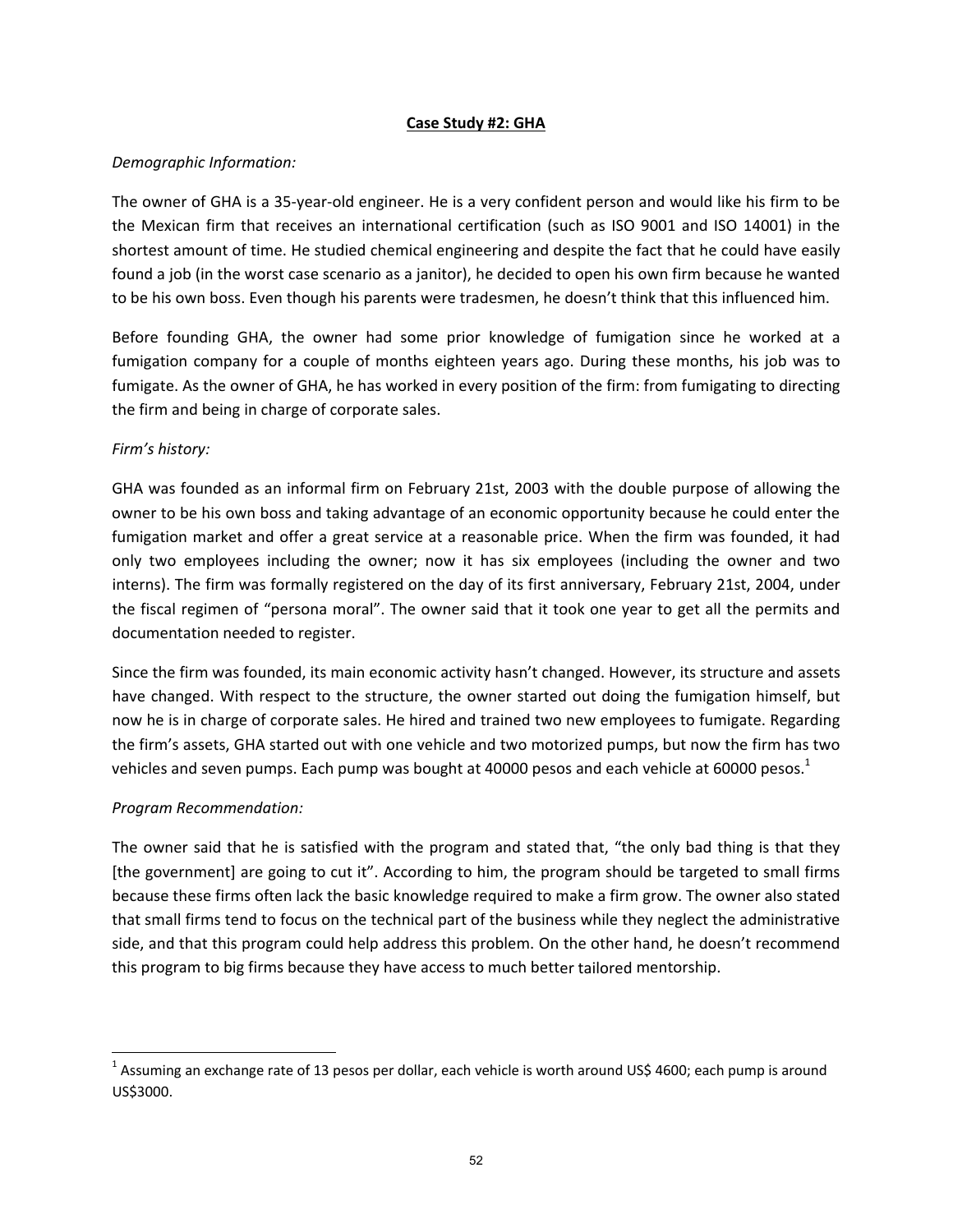#### **Case Study #2: GHA**

## *Demographic Information:*

The owner of GHA is a 35‐year‐old engineer. He is a very confident person and would like his firm to be the Mexican firm that receives an international certification (such as ISO 9001 and ISO 14001) in the shortest amount of time. He studied chemical engineering and despite the fact that he could have easily found a job (in the worst case scenario as a janitor), he decided to open his own firm because he wanted to be his own boss. Even though his parents were tradesmen, he doesn't think that this influenced him.

Before founding GHA, the owner had some prior knowledge of fumigation since he worked at a fumigation company for a couple of months eighteen years ago. During these months, his job was to fumigate. As the owner of GHA, he has worked in every position of the firm: from fumigating to directing the firm and being in charge of corporate sales.

# *Firm's history:*

GHA was founded as an informal firm on February 21st, 2003 with the double purpose of allowing the owner to be his own boss and taking advantage of an economic opportunity because he could enter the fumigation market and offer a great service at a reasonable price. When the firm was founded, it had only two employees including the owner; now it has six employees (including the owner and two interns). The firm was formally registered on the day of its first anniversary, February 21st, 2004, under the fiscal regimen of "persona moral". The owner said that it took one year to get all the permits and documentation needed to register.

Since the firm was founded, its main economic activity hasn't changed. However, its structure and assets have changed. With respect to the structure, the owner started out doing the fumigation himself, but now he is in charge of corporate sales. He hired and trained two new employees to fumigate. Regarding the firm's assets, GHA started out with one vehicle and two motorized pumps, but now the firm has two vehicles and seven pumps. Each pump was bought at 40000 pesos and each vehicle at 60000 pesos. $1$ 

## *Program Recommendation:*

The owner said that he is satisfied with the program and stated that, "the only bad thing is that they [the government] are going to cut it". According to him, the program should be targeted to small firms because these firms often lack the basic knowledge required to make a firm grow. The owner also stated that small firms tend to focus on the technical part of the business while they neglect the administrative side, and that this program could help address this problem. On the other hand, he doesn't recommend this program to big firms because they have access to much better tailored mentorship.

<sup>&</sup>lt;sup>1</sup> Assuming an exchange rate of 13 pesos per dollar, each vehicle is worth around US\$ 4600; each pump is around US\$3000.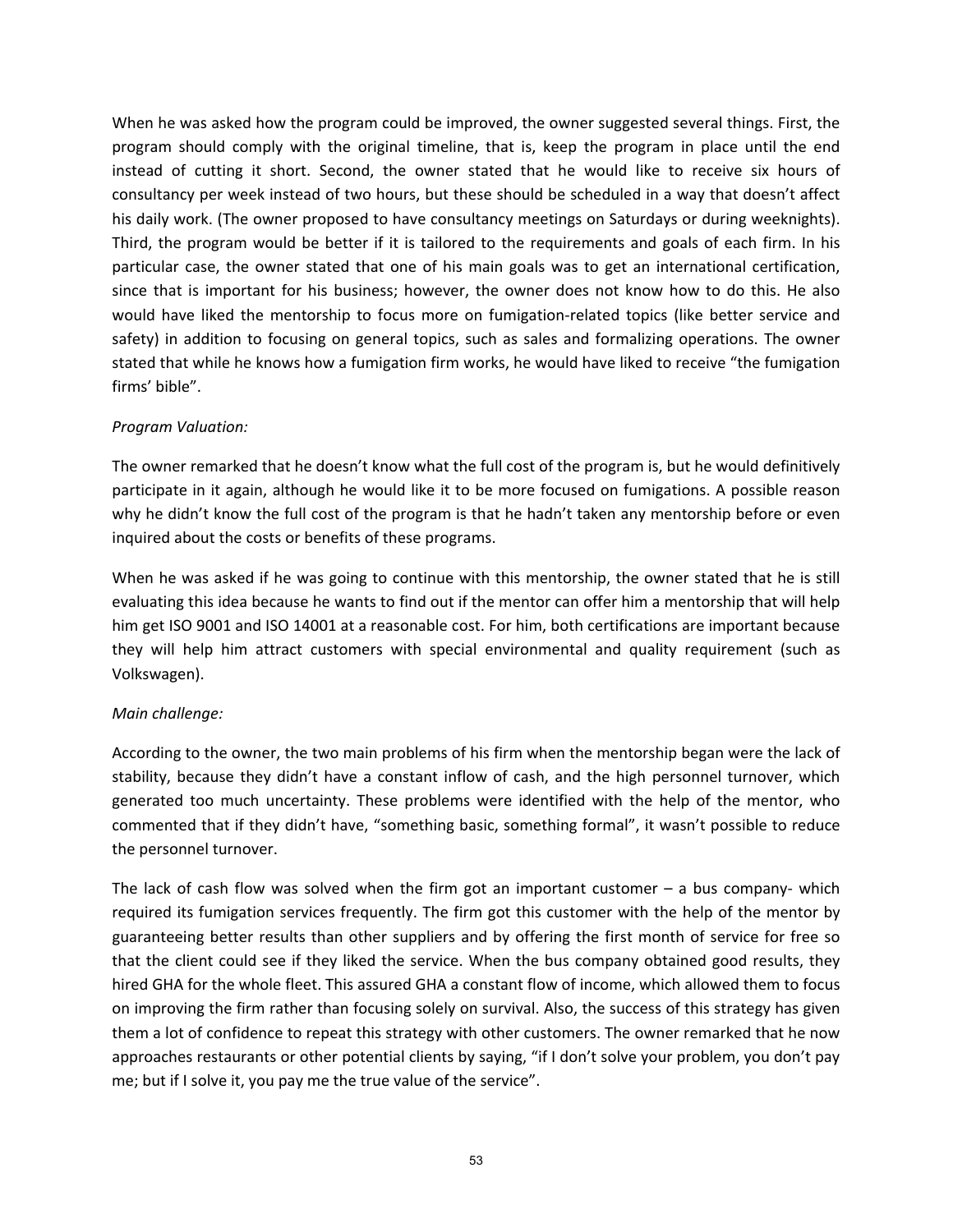When he was asked how the program could be improved, the owner suggested several things. First, the program should comply with the original timeline, that is, keep the program in place until the end instead of cutting it short. Second, the owner stated that he would like to receive six hours of consultancy per week instead of two hours, but these should be scheduled in a way that doesn't affect his daily work. (The owner proposed to have consultancy meetings on Saturdays or during weeknights). Third, the program would be better if it is tailored to the requirements and goals of each firm. In his particular case, the owner stated that one of his main goals was to get an international certification, since that is important for his business; however, the owner does not know how to do this. He also would have liked the mentorship to focus more on fumigation-related topics (like better service and safety) in addition to focusing on general topics, such as sales and formalizing operations. The owner stated that while he knows how a fumigation firm works, he would have liked to receive "the fumigation firms' bible".

## *Program Valuation:*

The owner remarked that he doesn't know what the full cost of the program is, but he would definitively participate in it again, although he would like it to be more focused on fumigations. A possible reason why he didn't know the full cost of the program is that he hadn't taken any mentorship before or even inquired about the costs or benefits of these programs.

When he was asked if he was going to continue with this mentorship, the owner stated that he is still evaluating this idea because he wants to find out if the mentor can offer him a mentorship that will help him get ISO 9001 and ISO 14001 at a reasonable cost. For him, both certifications are important because they will help him attract customers with special environmental and quality requirement (such as Volkswagen).

# *Main challenge:*

According to the owner, the two main problems of his firm when the mentorship began were the lack of stability, because they didn't have a constant inflow of cash, and the high personnel turnover, which generated too much uncertainty. These problems were identified with the help of the mentor, who commented that if they didn't have, "something basic, something formal", it wasn't possible to reduce the personnel turnover.

The lack of cash flow was solved when the firm got an important customer  $-$  a bus company- which required its fumigation services frequently. The firm got this customer with the help of the mentor by guaranteeing better results than other suppliers and by offering the first month of service for free so that the client could see if they liked the service. When the bus company obtained good results, they hired GHA for the whole fleet. This assured GHA a constant flow of income, which allowed them to focus on improving the firm rather than focusing solely on survival. Also, the success of this strategy has given them a lot of confidence to repeat this strategy with other customers. The owner remarked that he now approaches restaurants or other potential clients by saying, "if I don't solve your problem, you don't pay me; but if I solve it, you pay me the true value of the service".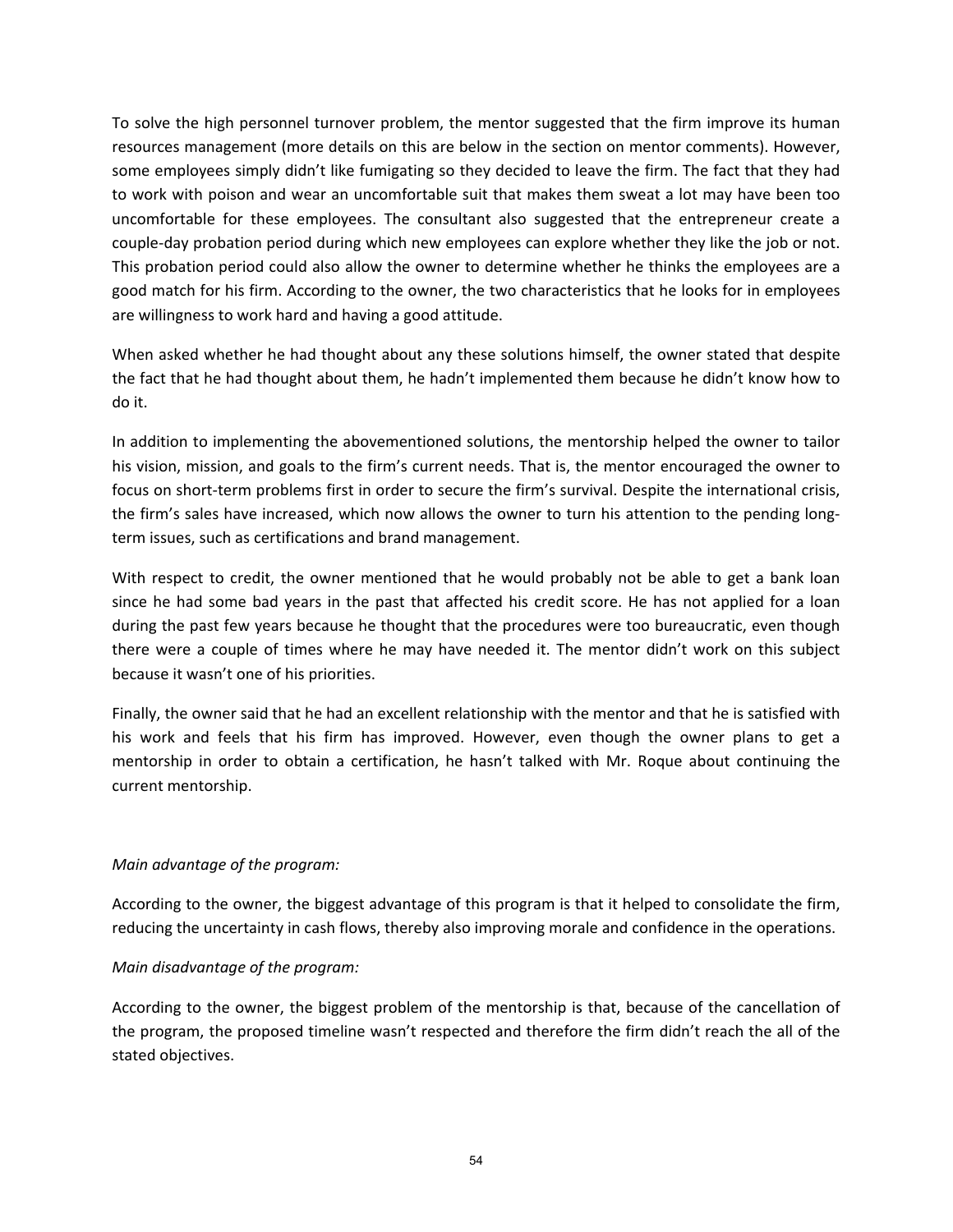To solve the high personnel turnover problem, the mentor suggested that the firm improve its human resources management (more details on this are below in the section on mentor comments). However, some employees simply didn't like fumigating so they decided to leave the firm. The fact that they had to work with poison and wear an uncomfortable suit that makes them sweat a lot may have been too uncomfortable for these employees. The consultant also suggested that the entrepreneur create a couple‐day probation period during which new employees can explore whether they like the job or not. This probation period could also allow the owner to determine whether he thinks the employees are a good match for his firm. According to the owner, the two characteristics that he looks for in employees are willingness to work hard and having a good attitude.

When asked whether he had thought about any these solutions himself, the owner stated that despite the fact that he had thought about them, he hadn't implemented them because he didn't know how to do it.

In addition to implementing the abovementioned solutions, the mentorship helped the owner to tailor his vision, mission, and goals to the firm's current needs. That is, the mentor encouraged the owner to focus on short-term problems first in order to secure the firm's survival. Despite the international crisis, the firm's sales have increased, which now allows the owner to turn his attention to the pending long‐ term issues, such as certifications and brand management.

With respect to credit, the owner mentioned that he would probably not be able to get a bank loan since he had some bad years in the past that affected his credit score. He has not applied for a loan during the past few years because he thought that the procedures were too bureaucratic, even though there were a couple of times where he may have needed it. The mentor didn't work on this subject because it wasn't one of his priorities.

Finally, the owner said that he had an excellent relationship with the mentor and that he is satisfied with his work and feels that his firm has improved. However, even though the owner plans to get a mentorship in order to obtain a certification, he hasn't talked with Mr. Roque about continuing the current mentorship.

# *Main advantage of the program:*

According to the owner, the biggest advantage of this program is that it helped to consolidate the firm, reducing the uncertainty in cash flows, thereby also improving morale and confidence in the operations.

## *Main disadvantage of the program:*

According to the owner, the biggest problem of the mentorship is that, because of the cancellation of the program, the proposed timeline wasn't respected and therefore the firm didn't reach the all of the stated objectives.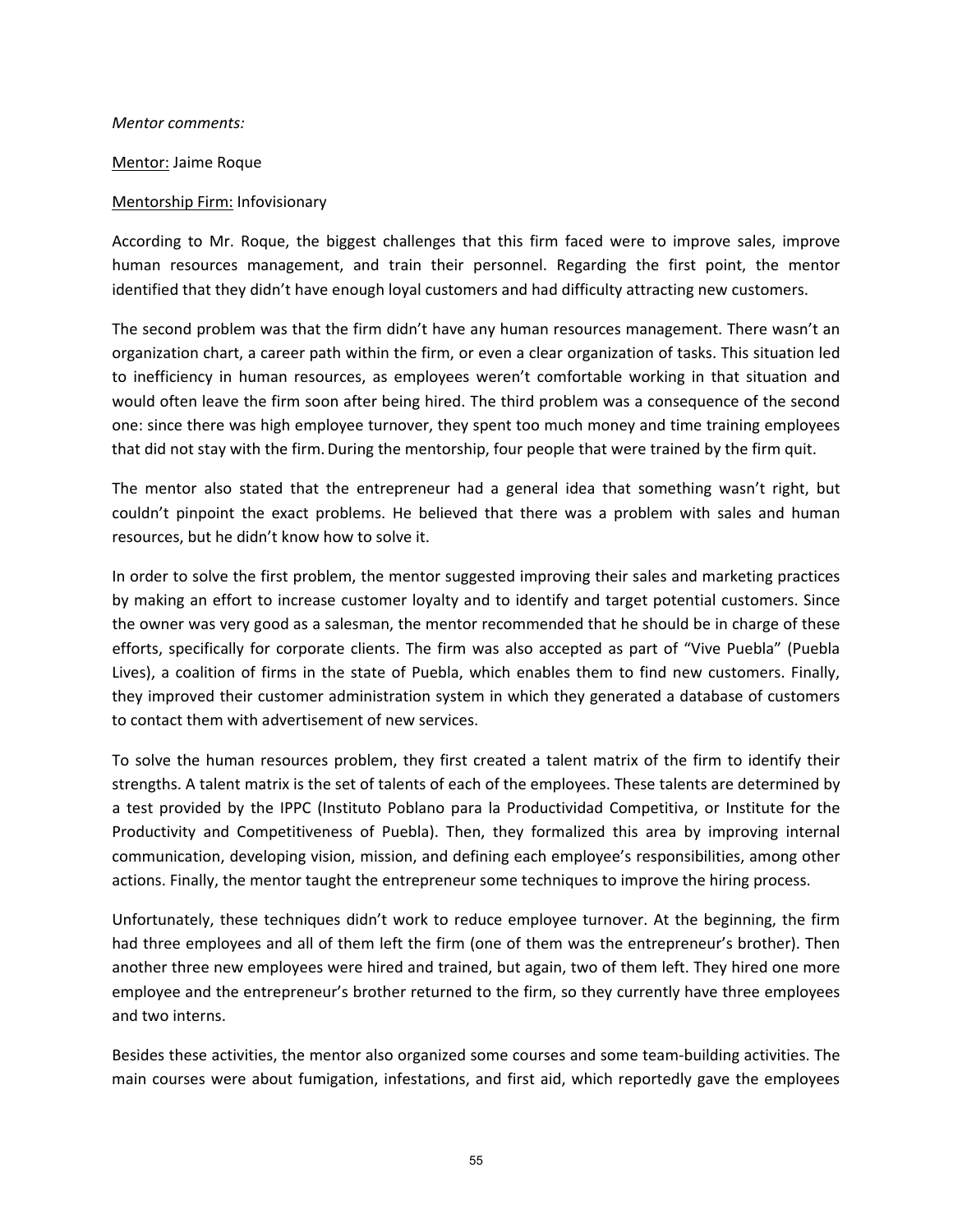*Mentor comments:*

Mentor: Jaime Roque

#### Mentorship Firm: Infovisionary

According to Mr. Roque, the biggest challenges that this firm faced were to improve sales, improve human resources management, and train their personnel. Regarding the first point, the mentor identified that they didn't have enough loyal customers and had difficulty attracting new customers.

The second problem was that the firm didn't have any human resources management. There wasn't an organization chart, a career path within the firm, or even a clear organization of tasks. This situation led to inefficiency in human resources, as employees weren't comfortable working in that situation and would often leave the firm soon after being hired. The third problem was a consequence of the second one: since there was high employee turnover, they spent too much money and time training employees that did not stay with the firm. During the mentorship, four people that were trained by the firm quit.

The mentor also stated that the entrepreneur had a general idea that something wasn't right, but couldn't pinpoint the exact problems. He believed that there was a problem with sales and human resources, but he didn't know how to solve it.

In order to solve the first problem, the mentor suggested improving their sales and marketing practices by making an effort to increase customer loyalty and to identify and target potential customers. Since the owner was very good as a salesman, the mentor recommended that he should be in charge of these efforts, specifically for corporate clients. The firm was also accepted as part of "Vive Puebla" (Puebla Lives), a coalition of firms in the state of Puebla, which enables them to find new customers. Finally, they improved their customer administration system in which they generated a database of customers to contact them with advertisement of new services.

To solve the human resources problem, they first created a talent matrix of the firm to identify their strengths. A talent matrix is the set of talents of each of the employees. These talents are determined by a test provided by the IPPC (Instituto Poblano para la Productividad Competitiva, or Institute for the Productivity and Competitiveness of Puebla). Then, they formalized this area by improving internal communication, developing vision, mission, and defining each employee's responsibilities, among other actions. Finally, the mentor taught the entrepreneur some techniques to improve the hiring process.

Unfortunately, these techniques didn't work to reduce employee turnover. At the beginning, the firm had three employees and all of them left the firm (one of them was the entrepreneur's brother). Then another three new employees were hired and trained, but again, two of them left. They hired one more employee and the entrepreneur's brother returned to the firm, so they currently have three employees and two interns.

Besides these activities, the mentor also organized some courses and some team‐building activities. The main courses were about fumigation, infestations, and first aid, which reportedly gave the employees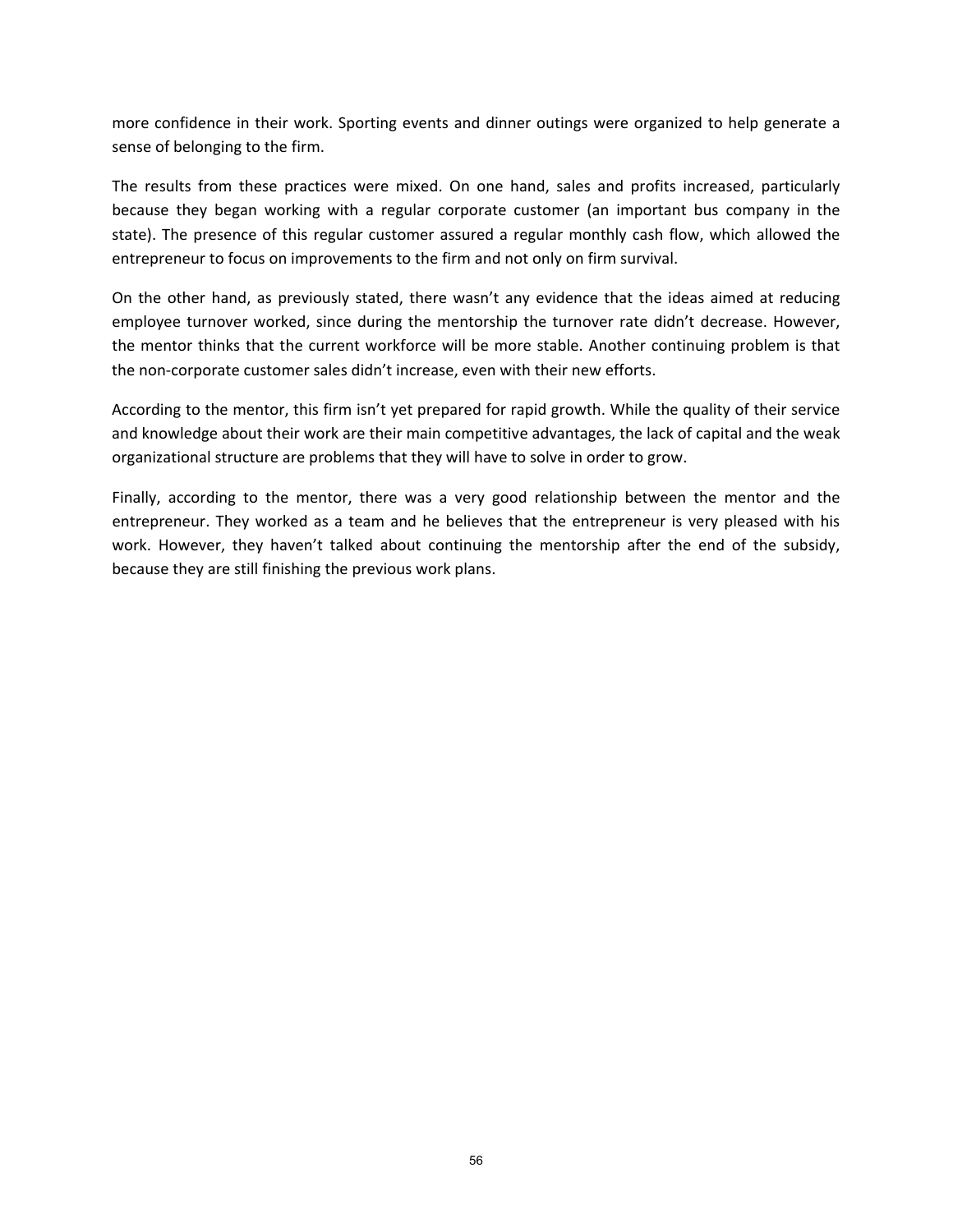more confidence in their work. Sporting events and dinner outings were organized to help generate a sense of belonging to the firm.

The results from these practices were mixed. On one hand, sales and profits increased, particularly because they began working with a regular corporate customer (an important bus company in the state). The presence of this regular customer assured a regular monthly cash flow, which allowed the entrepreneur to focus on improvements to the firm and not only on firm survival.

On the other hand, as previously stated, there wasn't any evidence that the ideas aimed at reducing employee turnover worked, since during the mentorship the turnover rate didn't decrease. However, the mentor thinks that the current workforce will be more stable. Another continuing problem is that the non‐corporate customer sales didn't increase, even with their new efforts.

According to the mentor, this firm isn't yet prepared for rapid growth. While the quality of their service and knowledge about their work are their main competitive advantages, the lack of capital and the weak organizational structure are problems that they will have to solve in order to grow.

Finally, according to the mentor, there was a very good relationship between the mentor and the entrepreneur. They worked as a team and he believes that the entrepreneur is very pleased with his work. However, they haven't talked about continuing the mentorship after the end of the subsidy, because they are still finishing the previous work plans.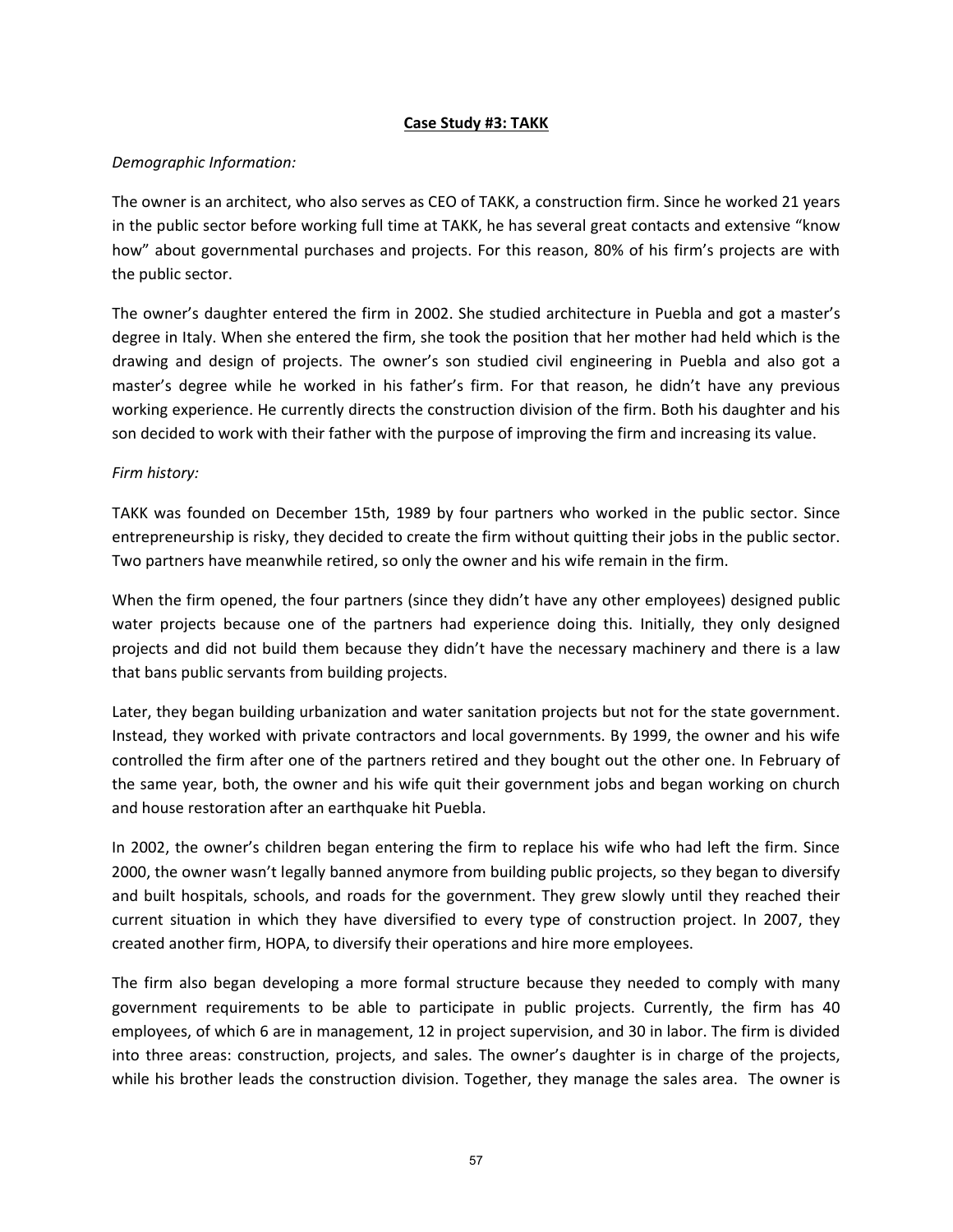## **Case Study #3: TAKK**

## *Demographic Information:*

The owner is an architect, who also serves as CEO of TAKK, a construction firm. Since he worked 21 years in the public sector before working full time at TAKK, he has several great contacts and extensive "know how" about governmental purchases and projects. For this reason, 80% of his firm's projects are with the public sector.

The owner's daughter entered the firm in 2002. She studied architecture in Puebla and got a master's degree in Italy. When she entered the firm, she took the position that her mother had held which is the drawing and design of projects. The owner's son studied civil engineering in Puebla and also got a master's degree while he worked in his father's firm. For that reason, he didn't have any previous working experience. He currently directs the construction division of the firm. Both his daughter and his son decided to work with their father with the purpose of improving the firm and increasing its value.

## *Firm history:*

TAKK was founded on December 15th, 1989 by four partners who worked in the public sector. Since entrepreneurship is risky, they decided to create the firm without quitting their jobs in the public sector. Two partners have meanwhile retired, so only the owner and his wife remain in the firm.

When the firm opened, the four partners (since they didn't have any other employees) designed public water projects because one of the partners had experience doing this. Initially, they only designed projects and did not build them because they didn't have the necessary machinery and there is a law that bans public servants from building projects.

Later, they began building urbanization and water sanitation projects but not for the state government. Instead, they worked with private contractors and local governments. By 1999, the owner and his wife controlled the firm after one of the partners retired and they bought out the other one. In February of the same year, both, the owner and his wife quit their government jobs and began working on church and house restoration after an earthquake hit Puebla.

In 2002, the owner's children began entering the firm to replace his wife who had left the firm. Since 2000, the owner wasn't legally banned anymore from building public projects, so they began to diversify and built hospitals, schools, and roads for the government. They grew slowly until they reached their current situation in which they have diversified to every type of construction project. In 2007, they created another firm, HOPA, to diversify their operations and hire more employees.

The firm also began developing a more formal structure because they needed to comply with many government requirements to be able to participate in public projects. Currently, the firm has 40 employees, of which 6 are in management, 12 in project supervision, and 30 in labor. The firm is divided into three areas: construction, projects, and sales. The owner's daughter is in charge of the projects, while his brother leads the construction division. Together, they manage the sales area. The owner is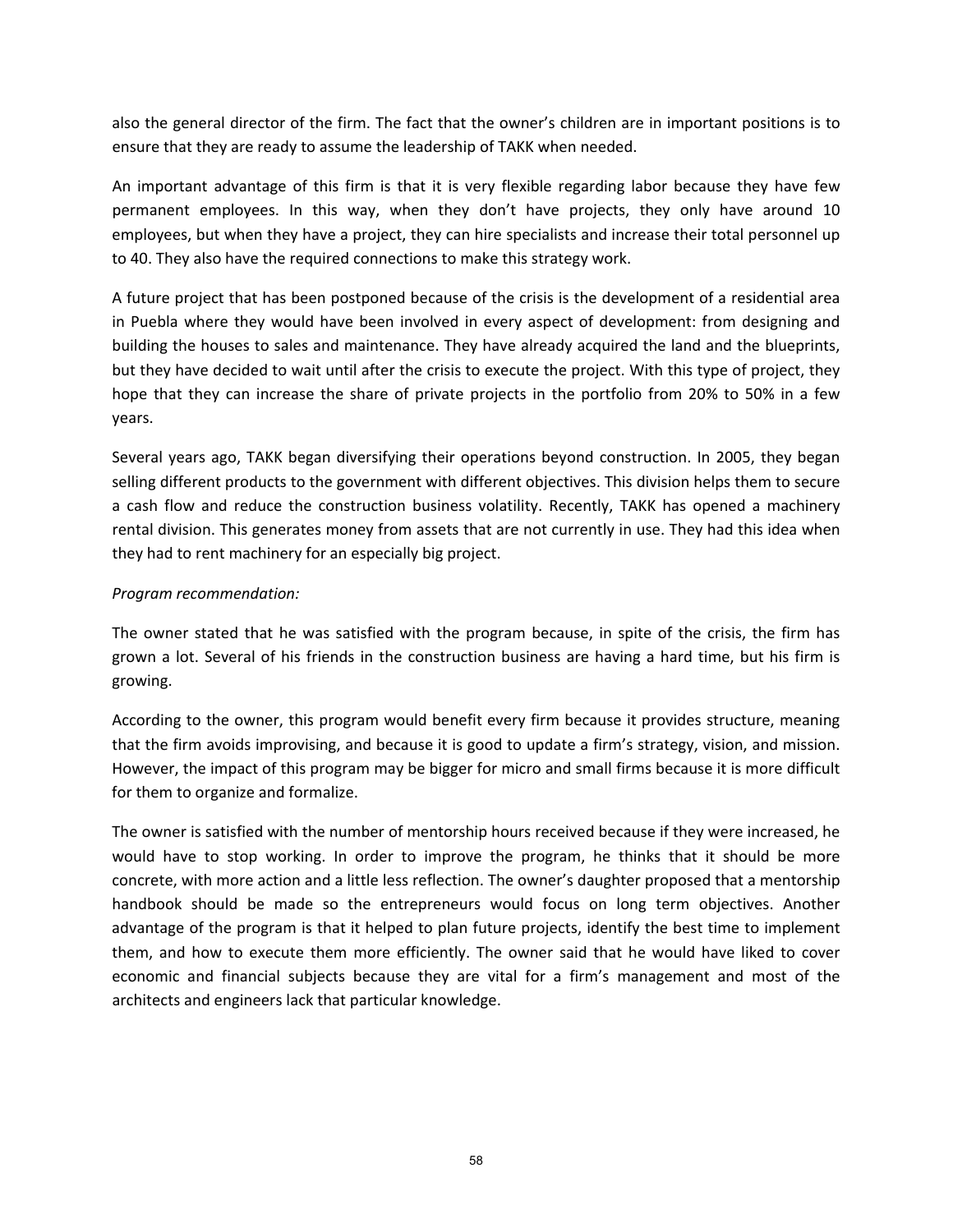also the general director of the firm. The fact that the owner's children are in important positions is to ensure that they are ready to assume the leadership of TAKK when needed.

An important advantage of this firm is that it is very flexible regarding labor because they have few permanent employees. In this way, when they don't have projects, they only have around 10 employees, but when they have a project, they can hire specialists and increase their total personnel up to 40. They also have the required connections to make this strategy work.

A future project that has been postponed because of the crisis is the development of a residential area in Puebla where they would have been involved in every aspect of development: from designing and building the houses to sales and maintenance. They have already acquired the land and the blueprints, but they have decided to wait until after the crisis to execute the project. With this type of project, they hope that they can increase the share of private projects in the portfolio from 20% to 50% in a few years.

Several years ago, TAKK began diversifying their operations beyond construction. In 2005, they began selling different products to the government with different objectives. This division helps them to secure a cash flow and reduce the construction business volatility. Recently, TAKK has opened a machinery rental division. This generates money from assets that are not currently in use. They had this idea when they had to rent machinery for an especially big project.

## *Program recommendation:*

The owner stated that he was satisfied with the program because, in spite of the crisis, the firm has grown a lot. Several of his friends in the construction business are having a hard time, but his firm is growing.

According to the owner, this program would benefit every firm because it provides structure, meaning that the firm avoids improvising, and because it is good to update a firm's strategy, vision, and mission. However, the impact of this program may be bigger for micro and small firms because it is more difficult for them to organize and formalize.

The owner is satisfied with the number of mentorship hours received because if they were increased, he would have to stop working. In order to improve the program, he thinks that it should be more concrete, with more action and a little less reflection. The owner's daughter proposed that a mentorship handbook should be made so the entrepreneurs would focus on long term objectives. Another advantage of the program is that it helped to plan future projects, identify the best time to implement them, and how to execute them more efficiently. The owner said that he would have liked to cover economic and financial subjects because they are vital for a firm's management and most of the architects and engineers lack that particular knowledge.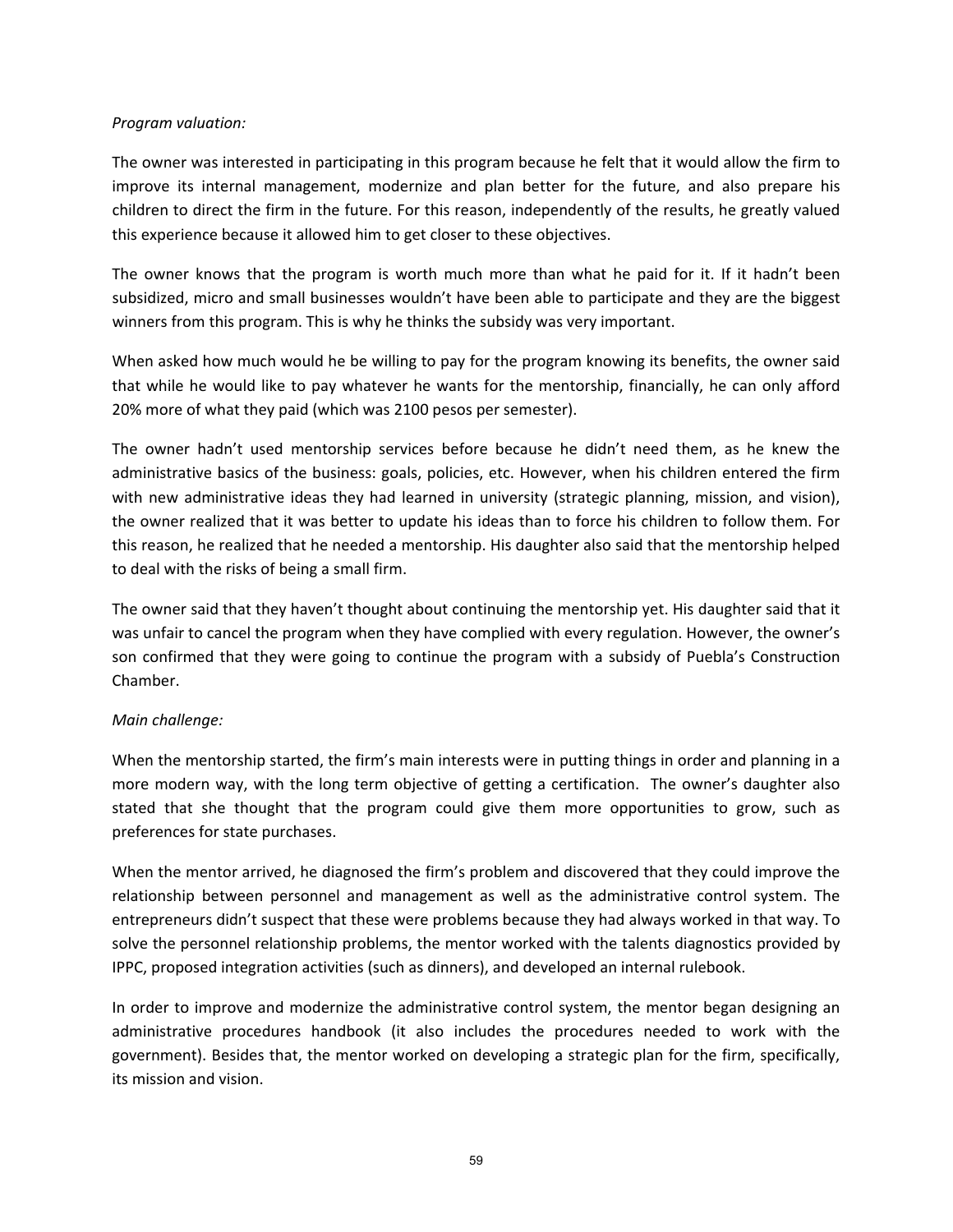#### *Program valuation:*

The owner was interested in participating in this program because he felt that it would allow the firm to improve its internal management, modernize and plan better for the future, and also prepare his children to direct the firm in the future. For this reason, independently of the results, he greatly valued this experience because it allowed him to get closer to these objectives.

The owner knows that the program is worth much more than what he paid for it. If it hadn't been subsidized, micro and small businesses wouldn't have been able to participate and they are the biggest winners from this program. This is why he thinks the subsidy was very important.

When asked how much would he be willing to pay for the program knowing its benefits, the owner said that while he would like to pay whatever he wants for the mentorship, financially, he can only afford 20% more of what they paid (which was 2100 pesos per semester).

The owner hadn't used mentorship services before because he didn't need them, as he knew the administrative basics of the business: goals, policies, etc. However, when his children entered the firm with new administrative ideas they had learned in university (strategic planning, mission, and vision), the owner realized that it was better to update his ideas than to force his children to follow them. For this reason, he realized that he needed a mentorship. His daughter also said that the mentorship helped to deal with the risks of being a small firm.

The owner said that they haven't thought about continuing the mentorship yet. His daughter said that it was unfair to cancel the program when they have complied with every regulation. However, the owner's son confirmed that they were going to continue the program with a subsidy of Puebla's Construction Chamber.

## *Main challenge:*

When the mentorship started, the firm's main interests were in putting things in order and planning in a more modern way, with the long term objective of getting a certification. The owner's daughter also stated that she thought that the program could give them more opportunities to grow, such as preferences for state purchases.

When the mentor arrived, he diagnosed the firm's problem and discovered that they could improve the relationship between personnel and management as well as the administrative control system. The entrepreneurs didn't suspect that these were problems because they had always worked in that way. To solve the personnel relationship problems, the mentor worked with the talents diagnostics provided by IPPC, proposed integration activities (such as dinners), and developed an internal rulebook.

In order to improve and modernize the administrative control system, the mentor began designing an administrative procedures handbook (it also includes the procedures needed to work with the government). Besides that, the mentor worked on developing a strategic plan for the firm, specifically, its mission and vision.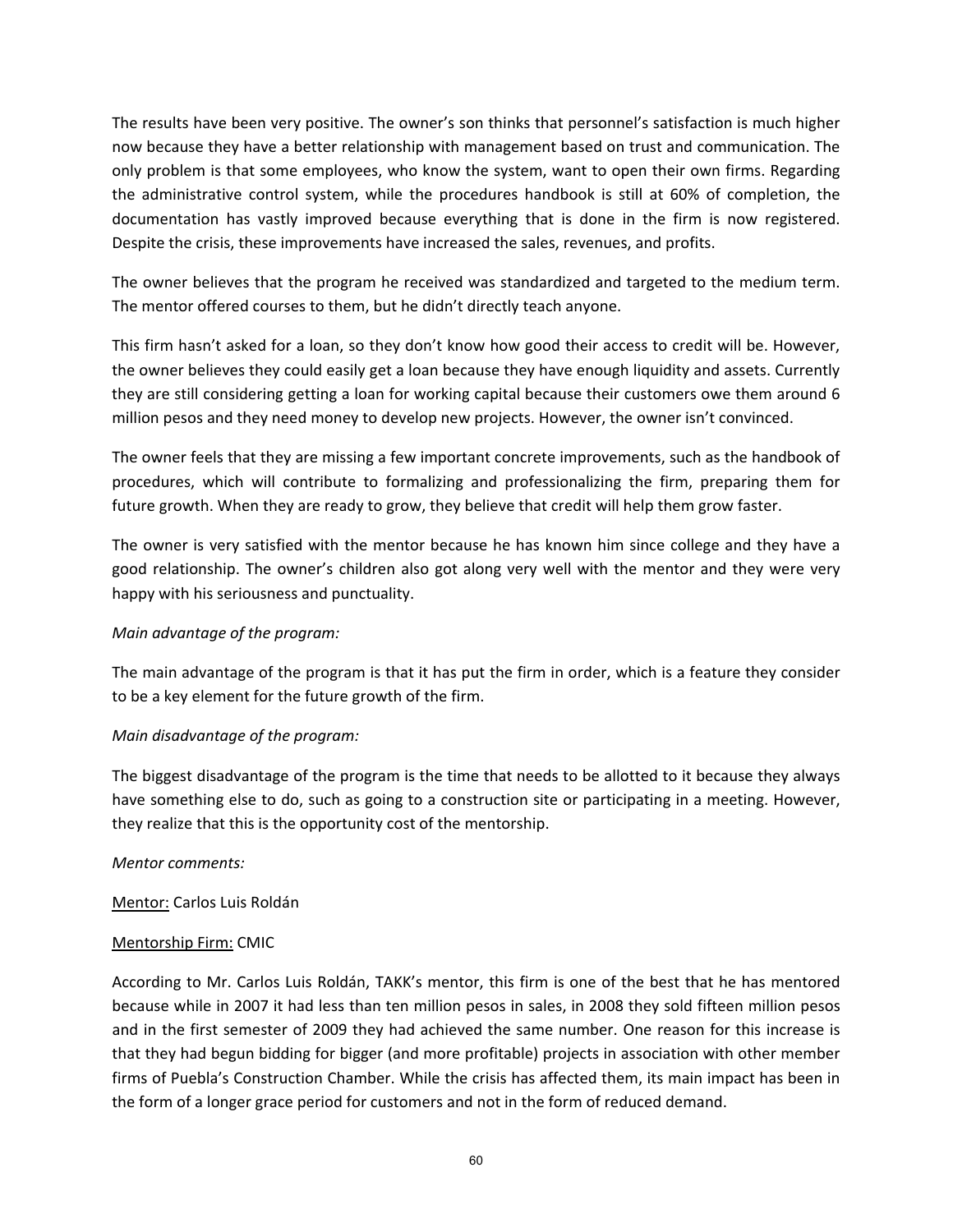The results have been very positive. The owner's son thinks that personnel's satisfaction is much higher now because they have a better relationship with management based on trust and communication. The only problem is that some employees, who know the system, want to open their own firms. Regarding the administrative control system, while the procedures handbook is still at 60% of completion, the documentation has vastly improved because everything that is done in the firm is now registered. Despite the crisis, these improvements have increased the sales, revenues, and profits.

The owner believes that the program he received was standardized and targeted to the medium term. The mentor offered courses to them, but he didn't directly teach anyone.

This firm hasn't asked for a loan, so they don't know how good their access to credit will be. However, the owner believes they could easily get a loan because they have enough liquidity and assets. Currently they are still considering getting a loan for working capital because their customers owe them around 6 million pesos and they need money to develop new projects. However, the owner isn't convinced.

The owner feels that they are missing a few important concrete improvements, such as the handbook of procedures, which will contribute to formalizing and professionalizing the firm, preparing them for future growth. When they are ready to grow, they believe that credit will help them grow faster.

The owner is very satisfied with the mentor because he has known him since college and they have a good relationship. The owner's children also got along very well with the mentor and they were very happy with his seriousness and punctuality.

# *Main advantage of the program:*

The main advantage of the program is that it has put the firm in order, which is a feature they consider to be a key element for the future growth of the firm.

# *Main disadvantage of the program:*

The biggest disadvantage of the program is the time that needs to be allotted to it because they always have something else to do, such as going to a construction site or participating in a meeting. However, they realize that this is the opportunity cost of the mentorship.

## *Mentor comments:*

Mentor: Carlos Luis Roldán

## Mentorship Firm: CMIC

According to Mr. Carlos Luis Roldán, TAKK's mentor, this firm is one of the best that he has mentored because while in 2007 it had less than ten million pesos in sales, in 2008 they sold fifteen million pesos and in the first semester of 2009 they had achieved the same number. One reason for this increase is that they had begun bidding for bigger (and more profitable) projects in association with other member firms of Puebla's Construction Chamber. While the crisis has affected them, its main impact has been in the form of a longer grace period for customers and not in the form of reduced demand.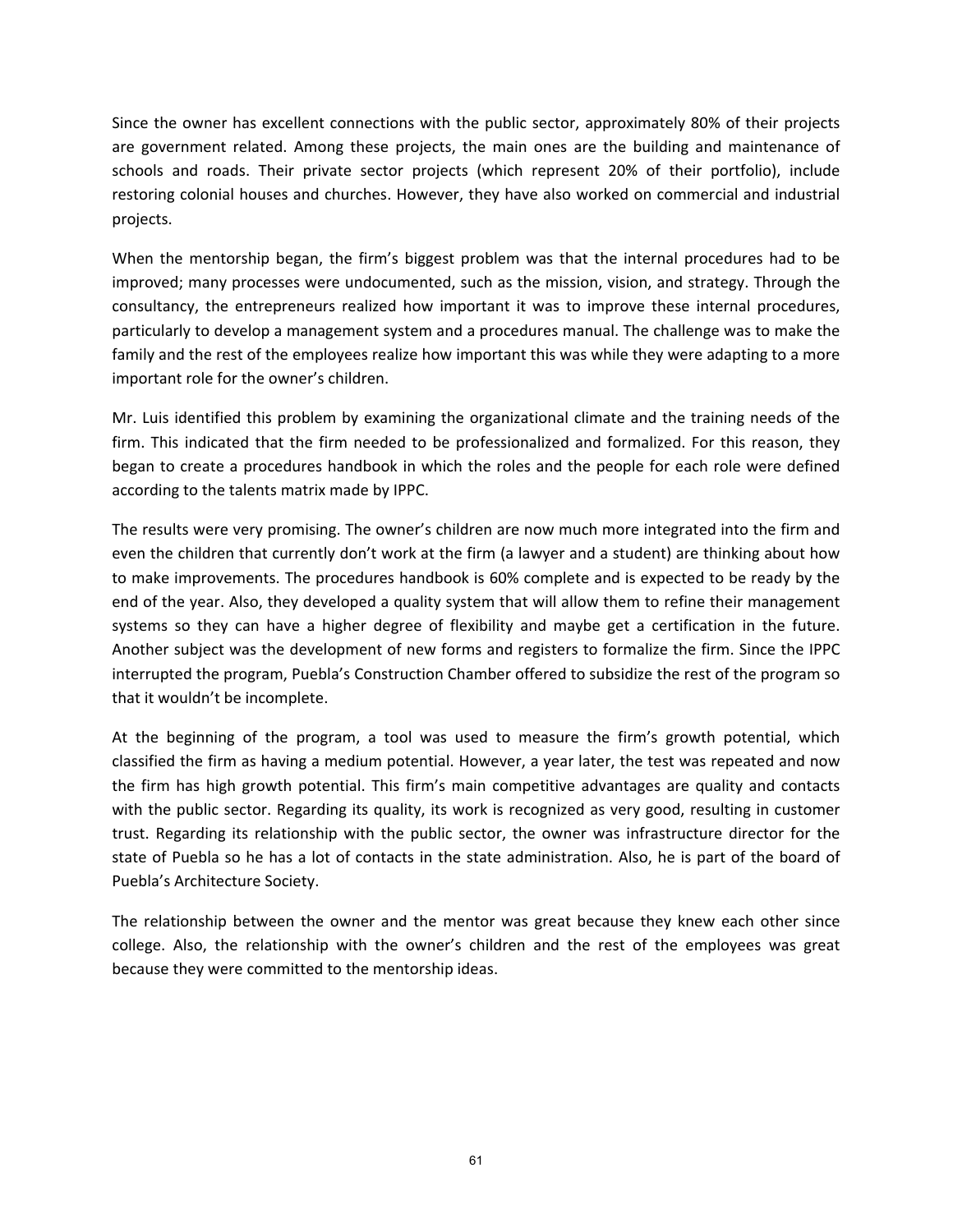Since the owner has excellent connections with the public sector, approximately 80% of their projects are government related. Among these projects, the main ones are the building and maintenance of schools and roads. Their private sector projects (which represent 20% of their portfolio), include restoring colonial houses and churches. However, they have also worked on commercial and industrial projects.

When the mentorship began, the firm's biggest problem was that the internal procedures had to be improved; many processes were undocumented, such as the mission, vision, and strategy. Through the consultancy, the entrepreneurs realized how important it was to improve these internal procedures, particularly to develop a management system and a procedures manual. The challenge was to make the family and the rest of the employees realize how important this was while they were adapting to a more important role for the owner's children.

Mr. Luis identified this problem by examining the organizational climate and the training needs of the firm. This indicated that the firm needed to be professionalized and formalized. For this reason, they began to create a procedures handbook in which the roles and the people for each role were defined according to the talents matrix made by IPPC.

The results were very promising. The owner's children are now much more integrated into the firm and even the children that currently don't work at the firm (a lawyer and a student) are thinking about how to make improvements. The procedures handbook is 60% complete and is expected to be ready by the end of the year. Also, they developed a quality system that will allow them to refine their management systems so they can have a higher degree of flexibility and maybe get a certification in the future. Another subject was the development of new forms and registers to formalize the firm. Since the IPPC interrupted the program, Puebla's Construction Chamber offered to subsidize the rest of the program so that it wouldn't be incomplete.

At the beginning of the program, a tool was used to measure the firm's growth potential, which classified the firm as having a medium potential. However, a year later, the test was repeated and now the firm has high growth potential. This firm's main competitive advantages are quality and contacts with the public sector. Regarding its quality, its work is recognized as very good, resulting in customer trust. Regarding its relationship with the public sector, the owner was infrastructure director for the state of Puebla so he has a lot of contacts in the state administration. Also, he is part of the board of Puebla's Architecture Society.

The relationship between the owner and the mentor was great because they knew each other since college. Also, the relationship with the owner's children and the rest of the employees was great because they were committed to the mentorship ideas.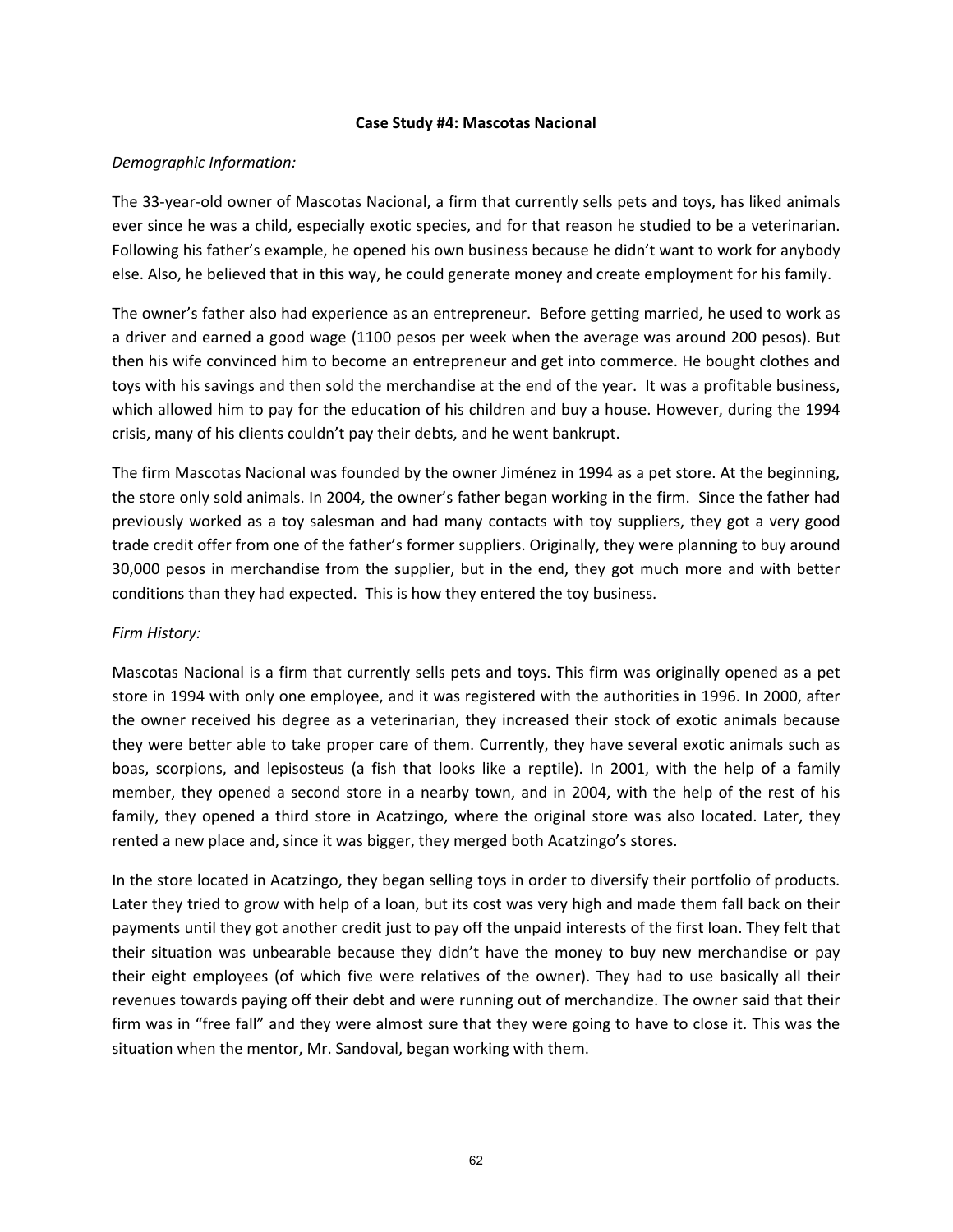#### **Case Study #4: Mascotas Nacional**

## *Demographic Information:*

The 33‐year‐old owner of Mascotas Nacional, a firm that currently sells pets and toys, has liked animals ever since he was a child, especially exotic species, and for that reason he studied to be a veterinarian. Following his father's example, he opened his own business because he didn't want to work for anybody else. Also, he believed that in this way, he could generate money and create employment for his family.

The owner's father also had experience as an entrepreneur. Before getting married, he used to work as a driver and earned a good wage (1100 pesos per week when the average was around 200 pesos). But then his wife convinced him to become an entrepreneur and get into commerce. He bought clothes and toys with his savings and then sold the merchandise at the end of the year. It was a profitable business, which allowed him to pay for the education of his children and buy a house. However, during the 1994 crisis, many of his clients couldn't pay their debts, and he went bankrupt.

The firm Mascotas Nacional was founded by the owner Jiménez in 1994 as a pet store. At the beginning, the store only sold animals. In 2004, the owner's father began working in the firm. Since the father had previously worked as a toy salesman and had many contacts with toy suppliers, they got a very good trade credit offer from one of the father's former suppliers. Originally, they were planning to buy around 30,000 pesos in merchandise from the supplier, but in the end, they got much more and with better conditions than they had expected. This is how they entered the toy business.

## *Firm History:*

Mascotas Nacional is a firm that currently sells pets and toys. This firm was originally opened as a pet store in 1994 with only one employee, and it was registered with the authorities in 1996. In 2000, after the owner received his degree as a veterinarian, they increased their stock of exotic animals because they were better able to take proper care of them. Currently, they have several exotic animals such as boas, scorpions, and lepisosteus (a fish that looks like a reptile). In 2001, with the help of a family member, they opened a second store in a nearby town, and in 2004, with the help of the rest of his family, they opened a third store in Acatzingo, where the original store was also located. Later, they rented a new place and, since it was bigger, they merged both Acatzingo's stores.

In the store located in Acatzingo, they began selling toys in order to diversify their portfolio of products. Later they tried to grow with help of a loan, but its cost was very high and made them fall back on their payments until they got another credit just to pay off the unpaid interests of the first loan. They felt that their situation was unbearable because they didn't have the money to buy new merchandise or pay their eight employees (of which five were relatives of the owner). They had to use basically all their revenues towards paying off their debt and were running out of merchandize. The owner said that their firm was in "free fall" and they were almost sure that they were going to have to close it. This was the situation when the mentor, Mr. Sandoval, began working with them.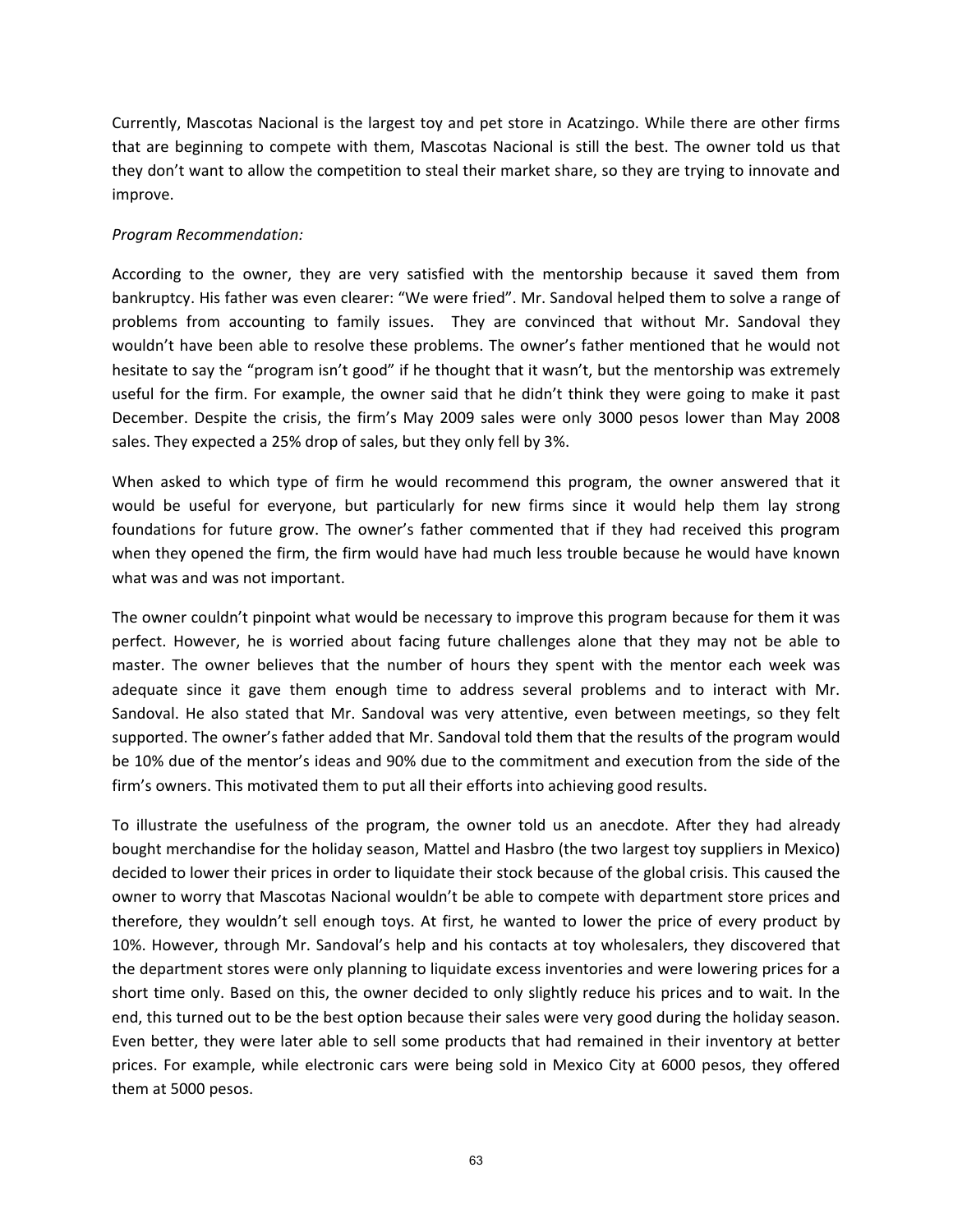Currently, Mascotas Nacional is the largest toy and pet store in Acatzingo. While there are other firms that are beginning to compete with them, Mascotas Nacional is still the best. The owner told us that they don't want to allow the competition to steal their market share, so they are trying to innovate and improve.

## *Program Recommendation:*

According to the owner, they are very satisfied with the mentorship because it saved them from bankruptcy. His father was even clearer: "We were fried". Mr. Sandoval helped them to solve a range of problems from accounting to family issues. They are convinced that without Mr. Sandoval they wouldn't have been able to resolve these problems. The owner's father mentioned that he would not hesitate to say the "program isn't good" if he thought that it wasn't, but the mentorship was extremely useful for the firm. For example, the owner said that he didn't think they were going to make it past December. Despite the crisis, the firm's May 2009 sales were only 3000 pesos lower than May 2008 sales. They expected a 25% drop of sales, but they only fell by 3%.

When asked to which type of firm he would recommend this program, the owner answered that it would be useful for everyone, but particularly for new firms since it would help them lay strong foundations for future grow. The owner's father commented that if they had received this program when they opened the firm, the firm would have had much less trouble because he would have known what was and was not important.

The owner couldn't pinpoint what would be necessary to improve this program because for them it was perfect. However, he is worried about facing future challenges alone that they may not be able to master. The owner believes that the number of hours they spent with the mentor each week was adequate since it gave them enough time to address several problems and to interact with Mr. Sandoval. He also stated that Mr. Sandoval was very attentive, even between meetings, so they felt supported. The owner's father added that Mr. Sandoval told them that the results of the program would be 10% due of the mentor's ideas and 90% due to the commitment and execution from the side of the firm's owners. This motivated them to put all their efforts into achieving good results.

To illustrate the usefulness of the program, the owner told us an anecdote. After they had already bought merchandise for the holiday season, Mattel and Hasbro (the two largest toy suppliers in Mexico) decided to lower their prices in order to liquidate their stock because of the global crisis. This caused the owner to worry that Mascotas Nacional wouldn't be able to compete with department store prices and therefore, they wouldn't sell enough toys. At first, he wanted to lower the price of every product by 10%. However, through Mr. Sandoval's help and his contacts at toy wholesalers, they discovered that the department stores were only planning to liquidate excess inventories and were lowering prices for a short time only. Based on this, the owner decided to only slightly reduce his prices and to wait. In the end, this turned out to be the best option because their sales were very good during the holiday season. Even better, they were later able to sell some products that had remained in their inventory at better prices. For example, while electronic cars were being sold in Mexico City at 6000 pesos, they offered them at 5000 pesos.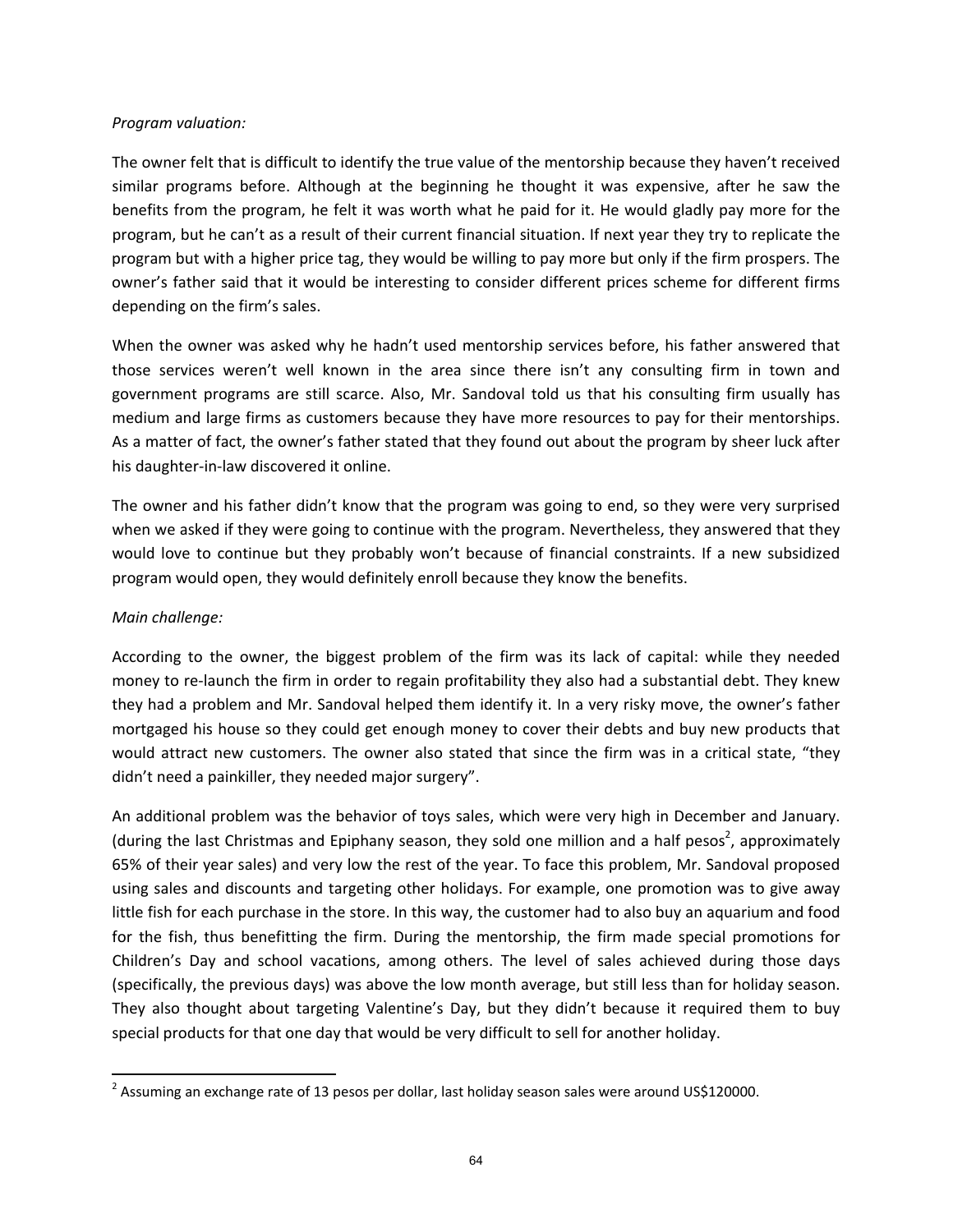#### *Program valuation:*

The owner felt that is difficult to identify the true value of the mentorship because they haven't received similar programs before. Although at the beginning he thought it was expensive, after he saw the benefits from the program, he felt it was worth what he paid for it. He would gladly pay more for the program, but he can't as a result of their current financial situation. If next year they try to replicate the program but with a higher price tag, they would be willing to pay more but only if the firm prospers. The owner's father said that it would be interesting to consider different prices scheme for different firms depending on the firm's sales.

When the owner was asked why he hadn't used mentorship services before, his father answered that those services weren't well known in the area since there isn't any consulting firm in town and government programs are still scarce. Also, Mr. Sandoval told us that his consulting firm usually has medium and large firms as customers because they have more resources to pay for their mentorships. As a matter of fact, the owner's father stated that they found out about the program by sheer luck after his daughter‐in‐law discovered it online.

The owner and his father didn't know that the program was going to end, so they were very surprised when we asked if they were going to continue with the program. Nevertheless, they answered that they would love to continue but they probably won't because of financial constraints. If a new subsidized program would open, they would definitely enroll because they know the benefits.

## *Main challenge:*

According to the owner, the biggest problem of the firm was its lack of capital: while they needed money to re-launch the firm in order to regain profitability they also had a substantial debt. They knew they had a problem and Mr. Sandoval helped them identify it. In a very risky move, the owner's father mortgaged his house so they could get enough money to cover their debts and buy new products that would attract new customers. The owner also stated that since the firm was in a critical state, "they didn't need a painkiller, they needed major surgery".

An additional problem was the behavior of toys sales, which were very high in December and January. (during the last Christmas and Epiphany season, they sold one million and a half pesos<sup>2</sup>, approximately 65% of their year sales) and very low the rest of the year. To face this problem, Mr. Sandoval proposed using sales and discounts and targeting other holidays. For example, one promotion was to give away little fish for each purchase in the store. In this way, the customer had to also buy an aquarium and food for the fish, thus benefitting the firm. During the mentorship, the firm made special promotions for Children's Day and school vacations, among others. The level of sales achieved during those days (specifically, the previous days) was above the low month average, but still less than for holiday season. They also thought about targeting Valentine's Day, but they didn't because it required them to buy special products for that one day that would be very difficult to sell for another holiday.

  $<sup>2</sup>$  Assuming an exchange rate of 13 pesos per dollar, last holiday season sales were around US\$120000.</sup>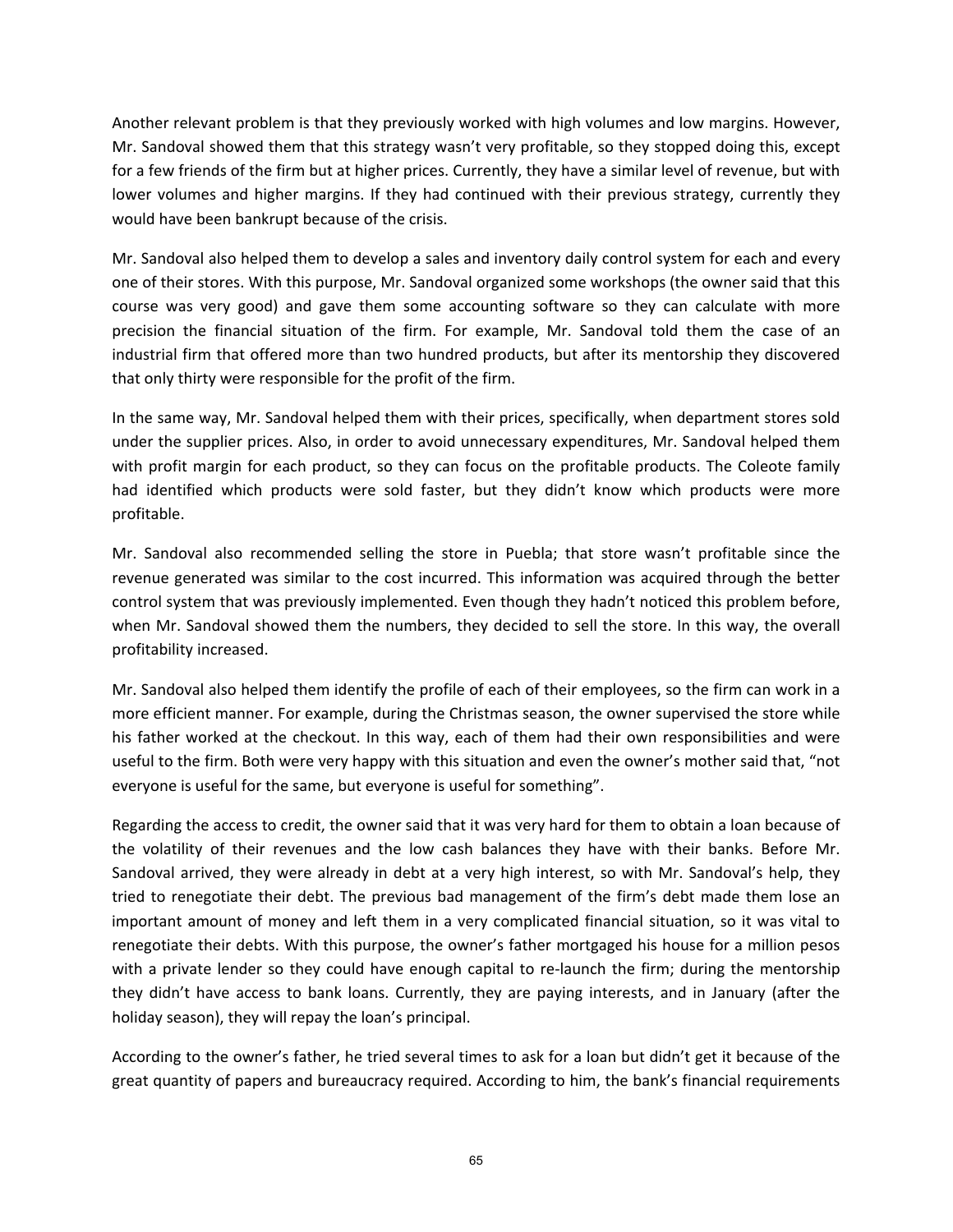Another relevant problem is that they previously worked with high volumes and low margins. However, Mr. Sandoval showed them that this strategy wasn't very profitable, so they stopped doing this, except for a few friends of the firm but at higher prices. Currently, they have a similar level of revenue, but with lower volumes and higher margins. If they had continued with their previous strategy, currently they would have been bankrupt because of the crisis.

Mr. Sandoval also helped them to develop a sales and inventory daily control system for each and every one of their stores. With this purpose, Mr. Sandoval organized some workshops (the owner said that this course was very good) and gave them some accounting software so they can calculate with more precision the financial situation of the firm. For example, Mr. Sandoval told them the case of an industrial firm that offered more than two hundred products, but after its mentorship they discovered that only thirty were responsible for the profit of the firm.

In the same way, Mr. Sandoval helped them with their prices, specifically, when department stores sold under the supplier prices. Also, in order to avoid unnecessary expenditures, Mr. Sandoval helped them with profit margin for each product, so they can focus on the profitable products. The Coleote family had identified which products were sold faster, but they didn't know which products were more profitable.

Mr. Sandoval also recommended selling the store in Puebla; that store wasn't profitable since the revenue generated was similar to the cost incurred. This information was acquired through the better control system that was previously implemented. Even though they hadn't noticed this problem before, when Mr. Sandoval showed them the numbers, they decided to sell the store. In this way, the overall profitability increased.

Mr. Sandoval also helped them identify the profile of each of their employees, so the firm can work in a more efficient manner. For example, during the Christmas season, the owner supervised the store while his father worked at the checkout. In this way, each of them had their own responsibilities and were useful to the firm. Both were very happy with this situation and even the owner's mother said that, "not everyone is useful for the same, but everyone is useful for something".

Regarding the access to credit, the owner said that it was very hard for them to obtain a loan because of the volatility of their revenues and the low cash balances they have with their banks. Before Mr. Sandoval arrived, they were already in debt at a very high interest, so with Mr. Sandoval's help, they tried to renegotiate their debt. The previous bad management of the firm's debt made them lose an important amount of money and left them in a very complicated financial situation, so it was vital to renegotiate their debts. With this purpose, the owner's father mortgaged his house for a million pesos with a private lender so they could have enough capital to re-launch the firm; during the mentorship they didn't have access to bank loans. Currently, they are paying interests, and in January (after the holiday season), they will repay the loan's principal.

According to the owner's father, he tried several times to ask for a loan but didn't get it because of the great quantity of papers and bureaucracy required. According to him, the bank's financial requirements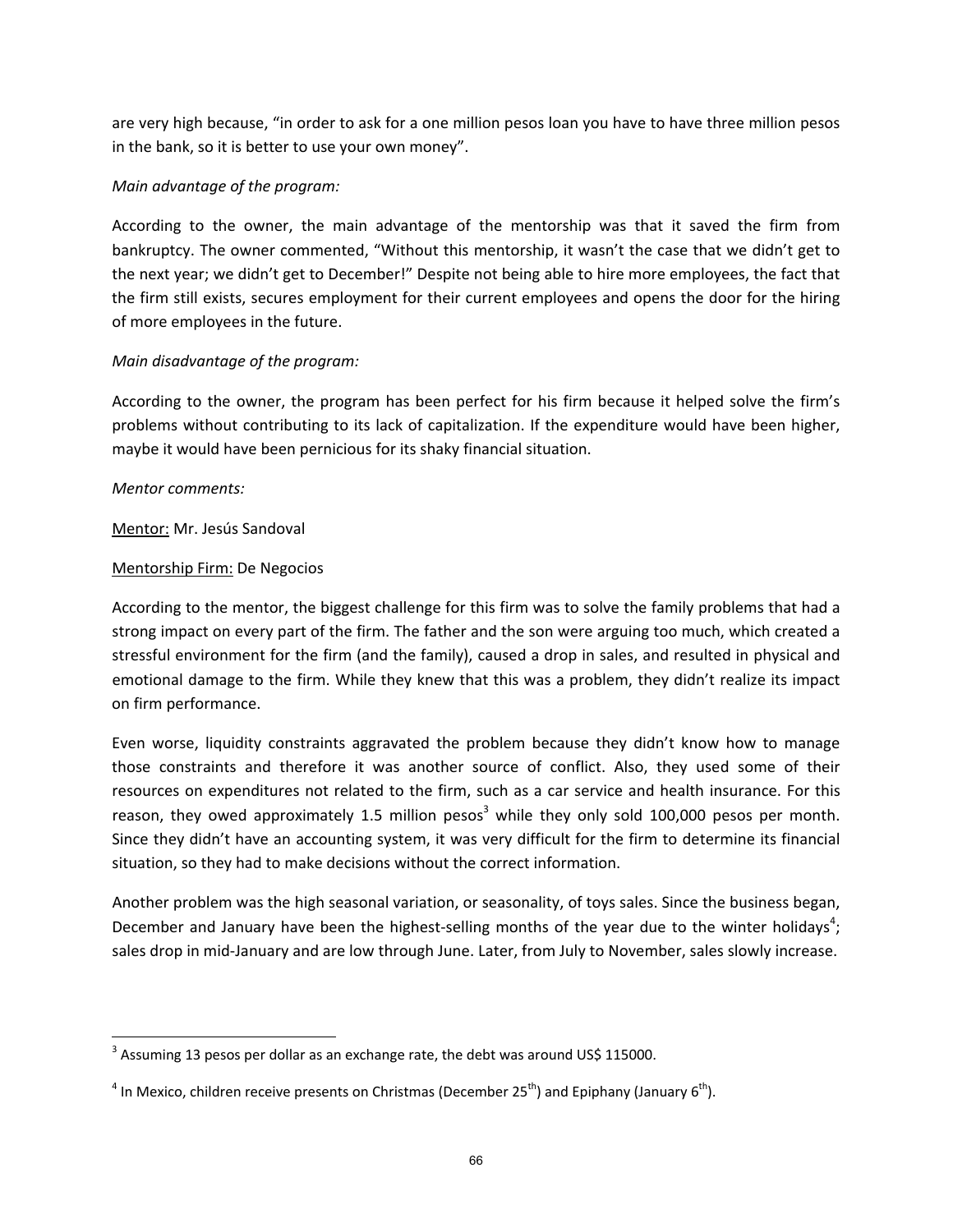are very high because, "in order to ask for a one million pesos loan you have to have three million pesos in the bank, so it is better to use your own money".

# *Main advantage of the program:*

According to the owner, the main advantage of the mentorship was that it saved the firm from bankruptcy. The owner commented, "Without this mentorship, it wasn't the case that we didn't get to the next year; we didn't get to December!" Despite not being able to hire more employees, the fact that the firm still exists, secures employment for their current employees and opens the door for the hiring of more employees in the future.

# *Main disadvantage of the program:*

According to the owner, the program has been perfect for his firm because it helped solve the firm's problems without contributing to its lack of capitalization. If the expenditure would have been higher, maybe it would have been pernicious for its shaky financial situation.

## *Mentor comments:*

# Mentor: Mr. Jesús Sandoval

# Mentorship Firm: De Negocios

According to the mentor, the biggest challenge for this firm was to solve the family problems that had a strong impact on every part of the firm. The father and the son were arguing too much, which created a stressful environment for the firm (and the family), caused a drop in sales, and resulted in physical and emotional damage to the firm. While they knew that this was a problem, they didn't realize its impact on firm performance.

Even worse, liquidity constraints aggravated the problem because they didn't know how to manage those constraints and therefore it was another source of conflict. Also, they used some of their resources on expenditures not related to the firm, such as a car service and health insurance. For this reason, they owed approximately 1.5 million pesos<sup>3</sup> while they only sold 100,000 pesos per month. Since they didn't have an accounting system, it was very difficult for the firm to determine its financial situation, so they had to make decisions without the correct information.

Another problem was the high seasonal variation, or seasonality, of toys sales. Since the business began, December and January have been the highest-selling months of the year due to the winter holidays<sup>4</sup>; sales drop in mid-January and are low through June. Later, from July to November, sales slowly increase.

  $^3$  Assuming 13 pesos per dollar as an exchange rate, the debt was around US\$ 115000.

<sup>&</sup>lt;sup>4</sup> In Mexico, children receive presents on Christmas (December 25<sup>th</sup>) and Epiphany (January 6<sup>th</sup>).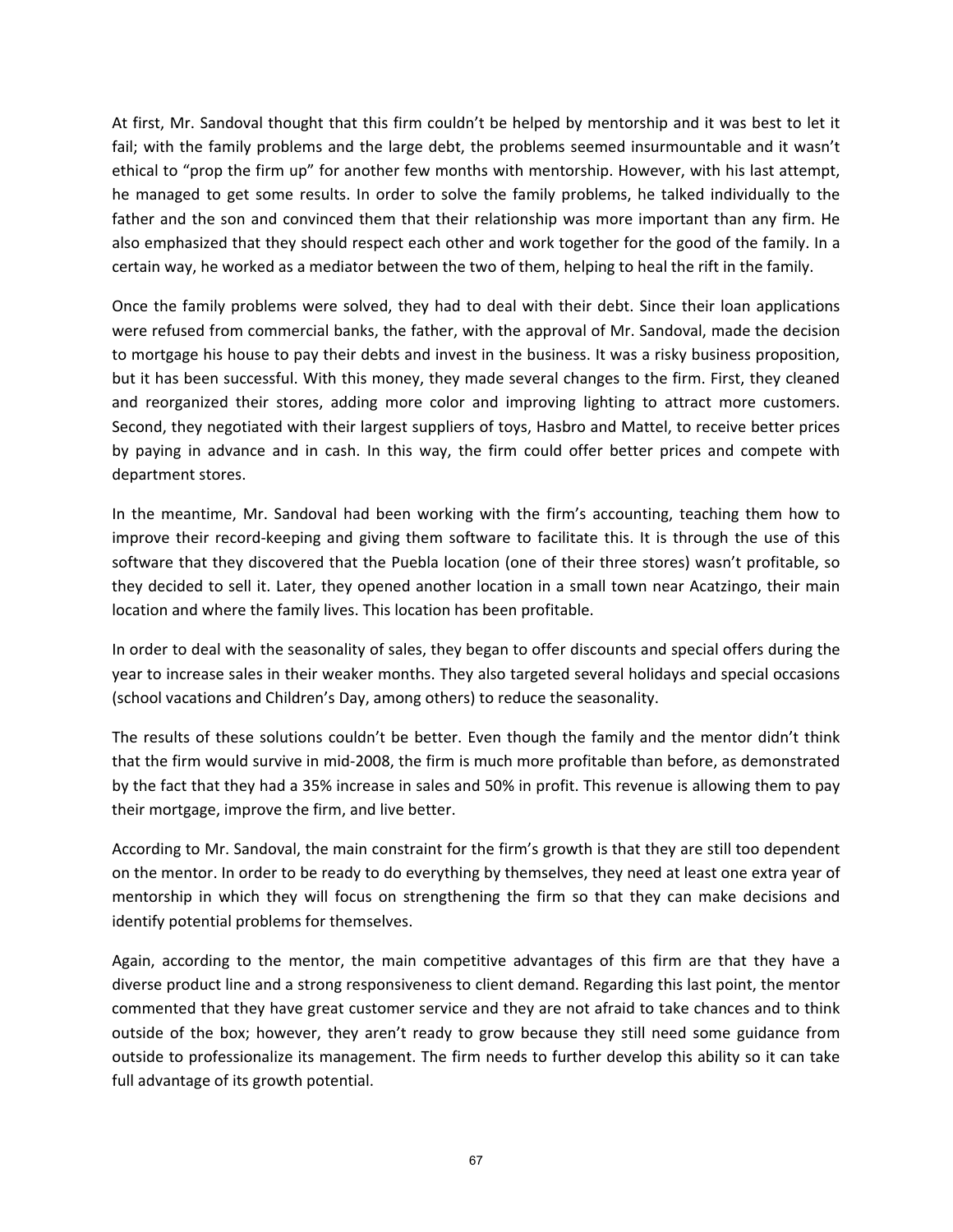At first, Mr. Sandoval thought that this firm couldn't be helped by mentorship and it was best to let it fail; with the family problems and the large debt, the problems seemed insurmountable and it wasn't ethical to "prop the firm up" for another few months with mentorship. However, with his last attempt, he managed to get some results. In order to solve the family problems, he talked individually to the father and the son and convinced them that their relationship was more important than any firm. He also emphasized that they should respect each other and work together for the good of the family. In a certain way, he worked as a mediator between the two of them, helping to heal the rift in the family.

Once the family problems were solved, they had to deal with their debt. Since their loan applications were refused from commercial banks, the father, with the approval of Mr. Sandoval, made the decision to mortgage his house to pay their debts and invest in the business. It was a risky business proposition, but it has been successful. With this money, they made several changes to the firm. First, they cleaned and reorganized their stores, adding more color and improving lighting to attract more customers. Second, they negotiated with their largest suppliers of toys, Hasbro and Mattel, to receive better prices by paying in advance and in cash. In this way, the firm could offer better prices and compete with department stores.

In the meantime, Mr. Sandoval had been working with the firm's accounting, teaching them how to improve their record-keeping and giving them software to facilitate this. It is through the use of this software that they discovered that the Puebla location (one of their three stores) wasn't profitable, so they decided to sell it. Later, they opened another location in a small town near Acatzingo, their main location and where the family lives. This location has been profitable.

In order to deal with the seasonality of sales, they began to offer discounts and special offers during the year to increase sales in their weaker months. They also targeted several holidays and special occasions (school vacations and Children's Day, among others) to reduce the seasonality.

The results of these solutions couldn't be better. Even though the family and the mentor didn't think that the firm would survive in mid‐2008, the firm is much more profitable than before, as demonstrated by the fact that they had a 35% increase in sales and 50% in profit. This revenue is allowing them to pay their mortgage, improve the firm, and live better.

According to Mr. Sandoval, the main constraint for the firm's growth is that they are still too dependent on the mentor. In order to be ready to do everything by themselves, they need at least one extra year of mentorship in which they will focus on strengthening the firm so that they can make decisions and identify potential problems for themselves.

Again, according to the mentor, the main competitive advantages of this firm are that they have a diverse product line and a strong responsiveness to client demand. Regarding this last point, the mentor commented that they have great customer service and they are not afraid to take chances and to think outside of the box; however, they aren't ready to grow because they still need some guidance from outside to professionalize its management. The firm needs to further develop this ability so it can take full advantage of its growth potential.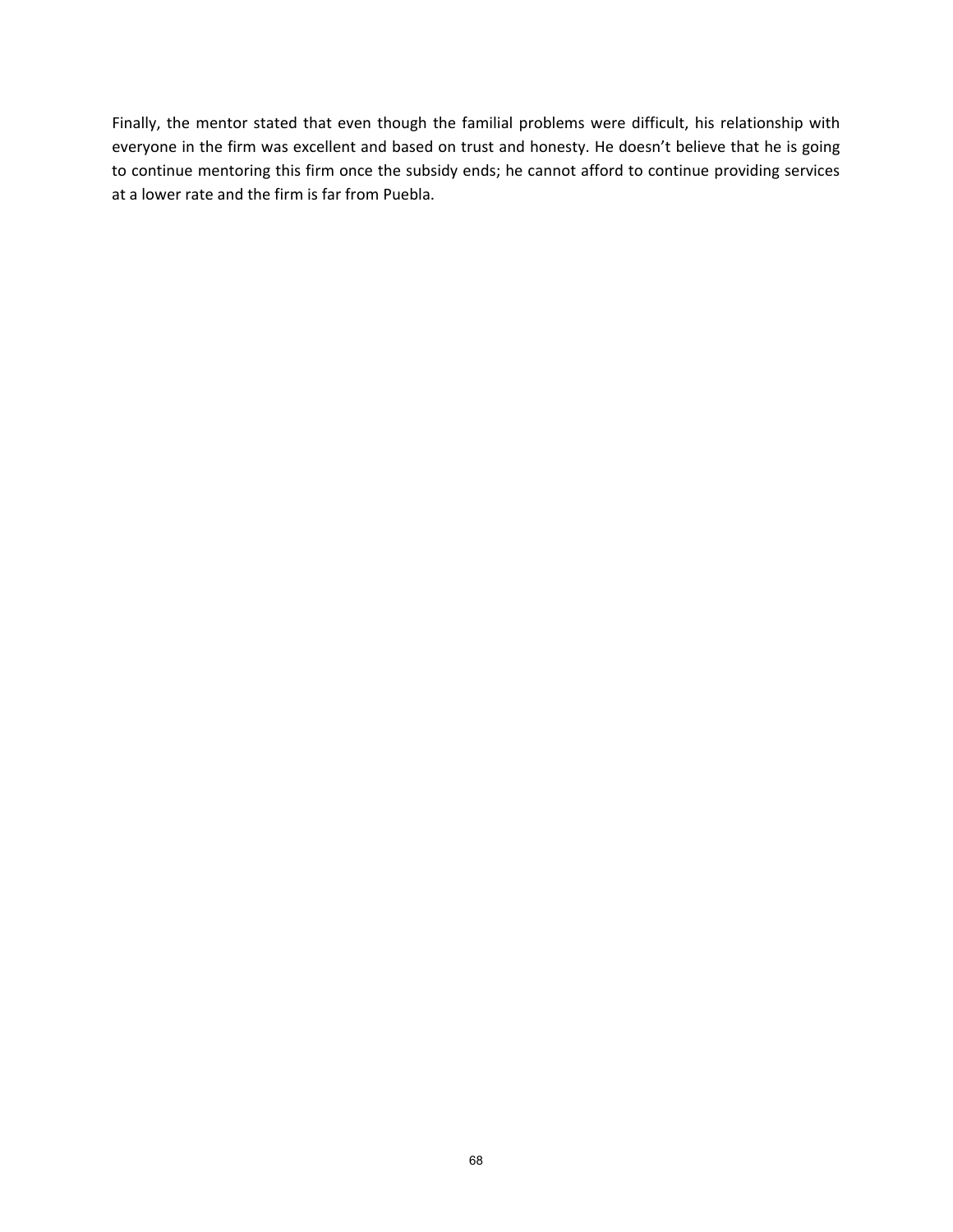Finally, the mentor stated that even though the familial problems were difficult, his relationship with everyone in the firm was excellent and based on trust and honesty. He doesn't believe that he is going to continue mentoring this firm once the subsidy ends; he cannot afford to continue providing services at a lower rate and the firm is far from Puebla.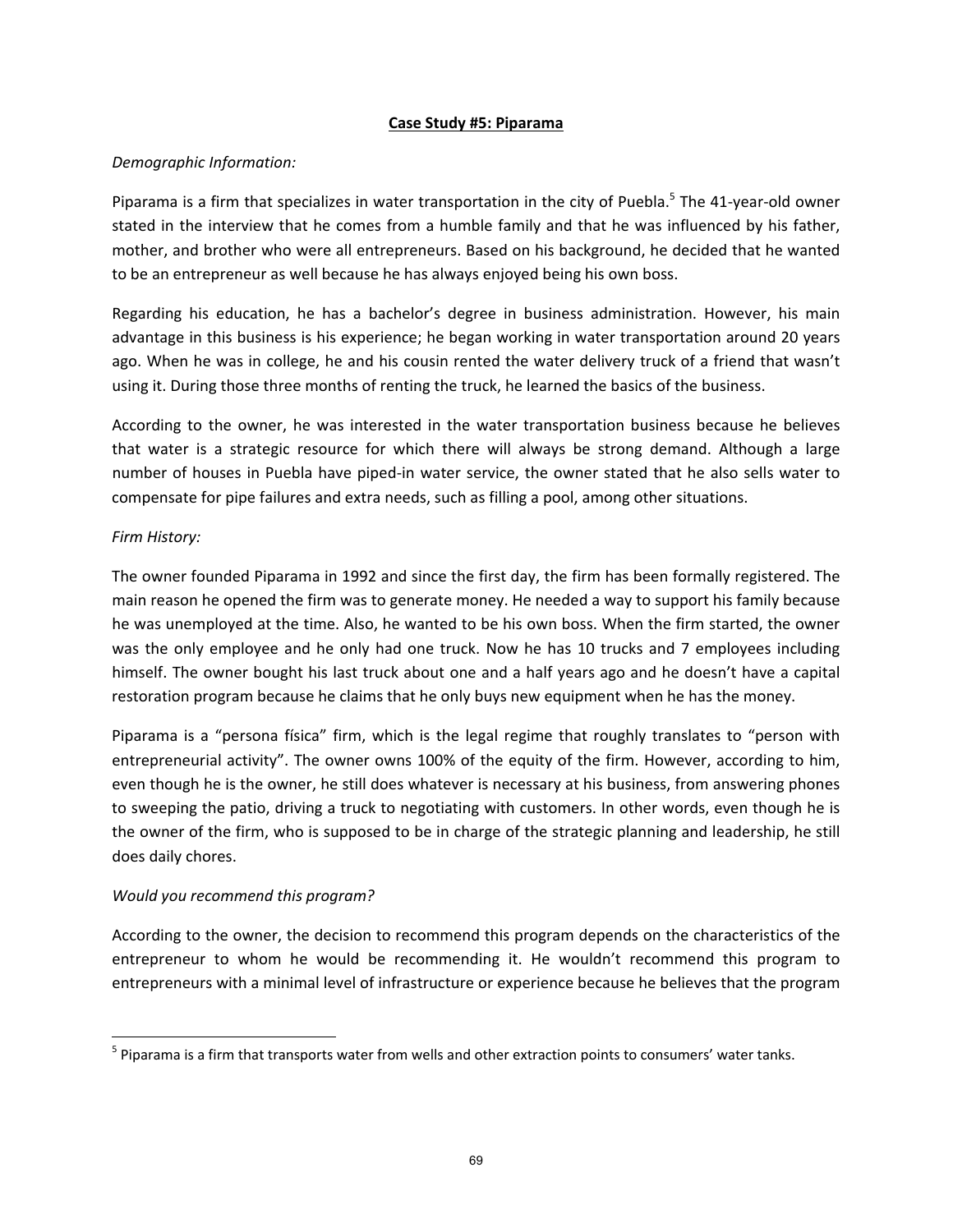## **Case Study #5: Piparama**

## *Demographic Information:*

Piparama is a firm that specializes in water transportation in the city of Puebla.<sup>5</sup> The 41-year-old owner stated in the interview that he comes from a humble family and that he was influenced by his father, mother, and brother who were all entrepreneurs. Based on his background, he decided that he wanted to be an entrepreneur as well because he has always enjoyed being his own boss.

Regarding his education, he has a bachelor's degree in business administration. However, his main advantage in this business is his experience; he began working in water transportation around 20 years ago. When he was in college, he and his cousin rented the water delivery truck of a friend that wasn't using it. During those three months of renting the truck, he learned the basics of the business.

According to the owner, he was interested in the water transportation business because he believes that water is a strategic resource for which there will always be strong demand. Although a large number of houses in Puebla have piped‐in water service, the owner stated that he also sells water to compensate for pipe failures and extra needs, such as filling a pool, among other situations.

# *Firm History:*

The owner founded Piparama in 1992 and since the first day, the firm has been formally registered. The main reason he opened the firm was to generate money. He needed a way to support his family because he was unemployed at the time. Also, he wanted to be his own boss. When the firm started, the owner was the only employee and he only had one truck. Now he has 10 trucks and 7 employees including himself. The owner bought his last truck about one and a half years ago and he doesn't have a capital restoration program because he claims that he only buys new equipment when he has the money.

Piparama is a "persona física" firm, which is the legal regime that roughly translates to "person with entrepreneurial activity". The owner owns 100% of the equity of the firm. However, according to him, even though he is the owner, he still does whatever is necessary at his business, from answering phones to sweeping the patio, driving a truck to negotiating with customers. In other words, even though he is the owner of the firm, who is supposed to be in charge of the strategic planning and leadership, he still does daily chores.

## *Would you recommend this program?*

According to the owner, the decision to recommend this program depends on the characteristics of the entrepreneur to whom he would be recommending it. He wouldn't recommend this program to entrepreneurs with a minimal level of infrastructure or experience because he believes that the program

 $<sup>5</sup>$  Piparama is a firm that transports water from wells and other extraction points to consumers' water tanks.</sup>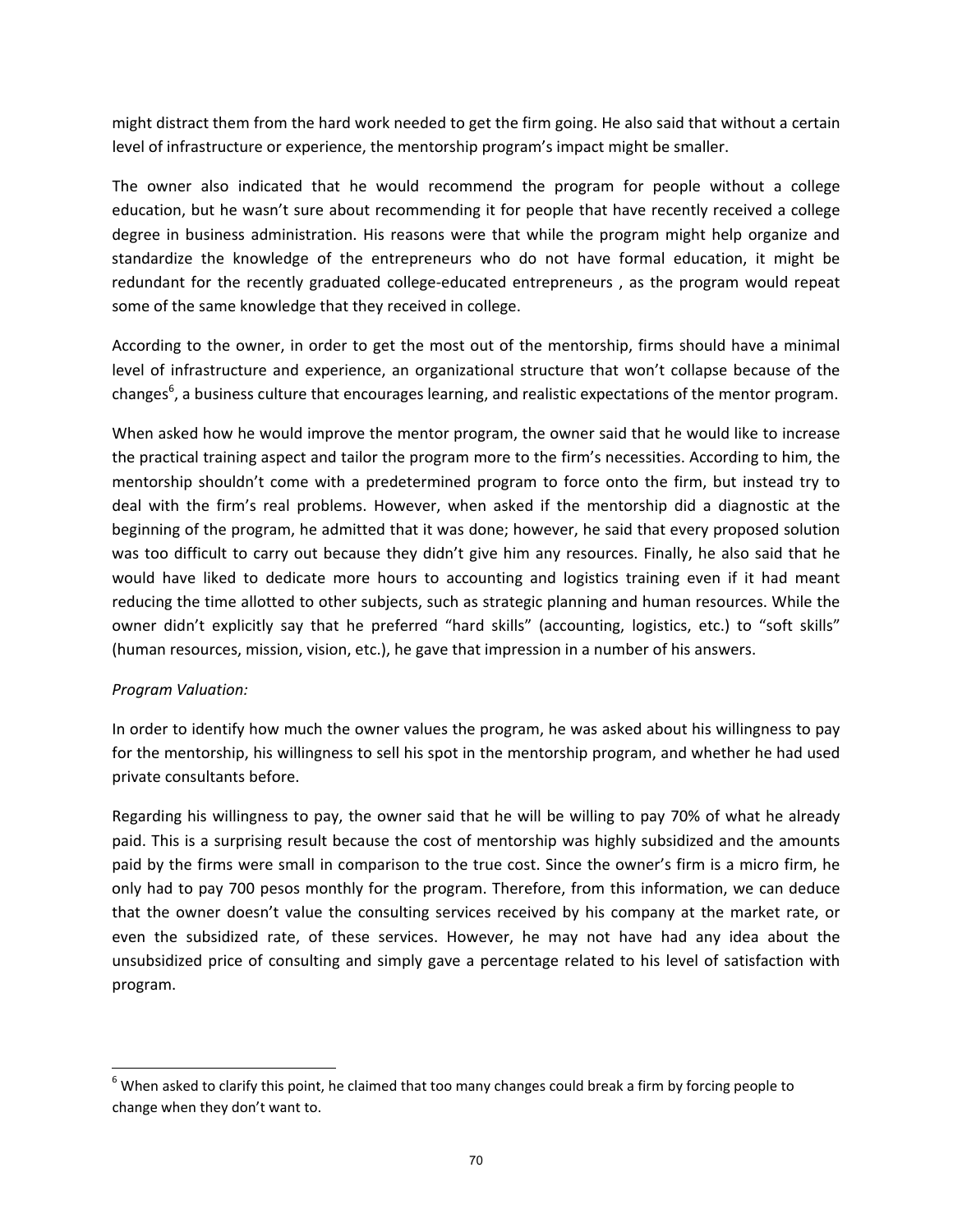might distract them from the hard work needed to get the firm going. He also said that without a certain level of infrastructure or experience, the mentorship program's impact might be smaller.

The owner also indicated that he would recommend the program for people without a college education, but he wasn't sure about recommending it for people that have recently received a college degree in business administration. His reasons were that while the program might help organize and standardize the knowledge of the entrepreneurs who do not have formal education, it might be redundant for the recently graduated college-educated entrepreneurs, as the program would repeat some of the same knowledge that they received in college.

According to the owner, in order to get the most out of the mentorship, firms should have a minimal level of infrastructure and experience, an organizational structure that won't collapse because of the changes<sup>6</sup>, a business culture that encourages learning, and realistic expectations of the mentor program.

When asked how he would improve the mentor program, the owner said that he would like to increase the practical training aspect and tailor the program more to the firm's necessities. According to him, the mentorship shouldn't come with a predetermined program to force onto the firm, but instead try to deal with the firm's real problems. However, when asked if the mentorship did a diagnostic at the beginning of the program, he admitted that it was done; however, he said that every proposed solution was too difficult to carry out because they didn't give him any resources. Finally, he also said that he would have liked to dedicate more hours to accounting and logistics training even if it had meant reducing the time allotted to other subjects, such as strategic planning and human resources. While the owner didn't explicitly say that he preferred "hard skills" (accounting, logistics, etc.) to "soft skills" (human resources, mission, vision, etc.), he gave that impression in a number of his answers.

## *Program Valuation:*

In order to identify how much the owner values the program, he was asked about his willingness to pay for the mentorship, his willingness to sell his spot in the mentorship program, and whether he had used private consultants before.

Regarding his willingness to pay, the owner said that he will be willing to pay 70% of what he already paid. This is a surprising result because the cost of mentorship was highly subsidized and the amounts paid by the firms were small in comparison to the true cost. Since the owner's firm is a micro firm, he only had to pay 700 pesos monthly for the program. Therefore, from this information, we can deduce that the owner doesn't value the consulting services received by his company at the market rate, or even the subsidized rate, of these services. However, he may not have had any idea about the unsubsidized price of consulting and simply gave a percentage related to his level of satisfaction with program.

 $6$  When asked to clarify this point, he claimed that too many changes could break a firm by forcing people to change when they don't want to.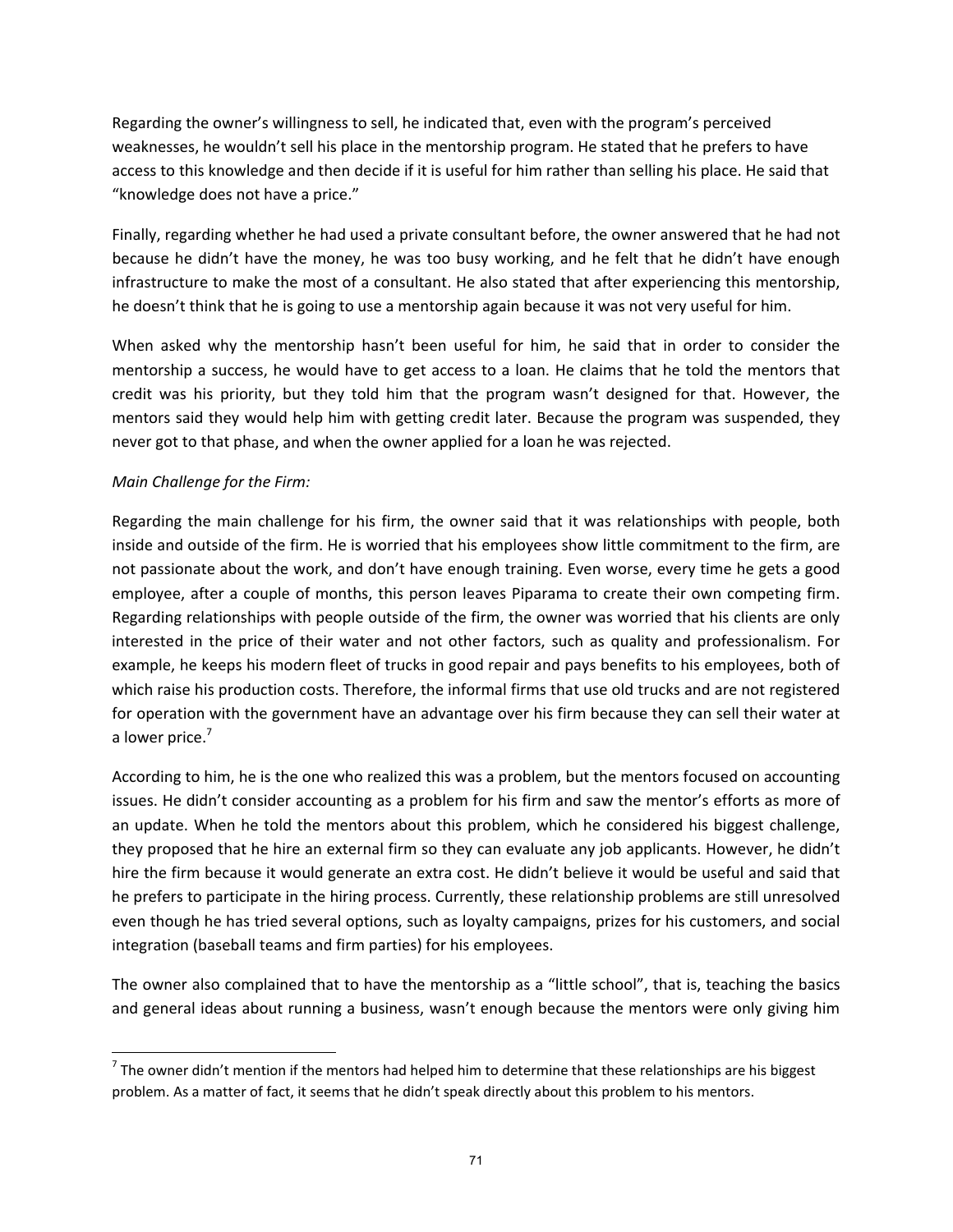Regarding the owner's willingness to sell, he indicated that, even with the program's perceived weaknesses, he wouldn't sell his place in the mentorship program. He stated that he prefers to have access to this knowledge and then decide if it is useful for him rather than selling his place. He said that "knowledge does not have a price."

Finally, regarding whether he had used a private consultant before, the owner answered that he had not because he didn't have the money, he was too busy working, and he felt that he didn't have enough infrastructure to make the most of a consultant. He also stated that after experiencing this mentorship, he doesn't think that he is going to use a mentorship again because it was not very useful for him.

When asked why the mentorship hasn't been useful for him, he said that in order to consider the mentorship a success, he would have to get access to a loan. He claims that he told the mentors that credit was his priority, but they told him that the program wasn't designed for that. However, the mentors said they would help him with getting credit later. Because the program was suspended, they never got to that phase, and when the owner applied for a loan he was rejected.

# *Main Challenge for the Firm:*

Regarding the main challenge for his firm, the owner said that it was relationships with people, both inside and outside of the firm. He is worried that his employees show little commitment to the firm, are not passionate about the work, and don't have enough training. Even worse, every time he gets a good employee, after a couple of months, this person leaves Piparama to create their own competing firm. Regarding relationships with people outside of the firm, the owner was worried that his clients are only interested in the price of their water and not other factors, such as quality and professionalism. For example, he keeps his modern fleet of trucks in good repair and pays benefits to his employees, both of which raise his production costs. Therefore, the informal firms that use old trucks and are not registered for operation with the government have an advantage over his firm because they can sell their water at a lower price.<sup>7</sup>

According to him, he is the one who realized this was a problem, but the mentors focused on accounting issues. He didn't consider accounting as a problem for his firm and saw the mentor's efforts as more of an update. When he told the mentors about this problem, which he considered his biggest challenge, they proposed that he hire an external firm so they can evaluate any job applicants. However, he didn't hire the firm because it would generate an extra cost. He didn't believe it would be useful and said that he prefers to participate in the hiring process. Currently, these relationship problems are still unresolved even though he has tried several options, such as loyalty campaigns, prizes for his customers, and social integration (baseball teams and firm parties) for his employees.

The owner also complained that to have the mentorship as a "little school", that is, teaching the basics and general ideas about running a business, wasn't enough because the mentors were only giving him

 $<sup>7</sup>$  The owner didn't mention if the mentors had helped him to determine that these relationships are his biggest</sup> problem. As a matter of fact, it seems that he didn't speak directly about this problem to his mentors.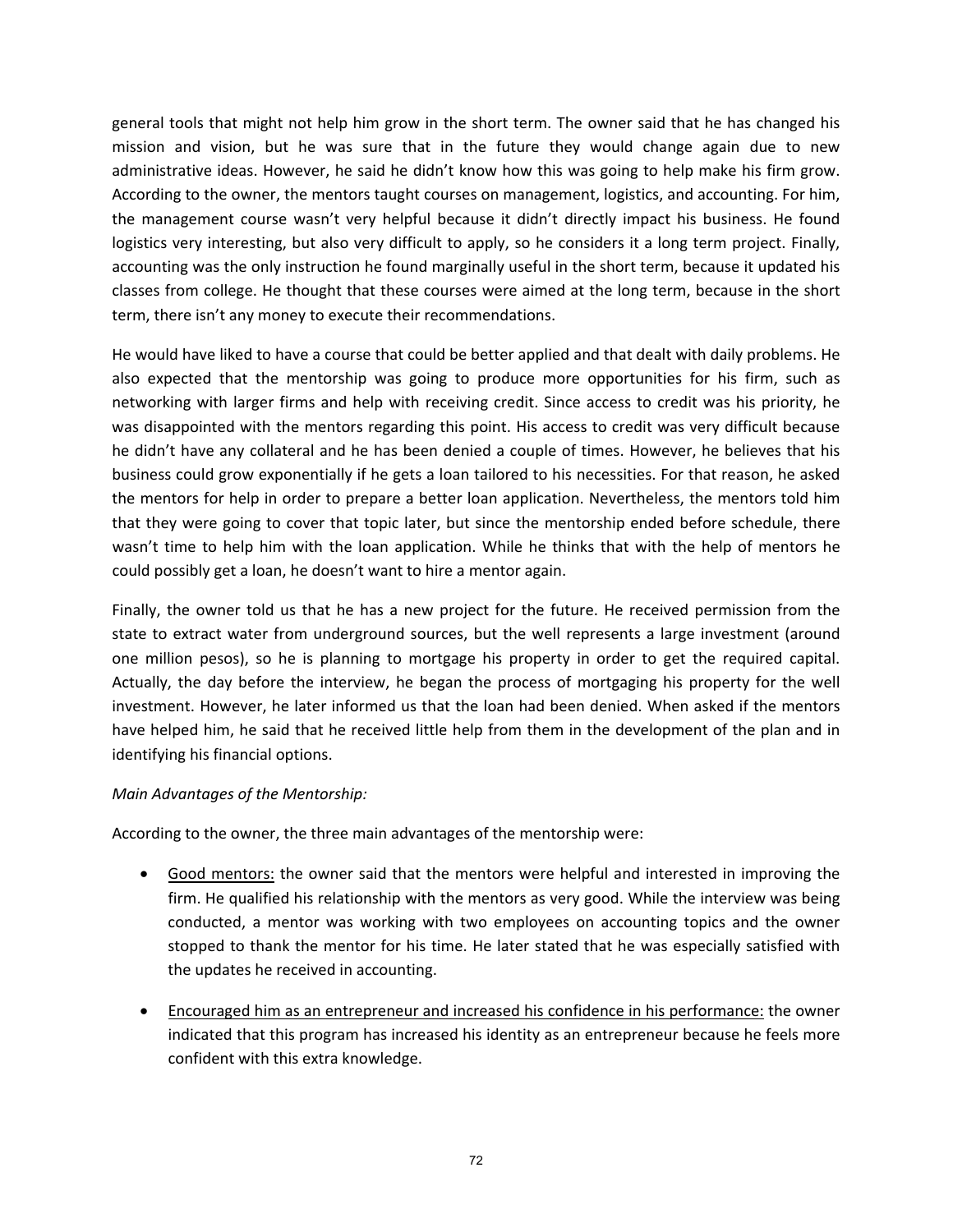general tools that might not help him grow in the short term. The owner said that he has changed his mission and vision, but he was sure that in the future they would change again due to new administrative ideas. However, he said he didn't know how this was going to help make his firm grow. According to the owner, the mentors taught courses on management, logistics, and accounting. For him, the management course wasn't very helpful because it didn't directly impact his business. He found logistics very interesting, but also very difficult to apply, so he considers it a long term project. Finally, accounting was the only instruction he found marginally useful in the short term, because it updated his classes from college. He thought that these courses were aimed at the long term, because in the short term, there isn't any money to execute their recommendations.

He would have liked to have a course that could be better applied and that dealt with daily problems. He also expected that the mentorship was going to produce more opportunities for his firm, such as networking with larger firms and help with receiving credit. Since access to credit was his priority, he was disappointed with the mentors regarding this point. His access to credit was very difficult because he didn't have any collateral and he has been denied a couple of times. However, he believes that his business could grow exponentially if he gets a loan tailored to his necessities. For that reason, he asked the mentors for help in order to prepare a better loan application. Nevertheless, the mentors told him that they were going to cover that topic later, but since the mentorship ended before schedule, there wasn't time to help him with the loan application. While he thinks that with the help of mentors he could possibly get a loan, he doesn't want to hire a mentor again.

Finally, the owner told us that he has a new project for the future. He received permission from the state to extract water from underground sources, but the well represents a large investment (around one million pesos), so he is planning to mortgage his property in order to get the required capital. Actually, the day before the interview, he began the process of mortgaging his property for the well investment. However, he later informed us that the loan had been denied. When asked if the mentors have helped him, he said that he received little help from them in the development of the plan and in identifying his financial options.

## *Main Advantages of the Mentorship:*

According to the owner, the three main advantages of the mentorship were:

- Good mentors: the owner said that the mentors were helpful and interested in improving the firm. He qualified his relationship with the mentors as very good. While the interview was being conducted, a mentor was working with two employees on accounting topics and the owner stopped to thank the mentor for his time. He later stated that he was especially satisfied with the updates he received in accounting.
- Encouraged him as an entrepreneur and increased his confidence in his performance: the owner indicated that this program has increased his identity as an entrepreneur because he feels more confident with this extra knowledge.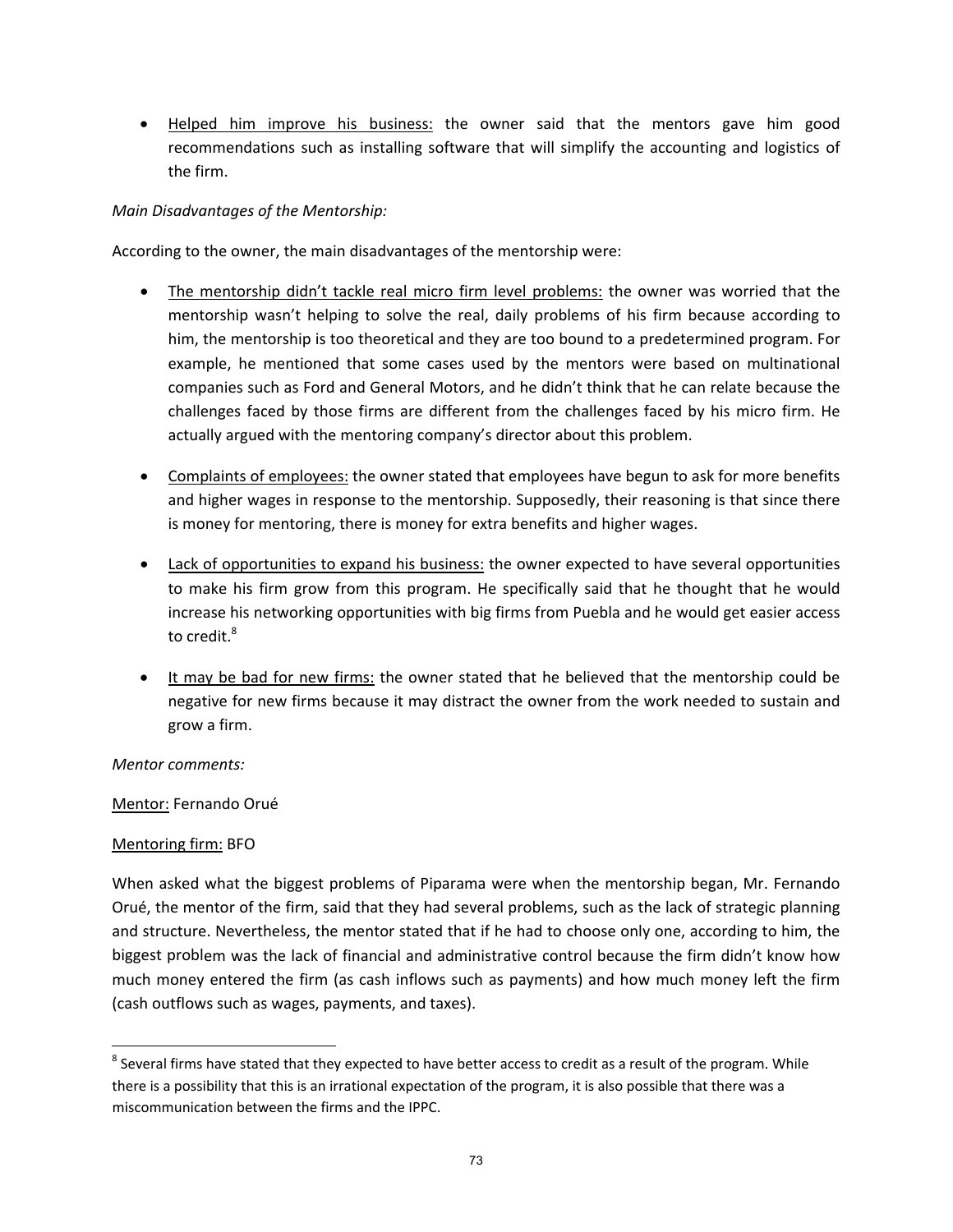Helped him improve his business: the owner said that the mentors gave him good recommendations such as installing software that will simplify the accounting and logistics of the firm.

## *Main Disadvantages of the Mentorship:*

According to the owner, the main disadvantages of the mentorship were:

- The mentorship didn't tackle real micro firm level problems: the owner was worried that the mentorship wasn't helping to solve the real, daily problems of his firm because according to him, the mentorship is too theoretical and they are too bound to a predetermined program. For example, he mentioned that some cases used by the mentors were based on multinational companies such as Ford and General Motors, and he didn't think that he can relate because the challenges faced by those firms are different from the challenges faced by his micro firm. He actually argued with the mentoring company's director about this problem.
- Complaints of employees: the owner stated that employees have begun to ask for more benefits and higher wages in response to the mentorship. Supposedly, their reasoning is that since there is money for mentoring, there is money for extra benefits and higher wages.
- Lack of opportunities to expand his business: the owner expected to have several opportunities to make his firm grow from this program. He specifically said that he thought that he would increase his networking opportunities with big firms from Puebla and he would get easier access to credit.<sup>8</sup>
- It may be bad for new firms: the owner stated that he believed that the mentorship could be negative for new firms because it may distract the owner from the work needed to sustain and grow a firm.

## *Mentor comments:*

## Mentor: Fernando Orué

## Mentoring firm: BFO

When asked what the biggest problems of Piparama were when the mentorship began, Mr. Fernando Orué, the mentor of the firm, said that they had several problems, such as the lack of strategic planning and structure. Nevertheless, the mentor stated that if he had to choose only one, according to him, the biggest problem was the lack of financial and administrative control because the firm didn't know how much money entered the firm (as cash inflows such as payments) and how much money left the firm (cash outflows such as wages, payments, and taxes).

  $^8$  Several firms have stated that they expected to have better access to credit as a result of the program. While there is a possibility that this is an irrational expectation of the program, it is also possible that there was a miscommunication between the firms and the IPPC.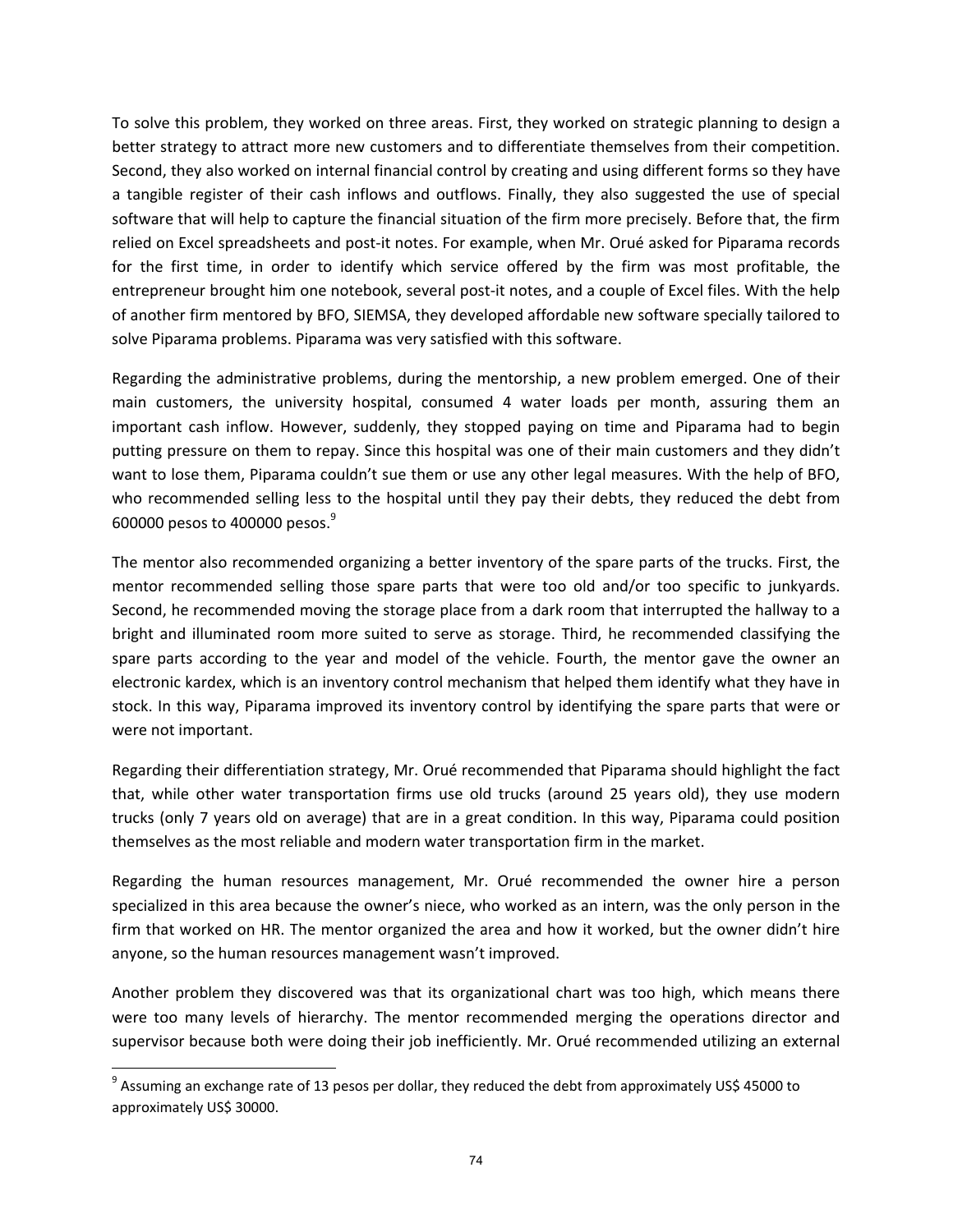To solve this problem, they worked on three areas. First, they worked on strategic planning to design a better strategy to attract more new customers and to differentiate themselves from their competition. Second, they also worked on internal financial control by creating and using different forms so they have a tangible register of their cash inflows and outflows. Finally, they also suggested the use of special software that will help to capture the financial situation of the firm more precisely. Before that, the firm relied on Excel spreadsheets and post-it notes. For example, when Mr. Orué asked for Piparama records for the first time, in order to identify which service offered by the firm was most profitable, the entrepreneur brought him one notebook, several post-it notes, and a couple of Excel files. With the help of another firm mentored by BFO, SIEMSA, they developed affordable new software specially tailored to solve Piparama problems. Piparama was very satisfied with this software.

Regarding the administrative problems, during the mentorship, a new problem emerged. One of their main customers, the university hospital, consumed 4 water loads per month, assuring them an important cash inflow. However, suddenly, they stopped paying on time and Piparama had to begin putting pressure on them to repay. Since this hospital was one of their main customers and they didn't want to lose them, Piparama couldn't sue them or use any other legal measures. With the help of BFO, who recommended selling less to the hospital until they pay their debts, they reduced the debt from 600000 pesos to 400000 pesos.<sup>9</sup>

The mentor also recommended organizing a better inventory of the spare parts of the trucks. First, the mentor recommended selling those spare parts that were too old and/or too specific to junkyards. Second, he recommended moving the storage place from a dark room that interrupted the hallway to a bright and illuminated room more suited to serve as storage. Third, he recommended classifying the spare parts according to the year and model of the vehicle. Fourth, the mentor gave the owner an electronic kardex, which is an inventory control mechanism that helped them identify what they have in stock. In this way, Piparama improved its inventory control by identifying the spare parts that were or were not important.

Regarding their differentiation strategy, Mr. Orué recommended that Piparama should highlight the fact that, while other water transportation firms use old trucks (around 25 years old), they use modern trucks (only 7 years old on average) that are in a great condition. In this way, Piparama could position themselves as the most reliable and modern water transportation firm in the market.

Regarding the human resources management, Mr. Orué recommended the owner hire a person specialized in this area because the owner's niece, who worked as an intern, was the only person in the firm that worked on HR. The mentor organized the area and how it worked, but the owner didn't hire anyone, so the human resources management wasn't improved.

Another problem they discovered was that its organizational chart was too high, which means there were too many levels of hierarchy. The mentor recommended merging the operations director and supervisor because both were doing their job inefficiently. Mr. Orué recommended utilizing an external

 $9$  Assuming an exchange rate of 13 pesos per dollar, they reduced the debt from approximately US\$ 45000 to approximately US\$ 30000.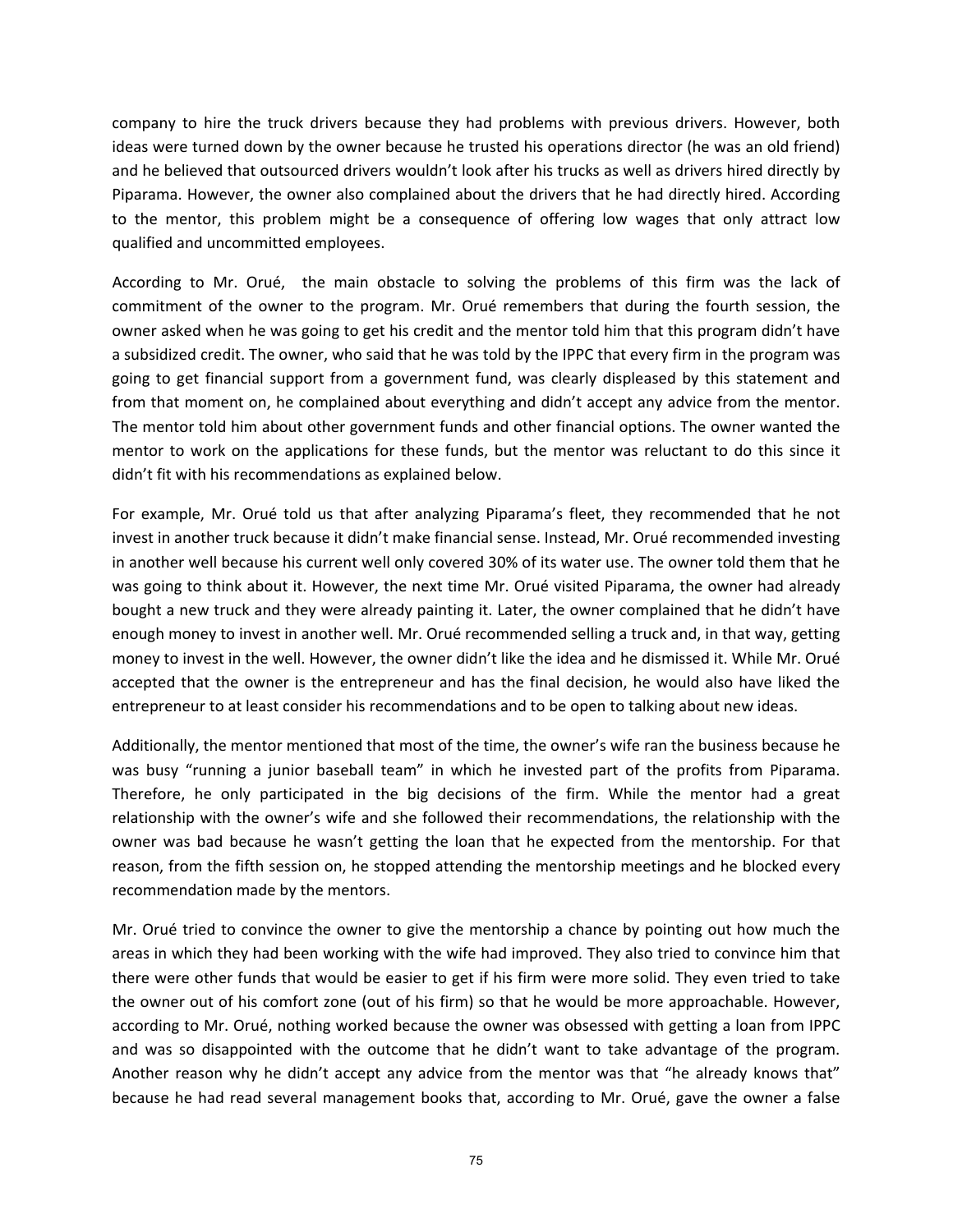company to hire the truck drivers because they had problems with previous drivers. However, both ideas were turned down by the owner because he trusted his operations director (he was an old friend) and he believed that outsourced drivers wouldn't look after his trucks as well as drivers hired directly by Piparama. However, the owner also complained about the drivers that he had directly hired. According to the mentor, this problem might be a consequence of offering low wages that only attract low qualified and uncommitted employees.

According to Mr. Orué, the main obstacle to solving the problems of this firm was the lack of commitment of the owner to the program. Mr. Orué remembers that during the fourth session, the owner asked when he was going to get his credit and the mentor told him that this program didn't have a subsidized credit. The owner, who said that he was told by the IPPC that every firm in the program was going to get financial support from a government fund, was clearly displeased by this statement and from that moment on, he complained about everything and didn't accept any advice from the mentor. The mentor told him about other government funds and other financial options. The owner wanted the mentor to work on the applications for these funds, but the mentor was reluctant to do this since it didn't fit with his recommendations as explained below.

For example, Mr. Orué told us that after analyzing Piparama's fleet, they recommended that he not invest in another truck because it didn't make financial sense. Instead, Mr. Orué recommended investing in another well because his current well only covered 30% of its water use. The owner told them that he was going to think about it. However, the next time Mr. Orué visited Piparama, the owner had already bought a new truck and they were already painting it. Later, the owner complained that he didn't have enough money to invest in another well. Mr. Orué recommended selling a truck and, in that way, getting money to invest in the well. However, the owner didn't like the idea and he dismissed it. While Mr. Orué accepted that the owner is the entrepreneur and has the final decision, he would also have liked the entrepreneur to at least consider his recommendations and to be open to talking about new ideas.

Additionally, the mentor mentioned that most of the time, the owner's wife ran the business because he was busy "running a junior baseball team" in which he invested part of the profits from Piparama. Therefore, he only participated in the big decisions of the firm. While the mentor had a great relationship with the owner's wife and she followed their recommendations, the relationship with the owner was bad because he wasn't getting the loan that he expected from the mentorship. For that reason, from the fifth session on, he stopped attending the mentorship meetings and he blocked every recommendation made by the mentors.

Mr. Orué tried to convince the owner to give the mentorship a chance by pointing out how much the areas in which they had been working with the wife had improved. They also tried to convince him that there were other funds that would be easier to get if his firm were more solid. They even tried to take the owner out of his comfort zone (out of his firm) so that he would be more approachable. However, according to Mr. Orué, nothing worked because the owner was obsessed with getting a loan from IPPC and was so disappointed with the outcome that he didn't want to take advantage of the program. Another reason why he didn't accept any advice from the mentor was that "he already knows that" because he had read several management books that, according to Mr. Orué, gave the owner a false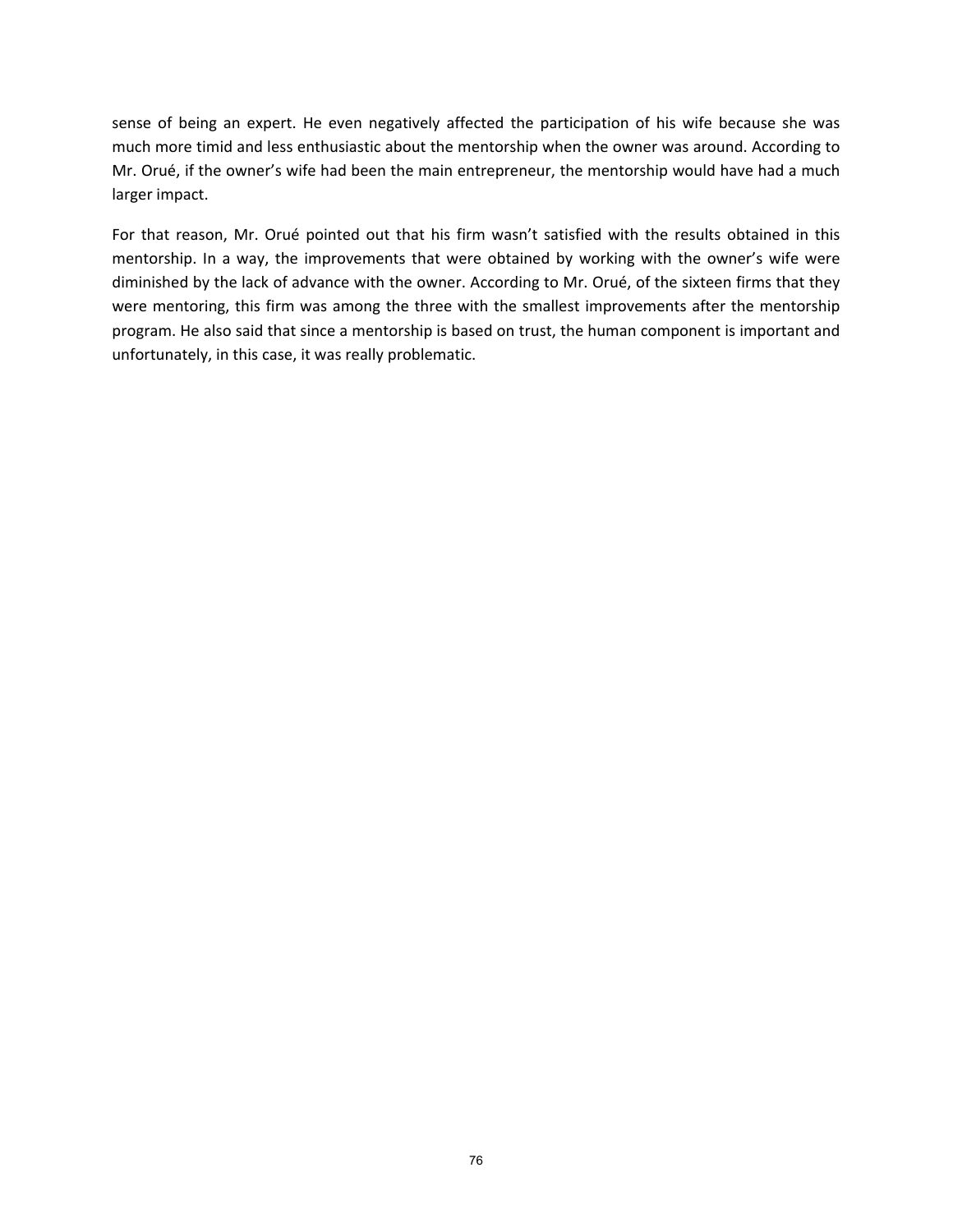sense of being an expert. He even negatively affected the participation of his wife because she was much more timid and less enthusiastic about the mentorship when the owner was around. According to Mr. Orué, if the owner's wife had been the main entrepreneur, the mentorship would have had a much larger impact.

For that reason, Mr. Orué pointed out that his firm wasn't satisfied with the results obtained in this mentorship. In a way, the improvements that were obtained by working with the owner's wife were diminished by the lack of advance with the owner. According to Mr. Orué, of the sixteen firms that they were mentoring, this firm was among the three with the smallest improvements after the mentorship program. He also said that since a mentorship is based on trust, the human component is important and unfortunately, in this case, it was really problematic.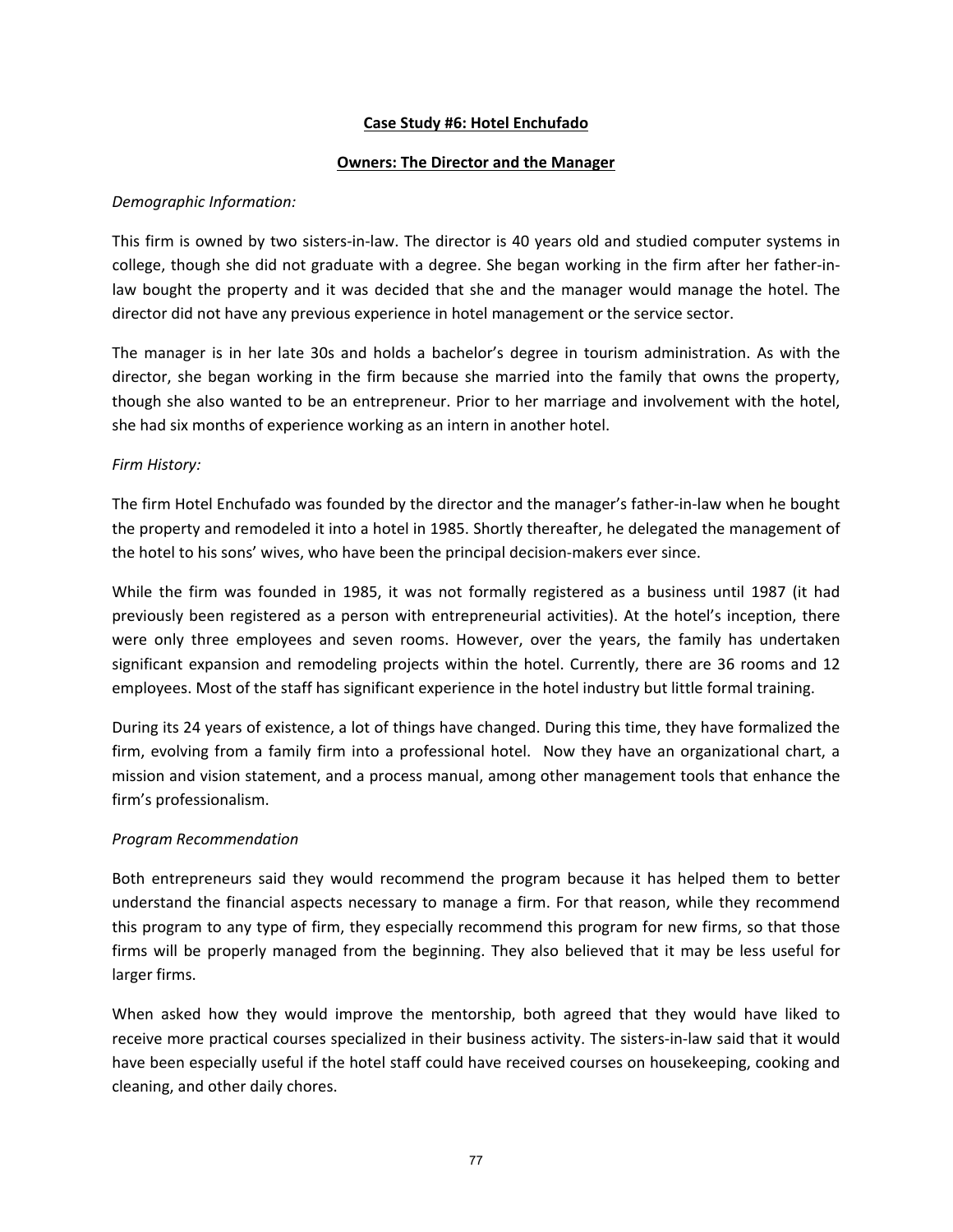## **Case Study #6: Hotel Enchufado**

## **Owners: The Director and the Manager**

## *Demographic Information:*

This firm is owned by two sisters‐in‐law. The director is 40 years old and studied computer systems in college, though she did not graduate with a degree. She began working in the firm after her father‐in‐ law bought the property and it was decided that she and the manager would manage the hotel. The director did not have any previous experience in hotel management or the service sector.

The manager is in her late 30s and holds a bachelor's degree in tourism administration. As with the director, she began working in the firm because she married into the family that owns the property, though she also wanted to be an entrepreneur. Prior to her marriage and involvement with the hotel, she had six months of experience working as an intern in another hotel.

## *Firm History:*

The firm Hotel Enchufado was founded by the director and the manager's father‐in‐law when he bought the property and remodeled it into a hotel in 1985. Shortly thereafter, he delegated the management of the hotel to his sons' wives, who have been the principal decision‐makers ever since.

While the firm was founded in 1985, it was not formally registered as a business until 1987 (it had previously been registered as a person with entrepreneurial activities). At the hotel's inception, there were only three employees and seven rooms. However, over the years, the family has undertaken significant expansion and remodeling projects within the hotel. Currently, there are 36 rooms and 12 employees. Most of the staff has significant experience in the hotel industry but little formal training.

During its 24 years of existence, a lot of things have changed. During this time, they have formalized the firm, evolving from a family firm into a professional hotel. Now they have an organizational chart, a mission and vision statement, and a process manual, among other management tools that enhance the firm's professionalism.

# *Program Recommendation*

Both entrepreneurs said they would recommend the program because it has helped them to better understand the financial aspects necessary to manage a firm. For that reason, while they recommend this program to any type of firm, they especially recommend this program for new firms, so that those firms will be properly managed from the beginning. They also believed that it may be less useful for larger firms.

When asked how they would improve the mentorship, both agreed that they would have liked to receive more practical courses specialized in their business activity. The sisters‐in‐law said that it would have been especially useful if the hotel staff could have received courses on housekeeping, cooking and cleaning, and other daily chores.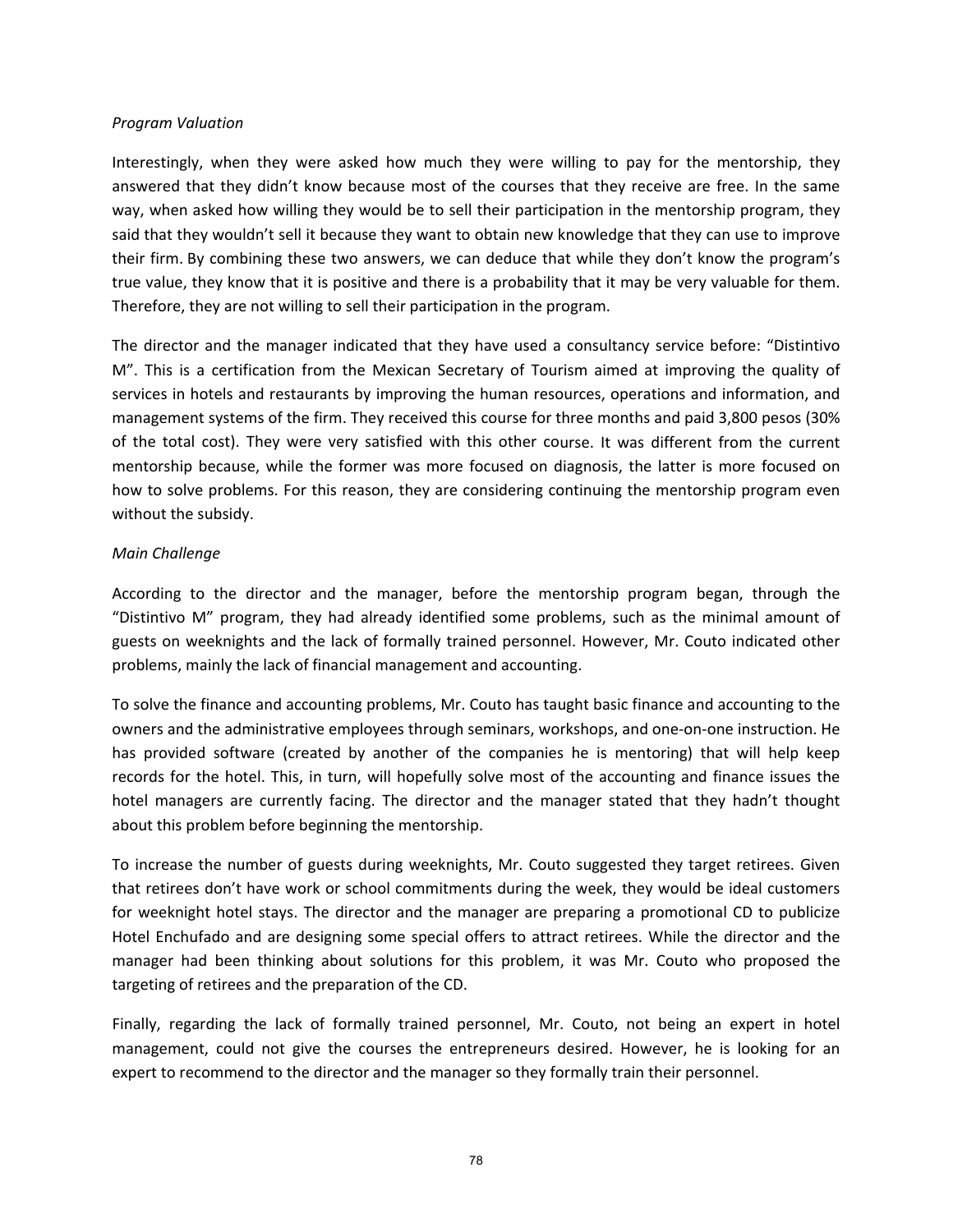#### *Program Valuation*

Interestingly, when they were asked how much they were willing to pay for the mentorship, they answered that they didn't know because most of the courses that they receive are free. In the same way, when asked how willing they would be to sell their participation in the mentorship program, they said that they wouldn't sell it because they want to obtain new knowledge that they can use to improve their firm. By combining these two answers, we can deduce that while they don't know the program's true value, they know that it is positive and there is a probability that it may be very valuable for them. Therefore, they are not willing to sell their participation in the program.

The director and the manager indicated that they have used a consultancy service before: "Distintivo M". This is a certification from the Mexican Secretary of Tourism aimed at improving the quality of services in hotels and restaurants by improving the human resources, operations and information, and management systems of the firm. They received this course for three months and paid 3,800 pesos (30% of the total cost). They were very satisfied with this other course. It was different from the current mentorship because, while the former was more focused on diagnosis, the latter is more focused on how to solve problems. For this reason, they are considering continuing the mentorship program even without the subsidy.

## *Main Challenge*

According to the director and the manager, before the mentorship program began, through the "Distintivo M" program, they had already identified some problems, such as the minimal amount of guests on weeknights and the lack of formally trained personnel. However, Mr. Couto indicated other problems, mainly the lack of financial management and accounting.

To solve the finance and accounting problems, Mr. Couto has taught basic finance and accounting to the owners and the administrative employees through seminars, workshops, and one‐on‐one instruction. He has provided software (created by another of the companies he is mentoring) that will help keep records for the hotel. This, in turn, will hopefully solve most of the accounting and finance issues the hotel managers are currently facing. The director and the manager stated that they hadn't thought about this problem before beginning the mentorship.

To increase the number of guests during weeknights, Mr. Couto suggested they target retirees. Given that retirees don't have work or school commitments during the week, they would be ideal customers for weeknight hotel stays. The director and the manager are preparing a promotional CD to publicize Hotel Enchufado and are designing some special offers to attract retirees. While the director and the manager had been thinking about solutions for this problem, it was Mr. Couto who proposed the targeting of retirees and the preparation of the CD.

Finally, regarding the lack of formally trained personnel, Mr. Couto, not being an expert in hotel management, could not give the courses the entrepreneurs desired. However, he is looking for an expert to recommend to the director and the manager so they formally train their personnel.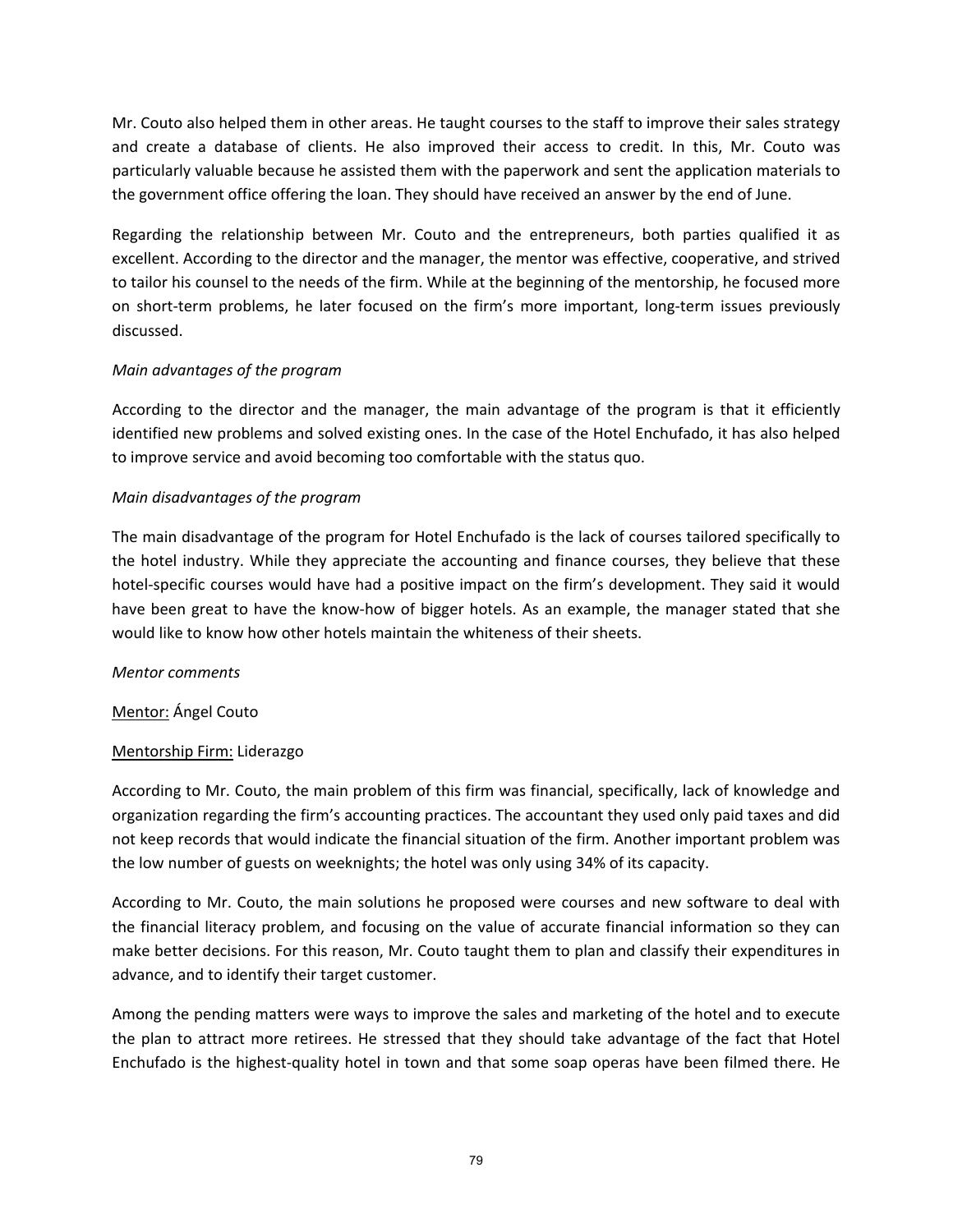Mr. Couto also helped them in other areas. He taught courses to the staff to improve their sales strategy and create a database of clients. He also improved their access to credit. In this, Mr. Couto was particularly valuable because he assisted them with the paperwork and sent the application materials to the government office offering the loan. They should have received an answer by the end of June.

Regarding the relationship between Mr. Couto and the entrepreneurs, both parties qualified it as excellent. According to the director and the manager, the mentor was effective, cooperative, and strived to tailor his counsel to the needs of the firm. While at the beginning of the mentorship, he focused more on short-term problems, he later focused on the firm's more important, long-term issues previously discussed.

## *Main advantages of the program*

According to the director and the manager, the main advantage of the program is that it efficiently identified new problems and solved existing ones. In the case of the Hotel Enchufado, it has also helped to improve service and avoid becoming too comfortable with the status quo.

# *Main disadvantages of the program*

The main disadvantage of the program for Hotel Enchufado is the lack of courses tailored specifically to the hotel industry. While they appreciate the accounting and finance courses, they believe that these hotel-specific courses would have had a positive impact on the firm's development. They said it would have been great to have the know-how of bigger hotels. As an example, the manager stated that she would like to know how other hotels maintain the whiteness of their sheets.

## *Mentor comments*

# Mentor: Ángel Couto

# Mentorship Firm: Liderazgo

According to Mr. Couto, the main problem of this firm was financial, specifically, lack of knowledge and organization regarding the firm's accounting practices. The accountant they used only paid taxes and did not keep records that would indicate the financial situation of the firm. Another important problem was the low number of guests on weeknights; the hotel was only using 34% of its capacity.

According to Mr. Couto, the main solutions he proposed were courses and new software to deal with the financial literacy problem, and focusing on the value of accurate financial information so they can make better decisions. For this reason, Mr. Couto taught them to plan and classify their expenditures in advance, and to identify their target customer.

Among the pending matters were ways to improve the sales and marketing of the hotel and to execute the plan to attract more retirees. He stressed that they should take advantage of the fact that Hotel Enchufado is the highest-quality hotel in town and that some soap operas have been filmed there. He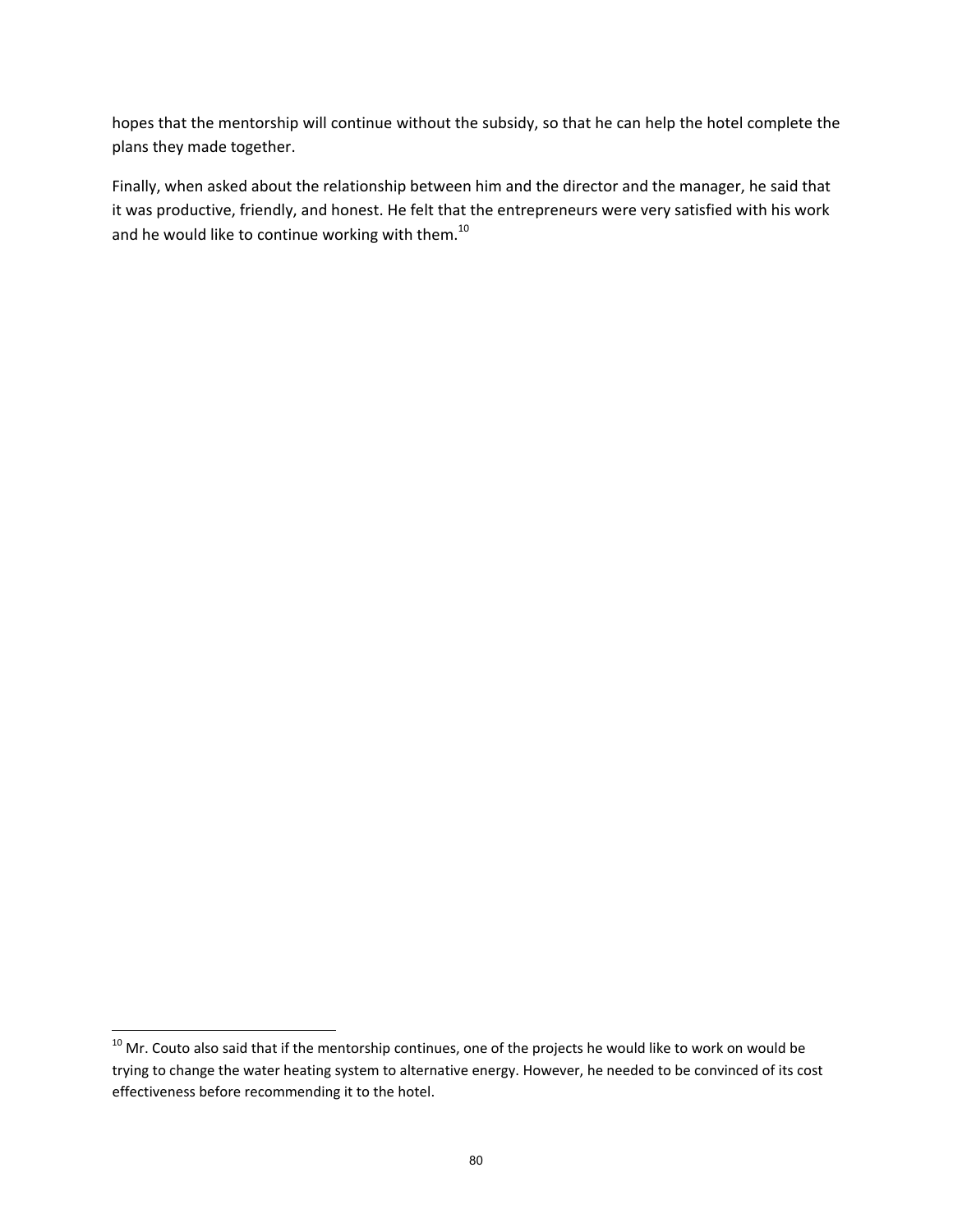hopes that the mentorship will continue without the subsidy, so that he can help the hotel complete the plans they made together.

Finally, when asked about the relationship between him and the director and the manager, he said that it was productive, friendly, and honest. He felt that the entrepreneurs were very satisfied with his work and he would like to continue working with them.<sup>10</sup>

 $^{10}$  Mr. Couto also said that if the mentorship continues, one of the projects he would like to work on would be trying to change the water heating system to alternative energy. However, he needed to be convinced of its cost effectiveness before recommending it to the hotel.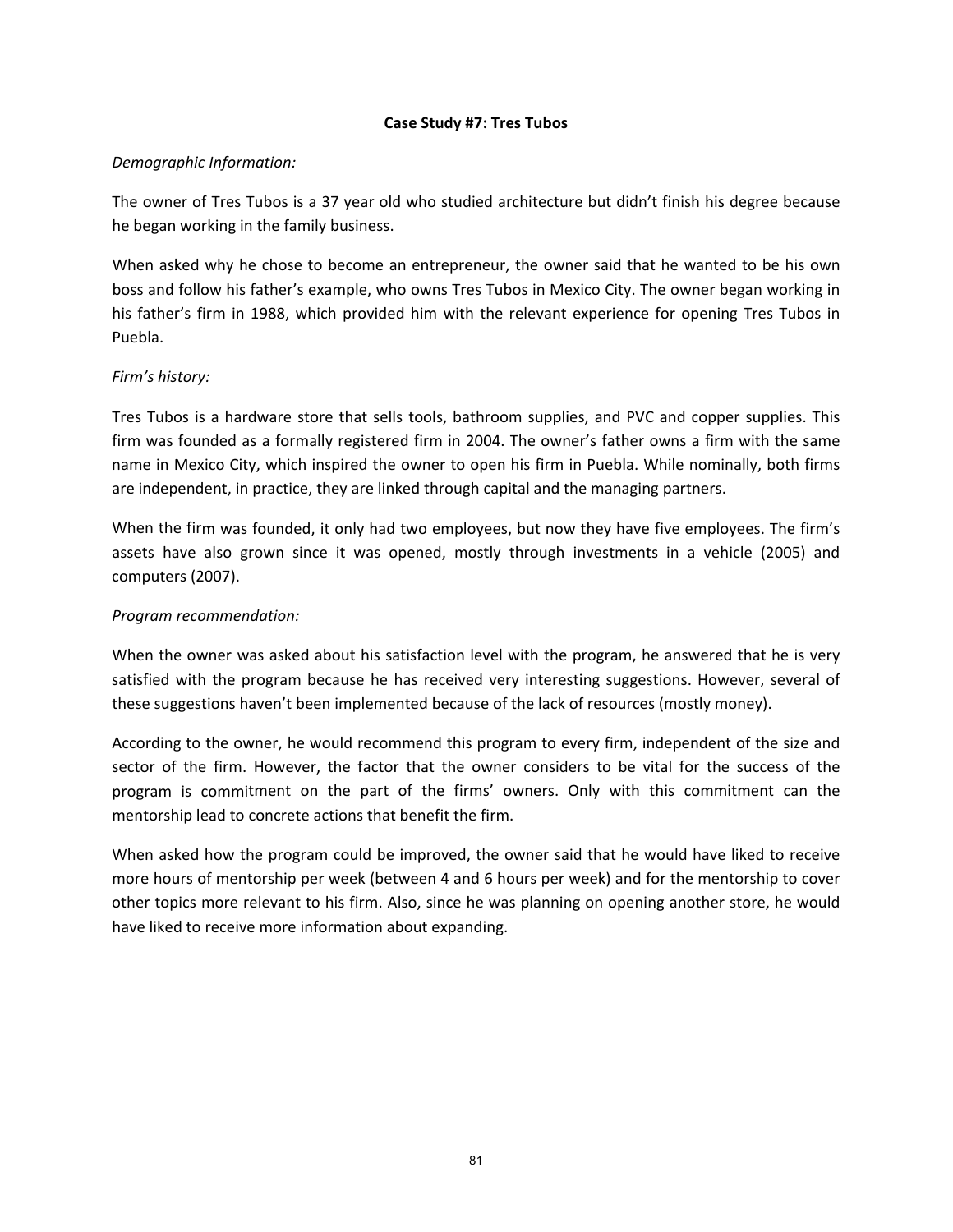## **Case Study #7: Tres Tubos**

## *Demographic Information:*

The owner of Tres Tubos is a 37 year old who studied architecture but didn't finish his degree because he began working in the family business.

When asked why he chose to become an entrepreneur, the owner said that he wanted to be his own boss and follow his father's example, who owns Tres Tubos in Mexico City. The owner began working in his father's firm in 1988, which provided him with the relevant experience for opening Tres Tubos in Puebla.

## *Firm's history:*

Tres Tubos is a hardware store that sells tools, bathroom supplies, and PVC and copper supplies. This firm was founded as a formally registered firm in 2004. The owner's father owns a firm with the same name in Mexico City, which inspired the owner to open his firm in Puebla. While nominally, both firms are independent, in practice, they are linked through capital and the managing partners.

When the firm was founded, it only had two employees, but now they have five employees. The firm's assets have also grown since it was opened, mostly through investments in a vehicle (2005) and computers (2007).

## *Program recommendation:*

When the owner was asked about his satisfaction level with the program, he answered that he is very satisfied with the program because he has received very interesting suggestions. However, several of these suggestions haven't been implemented because of the lack of resources (mostly money).

According to the owner, he would recommend this program to every firm, independent of the size and sector of the firm. However, the factor that the owner considers to be vital for the success of the program is commitment on the part of the firms' owners. Only with this commitment can the mentorship lead to concrete actions that benefit the firm.

When asked how the program could be improved, the owner said that he would have liked to receive more hours of mentorship per week (between 4 and 6 hours per week) and for the mentorship to cover other topics more relevant to his firm. Also, since he was planning on opening another store, he would have liked to receive more information about expanding.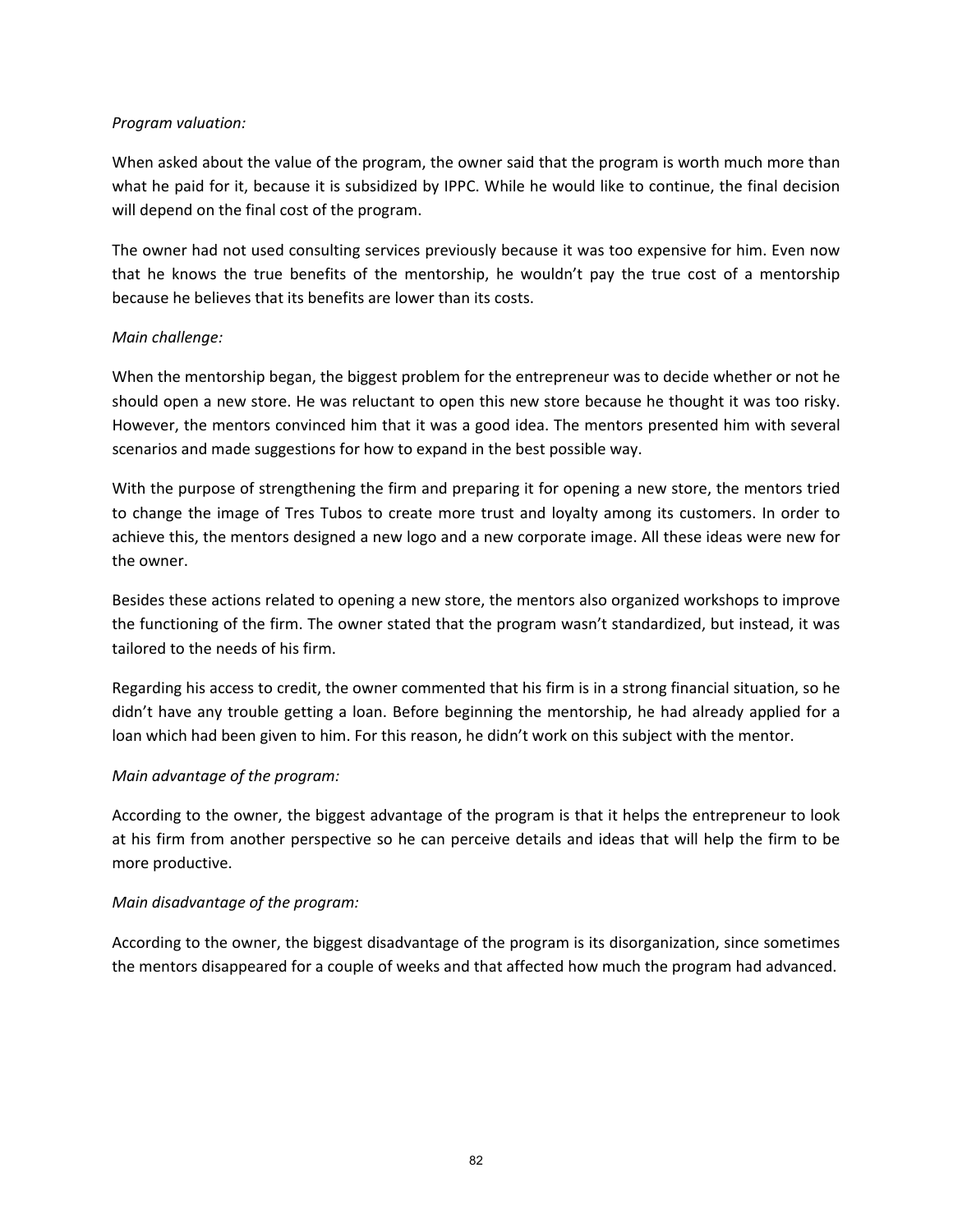## *Program valuation:*

When asked about the value of the program, the owner said that the program is worth much more than what he paid for it, because it is subsidized by IPPC. While he would like to continue, the final decision will depend on the final cost of the program.

The owner had not used consulting services previously because it was too expensive for him. Even now that he knows the true benefits of the mentorship, he wouldn't pay the true cost of a mentorship because he believes that its benefits are lower than its costs.

## *Main challenge:*

When the mentorship began, the biggest problem for the entrepreneur was to decide whether or not he should open a new store. He was reluctant to open this new store because he thought it was too risky. However, the mentors convinced him that it was a good idea. The mentors presented him with several scenarios and made suggestions for how to expand in the best possible way.

With the purpose of strengthening the firm and preparing it for opening a new store, the mentors tried to change the image of Tres Tubos to create more trust and loyalty among its customers. In order to achieve this, the mentors designed a new logo and a new corporate image. All these ideas were new for the owner.

Besides these actions related to opening a new store, the mentors also organized workshops to improve the functioning of the firm. The owner stated that the program wasn't standardized, but instead, it was tailored to the needs of his firm.

Regarding his access to credit, the owner commented that his firm is in a strong financial situation, so he didn't have any trouble getting a loan. Before beginning the mentorship, he had already applied for a loan which had been given to him. For this reason, he didn't work on this subject with the mentor.

## *Main advantage of the program:*

According to the owner, the biggest advantage of the program is that it helps the entrepreneur to look at his firm from another perspective so he can perceive details and ideas that will help the firm to be more productive.

## *Main disadvantage of the program:*

According to the owner, the biggest disadvantage of the program is its disorganization, since sometimes the mentors disappeared for a couple of weeks and that affected how much the program had advanced.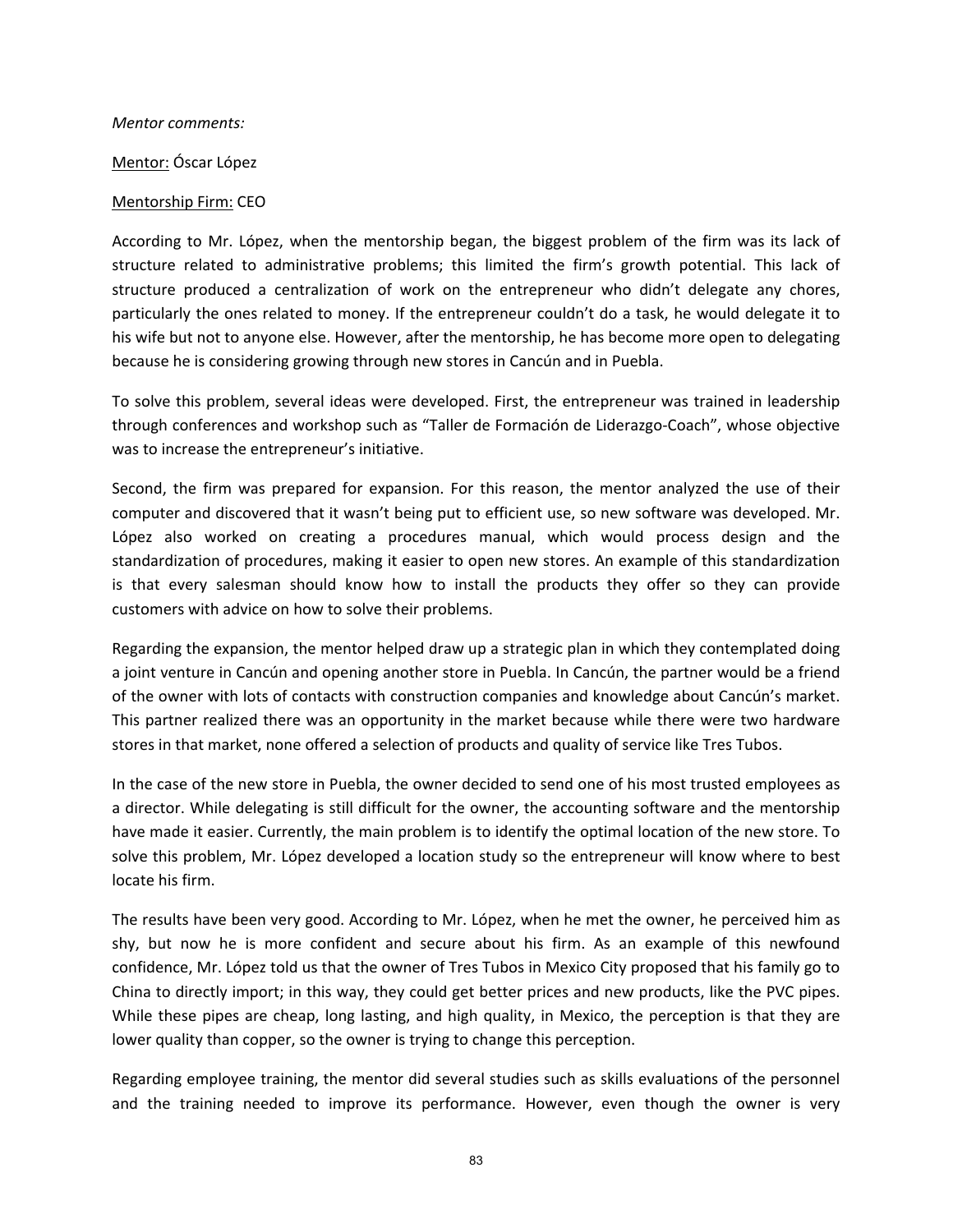#### *Mentor comments:*

#### Mentor: Óscar López

#### Mentorship Firm: CEO

According to Mr. López, when the mentorship began, the biggest problem of the firm was its lack of structure related to administrative problems; this limited the firm's growth potential. This lack of structure produced a centralization of work on the entrepreneur who didn't delegate any chores, particularly the ones related to money. If the entrepreneur couldn't do a task, he would delegate it to his wife but not to anyone else. However, after the mentorship, he has become more open to delegating because he is considering growing through new stores in Cancún and in Puebla.

To solve this problem, several ideas were developed. First, the entrepreneur was trained in leadership through conferences and workshop such as "Taller de Formación de Liderazgo‐Coach", whose objective was to increase the entrepreneur's initiative.

Second, the firm was prepared for expansion. For this reason, the mentor analyzed the use of their computer and discovered that it wasn't being put to efficient use, so new software was developed. Mr. López also worked on creating a procedures manual, which would process design and the standardization of procedures, making it easier to open new stores. An example of this standardization is that every salesman should know how to install the products they offer so they can provide customers with advice on how to solve their problems.

Regarding the expansion, the mentor helped draw up a strategic plan in which they contemplated doing a joint venture in Cancún and opening another store in Puebla. In Cancún, the partner would be a friend of the owner with lots of contacts with construction companies and knowledge about Cancún's market. This partner realized there was an opportunity in the market because while there were two hardware stores in that market, none offered a selection of products and quality of service like Tres Tubos.

In the case of the new store in Puebla, the owner decided to send one of his most trusted employees as a director. While delegating is still difficult for the owner, the accounting software and the mentorship have made it easier. Currently, the main problem is to identify the optimal location of the new store. To solve this problem, Mr. López developed a location study so the entrepreneur will know where to best locate his firm.

The results have been very good. According to Mr. López, when he met the owner, he perceived him as shy, but now he is more confident and secure about his firm. As an example of this newfound confidence, Mr. López told us that the owner of Tres Tubos in Mexico City proposed that his family go to China to directly import; in this way, they could get better prices and new products, like the PVC pipes. While these pipes are cheap, long lasting, and high quality, in Mexico, the perception is that they are lower quality than copper, so the owner is trying to change this perception.

Regarding employee training, the mentor did several studies such as skills evaluations of the personnel and the training needed to improve its performance. However, even though the owner is very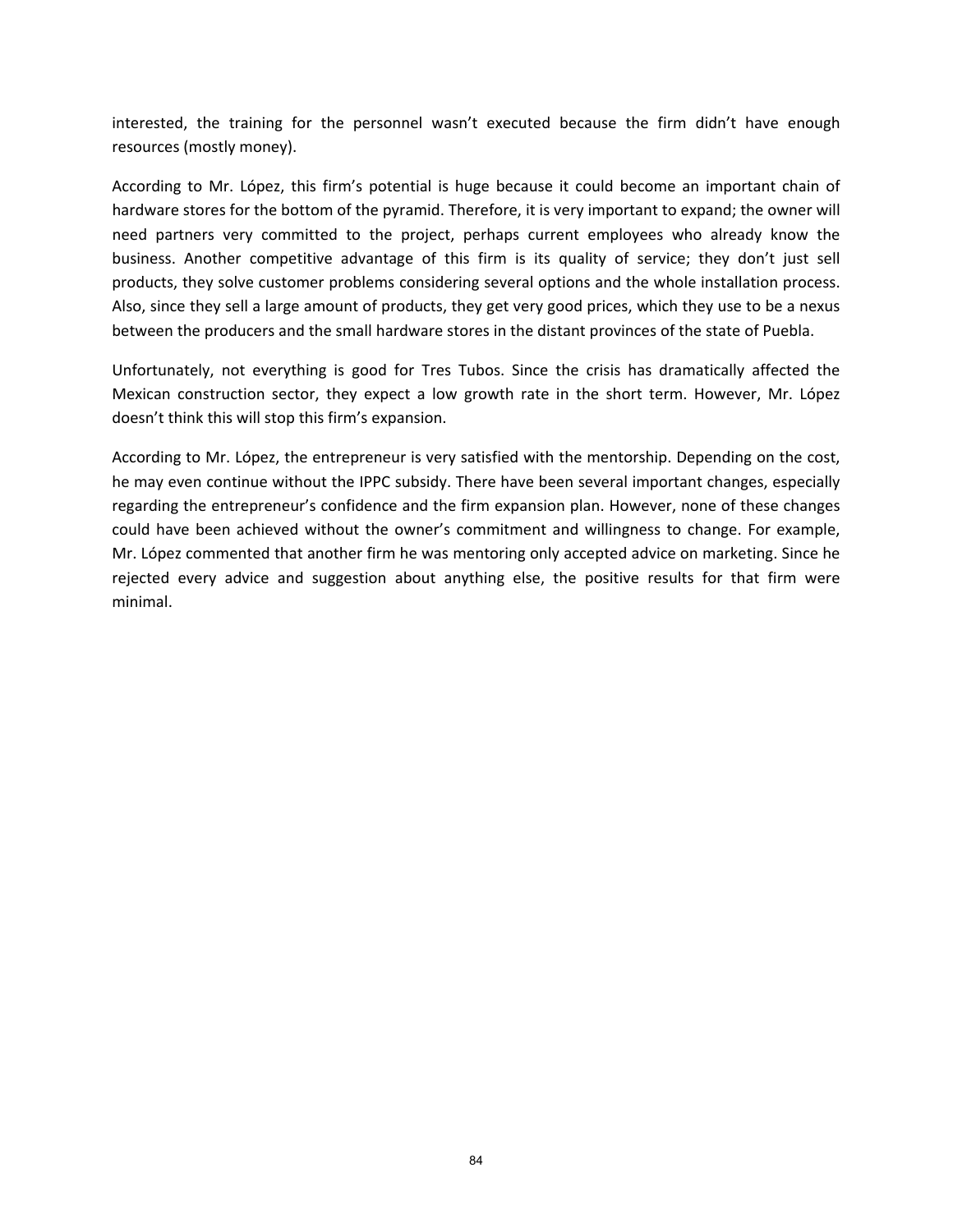interested, the training for the personnel wasn't executed because the firm didn't have enough resources (mostly money).

According to Mr. López, this firm's potential is huge because it could become an important chain of hardware stores for the bottom of the pyramid. Therefore, it is very important to expand; the owner will need partners very committed to the project, perhaps current employees who already know the business. Another competitive advantage of this firm is its quality of service; they don't just sell products, they solve customer problems considering several options and the whole installation process. Also, since they sell a large amount of products, they get very good prices, which they use to be a nexus between the producers and the small hardware stores in the distant provinces of the state of Puebla.

Unfortunately, not everything is good for Tres Tubos. Since the crisis has dramatically affected the Mexican construction sector, they expect a low growth rate in the short term. However, Mr. López doesn't think this will stop this firm's expansion.

According to Mr. López, the entrepreneur is very satisfied with the mentorship. Depending on the cost, he may even continue without the IPPC subsidy. There have been several important changes, especially regarding the entrepreneur's confidence and the firm expansion plan. However, none of these changes could have been achieved without the owner's commitment and willingness to change. For example, Mr. López commented that another firm he was mentoring only accepted advice on marketing. Since he rejected every advice and suggestion about anything else, the positive results for that firm were minimal.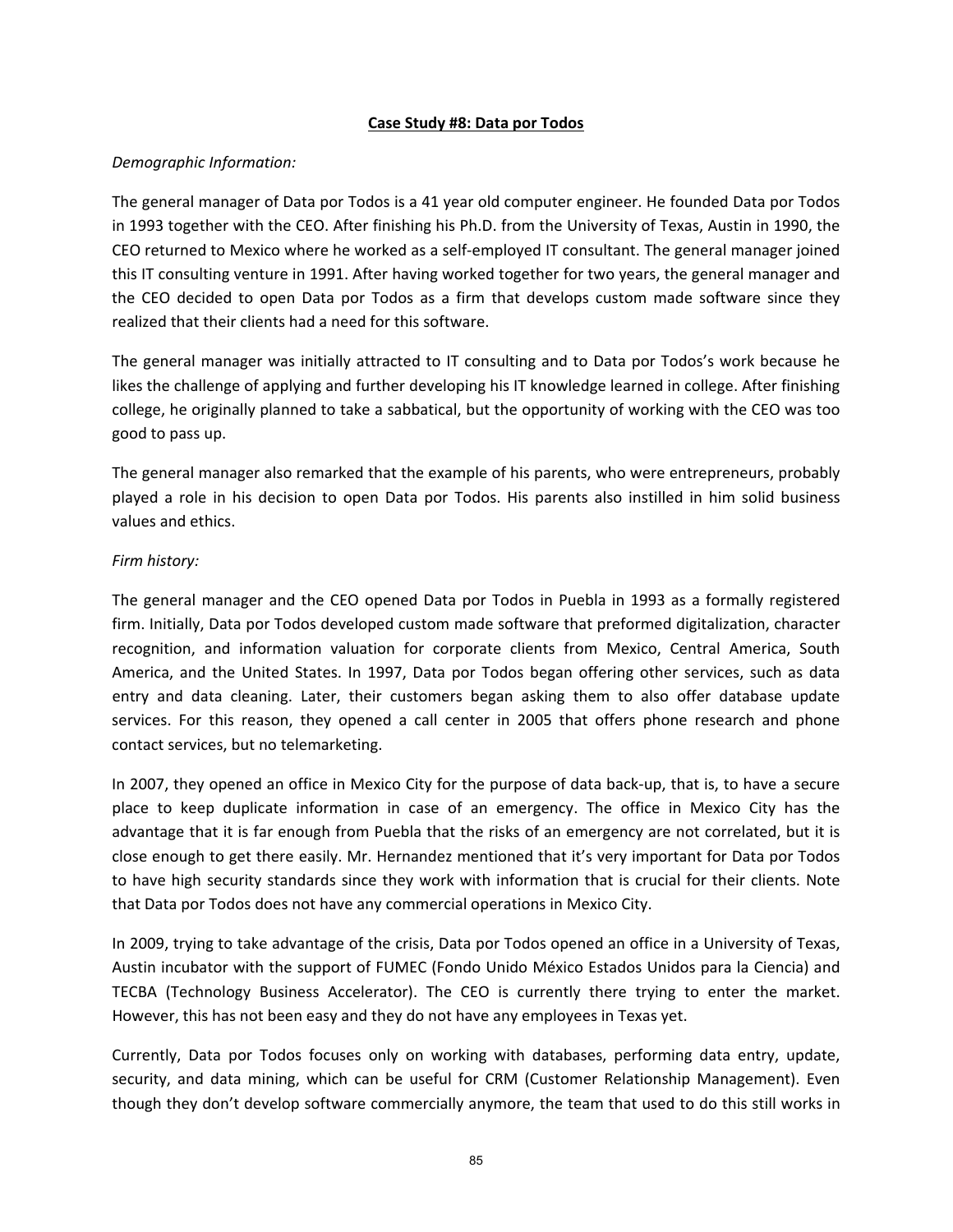#### **Case Study #8: Data por Todos**

## *Demographic Information:*

The general manager of Data por Todos is a 41 year old computer engineer. He founded Data por Todos in 1993 together with the CEO. After finishing his Ph.D. from the University of Texas, Austin in 1990, the CEO returned to Mexico where he worked as a self‐employed IT consultant. The general manager joined this IT consulting venture in 1991. After having worked together for two years, the general manager and the CEO decided to open Data por Todos as a firm that develops custom made software since they realized that their clients had a need for this software.

The general manager was initially attracted to IT consulting and to Data por Todos's work because he likes the challenge of applying and further developing his IT knowledge learned in college. After finishing college, he originally planned to take a sabbatical, but the opportunity of working with the CEO was too good to pass up.

The general manager also remarked that the example of his parents, who were entrepreneurs, probably played a role in his decision to open Data por Todos. His parents also instilled in him solid business values and ethics.

## *Firm history:*

The general manager and the CEO opened Data por Todos in Puebla in 1993 as a formally registered firm. Initially, Data por Todos developed custom made software that preformed digitalization, character recognition, and information valuation for corporate clients from Mexico, Central America, South America, and the United States. In 1997, Data por Todos began offering other services, such as data entry and data cleaning. Later, their customers began asking them to also offer database update services. For this reason, they opened a call center in 2005 that offers phone research and phone contact services, but no telemarketing.

In 2007, they opened an office in Mexico City for the purpose of data back‐up, that is, to have a secure place to keep duplicate information in case of an emergency. The office in Mexico City has the advantage that it is far enough from Puebla that the risks of an emergency are not correlated, but it is close enough to get there easily. Mr. Hernandez mentioned that it's very important for Data por Todos to have high security standards since they work with information that is crucial for their clients. Note that Data por Todos does not have any commercial operations in Mexico City.

In 2009, trying to take advantage of the crisis, Data por Todos opened an office in a University of Texas, Austin incubator with the support of FUMEC (Fondo Unido México Estados Unidos para la Ciencia) and TECBA (Technology Business Accelerator). The CEO is currently there trying to enter the market. However, this has not been easy and they do not have any employees in Texas yet.

Currently, Data por Todos focuses only on working with databases, performing data entry, update, security, and data mining, which can be useful for CRM (Customer Relationship Management). Even though they don't develop software commercially anymore, the team that used to do this still works in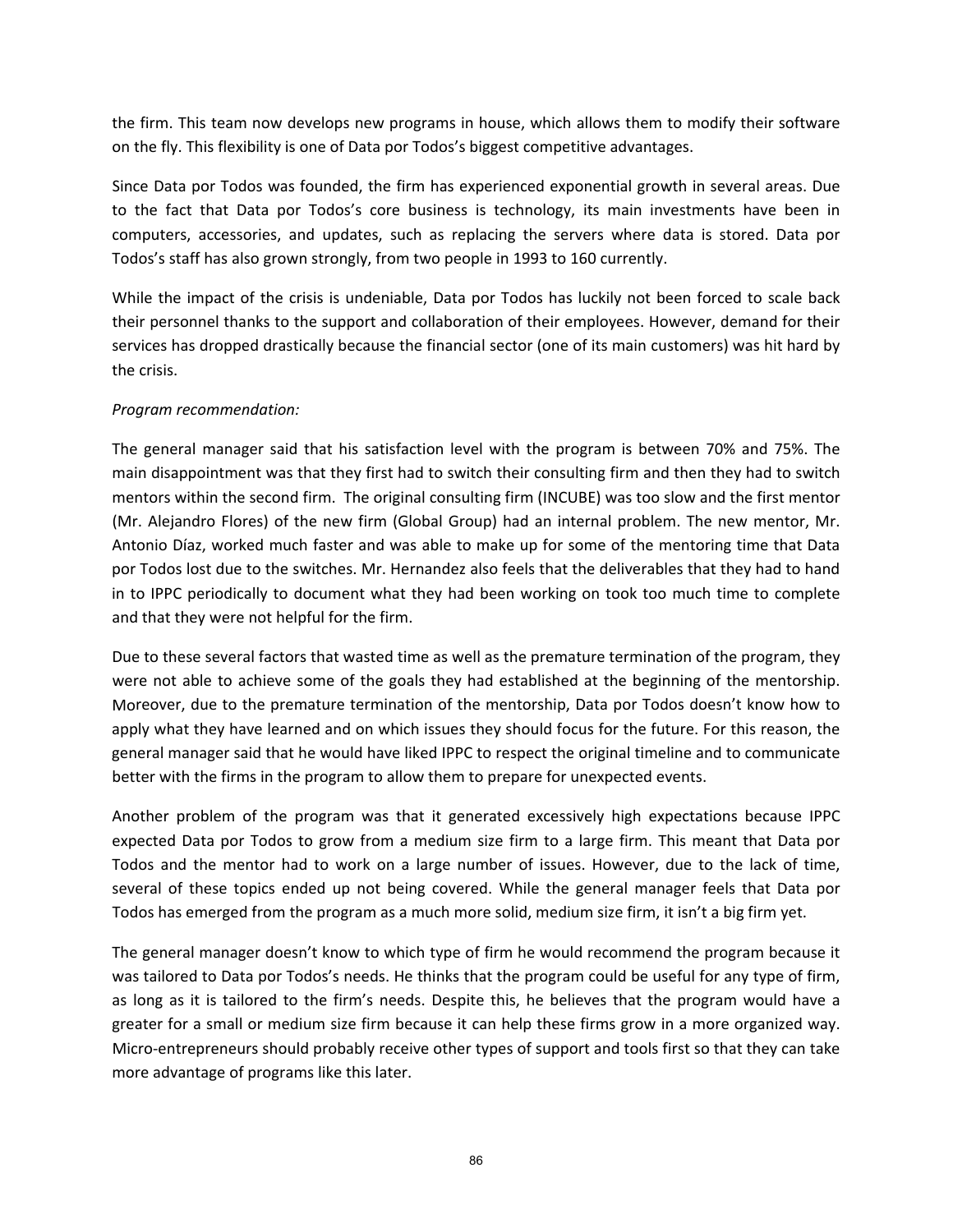the firm. This team now develops new programs in house, which allows them to modify their software on the fly. This flexibility is one of Data por Todos's biggest competitive advantages.

Since Data por Todos was founded, the firm has experienced exponential growth in several areas. Due to the fact that Data por Todos's core business is technology, its main investments have been in computers, accessories, and updates, such as replacing the servers where data is stored. Data por Todos's staff has also grown strongly, from two people in 1993 to 160 currently.

While the impact of the crisis is undeniable, Data por Todos has luckily not been forced to scale back their personnel thanks to the support and collaboration of their employees. However, demand for their services has dropped drastically because the financial sector (one of its main customers) was hit hard by the crisis.

## *Program recommendation:*

The general manager said that his satisfaction level with the program is between 70% and 75%. The main disappointment was that they first had to switch their consulting firm and then they had to switch mentors within the second firm. The original consulting firm (INCUBE) was too slow and the first mentor (Mr. Alejandro Flores) of the new firm (Global Group) had an internal problem. The new mentor, Mr. Antonio Díaz, worked much faster and was able to make up for some of the mentoring time that Data por Todos lost due to the switches. Mr. Hernandez also feels that the deliverables that they had to hand in to IPPC periodically to document what they had been working on took too much time to complete and that they were not helpful for the firm.

Due to these several factors that wasted time as well as the premature termination of the program, they were not able to achieve some of the goals they had established at the beginning of the mentorship. Moreover, due to the premature termination of the mentorship, Data por Todos doesn't know how to apply what they have learned and on which issues they should focus for the future. For this reason, the general manager said that he would have liked IPPC to respect the original timeline and to communicate better with the firms in the program to allow them to prepare for unexpected events.

Another problem of the program was that it generated excessively high expectations because IPPC expected Data por Todos to grow from a medium size firm to a large firm. This meant that Data por Todos and the mentor had to work on a large number of issues. However, due to the lack of time, several of these topics ended up not being covered. While the general manager feels that Data por Todos has emerged from the program as a much more solid, medium size firm, it isn't a big firm yet.

The general manager doesn't know to which type of firm he would recommend the program because it was tailored to Data por Todos's needs. He thinks that the program could be useful for any type of firm, as long as it is tailored to the firm's needs. Despite this, he believes that the program would have a greater for a small or medium size firm because it can help these firms grow in a more organized way. Micro‐entrepreneurs should probably receive other types of support and tools first so that they can take more advantage of programs like this later.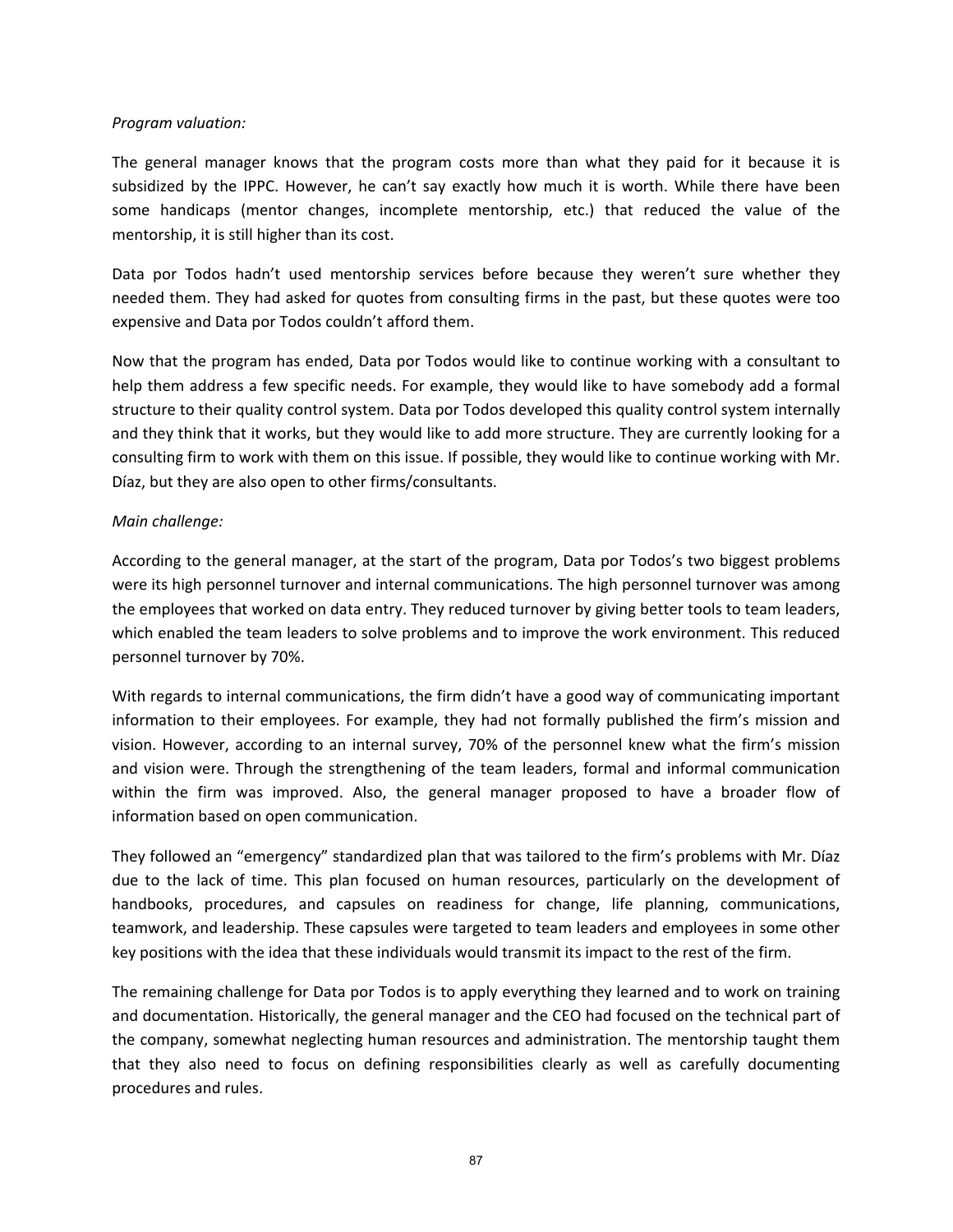#### *Program valuation:*

The general manager knows that the program costs more than what they paid for it because it is subsidized by the IPPC. However, he can't say exactly how much it is worth. While there have been some handicaps (mentor changes, incomplete mentorship, etc.) that reduced the value of the mentorship, it is still higher than its cost.

Data por Todos hadn't used mentorship services before because they weren't sure whether they needed them. They had asked for quotes from consulting firms in the past, but these quotes were too expensive and Data por Todos couldn't afford them.

Now that the program has ended, Data por Todos would like to continue working with a consultant to help them address a few specific needs. For example, they would like to have somebody add a formal structure to their quality control system. Data por Todos developed this quality control system internally and they think that it works, but they would like to add more structure. They are currently looking for a consulting firm to work with them on this issue. If possible, they would like to continue working with Mr. Díaz, but they are also open to other firms/consultants.

## *Main challenge:*

According to the general manager, at the start of the program, Data por Todos's two biggest problems were its high personnel turnover and internal communications. The high personnel turnover was among the employees that worked on data entry. They reduced turnover by giving better tools to team leaders, which enabled the team leaders to solve problems and to improve the work environment. This reduced personnel turnover by 70%.

With regards to internal communications, the firm didn't have a good way of communicating important information to their employees. For example, they had not formally published the firm's mission and vision. However, according to an internal survey, 70% of the personnel knew what the firm's mission and vision were. Through the strengthening of the team leaders, formal and informal communication within the firm was improved. Also, the general manager proposed to have a broader flow of information based on open communication.

They followed an "emergency" standardized plan that was tailored to the firm's problems with Mr. Díaz due to the lack of time. This plan focused on human resources, particularly on the development of handbooks, procedures, and capsules on readiness for change, life planning, communications, teamwork, and leadership. These capsules were targeted to team leaders and employees in some other key positions with the idea that these individuals would transmit its impact to the rest of the firm.

The remaining challenge for Data por Todos is to apply everything they learned and to work on training and documentation. Historically, the general manager and the CEO had focused on the technical part of the company, somewhat neglecting human resources and administration. The mentorship taught them that they also need to focus on defining responsibilities clearly as well as carefully documenting procedures and rules.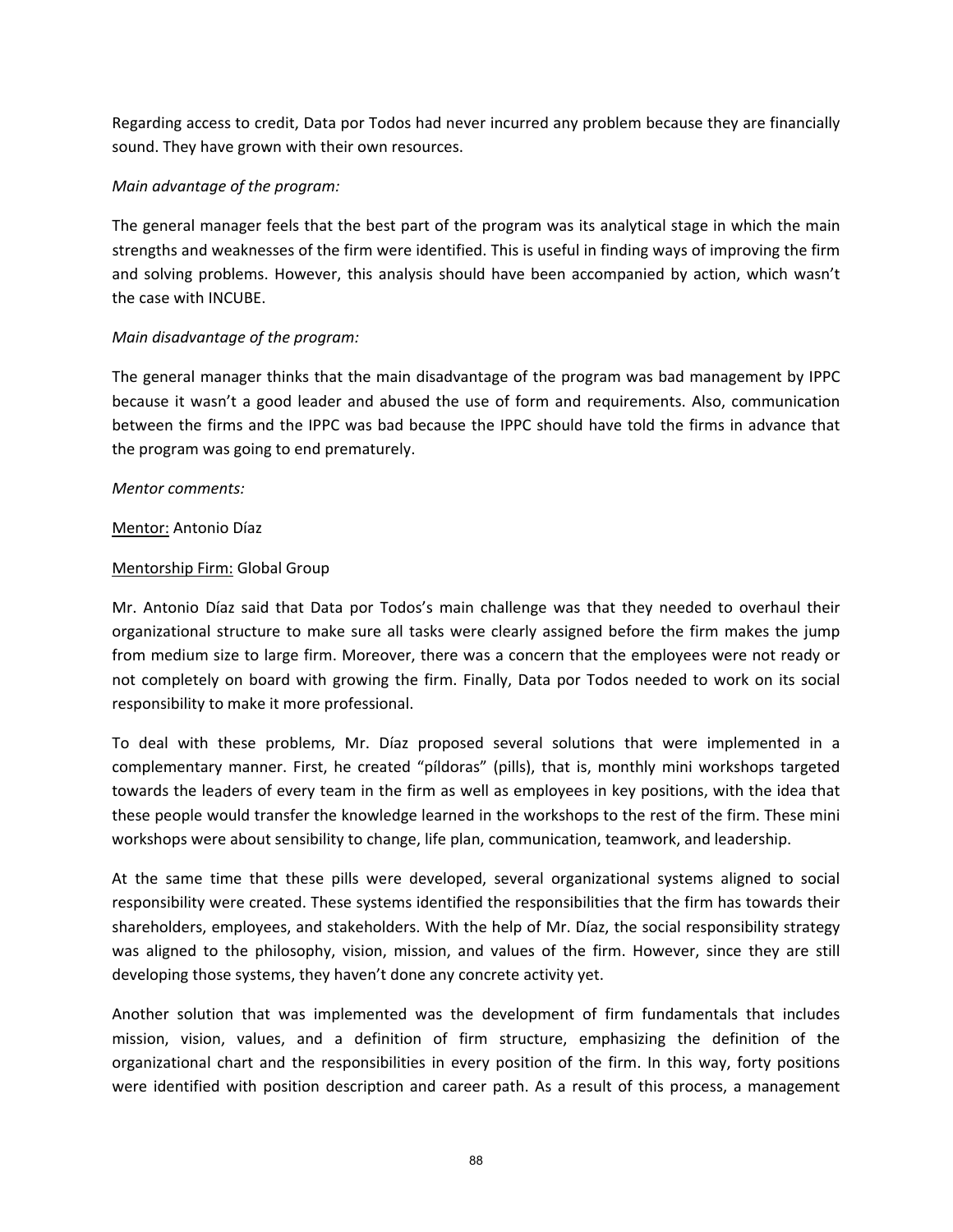Regarding access to credit, Data por Todos had never incurred any problem because they are financially sound. They have grown with their own resources.

## *Main advantage of the program:*

The general manager feels that the best part of the program was its analytical stage in which the main strengths and weaknesses of the firm were identified. This is useful in finding ways of improving the firm and solving problems. However, this analysis should have been accompanied by action, which wasn't the case with INCUBE.

## *Main disadvantage of the program:*

The general manager thinks that the main disadvantage of the program was bad management by IPPC because it wasn't a good leader and abused the use of form and requirements. Also, communication between the firms and the IPPC was bad because the IPPC should have told the firms in advance that the program was going to end prematurely.

## *Mentor comments:*

## Mentor: Antonio Díaz

## Mentorship Firm: Global Group

Mr. Antonio Díaz said that Data por Todos's main challenge was that they needed to overhaul their organizational structure to make sure all tasks were clearly assigned before the firm makes the jump from medium size to large firm. Moreover, there was a concern that the employees were not ready or not completely on board with growing the firm. Finally, Data por Todos needed to work on its social responsibility to make it more professional.

To deal with these problems, Mr. Díaz proposed several solutions that were implemented in a complementary manner. First, he created "píldoras" (pills), that is, monthly mini workshops targeted towards the leaders of every team in the firm as well as employees in key positions, with the idea that these people would transfer the knowledge learned in the workshops to the rest of the firm. These mini workshops were about sensibility to change, life plan, communication, teamwork, and leadership.

At the same time that these pills were developed, several organizational systems aligned to social responsibility were created. These systems identified the responsibilities that the firm has towards their shareholders, employees, and stakeholders. With the help of Mr. Díaz, the social responsibility strategy was aligned to the philosophy, vision, mission, and values of the firm. However, since they are still developing those systems, they haven't done any concrete activity yet.

Another solution that was implemented was the development of firm fundamentals that includes mission, vision, values, and a definition of firm structure, emphasizing the definition of the organizational chart and the responsibilities in every position of the firm. In this way, forty positions were identified with position description and career path. As a result of this process, a management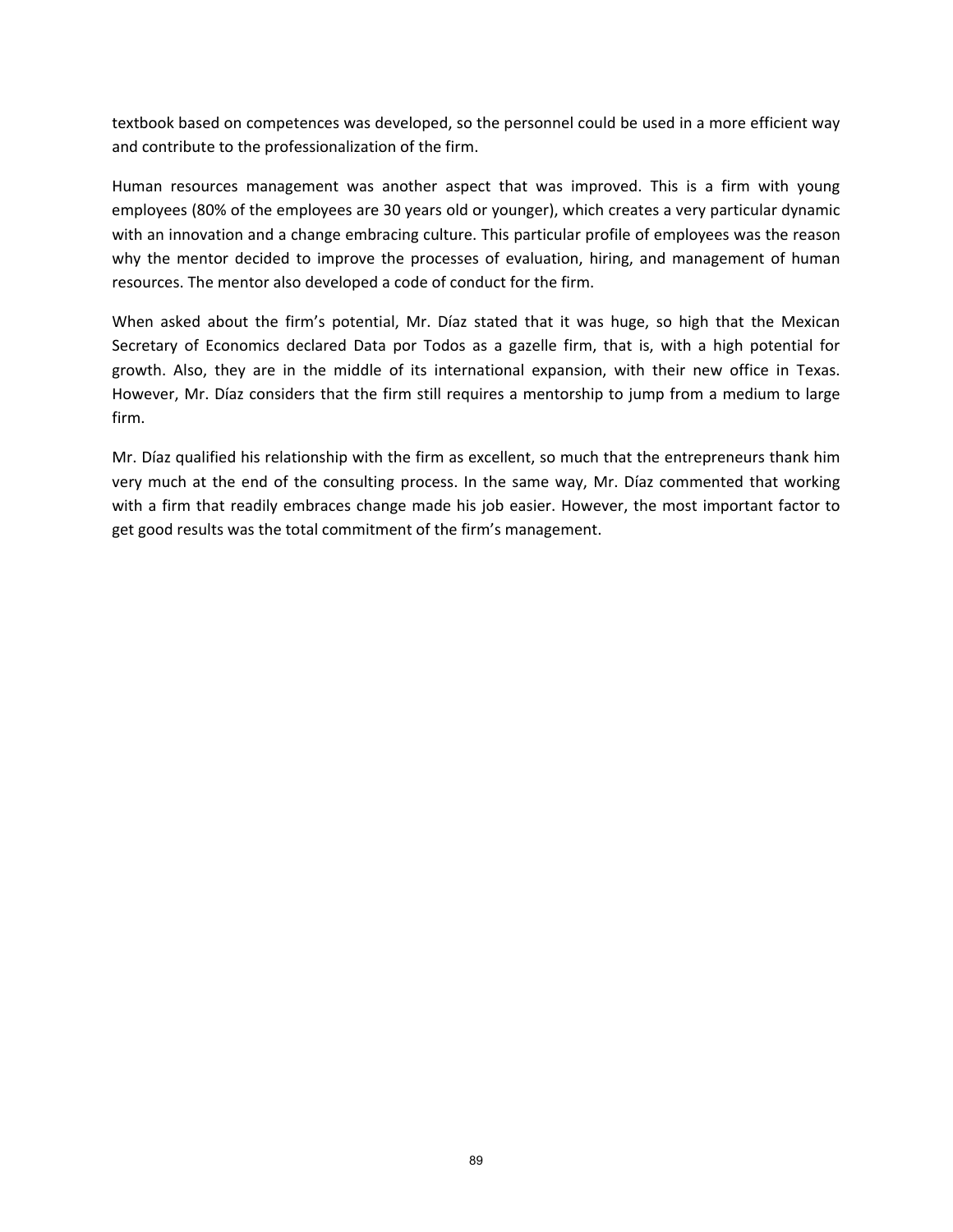textbook based on competences was developed, so the personnel could be used in a more efficient way and contribute to the professionalization of the firm.

Human resources management was another aspect that was improved. This is a firm with young employees (80% of the employees are 30 years old or younger), which creates a very particular dynamic with an innovation and a change embracing culture. This particular profile of employees was the reason why the mentor decided to improve the processes of evaluation, hiring, and management of human resources. The mentor also developed a code of conduct for the firm.

When asked about the firm's potential, Mr. Díaz stated that it was huge, so high that the Mexican Secretary of Economics declared Data por Todos as a gazelle firm, that is, with a high potential for growth. Also, they are in the middle of its international expansion, with their new office in Texas. However, Mr. Díaz considers that the firm still requires a mentorship to jump from a medium to large firm.

Mr. Díaz qualified his relationship with the firm as excellent, so much that the entrepreneurs thank him very much at the end of the consulting process. In the same way, Mr. Díaz commented that working with a firm that readily embraces change made his job easier. However, the most important factor to get good results was the total commitment of the firm's management.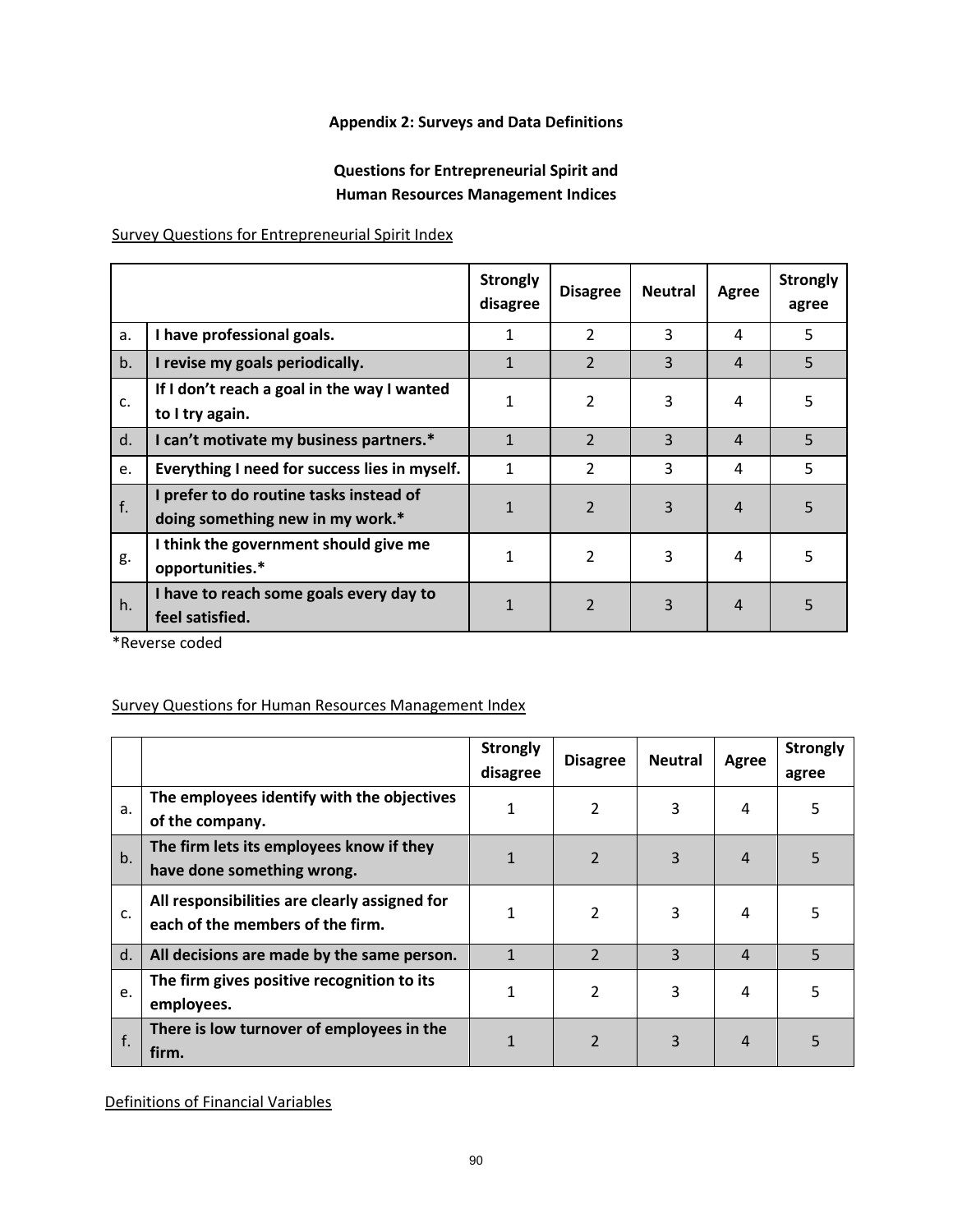# **Appendix 2: Surveys and Data Definitions**

# **Questions for Entrepreneurial Spirit and Human Resources Management Indices**

Survey Questions for Entrepreneurial Spirit Index

|    |                                                                             | <b>Strongly</b><br>disagree | <b>Disagree</b> | <b>Neutral</b> | Agree          | <b>Strongly</b><br>agree |
|----|-----------------------------------------------------------------------------|-----------------------------|-----------------|----------------|----------------|--------------------------|
| a. | I have professional goals.                                                  | 1                           | 2               | 3              | 4              | 5                        |
| b. | I revise my goals periodically.                                             | $\mathbf{1}$                | $\overline{2}$  | 3              | $\overline{4}$ | 5                        |
| c. | If I don't reach a goal in the way I wanted<br>to I try again.              | $\mathbf{1}$                | $\overline{2}$  | 3              | 4              | 5                        |
| d. | I can't motivate my business partners.*                                     | $\mathbf{1}$                | $\overline{2}$  | 3              | $\overline{4}$ | 5                        |
| e. | Everything I need for success lies in myself.                               | $\mathbf{1}$                | $\overline{2}$  | 3              | 4              | 5                        |
| f. | I prefer to do routine tasks instead of<br>doing something new in my work.* | $\mathbf{1}$                | $\overline{2}$  | 3              | $\overline{4}$ | 5                        |
| g. | I think the government should give me<br>opportunities.*                    | 1                           | $\overline{2}$  | 3              | 4              | 5                        |
| h. | I have to reach some goals every day to<br>feel satisfied.                  | $\mathbf{1}$                | $\overline{2}$  | 3              | $\overline{4}$ | 5                        |

\*Reverse coded

# Survey Questions for Human Resources Management Index

|       |                                                                                   | <b>Strongly</b><br>disagree | <b>Disagree</b> | <b>Neutral</b> | Agree          | <b>Strongly</b><br>agree |
|-------|-----------------------------------------------------------------------------------|-----------------------------|-----------------|----------------|----------------|--------------------------|
| a.    | The employees identify with the objectives<br>of the company.                     | 1                           | 2               | 3              | 4              | 5                        |
| $b$ . | The firm lets its employees know if they<br>have done something wrong.            | 1                           | $\overline{2}$  | 3              | $\overline{4}$ | 5                        |
| c.    | All responsibilities are clearly assigned for<br>each of the members of the firm. | 1                           | $\overline{2}$  | 3              | 4              | 5                        |
| d.    | All decisions are made by the same person.                                        |                             | $\mathcal{P}$   | 3              | $\overline{4}$ | 5                        |
| e.    | The firm gives positive recognition to its<br>employees.                          | 1                           | 2               | 3              | 4              | 5                        |
| f.    | There is low turnover of employees in the<br>firm.                                |                             | $\overline{2}$  | 3              | $\overline{4}$ | 5                        |

Definitions of Financial Variables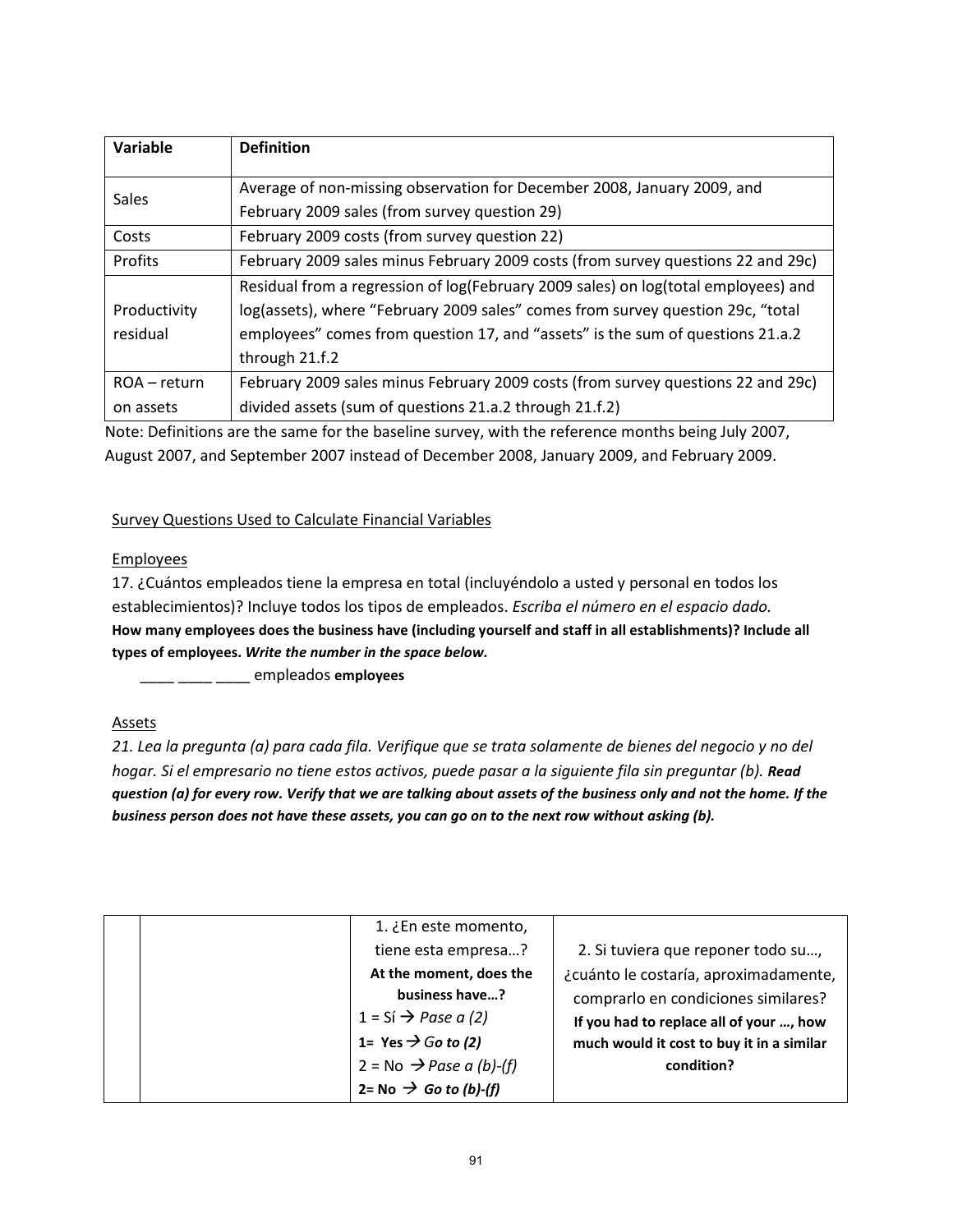| Variable     | <b>Definition</b>                                                                  |
|--------------|------------------------------------------------------------------------------------|
|              |                                                                                    |
| <b>Sales</b> | Average of non-missing observation for December 2008, January 2009, and            |
|              | February 2009 sales (from survey question 29)                                      |
| Costs        | February 2009 costs (from survey question 22)                                      |
| Profits      | February 2009 sales minus February 2009 costs (from survey questions 22 and 29c)   |
|              | Residual from a regression of log(February 2009 sales) on log(total employees) and |
| Productivity | log(assets), where "February 2009 sales" comes from survey question 29c, "total    |
| residual     | employees" comes from question 17, and "assets" is the sum of questions 21.a.2     |
|              | through 21.f.2                                                                     |
| ROA – return | February 2009 sales minus February 2009 costs (from survey questions 22 and 29c)   |
| on assets    | divided assets (sum of questions 21.a.2 through 21.f.2)                            |

Note: Definitions are the same for the baseline survey, with the reference months being July 2007, August 2007, and September 2007 instead of December 2008, January 2009, and February 2009.

## Survey Questions Used to Calculate Financial Variables

## **Employees**

17. ¿Cuántos empleados tiene la empresa en total (incluyéndolo a usted y personal en todos los establecimientos)? Incluye todos los tipos de empleados. *Escriba el número en el espacio dado.* **How many employees does the business have (including yourself and staff in all establishments)? Include all types of employees.** *Write the number in the space below.*

\_\_\_\_ \_\_\_\_ \_\_\_\_ empleados **employees**

## **Assets**

*21. Lea la pregunta (a) para cada fila. Verifique que se trata solamente de bienes del negocio y no del hogar. Si el empresario no tiene estos activos, puede pasar a la siguiente fila sin preguntar (b). Read question (a) for every row. Verify that we are talking about assets of the business only and not the home. If the business person does not have these assets, you can go on to the next row without asking (b).*

|  | 1. ¿En este momento,                |                                           |
|--|-------------------------------------|-------------------------------------------|
|  | tiene esta empresa?                 | 2. Si tuviera que reponer todo su,        |
|  | At the moment, does the             | ¿cuánto le costaría, aproximadamente,     |
|  | business have?                      | comprarlo en condiciones similares?       |
|  | $1 = Si \rightarrow Page a (2)$     | If you had to replace all of your , how   |
|  | 1= Yes $\rightarrow$ Go to (2)      | much would it cost to buy it in a similar |
|  | $2 = No \rightarrow Pase a (b)-(f)$ | condition?                                |
|  | 2= No $\rightarrow$ Go to (b)-(f)   |                                           |